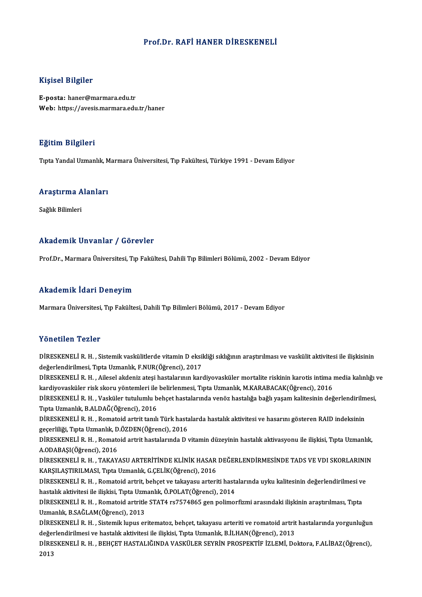#### Prof.Dr. RAFİ HANER DİRESKENELİ

#### Kişisel Bilgiler

E-posta: haner@marmara.edu.tr Web: https://avesis.marmara.edu.tr/haner

#### Eğitim Bilgileri

TıptaYandalUzmanlık,MarmaraÜniversitesi,Tıp Fakültesi,Türkiye 1991 -DevamEdiyor

# rıpla randal ozmanlık, ıv<br>Araştırma Alanları <mark>Araştırma A</mark><br>Sağlık Bilimleri

# Akademik Unvanlar / Görevler

Prof.Dr., Marmara Üniversitesi, Tıp Fakültesi, Dahili Tıp Bilimleri Bölümü, 2002 - Devam Ediyor

#### Akademik İdari Deneyim

Marmara Üniversitesi, Tıp Fakültesi, Dahili Tıp Bilimleri Bölümü, 2017 - Devam Ediyor

#### Yönetilen Tezler

Yönetilen Tezler<br>DİRESKENELİ R. H. , Sistemik vaskülitlerde vitamin D eksikliği sıklığının araştırılması ve vaskülit aktivitesi ile ilişkisinin<br>değarlandirilmesi, Tırta Uzmanlık, E NUR (Öğrensi), 2017 de öncencir i carer<br>DİRESKENELİ R. H. , Sistemik vaskülitlerde vitamin D eksil<br>değerlendirilmesi, Tıpta Uzmanlık, F.NUR(Öğrenci), 2017<br>DİRESKENELİ R. H. , Ailosol akdaniz atosi bastalarının kar DİRESKENELİ R. H. , Sistemik vaskülitlerde vitamin D eksikliği sıklığının araştırılması ve vaskülit aktivitesi ile ilişkisinin<br>değerlendirilmesi, Tıpta Uzmanlık, F.NUR(Öğrenci), 2017<br>DİRESKENELİ R. H. , Ailesel akdeniz ate değerlendirilmesi, Tıpta Uzmanlık, F.NUR(Öğrenci), 2017<br>DİRESKENELİ R. H. , Ailesel akdeniz ateşi hastalarının kardiyovasküler mortalite riskinin karotis intima<br>kardiyovasküler risk skoru yöntemleri ile belirlenmesi, Tıpta DİRESKENELİ R. H. , Ailesel akdeniz ateşi hastalarının kardiyovasküler mortalite riskinin karotis intima media kalınlığı veridi kalınlığı veridirilmesi, yardığı yerlendirilmesi, yardığı bağlıyaşam kalitesinin değerlendiril kardiyovasküler risk skoru yöntemleri ile<br>DİRESKENELİ R. H. , Vasküler tutulumlu b<br>Tıpta Uzmanlık, B.ALDAĞ(Öğrenci), 2016<br>DİRESKENELİ R. H. , Romatoid ortrit tapılı DİRESKENELİ R. H. , Vasküler tutulumlu behçet hastalarında venöz hastalığa bağlı yaşam kalitesinin değerlendirilm<br>Tıpta Uzmanlık, B.ALDAĞ(Öğrenci), 2016<br>DİRESKENELİ R. H. , Romatoid artrit tanılı Türk hastalarda hastalık a Tıpta Uzmanlık, B.ALDAĞ(Öğrenci), 2016<br>DİRESKENELİ R. H. , Romatoid artrit tanılı Türk hasta<br>geçerliliği, Tıpta Uzmanlık, D.ÖZDEN(Öğrenci), 2016<br>DİRESKENELİ R. H. - Romatoid artrit bastalarında D.J DİRESKENELİ R. H. , Romatoid artrit tanılı Türk hastalarda hastalık aktivitesi ve hasarını gösteren RAID indeksinin<br>geçerliliği, Tıpta Uzmanlık, D.ÖZDEN(Öğrenci), 2016<br>DİRESKENELİ R. H. , Romatoid artrit hastalarında D vit geçerliliği, Tıpta Uzmanlık, D.ÖZDEN(Öğrenci), 2016<br>DİRESKENELİ R. H. , Romatoid artrit hastalarında D vitamin düzeyinin hastalık aktivasyonu ile ilişkisi, Tıpta Uzmanlık,<br>A.ODABAŞI(Öğrenci), 2016 DİRESKENELİ R. H. , Romatoid artrit hastalarında D vitamin düzeyinin hastalık aktivasyonu ile ilişkisi, Tıpta Uzmanlık,<br>A.ODABAŞI(Öğrenci), 2016<br>DİRESKENELİ R. H. , TAKAYASU ARTERİTİNDE KLİNİK HASAR DEĞERLENDİRMESİNDE TADS A.ODABAŞI(Öğrenci), 2016<br>DİRESKENELİ R. H. , TAKAYASU ARTERİTİNDE KLİNİK HASAR<br>KARŞILAŞTIRILMASI, Tıpta Uzmanlık, G.ÇELİK(Öğrenci), 2016<br>DİRESKENELİ B. H. , Pomatoid artrit, babset ve takayasu artari DİRESKENELİ R. H. , TAKAYASU ARTERİTİNDE KLİNİK HASAR DEĞERLENDİRMESİNDE TADS VE VDI SKORLARINI!<br>KARŞILAŞTIRILMASI, Tıpta Uzmanlık, G.ÇELİK(Öğrenci), 2016<br>DİRESKENELİ R. H. , Romatoid artrit, behçet ve takayasu arteriti ha KARŞILAŞTIRILMASI, Tıpta Uzmanlık, G.ÇELİK(Öğrenci), 2016<br>DİRESKENELİ R. H. , Romatoid artrit, behçet ve takayasu arteriti hasta<br>hastalık aktivitesi ile ilişkisi, Tıpta Uzmanlık, Ö.POLAT(Öğrenci), 2014<br>DİRESKENELİ R. H. , DİRESKENELİ R. H. , Romatoid artrit, behçet ve takayasu arteriti hastalarında uyku kalitesinin değerlendirilmesi ve hastalık aktivitesi ile ilişkisi, Tıpta Uzmanlık, Ö.POLAT(Öğrenci), 2014<br>DİRESKENELİ R. H. , Romatoid artr hastalık aktivitesi ile ilişkisi, Tıpta Uzm<br>DİRESKENELİ R. H. , Romatoid artritle<br>Uzmanlık, B.SAĞLAM(Öğrenci), 2013<br>DİRESKENELİ R. H., Sistemik lunus en DİRESKENELİ R. H. , Romatoid artritle STAT4 rs7574865 gen polimorfizmi arasındaki ilişkinin araştırılması, Tıpta<br>Uzmanlık, B.SAĞLAM(Öğrenci), 2013<br>DİRESKENELİ R. H. , Sistemik lupus eritematoz, behçet, takayasu arteriti ve Uzmanlık, B.SAĞLAM(Öğrenci), 2013<br>DİRESKENELİ R. H. , Sistemik lupus eritematoz, behçet, takayasu arteriti ve romatoid artrit<br>değerlendirilmesi ve hastalık aktivitesi ile ilişkisi, Tıpta Uzmanlık, B.İLHAN(Öğrenci), 2013<br>Dİ DİRESKENELİ R. H. , Sistemik lupus eritematoz, behçet, takayasu arteriti ve romatoid artrit hastalarında yorgunluğun<br>değerlendirilmesi ve hastalık aktivitesi ile ilişkisi, Tıpta Uzmanlık, B.İLHAN(Öğrenci), 2013<br>DİRESKENELİ değerlendirilmesi ve hastalık aktivitesi ile ilişkisi, Tıpta Uzmanlık, B.İLHAN(Öğrenci), 2013<br>DİRESKENELİ R. H. , BEHÇET HASTALIĞINDA VASKÜLER SEYRİN PROSPEKTİF İZLEMİ, Doktora, F.ALİBAZ(Öğrenci),<br>2013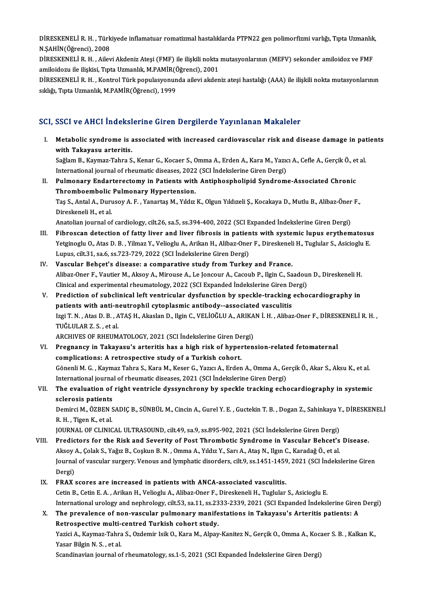DİRESKENELİ R. H. , Türkiyede inflamatuar romatizmal hastalıklarda PTPN22 gen polimorfizmi varlığı, Tıpta Uzmanlık,<br>N.SAHİN(Öğrengi), 2008 DİRESKENELİ R. H. , Türk<br>N.ŞAHİN(Öğrenci), 2008<br>DİRESKENELİ R. H. , Ailoy DİRESKENELİ R. H. , Türkiyede inflamatuar romatizmal hastalıklarda PTPN22 gen polimorfizmi varlığı, Tıpta Uzmanlık<br>N.ŞAHİN(Öğrenci), 2008<br>DİRESKENELİ R. H. , Ailevi Akdeniz Ateşi (FMF) ile ilişkili nokta mutasyonlarının (M

N.ŞAHİN(Öğrenci), 2008<br>DİRESKENELİ R. H. , Ailevi Akdeniz Ateşi (FMF) ile ilişkili nokta<br>amiloidozu ile ilişkisi, Tıpta Uzmanlık, M.PAMİR(Öğrenci), 2001<br>DİRESKENELİ R. H., Kontrol Türk nopulasyonunda eileyi akdan

DİRESKENELİ R. H. , Ailevi Akdeniz Ateşi (FMF) ile ilişkili nokta mutasyonlarının (MEFV) sekonder amiloidoz ve FMF<br>amiloidozu ile ilişkisi, Tıpta Uzmanlık, M.PAMİR(Öğrenci), 2001<br>DİRESKENELİ R. H. , Kontrol Türk populasyon amiloidozu ile ilişkisi, Tıpta Uzmanlık, M.PAMİR(Ö<br>DİRESKENELİ R. H. , Kontrol Türk populasyonun<br>sıklığı, Tıpta Uzmanlık, M.PAMİR(Öğrenci), 1999

#### SCI, SSCI ve AHCI İndekslerine Giren Dergilerde Yayınlanan Makaleler

I. Metabolic syndrome is associated with increased cardiovascular risk and disease damage in patients wood voltings maches<br>Metabolic syndrome is a<br>with Takayasu arteritis.<br>Seğlam B. Kaymaz Tabra S Metabolic syndrome is associated with increased cardiovascular risk and disease damage in pat<br>with Takayasu arteritis.<br>Sağlam B., Kaymaz-Tahra S., Kenar G., Kocaer S., Omma A., Erden A., Kara M., Yazıcı A., Cefle A., Gerçi

wit<mark>h Takayasu arteritis.</mark><br>Sağlam B., Kaymaz-Tahra S., Kenar G., Kocaer S., Omma A., Erden A., Kara M., Yazıc<br>International journal of rheumatic diseases, 2022 (SCI İndekslerine Giren Dergi)<br>Pulmanary Endertenestemy in Pet International journal of rheumatic diseases, 2022 (SCI Indekslerine Giren Dergi)

II. Pulmonary Endarterectomy in Patients with Antiphospholipid Syndrome-Associated Chronic<br>Thromboembolic Pulmonary Hypertension. Pulmonary Endarterectomy in Patients with Antiphospholipid Syndrome-Associated Chronic<br>Thromboembolic Pulmonary Hypertension.<br>Taş S., Antal A., Durusoy A. F. , Yanartaş M., Yıldız K., Olgun Yıldızeli Ş., Kocakaya D., Mutlu Thromboembolic<br>Taş S., Antal A., Duru<br>Direskeneli H., et al.<br>Anatalian iournal af Taş S., Antal A., Durusoy A. F. , Yanartaş M., Yıldız K., Olgun Yıldızeli Ş., Kocakaya D., Mutlu B., Alibaz-Öner<br>Direskeneli H., et al.<br>Anatolian journal of cardiology, cilt.26, sa.5, ss.394-400, 2022 (SCI Expanded İndeksl

- Direskeneli H., et al.<br>Anatolian journal of cardiology, cilt.26, sa.5, ss.394-400, 2022 (SCI Expanded Indekslerine Giren Dergi)<br>III. Fibroscan detection of fatty liver and liver fibrosis in patients with systemic lupus ery Anatolian journal of cardiology, cilt.26, sa.5, ss.394-400, 2022 (SCI Expanded İndekslerine Giren Dergi)<br>Fibroscan detection of fatty liver and liver fibrosis in patients with systemic lupus erythematosu<br>Yetginoglu O., Ata Fibroscan detection of fatty liver and liver fibrosis in patien<br>Yetginoglu O., Atas D. B. , Yilmaz Y., Velioglu A., Arikan H., Alibaz-Oner<br>Lupus, cilt.31, sa.6, ss.723-729, 2022 (SCI İndekslerine Giren Dergi)<br>Vescular Behs Lupus, cilt.31, sa.6, ss.723-729, 2022 (SCI Indekslerine Giren Dergi)<br>IV. Vascular Behçet's disease: a comparative study from Turkey and France.
- Lupus, cilt.31, sa.6, ss.723-729, 2022 (SCI İndekslerine Giren Dergi)<br>Vascular Behçet's disease: a comparative study from Turkey and France.<br>Alibaz-Oner F., Vautier M., Aksoy A., Mirouse A., Le Joncour A., Cacoub P., Ilgin Vascular Behçet's disease: a comparative study from Turkey and France.<br>Alibaz-Oner F., Vautier M., Aksoy A., Mirouse A., Le Joncour A., Cacoub P., Ilgin C., Saadou:<br>Clinical and experimental rheumatology, 2022 (SCI Expande Alibaz-Oner F., Vautier M., Aksoy A., Mirouse A., Le Joncour A., Cacoub P., Ilgin C., Saadoun D., Direskeneli H.<br>Clinical and experimental rheumatology, 2022 (SCI Expanded Indekslerine Giren Dergi)<br>V. Prediction of subclin
- Clinical and experimental rheumatology, 2022 (SCI Expanded Indekslerine Giren D<br>Prediction of subclinical left ventricular dysfunction by speckle-tracking<br>patients with anti-neutrophil cytoplasmic antibody--associated vasc Prediction of subclinical left ventricular dysfunction by speckle-tracking echocardiography in<br>patients with anti-neutrophil cytoplasmic antibody--associated vasculitis<br>Izgi T. N. , Atas D. B. , ATAŞ H., Akaslan D., Ilgin patients with anti-neutrophil cytoplasmic antibody--associated vasculitis<br>Izgi T. N. , Atas D. B. , ATAŞ H., Akaslan D., Ilgin C., VELİOĞLU A., ARIKAN İ. H. , Alibaz-Oner F., DİRESKENELİ R. H. ,<br>TUĞLULAR Z. S. , et al. Izgi T. N. , Atas D. B. , ATAŞ H., Akaslan D., Ilgin C., VELİOĞLU A., ARIKA<br>TUĞLULAR Z. S. , et al.<br>ARCHIVES OF RHEUMATOLOGY, 2021 (SCI İndekslerine Giren Dergi)<br>Prespenav in Tekevesu's arteritis bes a bish risk of hunarta

- VI. Pregnancy in Takayasu's arteritis has a high risk of hypertension-related fetomaternal ARCHIVES OF RHEUMATOLOGY, 2021 (SCI İndekslerine Giren De<br>Pregnancy in Takayasu's arteritis has a high risk of hyper<br>complications: A retrospective study of a Turkish cohort.<br>Cênonli M.C. Kayman Tahra S. Kara M. Kasar C. Y Pregnancy in Takayasu's arteritis has a high risk of hypertension-related fetomaternal<br>complications: A retrospective study of a Turkish cohort.<br>Gönenli M. G., Kaymaz Tahra S., Kara M., Keser G., Yazıcı A., Erden A., Omma complications: A retrospective study of a Turkish cohort.<br>Gönenli M. G. , Kaymaz Tahra S., Kara M., Keser G., Yazıcı A., Erden A., Omma A., Ge<br>International journal of rheumatic diseases, 2021 (SCI İndekslerine Giren Dergi Gönenli M. G. , Kaymaz Tahra S., Kara M., Keser G., Yazıcı A., Erden A., Omma A., Gerçik Ö., Akar S., Aksu K., et al.<br>International journal of rheumatic diseases, 2021 (SCI İndekslerine Giren Dergi)<br>VII. The evaluation of
- International journa<br>The evaluation of<br>sclerosis patients<br>Domirci M. ÖZPEN S The evaluation of right ventricle dyssynchrony by speckle tracking echocardiography in systemic<br>sclerosis patients<br>Demirci M., ÖZBEN SADIÇ B., SÜNBÜL M., Cincin A., Gurel Y. E. , Guctekin T. B. , Dogan Z., Sahinkaya Y., Dİ

sclerosis patients<br>Demirci M., ÖZBEN SADIÇ B., SÜNBÜL M., Cincin A., Gurel Y. E. , Guctekin T. B. , Dogan Z., Sahinkaya Y., DİRESKENELİ<br>R. H. , Tigen K., et al. Demirci M., ÖZBEN SADIÇ B., SÜNBÜL M., Cincin A., Gurel Y. E. , Guctekin T. B. , Dogan Z., Sahinkaya Y<br>R. H. , Tigen K., et al.<br>JOURNAL OF CLINICAL ULTRASOUND, cilt.49, sa.9, ss.895-902, 2021 (SCI İndekslerine Giren Dergi)

- VIII. Predictors for the Risk and Severity of Post Thrombotic Syndrome in Vascular Behcet's Disease.<br>Aksoy A., Çolak S., Yağız B., Coşkun B. N. , Omma A., Yıldız Y., Sarı A., Ataş N., Ilgın C., Karadağ Ö., et al JOURNAL OF CLINICAL ULTRASOUND, cilt.49, sa.9, ss.895-902, 2021 (SCI İndekslerine Giren Dergi)<br>Predictors for the Risk and Severity of Post Thrombotic Syndrome in Vascular Behcet's<br>Aksoy A., Çolak S., Yağız B., Coşkun B. N Journal of vascular surgery. Venous and lymphatic disorders, cilt.9, ss.1451-1459, 2021 (SCI İndekslerine Giren Dergi)
	- IX. FRAX scores are increased in patients with ANCA-associated vasculitis. Cetin B., Cetin E. A., Arikan H., Velioglu A., Alibaz-Oner F., Direskeneli H., Tuglular S., Asicioglu E. Internationalurology and nephrology, cilt.53, sa.11, ss.2333-2339,2021 (SCIExpanded İndekslerineGirenDergi) Cetin B., Cetin E. A. , Arikan H., Velioglu A., Alibaz-Oner F., Direskeneli H., Tuglular S., Asicioglu E.<br>International urology and nephrology, cilt.53, sa.11, ss.2333-2339, 2021 (SCI Expanded Indekslerine Girents: A<br>X. Th
	- International urology and nephrology, cilt.53, sa.11, ss.23<br>The prevalence of non-vascular pulmonary manife<br>Retrospective multi-centred Turkish cohort study.<br>Verisi A. Kaymar Tabre S. Ordamin Jaik O. Kara M. Alpay The prevalence of non-vascular pulmonary manifestations in Takayasu's Arteritis patients: A<br>Retrospective multi-centred Turkish cohort study.<br>Yazici A., Kaymaz-Tahra S., Ozdemir Isik O., Kara M., Alpay-Kanitez N., Gerçik O

Retrospective multi-centred Turkish cohort study.<br>Yazici A., Kaymaz-Tahra S., Ozdemir Isik O., Kara M., Alpay-Kanitez N., Gerçik O., Omma A., Koca<br>Yasar Bilgin N. S. , et al.<br>Scandinavian journal of rheumatology, ss.1-5, 2 Yazici A., Kaymaz-Tahra S., Ozdemir Isik O., Kara M., Alpay-Kanitez N., Gerçik O., Omma A., Koca<br>Yasar Bilgin N. S. , et al.<br>Scandinavian journal of rheumatology, ss.1-5, 2021 (SCI Expanded İndekslerine Giren Dergi)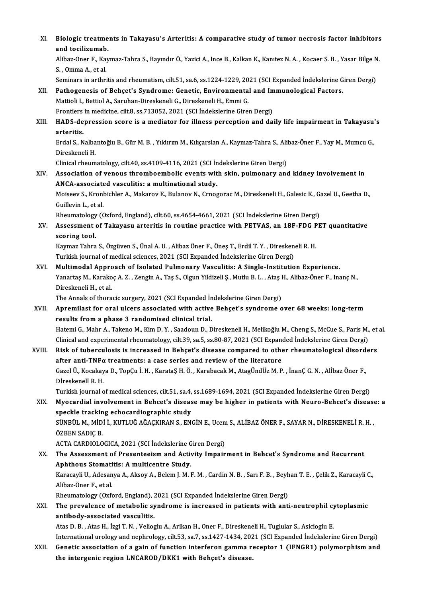XI. Biologic treatments in Takayasu's Arteritis: A comparative study of tumor necrosis factor inhibitors **Biologic treatme<br>and tocilizumab.**<br>Aliber Open E. Key Biologic treatments in Takayasu's Arteritis: A comparative study of tumor necrosis factor inhibitors<br>and tocilizumab.<br>Alibaz-Oner F., Kaymaz-Tahra S., Bayındır Ö., Yazici A., Ince B., Kalkan K., Kanıtez N. A. , Kocaer S. B and tocilizumab.<br>Alibaz-Oner F., Kaymaz-Tahra S., Bayındır Ö., Yazici A., Ince B., Kalkan K., Kanıtez N. A. , Kocaer S. B. , Yasar Bilge N.<br>S. . Omma A., et al. Seminars in arthritis and rheumatism, cilt.51, sa.6, ss.1224-1229, 2021 (SCI Expanded İndekslerine Giren Dergi) S. , Omma A., et al.<br>Seminars in arthritis and rheumatism, cilt.51, sa.6, ss.1224-1229, 2021 (SCI Expanded Indekslerine G<br>XII. Pathogenesis of Behçet's Syndrome: Genetic, Environmental and Immunological Factors.<br>Mattioli L Mattioli I., Bettiol A., Saruhan-Direskeneli G., Direskeneli H., Emmi G.<br>Frontiers in medicine, cilt.8, ss.713052, 2021 (SCI İndekslerine Giren Dergi) Pathogenesis of Behçet's Syndrome: Genetic, Environmental and In<br>Mattioli I., Bettiol A., Saruhan-Direskeneli G., Direskeneli H., Emmi G.<br>Frontiers in medicine, cilt.8, ss.713052, 2021 (SCI İndekslerine Giren Dergi)<br>HADS d Mattioli I., Bettiol A., Saruhan-Direskeneli G., Direskeneli H., Emmi G.<br>Frontiers in medicine, cilt.8, ss.713052, 2021 (SCI İndekslerine Giren Dergi)<br>XIII. HADS-depression score is a mediator for illness perception and da Frontiers<br>HADS-de<br>arteritis.<br>Erdal S. N HADS-depression score is a mediator for illness perception and daily life impairment in Takayasu'<br>arteritis.<br>Erdal S., Nalbantoğlu B., Gür M. B. , Yıldırım M., Kılıçarslan A., Kaymaz-Tahra S., Alibaz-Öner F., Yay M., Mumcu <mark>arteritis.</mark><br>Erdal S., Nalba<br>Direskeneli H.<br>Clinical rhoum Erdal S., Nalbantoğlu B., Gür M. B. , Yıldırım M., Kılıçarslan A., Kaymaz-Tahra S., Alil<br>Direskeneli H.<br>Clinical rheumatology, cilt.40, ss.4109-4116, 2021 (SCI İndekslerine Giren Dergi)<br>Association of venevs thromboembelis Direskeneli H.<br>Clinical rheumatology, cilt.40, ss.4109-4116, 2021 (SCI İndekslerine Giren Dergi)<br>XIV. Association of venous thromboembolic events with skin, pulmonary and kidney involvement in<br>ANCA associated vasculities a Clinical rheumatology, cilt.40, ss.4109-4116, 2021 (SCI İn<br>Association of venous thromboembolic events wit<br>ANCA-associated vasculitis: a multinational study.<br>Meiseeu S. Kronbichler A. Meiseeu E. Pulaneu N. Graec Association of venous thromboembolic events with skin, pulmonary and kidney involvement in<br>ANCA-associated vasculitis: a multinational study.<br>Moiseev S., Kronbichler A., Makarov E., Bulanov N., Crnogorac M., Direskeneli H. ANCA-associated vasculitis: a multinational study.<br>Moiseev S., Kronbichler A., Makarov E., Bulanov N., Crnogorac M., Direskeneli H., Galesic K., G<br>Guillevin L., et al.<br>Rheumatology (Oxford, England), cilt.60, ss.4654-4661, Moiseev S., Kronbichler A., Makarov E., Bulanov N., Crnogorac M., Direskeneli H., Galesic K., Gazel U., Geetha D., Guillevin L., et al.<br>Rheumatology (Oxford, England), cilt.60, ss.4654-4661, 2021 (SCI İndekslerine Giren Dergi)<br>XV. Assessment of Takayasu arteritis in routine practice with PETVAS, an 18F-FDG PET quantitative Rheumatology<br>Assessment<br>scoring tool.<br>Kaymar Tahna Assessment of Takayasu arteritis in routine practice with PETVAS, an 18F-FDG P<br>scoring tool.<br>Kaymaz Tahra S., Özgüven S., Ünal A.U. , Alibaz Öner F., Öneş T., Erdil T. Y. , Direskeneli R. H.<br>Turkish journal of modical scie scoring tool.<br>Kaymaz Tahra S., Özgüven S., Ünal A. U. , Alibaz Öner F., Öneş T., Erdil T. Y. , Direskeneli R. H.<br>Turkish journal of medical sciences, 2021 (SCI Expanded İndekslerine Giren Dergi) Kaymaz Tahra S., Özgüven S., Ünal A. U. , Alibaz Öner F., Öneş T., Erdil T. Y. , Direskeneli R. H.<br>Turkish journal of medical sciences, 2021 (SCI Expanded Indekslerine Giren Dergi)<br>XVI. Multimodal Approach of Isolated Pulm Turkish journal of medical sciences, 2021 (SCI Expanded İndekslerine Giren Dergi)<br>Multimodal Approach of Isolated Pulmonary Vasculitis: A Single-Institution Experience.<br>Yanartaş M., Karakoç A. Z. , Zengin A., Taş S., Olgun Multi<mark>modal Appro</mark><br>Yanartaş M., Karako<br>Direskeneli H., et al.<br>The Annals of thora Yanartaş M., Karakoç A. Z. , Zengin A., Taş S., Olgun Yildizeli Ş., Mutlu B. L. , Ataş I<br>Direskeneli H., et al.<br>The Annals of thoracic surgery, 2021 (SCI Expanded İndekslerine Giren Dergi)<br>Annamilast for anal ulsons associ Direskeneli H., et al.<br>The Annals of thoracic surgery, 2021 (SCI Expanded Indekslerine Giren Dergi)<br>XVII. Apremilast for oral ulcers associated with active Behçet's syndrome over 68 weeks: long-term<br>results from a phase 3 The Annals of thoracic surgery, 2021 (SCI Expanded Indekslerine Giren Dergi) Apremilast for oral ulcers associated with active Behçet's syndrome over 68 weeks: long-term<br>results from a phase 3 randomised clinical trial.<br>Hatemi G., Mahr A., Takeno M., Kim D. Y. , Saadoun D., Direskeneli H., Melikoğl results from a phase 3 randomised clinical trial.<br>Hatemi G., Mahr A., Takeno M., Kim D. Y. , Saadoun D., Direskeneli H., Melikoğlu M., Cheng S., McCue S., Paris M.,<br>Clinical and experimental rheumatology, cilt.39, sa.5, ss Hatemi G., Mahr A., Takeno M., Kim D. Y. , Saadoun D., Direskeneli H., Melikoğlu M., Cheng S., McCue S., Paris M., et<br>Clinical and experimental rheumatology, cilt.39, sa.5, ss.80-87, 2021 (SCI Expanded Indekslerine Giren D Clinical and experimental rheumatology, cilt.39, sa.5, ss.80-87, 2021 (SCI Expand<br>Risk of tuberculosis is increased in Behçet's disease compared to other<br>after anti-TNFα treatments: a case series and review of the literat Risk of tuberculosis is increased in Behçet's disease compared to other rheumatological disord<br>after anti-TNFα treatments: a case series and review of the literature<br>Gazel Ü., Kocakaya D., TopÇu İ. H. , KarataŞ H. Ö. , Ka after anti-TNFo<br>Gazel Ü., Kocakay<br>Dİreskenelİ R. H.<br>Turkish iaunnal e Gazel Ü., Kocakaya D., TopÇu İ. H. , KarataŞ H. Ö. , Karabacak M., AtagÜndÜz M. P. , İnanÇ G. N. , Alİbaz Öner F.,<br>Dİreskeneli R. H.<br>Turkish journal of medical sciences, cilt.51, sa.4, ss.1689-1694, 2021 (SCI Expanded İnde Direskeneli R. H.<br>Turkish journal of medical sciences, cilt.51, sa.4, ss.1689-1694, 2021 (SCI Expanded Indekslerine Giren Dergi)<br>XIX. Myocardial involvement in Behcet's disease may be higher in patients with Neuro-Behcet's Turkish journal of medical sciences, cilt.51, sa.4, ss.1689-1694, 2021 (SCI Expanded Indekslerine Giren Dergi) Myocardial involvement in Behcet's disease may be higher in patients with Neuro-Behcet's disease<br>speckle tracking echocardiographic study<br>SÜNBÜL M., MİDİ İ., KUTLUĞ AĞAÇKIRAN S., ENGİN E., Ucem S., ALİBAZ ÖNER F., SAYAR N. speckle trackin<br>SÜNBÜL M., MİD<br>ÖZBEN SADIÇ B.<br>ACTA CARDIQI Q SÜNBÜL M., MİDİ İ., KUTLUĞ AĞAÇKIRAN S., ENGİN E., Ucem<br>ÖZBEN SADIÇ B.<br>ACTA CARDIOLOGICA, 2021 (SCI İndekslerine Giren Dergi)<br>The Assessment of Presentesism and Activity Impejr ÖZBEN SADIÇ B.<br>ACTA CARDIOLOGICA, 2021 (SCI İndekslerine Giren Dergi)<br>XX. The Assessment of Presenteeism and Activity Impairment in Behcet's Syndrome and Recurrent Aphthous Stomatitis: A multicentre Study. The Assessment of Presenteeism and Activity Impairment in Behcet's Syndrome and Recurrent<br>Aphthous Stomatitis: A multicentre Study.<br>Karacayli U., Adesanya A., Aksoy A., Belem J. M. F. M. , Cardin N. B. , Sarı F. B. , Beyha Aphthous Stomati<br>Karacayli U., Adesan<br>Alibaz-Öner F., et al.<br>Pheumatelogy (Ovf Karacayli U., Adesanya A., Aksoy A., Belem J. M. F. M. , Cardin N. B. , Sarı F. B. , Beyh<br>Alibaz-Öner F., et al.<br>Rheumatology (Oxford, England), 2021 (SCI Expanded İndekslerine Giren Dergi)<br>The prevelense of metabolis sund Alibaz-Öner F., et al.<br>Rheumatology (Oxford, England), 2021 (SCI Expanded İndekslerine Giren Dergi)<br>XXI. The prevalence of metabolic syndrome is increased in patients with anti-neutrophil cytoplasmic<br>antibody-associated va Rheumatology (Oxford, England), 2021 (SCI Expanded Indekslerine Giren Dergi) Atas D. B., Atas H., İzgi T. N., Velioglu A., Arikan H., Oner F., Direskeneli H., Tuglular S., Asicioglu E. International urology and nephrology, cilt.53, sa.7, ss.1427-1434, 2021 (SCI Expanded Indekslerine Giren Dergi) Atas D. B. , Atas H., İzgi T. N. , Velioglu A., Arikan H., Oner F., Direskeneli H., Tuglular S., Asicioglu E.<br>International urology and nephrology, cilt.53, sa.7, ss.1427-1434, 2021 (SCI Expanded Indekslerine Giren Dergi)<br> International urology and nephrology, cilt.53, sa.7, ss.1427-1434, 202<br>Genetic association of a gain of function interferon gamma r<br>the intergenic region LNCAROD/DKK1 with Behçet's disease.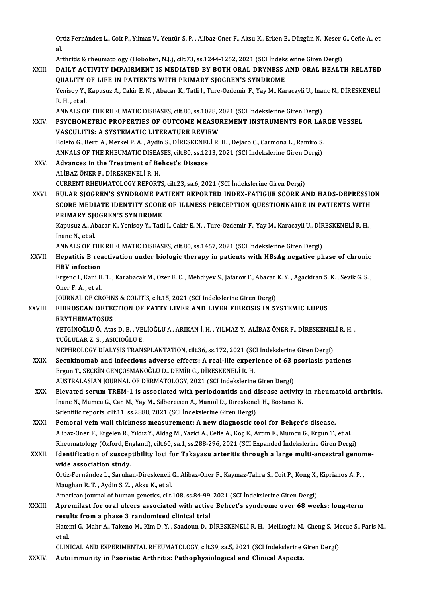Ortiz Fernández L., Coit P., Yilmaz V., Yentür S. P. , Alibaz-Oner F., Aksu K., Erken E., Düzgün N., Keser G., Cefle A., et<br>el  $rac{1}{2}$ Ortiz Fernández L., Coit P., Yilmaz V., Yentür S. P. , Alibaz-Oner F., Aksu K., Erken E., Düzgün N., Keser (<br>al.<br>Arthritis & rheumatology (Hoboken, N.J.), cilt.73, ss.1244-1252, 2021 (SCI İndekslerine Giren Dergi)<br>DAH Y AC

|              | al.                                                                                                                    |
|--------------|------------------------------------------------------------------------------------------------------------------------|
|              | Arthritis & rheumatology (Hoboken, N.J.), cilt.73, ss.1244-1252, 2021 (SCI İndekslerine Giren Dergi)                   |
| XXIII.       | DAILY ACTIVITY IMPAIRMENT IS MEDIATED BY BOTH ORAL DRYNESS AND ORAL HEALTH RELATED                                     |
|              | QUALITY OF LIFE IN PATIENTS WITH PRIMARY SJOGREN'S SYNDROME                                                            |
|              | Yenisoy Y., Kapusuz A., Cakir E. N., Abacar K., Tatli I., Ture-Ozdemir F., Yay M., Karacayli U., Inanc N., DİRESKENELİ |
|              | R H , et al.                                                                                                           |
|              | ANNALS OF THE RHEUMATIC DISEASES, cilt.80, ss.1028, 2021 (SCI Indekslerine Giren Dergi)                                |
| XXIV.        | PSYCHOMETRIC PROPERTIES OF OUTCOME MEASUREMENT INSTRUMENTS FOR LARGE VESSEL                                            |
|              | VASCULITIS: A SYSTEMATIC LITERATURE REVIEW                                                                             |
|              | Boleto G., Berti A., Merkel P. A., Aydin S., DİRESKENELİ R. H., Dejaco C., Carmona L., Ramiro S.                       |
|              | ANNALS OF THE RHEUMATIC DISEASES, cilt.80, ss.1213, 2021 (SCI Indekslerine Giren Dergi)                                |
| XXV.         | Advances in the Treatment of Behcet's Disease                                                                          |
|              | ALİBAZ ÖNER F., DİRESKENELİ R.H.                                                                                       |
|              | CURRENT RHEUMATOLOGY REPORTS, cilt.23, sa.6, 2021 (SCI İndekslerine Giren Dergi)                                       |
| XXVI.        | EULAR SJOGREN'S SYNDROME PATIENT REPORTED INDEX-FATIGUE SCORE AND HADS-DEPRESSION                                      |
|              | SCORE MEDIATE IDENTITY SCORE OF ILLNESS PERCEPTION QUESTIONNAIRE IN PATIENTS WITH                                      |
|              | PRIMARY SJOGREN'S SYNDROME                                                                                             |
|              | Kapusuz A., Abacar K., Yenisoy Y., Tatli I., Cakir E. N., Ture-Ozdemir F., Yay M., Karacayli U., DİRESKENELİ R.H.,     |
|              | Inanc N, et al.                                                                                                        |
|              | ANNALS OF THE RHEUMATIC DISEASES, cilt.80, ss.1467, 2021 (SCI Indekslerine Giren Dergi)                                |
| XXVII.       | Hepatitis B reactivation under biologic therapy in patients with HBsAg negative phase of chronic                       |
|              | <b>HBV</b> infection                                                                                                   |
|              | Ergenc I., Kani H. T., Karabacak M., Ozer E. C., Mehdiyev S., Jafarov F., Abacar K. Y., Agackiran S. K., Sevik G. S.,  |
|              | Oner F.A., et al.                                                                                                      |
|              | JOURNAL OF CROHNS & COLITIS, cilt.15, 2021 (SCI İndekslerine Giren Dergi)                                              |
| XXVIII.      | FIBROSCAN DETECTION OF FATTY LIVER AND LIVER FIBROSIS IN SYSTEMIC LUPUS                                                |
|              | <b>ERYTHEMATOSUS</b>                                                                                                   |
|              | YETGİNOĞLU Ö., Atas D. B., VELİOĞLU A., ARIKAN İ. H., YILMAZ Y., ALİBAZ ÖNER F., DİRESKENELİ R. H.,                    |
|              | TUĞLULAR Z. S., AŞICIOĞLU E.                                                                                           |
|              | NEPHROLOGY DIALYSIS TRANSPLANTATION, cilt.36, ss.172, 2021 (SCI İndekslerine Giren Dergi)                              |
| <b>XXIX</b>  | Secukinumab and infectious adverse effects: A real-life experience of 63 psoriasis patients                            |
|              | Ergun T., SEÇKİN GENÇOSMANOĞLU D., DEMİR G., DİRESKENELİ R. H.                                                         |
|              | AUSTRALASIAN JOURNAL OF DERMATOLOGY, 2021 (SCI İndekslerine Giren Dergi)                                               |
| XXX.         | Elevated serum TREM-1 is associated with periodontitis and disease activity in rheumatoid arthritis.                   |
|              | Inanc N., Mumcu G., Can M., Yay M., Silbereisen A., Manoil D., Direskeneli H., Bostanci N.                             |
|              | Scientific reports, cilt.11, ss.2888, 2021 (SCI İndekslerine Giren Dergi)                                              |
| XXXI.        | Femoral vein wall thickness measurement: A new diagnostic tool for Behçet's disease.                                   |
|              | Alibaz-Oner F., Ergelen R., Yıldız Y., Aldag M., Yazici A., Cefle A., Koç E., Artım E., Mumcu G., Ergun T., et al.     |
|              | Rheumatology (Oxford, England), cilt.60, sa.1, ss.288-296, 2021 (SCI Expanded İndekslerine Giren Dergi)                |
| XXXII.       | Identification of susceptibility loci for Takayasu arteritis through a large multi-ancestral genome-                   |
|              | wide association study.                                                                                                |
|              | Ortiz-Fernández L., Saruhan-Direskeneli G., Alibaz-Oner F., Kaymaz-Tahra S., Coit P., Kong X., Kiprianos A. P.,        |
|              | Maughan R. T., Aydin S. Z., Aksu K., et al.                                                                            |
|              | American journal of human genetics, cilt.108, ss.84-99, 2021 (SCI Indekslerine Giren Dergi)                            |
| XXXIII.      | Apremilast for oral ulcers associated with active Behcet's syndrome over 68 weeks: long-term                           |
|              | results from a phase 3 randomised clinical trial                                                                       |
|              | Hatemi G., Mahr A., Takeno M., Kim D. Y., Saadoun D., DİRESKENELİ R. H., Melikoglu M., Cheng S., Mccue S., Paris M.,   |
|              | et al.                                                                                                                 |
|              | CLINICAL AND EXPERIMENTAL RHEUMATOLOGY, cilt.39, sa.5, 2021 (SCI Indekslerine Giren Dergi)                             |
| <b>YYYIV</b> | Autoimmunity in Deoriatic Arthritic: Dathonhyciological and Clinical Aspects                                           |

XXXIV. Autoimmunity in Psoriatic Arthritis: Pathophysiological and Clinical Aspects.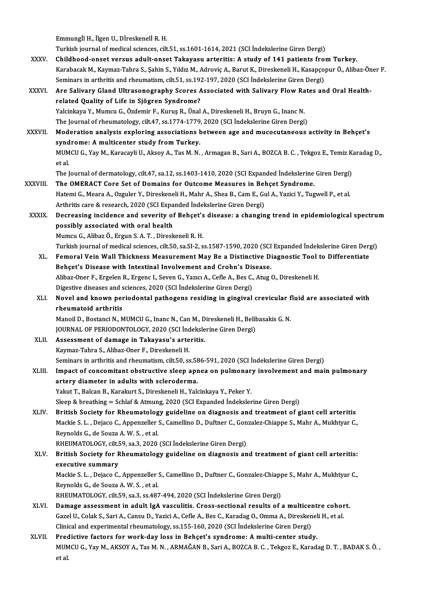EmmungİlH., İlgenU.,DİreskenelİR.H.

Turkish journalofmedical sciences, cilt.51, ss.1601-1614,2021 (SCI İndekslerineGirenDergi)

- Emmungİl H., İlgen U., Dİreskenelİ R. H.<br>Turkish journal of medical sciences, cilt.51, ss.1601-1614, 2021 (SCI İndekslerine Giren Dergi)<br>XXXV. Childhood-onset versus adult-onset Takayasu arteritis: A study of 141 patients KarabacakM.,Kaymaz-Tahra S.,ŞahinS.,YıldızM.,AdroviçA.,BarutK.,DireskeneliH.,KasapçopurÖ.,Alibaz-Öner F. Childhood-onset versus adult-onset Takayasu arteritis: A study of 141 patients from<br>Karabacak M., Kaymaz-Tahra S., Șahin S., Yıldız M., Adroviç A., Barut K., Direskeneli H., Kasapço<br>Seminars in arthritis and rheumatism, ci Karabacak M., Kaymaz-Tahra S., Şahin S., Yıldız M., Adroviç A., Barut K., Direskeneli H., Kasapçopur Ö., Alibaz-Ör<br>Seminars in arthritis and rheumatism, cilt.51, ss.192-197, 2020 (SCI İndekslerine Giren Dergi)<br>XXXVI. Are S
- Seminars in arthritis and rheumatism, cilt.51, ss.192-197, 2020 (SCI Indekslerine Giren Dergi)<br>Are Salivary Gland Ultrasonography Scores Associated with Salivary Flow Rates an<br>related Quality of Life in Sjögren Syndrome?<br>Y Are Salivary Gland Ultrasonography Scores Associated with Salivary Flow Ra<br>related Quality of Life in Sjögren Syndrome?<br>Yalcinkaya Y., Mumcu G., Özdemir F., Kuruş R., Ünal A., Direskeneli H., Bruyn G., Inanc N.<br>The Journal The Journal of rheumatology, cilt.47, ss.1774-1779, 2020 (SCI İndekslerine Giren Dergi) Yalcinkaya Y., Mumcu G., Özdemir F., Kuruş R., Ünal A., Direskeneli H., Bruyn G., Inanc N.<br>The Journal of rheumatology, cilt.47, ss.1774-1779, 2020 (SCI İndekslerine Giren Dergi)<br>XXXVII. Moderation analysis exploring assoc
- The Journal of rheumatology, cilt.47, ss.1774-1779<br>Moderation analysis exploring associations **b**<br>syndrome: A multicenter study from Turkey.<br>MUMCU.C. You M. Karasayi: U. Alsoy A. Tas M. N. Moderation analysis exploring associations between age and mucocutaneous activity in Behçet's<br>syndrome: A multicenter study from Turkey.<br>MUMCU G., Yay M., Karacayli U., Aksoy A., Tas M. N. , Armagan B., Sari A., BOZCA B. C syndrome: A multicenter study from Turkey.<br>MUMCU G., Yay M., Karacayli U., Aksoy A., Tas M. N. , Armagan B., Sari A., BOZCA B. C. , Tekgoz E., Temiz Karadag D.,<br>et al. MUMCU G., Yay M., Karacayli U., Aksoy A., Tas M. N. , Armagan B., Sari A., BOZCA B. C. , Tekgoz E., Temiz K.<br>et al.<br>The Journal of dermatology, cilt.47, sa.12, ss.1403-1410, 2020 (SCI Expanded İndekslerine Giren Dergi)<br>The
- et al.<br>The Journal of dermatology, cilt.47, sa.12, ss.1403-1410, 2020 (SCI Expanded Indekslerine<br>XXXVIII. The OMERACT Core Set of Domains for Outcome Measures in Behçet Syndrome.<br>Hatomi G. Maara A. Ozzular V. Dinaskapali H The Journal of dermatology, cilt.47, sa.12, ss.1403-1410, 2020 (SCI Expanded İndekslerine Giren Dergi)<br>The OMERACT Core Set of Domains for Outcome Measures in Behçet Syndrome.<br>Hatemi G., Meara A., Ozguler Y., Direskeneli H The OMERACT Core Set of Domains for Outcome Measures in Behçet Syndrome.<br>Hatemi G., Meara A., Ozguler Y., Direskeneli H., Mahr A., Shea B., Cam E., Gul A., Yazici Y., Tugwell P., et al.<br>Arthritis care & research, 2020 (SCI
- Hatemi G., Meara A., Ozguler Y., Direskeneli H., Mahr A., Shea B., Cam E., Gul A., Yazici Y., Tugwell P., et al.<br>Arthritis care & research, 2020 (SCI Expanded Indekslerine Giren Dergi)<br>XXXIX. Decreasing incidence and sever Arthritis care & research, 2020 (SCI Expandent Decreasing incidence and severity of<br>possibly associated with oral health<br>Mumay C. Aliber Ö. Ergyn S.A.T. Direct Decreasing incidence and severity of Behçet's<br>possibly associated with oral health<br>Mumcu G., Alibaz Ö., Ergun S. A. T. , Direskeneli R. H.<br>Turkish iournal of medical sciences, silt EQ, es SL 2, s possibly associated with oral health<br>Mumcu G., Alibaz Ö., Ergun S. A. T. , Direskeneli R. H.<br>Turkish journal of medical sciences, cilt.50, sa.SI-2, ss.1587-1590, 2020 (SCI Expanded İndekslerine Giren Dergi)<br>Femeral Vein Wa

- Mumcu G., Alibaz Ö., Ergun S. A. T. , Direskeneli R. H.<br>Turkish journal of medical sciences, cilt.50, sa.SI-2, ss.1587-1590, 2020 (SCI Expanded Indekslerine Giren Der<br>XL. Femoral Vein Wall Thickness Measurement May Be a Di Turkish journal of medical sciences, cilt.50, sa.SI-2, ss.1587-1590, 2020 (SCI<br>Femoral Vein Wall Thickness Measurement May Be a Distinctive Di<br>Behçet's Disease with Intestinal Involvement and Crohn's Disease.<br>Alibaz Oper E Femoral Vein Wall Thickness Measurement May Be a Distinctive Diagnostic Tool t<br>Behçet's Disease with Intestinal Involvement and Crohn's Disease.<br>Alibaz-Oner F., Ergelen R., Ergenc I., Seven G., Yazıcı A., Cefle A., Bes C., Behçet's Disease with Intestinal Involvement and Crohn's Disease.<br>Alibaz-Oner F., Ergelen R., Ergenc I., Seven G., Yazıcı A., Cefle A., Bes C.,<br>Digestive diseases and sciences, 2020 (SCI İndekslerine Giren Dergi)<br>Naval and Digestive diseases and sciences, 2020 (SCI Indekslerine Giren Dergi)
- XLI. Novel and known periodontal pathogens residing in gingival crevicular fluid are associated with Novel and known periodontal pathogens residing in gingival crevicular f<br>rheumatoid arthritis<br>Manoil D., Bostanci N., MUMCU G., Inanc N., Can M., Direskeneli H., Belibasakis G. N.<br>JOUPMAL OF PERJODONTOLOCY, 2020 (SCL Indeks

rheumatoid arthritis<br>Manoil D., Bostanci N., MUMCU G., Inanc N., Can M., Direskeneli H., Belik<br>JOURNAL OF PERIODONTOLOGY, 2020 (SCI İndekslerine Giren Dergi)<br>Assessment of damage in Takayasu's arteritis Manoil D., Bostanci N., MUMCU G., Inanc N., Can M., D<br>JOURNAL OF PERIODONTOLOGY, 2020 (SCI Indeksle<br>XLII. Assessment of damage in Takayasu's arteritis.<br>Koumer Tabre S. Aliber Oper E. Direckensli H. JOURNAL OF PERIODONTOLOGY, 2020 (SCI Ind<br>Assessment of damage in Takayasu's arte<br>Kaymaz-Tahra S., Alibaz-Oner F., Direskeneli H.<br>Seminars in erthritis and rhoumatism silt 50, se

Assessment of damage in Takayasu's arteritis.<br>Kaymaz-Tahra S., Alibaz-Oner F., Direskeneli H.<br>Seminars in arthritis and rheumatism, cilt.50, ss.586-591, 2020 (SCI İndekslerine Giren Dergi)<br>Impact of concemitant obstructive

Kaymaz-Tahra S., Alibaz-Oner F., Direskeneli H.<br>Seminars in arthritis and rheumatism, cilt.50, ss.586-591, 2020 (SCI İndekslerine Giren Dergi)<br>XLIII. Impact of concomitant obstructive sleep apnea on pulmonary involvement a Seminars in arthritis and rheumatism, cilt.50, ss.58<br>Impact of concomitant obstructive sleep apr<br>artery diameter in adults with scleroderma.<br>Valut T. Balsan B. Karakut S. Dinaskanali H. Valu Impact of concomitant obstructive sleep apnea on pulmonar<br>artery diameter in adults with scleroderma.<br>Yakut T., Balcan B., Karakurt S., Direskeneli H., Yalcinkaya Y., Peker Y.<br>Sleep & breething – Schlef & Atmung 2020 (SCLE artery diameter in adults with scleroderma.<br>Yakut T., Balcan B., Karakurt S., Direskeneli H., Yalcinkaya Y., Peker Y.<br>Sleep & breathing = Schlaf & Atmung, 2020 (SCI Expanded İndekslerine Giren Dergi)

XLIV. British Society for Rheumatology guideline on diagnosis and treatment of giant cel arteritis Sleep & breathing = Schlaf & Atmung, 2020 (SCI Expanded Indekslerine Giren Dergi)<br>British Society for Rheumatology guideline on diagnosis and treatment of giant cell arteritis<br>Mackie S. L. , Dejaco C., Appenzeller S., Came **British Society for Rheumatolog**<br>Mackie S. L. , Dejaco C., Appenzeller<br>Reynolds G., de Souza A. W. S. , et al.<br>PHEUMATOLOCY si<sup>1</sup>t 59, sp. 3, 2020 Mackie S. L. , Dejaco C., Appenzeller S., Camellino D., Duftner C., Gon<br>Reynolds G., de Souza A. W. S. , et al.<br>RHEUMATOLOGY, cilt.59, sa.3, 2020 (SCI İndekslerine Giren Dergi)<br>Pritish Sosiaty for Phoumatology guideline on

## Reynolds G., de Souza A. W. S. , et al.<br>RHEUMATOLOGY, cilt.59, sa.3, 2020 (SCI İndekslerine Giren Dergi)<br>XLV. British Society for Rheumatology guideline on diagnosis and treatment of giant cell arteritis:<br>avecutive summary RHEUMATOLOGY, cilt.<br>British Society for Rexecutive summary<br>Mackie S. J. Deiace C British Society for Rheumatology guideline on diagnosis and treatment of giant cell arteritis:<br>executive summary<br>Mackie S. L. , Dejaco C., Appenzeller S., Camellino D., Duftner C., Gonzalez-Chiappe S., Mahr A., Mukhtyar C.

**executive summary<br>Mackie S. L. , Dejaco C., Appenzeller :<br>Reynolds G., de Souza A. W. S. , et al.<br>RHEUMATOLOCY, silt E9, sp. 3, sp.483** Mackie S. L. , Dejaco C., Appenzeller S., Camellino D., Duftner C., Gonzalez-Chiapp<br>Reynolds G., de Souza A. W. S. , et al.<br>RHEUMATOLOGY, cilt.59, sa.3, ss.487-494, 2020 (SCI İndekslerine Giren Dergi)<br>Damage assessment in

- Reynolds G., de Souza A. W. S. , et al.<br>RHEUMATOLOGY, cilt.59, sa.3, ss.487-494, 2020 (SCI Indekslerine Giren Dergi)<br>XLVI. Damage assessment in adult IgA vasculitis. Cross-sectional results of a multicentre cohort. RHEUMATOLOGY, cilt.59, sa.3, ss.487-494, 2020 (SCI İndekslerine Giren Dergi)<br>Damage assessment in adult IgA vasculitis. Cross-sectional results of a multicentre cohor<br>Gazel U., Colak S., Sari A., Cansu D., Yazici A., Cefle Damage assessment in adult IgA vasculitis. Cross-sectional results of a multicer<br>Gazel U., Colak S., Sari A., Cansu D., Yazici A., Cefle A., Bes C., Karadag O., Omma A., Diresken<br>Clinical and experimental rheumatology, ss. Gazel U., Colak S., Sari A., Cansu D., Yazici A., Cefle A., Bes C., Karadag O., Omma A., Direskeneli H., et al.<br>Clinical and experimental rheumatology, ss.155-160, 2020 (SCI Indekslerine Giren Dergi)<br>XLVII. Predictive fact
- Clinical and experimental rheumatology, ss.155-160, 2020 (SCI İndekslerine Giren Dergi)<br>Predictive factors for work-day loss in Behçet's syndrome: A multi-center study.<br>MUMCU G., Yay M., AKSOY A., Tas M. N. , ARMAĞAN B., S Prec<br>MUM<br>et al.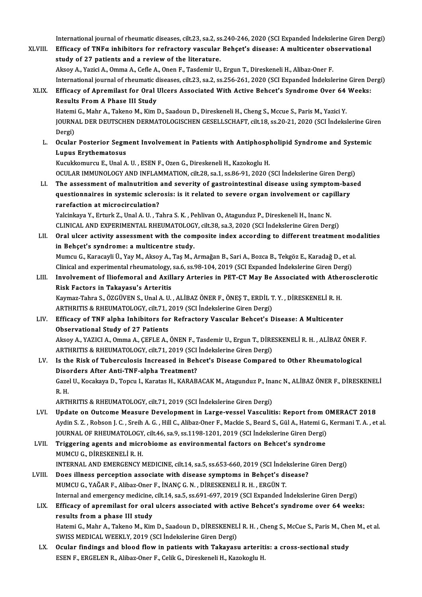International journal of rheumatic diseases, cilt.23, sa.2, ss.240-246, 2020 (SCI Expanded İndekslerine Giren Dergi)<br>Efficesu of TNEs inhibitors for refrectory yessular Pehect's disease: A multicenter ebecurational

International journal of rheumatic diseases, cilt.23, sa.2, ss.240-246, 2020 (SCI Expanded İndekslerine Giren D<br>XLVIII. Efficacy of TNFα inhibitors for refractory vascular Behçet's disease: A multicenter observational International journal of rheumatic diseases, cilt.23, sa.2, ss<br>Efficacy of TNF $\alpha$  inhibitors for refractory vascular<br>study of 27 patients and a review of the literature.<br>Alrey A Variei A Omma A Cofle A Open E Toodemin II Efficacy of TNFα inhibitors for refractory vascular Behçet's disease: A multicenter observational<br>study of 27 patients and a review of the literature.<br>Aksoy A., Yazici A., Omma A., Cefle A., Onen F., Tasdemir U., Ergun T study of 27 patients and a review of the literature.<br>Aksoy A., Yazici A., Omma A., Cefle A., Onen F., Tasdemir U., Ergun T., Direskeneli H., Alibaz-Oner F.<br>International journal of rheumatic diseases, cilt.23, sa.2, ss.256 Aksoy A., Yazici A., Omma A., Cefle A., Onen F., Tasdemir U., Ergun T., Direskeneli H., Alibaz-Oner F.<br>International journal of rheumatic diseases, cilt.23, sa.2, ss.256-261, 2020 (SCI Expanded Indekslerine Giren D<br>XLIX. E International journal of rheumatic d<br>Efficacy of Apremilast for Oral<br>Results From A Phase III Study<br>Hatomi C. Mahr A. Takana M. Kim I Efficacy of Apremilast for Oral Ulcers Associated With Active Behcet's Syndrome Over 64<br>Results From A Phase III Study<br>Hatemi G., Mahr A., Takeno M., Kim D., Saadoun D., Direskeneli H., Cheng S., Mccue S., Paris M., Yazici Results From A Phase III Study<br>Hatemi G., Mahr A., Takeno M., Kim D., Saadoun D., Direskeneli H., Cheng S., Mccue S., Paris M., Yazici Y.<br>JOURNAL DER DEUTSCHEN DERMATOLOGISCHEN GESELLSCHAFT, cilt.18, ss.20-21, 2020 (SCI İn Hatemi<br>JOURN<br>Dergi)<br>Osular JOURNAL DER DEUTSCHEN DERMATOLOGISCHEN GESELLSCHAFT, cilt.18, ss.20-21, 2020 (SCI İndekslerine Gir<br>Dergi)<br>L. Ocular Posterior Segment Involvement in Patients with Antiphospholipid Syndrome and Systemic<br>L. U.D.W. Environmen Dergi)<br>Ocular Posterior Segm<br>Lupus Erythematosus<br>Kugukkomurgu E. Unal A Ocular Posterior Segment Involvement in Patients with Antiphospl<br>Lupus Erythematosus<br>Kucukkomurcu E., Unal A. U. , ESEN F., Ozen G., Direskeneli H., Kazokoglu H.<br>OCULAR IMMUNOLOCY AND INELAMMATION, silt 28, sa 1, ss 86, 91 L<mark>upus Erythematosus</mark><br>Kucukkomurcu E., Unal A. U. , ESEN F., Ozen G., Direskeneli H., Kazokoglu H.<br>OCULAR IMMUNOLOGY AND INFLAMMATION, cilt.28, sa.1, ss.86-91, 2020 (SCI İndekslerine Giren Dergi)<br>The assessment of malnutri Kucukkomurcu E., Unal A. U. , ESEN F., Ozen G., Direskeneli H., Kazokoglu H.<br>OCULAR IMMUNOLOGY AND INFLAMMATION, cilt.28, sa.1, ss.86-91, 2020 (SCI İndekslerine Giren Dergi)<br>LI. The assessment of malnutrition and severity OCULAR IMMUNOLOGY AND INFLAMMATION, cilt.28, sa.1, ss.86-91, 2020 (SCI İndekslerine Giren Dergi<br>The assessment of malnutrition and severity of gastrointestinal disease using symptom-bas<br>questionnaires in systemic sclerosis LI. The assessment of malnutrition and severity of gastrointestinal disease using symptom-based questionnaires in systemic sclerosis: is it related to severe organ involvement or capillary rarefaction at microcirculation? questionnaires in systemic sclerosis: is it related to severe organ involvement or cap<br>rarefaction at microcirculation?<br>Yalcinkaya Y., Erturk Z., Unal A. U. , Tahra S. K. , Pehlivan O., Atagunduz P., Direskeneli H., Inanc rarefaction at microcirculation?<br>Yalcinkaya Y., Erturk Z., Unal A. U. , Tahra S. K. , Pehlivan O., Atagunduz P., Direskeneli H., Inanc N.<br>CLINICAL AND EXPERIMENTAL RHEUMATOLOGY, cilt.38, sa.3, 2020 (SCI İndekslerine Giren Yalcinkaya Y., Erturk Z., Unal A. U. , Tahra S. K. , Pehlivan O., Atagunduz P., Direskeneli H., Inanc N.<br>CLINICAL AND EXPERIMENTAL RHEUMATOLOGY, cilt.38, sa.3, 2020 (SCI İndekslerine Giren Dergi)<br>LII. Oral ulcer activity a CLINICAL AND EXPERIMENTAL RHEUMATOLOGY, cilt.38, sa.3, 2020 (SCI İndekslerine Giren Dergi)<br>Oral ulcer activity assessment with the composite index according to different treatment mo<br>in Behçet's syndrome: a multicentre stu Oral ulcer activity assessment with the composite index according to different treatment mo<br>in Behçet's syndrome: a multicentre study.<br>Mumcu G., Karacayli Ü., Yay M., Aksoy A., Taş M., Armağan B., Sari A., Bozca B., Tekgöz Clinicaland experimental rheumatology, sa.6, ss.98-104,2019 (SCIExpanded İndekslerineGirenDergi) Mumcu G., Karacayli Ü., Yay M., Aksoy A., Taş M., Armağan B., Sari A., Bozca B., Tekgöz E., Karadağ D., et al.<br>Clinical and experimental rheumatology, sa.6, ss.98-104, 2019 (SCI Expanded İndekslerine Giren Dergi)<br>LIII. Inv Clinical and experimental rheumatology,<br>Involvement of Iliofemoral and Axill<br>Risk Factors in Takayasu's Arteritis<br>Kaymag Tabra S. ÖZCÜVEN S. Upal A. U Involvement of Iliofemoral and Axillary Arteries in PET-CT May Be Associated with Athe<br>Risk Factors in Takayasu's Arteritis<br>Kaymaz-Tahra S., ÖZGÜVEN S., Unal A. U. , ALİBAZ ÖNER F., ÖNEŞ T., ERDİL T.Y. , DİRESKENELİ R. H.<br> Risk Factors i<mark>n Takayasu's Arteritis</mark><br>Kaymaz-Tahra S., ÖZGÜVEN S., Unal A. U. , ALİBAZ ÖNER F., ÖNEŞ T., ERDİL T<br>ARTHRITIS & RHEUMATOLOGY, cilt.71, 2019 (SCI İndekslerine Giren Dergi)<br>Efficesu of TNE alpha Inbibitars for Kaymaz-Tahra S., ÖZGÜVEN S., Unal A. U. , ALİBAZ ÖNER F., ÖNEŞ T., ERDİL T. Y. , DİRESKENELİ R. H.<br>ARTHRITIS & RHEUMATOLOGY, cilt.71, 2019 (SCI İndekslerine Giren Dergi)<br>LIV. Efficacy of TNF alpha Inhibitors for Refractory ARTHRITIS & RHEUMATOLOGY, cilt.71, 2019 (SCI İndekslerine Giren Dergi)<br>Efficacy of TNF alpha Inhibitors for Refractory Vascular Behcet's Disease: A Multicenter<br>Observational Study of 27 Patients Efficacy of TNF alpha Inhibitors for Refractory Vascular Behcet's Disease: A Multicenter<br>Observational Study of 27 Patients<br>Aksoy A., YAZICI A., Omma A., ÇEFLE A., ÖNEN F., Tasdemir U., Ergun T., DİRESKENELİ R. H. , ALİBAZ Observational Study of 27 Patients<br>Aksoy A., YAZICI A., Omma A., ÇEFLE A., ÖNEN F., Tasdemir U., Ergun T., DİRE<br>ARTHRITIS & RHEUMATOLOGY, cilt.71, 2019 (SCI İndekslerine Giren Dergi)<br>Is the Birk of Tubergulogis Ingressed i Aksoy A., YAZICI A., Omma A., ÇEFLE A., ÖNEN F., Tasdemir U., Ergun T., DİRESKENELİ R. H. , ALİBAZ ÖNER I<br>ARTHRITIS & RHEUMATOLOGY, cilt.71, 2019 (SCI İndekslerine Giren Dergi)<br>LV. Is the Risk of Tuberculosis Increased in ARTHRITIS & RHEUMATOLOGY, cilt.71, 2019 (SCI<br>Is the Risk of Tuberculosis Increased in Beh<br>Disorders After Anti-TNF-alpha Treatment?<br>Carol II, Kosokaya D. Tongy L. Kanatoe H. KARAB Is the Risk of Tuberculosis Increased in Behcet's Disease Compared to Other Rheumatological<br>Disorders After Anti-TNF-alpha Treatment?<br>Gazel U., Kocakaya D., Topcu I., Karatas H., KARABACAK M., Atagunduz P., Inanc N., ALİBA Diso<br>Gaze<br>R.H. Gazel U., Kocakaya D., Topcu I., Karatas H., KARABACAK M., Atagunduz P., Ina<br>R. H.<br>ARTHRITIS & RHEUMATOLOGY, cilt.71, 2019 (SCI İndekslerine Giren Dergi)<br>Undeta en Outsome Messure Develanment in Large vessel Vessulit. R. H.<br>ARTHRITIS & RHEUMATOLOGY, cilt.71, 2019 (SCI İndekslerine Giren Dergi)<br>LVI. Update on Outcome Measure Development in Large-vessel Vasculitis: Report from OMERACT 2018 ARTHRITIS & RHEUMATOLOGY, cilt.71, 2019 (SCI İndekslerine Giren Dergi)<br>Update on Outcome Measure Development in Large-vessel Vasculitis: Report from OMERACT 2018<br>Aydin S. Z. , Robson J. C. , Sreih A. G. , Hill C., Alibaz-O Update on Outcome Measure Development in Large-vessel Vasculitis: Report from C<br>Aydin S. Z. , Robson J. C. , Sreih A. G. , Hill C., Alibaz-Oner F., Mackie S., Beard S., Gül A., Hatemi G.,<br>JOURNAL OF RHEUMATOLOGY, cilt.46, Aydin S. Z. , Robson J. C. , Sreih A. G. , Hill C., Alibaz-Oner F., Mackie S., Beard S., Gül A., Hatemi G.,<br>JOURNAL OF RHEUMATOLOGY, cilt.46, sa.9, ss.1198-1201, 2019 (SCI Indekslerine Giren Dergi)<br>LVII. Triggering agents JOURNAL OF RHEUMATOLOGY, cilt.46, sa.9, ss.1198-1201, 2019 (SCI Indekslerine Giren Dergi)<br>Triggering agents and microbiome as environmental factors on Behcet's syndrome<br>MUMCU G., DIRESKENELI R. H. Triggering agents and microbiome as environmental factors on Behcet's syndrome<br>MUMCU G., DİRESKENELİ R. H.<br>INTERNAL AND EMERGENCY MEDICINE, cilt.14, sa.5, ss.653-660, 2019 (SCI İndekslerine Giren Dergi)<br>Dess illness persen LVIII. Does illness perception associate with disease symptoms in Behçet's disease?<br>MUMCU G., YAĞAR F., Alibaz-Oner F., İNANÇ G. N., DİRESKENELİ R. H., ERGÜN T. INTERNAL AND EMERGENCY MEDICINE, cilt.14, sa.5, ss.653-660, 2019 (SCI İndel<br>Does illness perception associate with disease symptoms in Behçet's di<br>MUMCU G., YAĞAR F., Alibaz-Oner F., İNANÇ G.N. , DİRESKENELİ R. H. , ERGÜN Does illness perception associate with disease symptoms in Behçet's disease?<br>MUMCU G., YAĞAR F., Alibaz-Oner F., İNANÇ G. N. , DİRESKENELİ R. H. , ERGÜN T.<br>Internal and emergency medicine, cilt.14, sa.5, ss.691-697, 2019 ( LIX. Efficacy of apremilast for oral ulcers associated with active Behcet's syndrome over 64 weeks: Internal and emergency medicine,<br>Efficacy of apremilast for oral<br>results from a phase III study<br>Hatami C. Mahn A. Takana M. Kim Efficacy of apremilast for oral ulcers associated with active Behcet's syndrome over 64 weeks:<br>results from a phase III study<br>Hatemi G., Mahr A., Takeno M., Kim D., Saadoun D., DİRESKENELİ R. H. , Cheng S., McCue S., Paris results from a phase III study<br>Hatemi G., Mahr A., Takeno M., Kim D., Saadoun D., DİRESKENEL<br>SWISS MEDICAL WEEKLY, 2019 (SCI İndekslerine Giren Dergi)<br>Qaylar findings and blood flow in nationts with Takayesı Hatemi G., Mahr A., Takeno M., Kim D., Saadoun D., DİRESKENELİ R. H. , Cheng S., McCue S., Paris M., Che<br>SWISS MEDICAL WEEKLY, 2019 (SCI Indekslerine Giren Dergi)<br>LX. Ocular findings and blood flow in patients with Takayas SWISS MEDICAL WEEKLY, 2019 (SCI İndekslerine Giren Dergi)<br>Ocular findings and blood flow in patients with Takayasu arteriti<br>ESEN F., ERGELEN R., Alibaz-Oner F., Celik G., Direskeneli H., Kazokoglu H.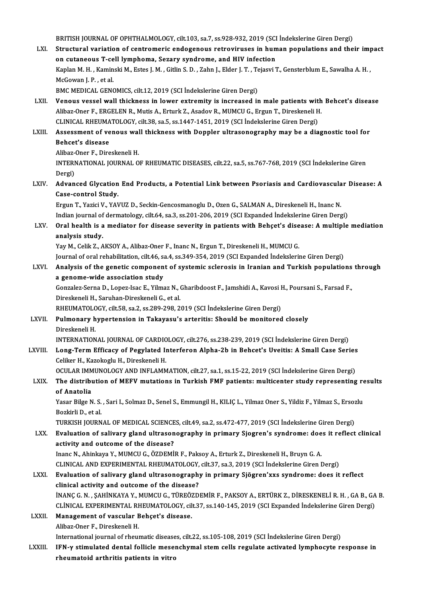BRITISH JOURNAL OF OPHTHALMOLOGY, cilt.103, sa.7, ss.928-932, 2019 (SCI İndekslerine Giren Dergi)<br>Structural variation of contromeris endegeneus retreviruses in buman nepulations and the

- LXI. Structural variation of centromeric endogenous retroviruses in human populations and their impact BRITISH JOURNAL OF OPHTHALMOLOGY, cilt.103, sa.7, ss.928-932, 2019 (SCI<br>Structural variation of centromeric endogenous retroviruses in hum<br>on cutaneous T-cell lymphoma, Sezary syndrome, and HIV infection<br>Kaplan M, H., Kapi Structural variation of centromeric endogenous retroviruses in human populations and their imp<br>on cutaneous T-cell lymphoma, Sezary syndrome, and HIV infection<br>Kaplan M. H. , Kaminski M., Estes J. M. , Gitlin S. D. , Zahn **on cutaneous T-ce<br>Kaplan M. H. , Kamin<br>McGowan J. P. , et al.<br>PMC MEDICAL CENG** Kaplan M. H. , Kaminski M., Estes J. M. , Gitlin S. D. , Zahn J., Elder J. T. , Te<br>McGowan J. P. , et al.<br>BMC MEDICAL GENOMICS, cilt.12, 2019 (SCI İndekslerine Giren Dergi)<br>Veneus vessel wall thiskness in lewer extremity i McGowan J. P. , et al.<br>BMC MEDICAL GENOMICS, cilt.12, 2019 (SCI Indekslerine Giren Dergi)<br>LXII. Venous vessel wall thickness in lower extremity is increased in male patients with Behcet's disease<br>Alibaz Oper E. ERCELEN P.
- BMC MEDICAL GENOMICS, cilt.12, 2019 (SCI İndekslerine Giren Dergi)<br>Venous vessel wall thickness in lower extremity is increased in male patients with<br>Alibaz-Oner F., ERGELEN R., Mutis A., Erturk Z., Asadov R., MUMCU G., Er Venous vessel wall thickness in lower extremity is increased in male patients with<br>Alibaz-Oner F., ERGELEN R., Mutis A., Erturk Z., Asadov R., MUMCU G., Ergun T., Direskeneli H<br>CLINICAL RHEUMATOLOGY, cilt.38, sa.5, ss.1447 Alibaz-Oner F., ERGELEN R., Mutis A., Erturk Z., Asadov R., MUMCU G., Ergun T., Direskeneli H.<br>CLINICAL RHEUMATOLOGY, cilt.38, sa.5, ss.1447-1451, 2019 (SCI İndekslerine Giren Dergi)<br>LXIII. Assessment of venous wall thickn

# CLINICAL RHEUMA<br>Assessment of ve<br>Behcet's disease Assessment of venous wal<br>Behcet's disease<br>Alibaz-Oner F., Direskeneli H.<br>INTERNATIONAL JOURNAL O

Behcet's disease<br>Alibaz-Oner F., Direskeneli H.<br>INTERNATIONAL JOURNAL OF RHEUMATIC DISEASES, cilt.22, sa.5, ss.767-768, 2019 (SCI İndekslerine Giren Alibaz-<br>INTERI<br>Dergi)<br>Advan INTERNATIONAL JOURNAL OF RHEUMATIC DISEASES, cilt.22, sa.5, ss.767-768, 2019 (SCI İndekslerine Giren<br>Dergi)<br>LXIV. Advanced Glycation End Products, a Potential Link between Psoriasis and Cardiovascular Disease: A

# Dergi)<br>Advanced Glycation<br>Case-control Study.<br>Ergun T. Verisi V. VAJ Advanced Glycation End Products, a Potential Link between Psoriasis and Cardiovascula<br>Case-control Study.<br>Ergun T., Yazici V., YAVUZ D., Seckin-Gencosmanoglu D., Ozen G., SALMAN A., Direskeneli H., Inanc N.<br>Indian journal

Case-control Study.<br>Ergun T., Yazici V., YAVUZ D., Seckin-Gencosmanoglu D., Ozen G., SALMAN A., Direskeneli H., Inanc N.<br>Indian journal of dermatology, cilt.64, sa.3, ss.201-206, 2019 (SCI Expanded İndekslerine Giren Dergi Ergun T., Yazici V., YAVUZ D., Seckin-Gencosmanoglu D., Ozen G., SALMAN A., Direskeneli H., Inanc N.<br>Indian journal of dermatology, cilt.64, sa.3, ss.201-206, 2019 (SCI Expanded Indekslerine Giren Dergi)<br>LXV. Oral health i

# Indian journal of<br>Oral health is a<br>analysis study.<br>You M. Colik 7. A Oral health is a mediator for disease severity in patients with Behçet's dise<br>analysis study.<br>Yay M., Celik Z., AKSOY A., Alibaz-Oner F., Inanc N., Ergun T., Direskeneli H., MUMCU G.<br>Journal of anal rebabilitation silt 46,

analysis study.<br>Yay M., Celik Z., AKSOY A., Alibaz-Oner F., Inanc N., Ergun T., Direskeneli H., MUMCU G.<br>Journal of oral rehabilitation, cilt.46, sa.4, ss.349-354, 2019 (SCI Expanded İndekslerine Giren Dergi)

## Yay M., Celik Z., AKSOY A., Alibaz-Oner F., Inanc N., Ergun T., Direskeneli H., MUMCU G.<br>Journal of oral rehabilitation, cilt.46, sa.4, ss.349-354, 2019 (SCI Expanded Indekslerine Giren Dergi)<br>LXVI. Analysis of the genetic Journal of oral rehabilitation, cilt.46, sa<br>Analysis of the genetic componen<br>a genome-wide association study<br>Convalar Serna D. Longy Isas E. Vilme Analysis of the genetic component of systemic sclerosis in Iranian and Turkish populations<br>a genome-wide association study<br>Gonzalez-Serna D., Lopez-Isac E., Yilmaz N., Gharibdoost F., Jamshidi A., Kavosi H., Poursani S., F

a genome-wide association study<br>Gonzalez-Serna D., Lopez-Isac E., Yilmaz N., (<br>Direskeneli H., Saruhan-Direskeneli G., et al.<br>PHEUMATOLOCY, silt E9, sa 3, sa 390, 399, 3 Gonzalez-Serna D., Lopez-Isac E., Yilmaz N., Gharibdoost F., Jamshidi A., Kavosi I<br>Direskeneli H., Saruhan-Direskeneli G., et al.<br>RHEUMATOLOGY, cilt.58, sa.2, ss.289-298, 2019 (SCI İndekslerine Giren Dergi)<br>Pulmanaru hunor

RHEUMATOLOGY, cilt.58, sa.2, ss.289-298, 2019 (SCI İndekslerine Giren Dergi)

# Direskeneli H., Saruhan-Direskeneli G., et al.<br>RHEUMATOLOGY, cilt.58, sa.2, ss.289-298, 2019 (SCI İndekslerine Giren Dergi)<br>LXVII. Pulmonary hypertension in Takayasu's arteritis: Should be monitored closely<br>Direskeneli H. Pulmonary hypertension in Takayasu's arteritis: Should be monitored closely<br>Direskeneli H.<br>INTERNATIONAL JOURNAL OF CARDIOLOGY, cilt.276, ss.238-239, 2019 (SCI İndekslerine Giren Dergi)<br>Lang Tanm Efficeau of Bogylated Inte

LXVIII. Long-Term Efficacy of Pegylated Interferon Alpha-2b in Behcet's Uveitis: A Small Case Series<br>Celiker H., Kazokoglu H., Direskeneli H. INTERNATIONAL JOURNAL OF CARDIO<br>Long-Term Efficacy of Pegylated II<br>Celiker H., Kazokoglu H., Direskeneli H.<br>OCULAP IMMUNOLOCY AND INELAMM Long-Term Efficacy of Pegylated Interferon Alpha-2b in Behcet's Uveitis: A Small Case Series<br>Celiker H., Kazokoglu H., Direskeneli H.<br>OCULAR IMMUNOLOGY AND INFLAMMATION, cilt.27, sa.1, ss.15-22, 2019 (SCI İndekslerine Gire

## Celiker H., Kazokoglu H., Direskeneli H.<br>OCULAR IMMUNOLOGY AND INFLAMMATION, cilt.27, sa.1, ss.15-22, 2019 (SCI İndekslerine Giren Dergi)<br>LXIX. The distribution of MEFV mutations in Turkish FMF patients: multicenter study OCULAR IMM<br>The distribi<br>of Anatolia<br>Yasar Bilge N The distribution of MEFV mutations in Turkish FMF patients: multicenter study representing results<br>of Anatolia<br>Yasar Bilge N.S., Sari I., Solmaz D., Senel S., Emmungil H., KILIÇ L., Yilmaz Oner S., Yildiz F., Yilmaz S., Er

Yasar Bilge N. S., Sari I., Solmaz D., Senel S., Emmungil H., KILIÇ L., Yilmaz Oner S., Yildiz F., Yilmaz S., Ersozlu Yasar Bilge N. S. , Sari I., Solmaz D., Senel S., Emmungil H., KILIÇ L., Yilmaz Oner S., Yildiz F., Yilmaz S., Ersoz<br>Bozkirli D., et al.<br>TURKISH JOURNAL OF MEDICAL SCIENCES, cilt.49, sa.2, ss.472-477, 2019 (SCI İndekslerin

#### LXX. Evaluation of salivary gland ultrasonography in primary Sjogren's syndrome: does it reflect clinical TURKISH JOURNAL OF MEDICAL SCIENCE<br>Evaluation of salivary gland ultrason<br>activity and outcome of the disease?<br>InangN Abinkaya V MUMCU C 07DEMI

Inanc N., Ahinkaya Y., MUMCU G., ÖZDEMİR F., Paksoy A., Erturk Z., Direskeneli H., Bruyn G. A. activity and outcome of the disease?<br>Inanc N., Ahinkaya Y., MUMCU G., ÖZDEMİR F., Paksoy A., Erturk Z., Direskeneli H., Bruyn G. A.<br>CLINICAL AND EXPERIMENTAL RHEUMATOLOGY, cilt.37, sa.3, 2019 (SCI İndekslerine Giren Dergi) Inanc N., Ahinkaya Y., MUMCU G., ÖZDEMİR F., Paksoy A., Erturk Z., Direskeneli H., Bruyn G. A.<br>CLINICAL AND EXPERIMENTAL RHEUMATOLOGY, cilt.37, sa.3, 2019 (SCI İndekslerine Giren Dergi)<br>LXXI. Evaluation of salivary gland u

# CLINICAL AND EXPERIMENTAL RHEUMATOLOGY,<br>Evaluation of salivary gland ultrasonograph<br>clinical activity and outcome of the disease?<br>INANG G.N., SAHINKAYA Y. MUMCU G. TÜREÖZD. Evaluation of salivary gland ultrasonography in primary Sjögren'xxs syndrome: does it reflect<br>clinical activity and outcome of the disease?<br>İNANÇ G.N., ŞAHİNKAYA Y., MUMCU G., TÜREÖZDEMİR F., PAKSOY A., ERTÜRK Z., DİRESKEN

clinical activity and outcome of the disease?<br>İNANÇ G. N. , ŞAHİNKAYA Y., MUMCU G., TÜREÖZDEMİR F., PAKSOY A., ERTÜRK Z., DİRESKENELİ R. H. , GA B., GA<br>CLİNICAL EXPERIMENTAL RHEUMATOLOGY, cilt.37, ss.140-145, 2019 (SCI Exp INANÇ G. N. , ŞAHİNKAYA Y., MUMCU G., TÜREÖZDEMİR F., PAKSOY A., ERTÜRK Z., DİRESKENELİ R. H. , GA B., GA B.<br>CLİNICAL EXPERIMENTAL RHEUMATOLOGY, cilt.37, ss.140-145, 2019 (SCI Expanded İndekslerine Giren Dergi)<br>LXXII. Mana

CLINICAL EXPERIMENTAL RH<br>Management of vascular E<br>Alibaz-Oner F., Direskeneli H.<br>International journal of rhour

International journal of rheumatic diseases, cilt.22, ss.105-108, 2019 (SCI Indekslerine Giren Dergi)

Alibaz-Oner F., Direskeneli H.<br>International journal of rheumatic diseases, cilt.22, ss.105-108, 2019 (SCI İndekslerine Giren Dergi)<br>LXXIII. IFN-γ stimulated dental follicle mesenchymal stem cells regulate activated lymph International journal of rheumatic disease<br>IFN-γ stimulated dental follicle meseı<br>rheumatoid arthritis patients in vitro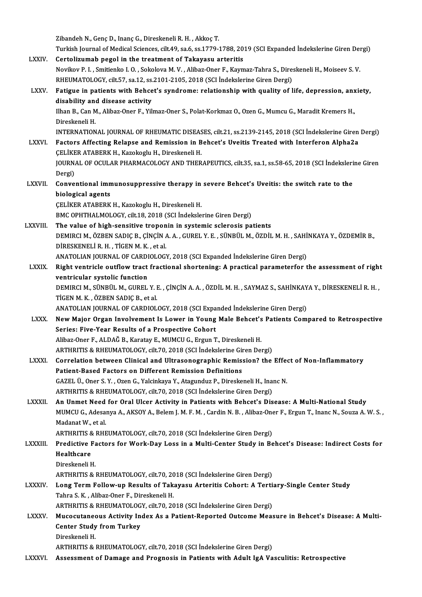|                | Zibandeh N., Genç D., Inanç G., Direskeneli R. H., Akkoç T.                                                                                       |
|----------------|---------------------------------------------------------------------------------------------------------------------------------------------------|
|                | Turkish Journal of Medical Sciences, cilt.49, sa.6, ss.1779-1788, 2019 (SCI Expanded İndekslerine Giren Dergi)                                    |
| <b>LXXIV</b>   | Certolizumab pegol in the treatment of Takayasu arteritis                                                                                         |
|                | Novikov P. I., Smitienko I. O., Sokolova M. V., Alibaz-Oner F., Kaymaz-Tahra S., Direskeneli H., Moiseev S. V.                                    |
|                | RHEUMATOLOGY, cilt.57, sa.12, ss.2101-2105, 2018 (SCI İndekslerine Giren Dergi)                                                                   |
| LXXV.          | Fatigue in patients with Behcet's syndrome: relationship with quality of life, depression, anxiety,<br>disability and disease activity            |
|                | Ilhan B., Can M., Alibaz-Oner F., Yilmaz-Oner S., Polat-Korkmaz O., Ozen G., Mumcu G., Maradit Kremers H.,<br>Direskeneli H.                      |
|                | INTERNATIONAL JOURNAL OF RHEUMATIC DISEASES, cilt.21, ss.2139-2145, 2018 (SCI İndekslerine Giren Dergi)                                           |
| <b>LXXVI</b>   | Factors Affecting Relapse and Remission in Behcet's Uveitis Treated with Interferon Alpha2a                                                       |
|                | CELİKER ATABERK H., Kazokoglu H., Direskeneli H.                                                                                                  |
|                | JOURNAL OF OCULAR PHARMACOLOGY AND THERAPEUTICS, cilt.35, sa.1, ss.58-65, 2018 (SCI İndekslerine Giren                                            |
|                | Dergi)                                                                                                                                            |
| <b>LXXVII</b>  | Conventional immunosuppressive therapy in severe Behcet's Uveitis: the switch rate to the                                                         |
|                | biological agents                                                                                                                                 |
|                | ÇELİKER ATABERK H., Kazokoglu H., Direskeneli H.                                                                                                  |
|                | BMC OPHTHALMOLOGY, cilt.18, 2018 (SCI Indekslerine Giren Dergi)                                                                                   |
| LXXVIII.       | The value of high-sensitive troponin in systemic sclerosis patients                                                                               |
|                | DEMIRCI M., ÖZBEN SADIÇ B., ÇİNÇİN A. A., GUREL Y. E., SÜNBÜL M., ÖZDİL M. H., SAHİNKAYA Y., ÖZDEMİR B.,                                          |
|                | DİRESKENELİ R. H., TİGEN M. K., et al.                                                                                                            |
|                | ANATOLIAN JOURNAL OF CARDIOLOGY, 2018 (SCI Expanded Indekslerine Giren Dergi)                                                                     |
| <b>LXXIX</b>   | Right ventricle outflow tract fractional shortening: A practical parameterfor the assessment of right                                             |
|                | ventricular systolic function                                                                                                                     |
|                | DEMIRCI M., SÜNBÜL M., GUREL Y. E., ÇİNÇİN A. A., ÖZDİL M. H., SAYMAZ S., SAHİNKAYA Y., DİRESKENELİ R. H.,<br>TIGEN M. K., ÖZBEN SADIC B., et al. |
|                | ANATOLIAN JOURNAL OF CARDIOLOGY, 2018 (SCI Expanded Indekslerine Giren Dergi)                                                                     |
| <b>LXXX</b>    | New Major Organ Involvement Is Lower in Young Male Behcet's Patients Compared to Retrospective                                                    |
|                | Series: Five-Year Results of a Prospective Cohort                                                                                                 |
|                | Alibaz-Oner F., ALDAĞ B., Karatay E., MUMCU G., Ergun T., Direskeneli H.                                                                          |
|                | ARTHRITIS & RHEUMATOLOGY, cilt.70, 2018 (SCI İndekslerine Giren Dergi)                                                                            |
| <b>LXXXI</b>   | Correlation between Clinical and Ultrasonographic Remission? the Effect of Non-Inflammatory                                                       |
|                | Patient-Based Factors on Different Remission Definitions                                                                                          |
|                | GAZEL Ü., Oner S.Y., Ozen G., Yalcinkaya Y., Atagunduz P., Direskeneli H., Inanc N.                                                               |
|                | ARTHRITIS & RHEUMATOLOGY, cilt.70, 2018 (SCI Indekslerine Giren Dergi)                                                                            |
| <b>LXXXII.</b> | An Unmet Need for Oral Ulcer Activity in Patients with Behcet's Disease: A Multi-National Study                                                   |
|                | MUMCU G., Adesanya A., AKSOY A., Belem J. M. F. M., Cardin N. B., Alibaz-Oner F., Ergun T., Inanc N., Souza A. W. S.,                             |
|                | Madanat W, et al.                                                                                                                                 |
|                | ARTHRITIS & RHEUMATOLOGY, cilt.70, 2018 (SCI İndekslerine Giren Dergi)                                                                            |
| <b>LXXXIII</b> | Predictive Factors for Work-Day Loss in a Multi-Center Study in Behcet's Disease: Indirect Costs for                                              |
|                | Healthcare                                                                                                                                        |
|                | Direskeneli H.                                                                                                                                    |
|                | ARTHRITIS & RHEUMATOLOGY, cilt.70, 2018 (SCI İndekslerine Giren Dergi)                                                                            |
| <b>LXXXIV</b>  | Long Term Follow-up Results of Takayasu Arteritis Cohort: A Tertiary-Single Center Study                                                          |
|                | Tahra S. K., Alibaz-Oner F., Direskeneli H.<br>ARTHRITIS & RHEUMATOLOGY, cilt.70, 2018 (SCI İndekslerine Giren Dergi)                             |
| <b>LXXXV</b>   | Mucocutaneous Activity Index As a Patient-Reported Outcome Measure in Behcet's Disease: A Multi-                                                  |
|                | <b>Center Study from Turkey</b>                                                                                                                   |
|                | Direskeneli H.                                                                                                                                    |
|                | ARTHRITIS & RHEUMATOLOGY, cilt.70, 2018 (SCI Indekslerine Giren Dergi)                                                                            |
| <b>LXXXVI.</b> | Assessment of Damage and Prognosis in Patients with Adult IgA Vasculitis: Retrospective                                                           |
|                |                                                                                                                                                   |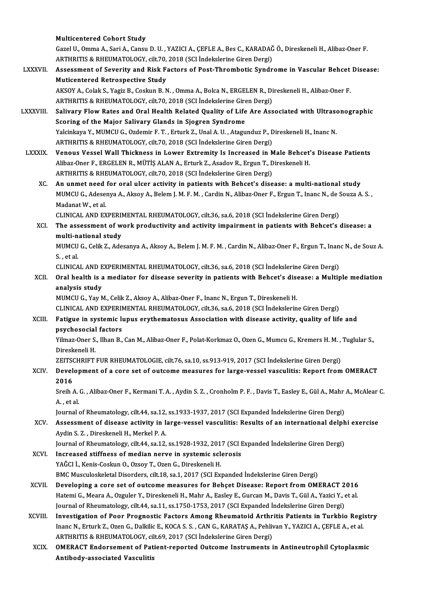|                 | <b>Multicentered Cohort Study</b>                                                                                                                                                                             |
|-----------------|---------------------------------------------------------------------------------------------------------------------------------------------------------------------------------------------------------------|
|                 | Gazel U., Omma A., Sari A., Cansu D. U., YAZICI A., ÇEFLE A., Bes C., KARADAĞ Ö., Direskeneli H., Alibaz-Oner F.                                                                                              |
|                 | ARTHRITIS & RHEUMATOLOGY, cilt.70, 2018 (SCI Indekslerine Giren Dergi)                                                                                                                                        |
| <b>LXXXVII.</b> | Assessment of Severity and Risk Factors of Post-Thrombotic Syndrome in Vascular Behcet Disease:                                                                                                               |
|                 | Muticentered Retrospective Study                                                                                                                                                                              |
|                 | AKSOY A., Colak S., Yagiz B., Coskun B. N., Omma A., Bolca N., ERGELEN R., Direskeneli H., Alibaz-Oner F.                                                                                                     |
| LXXXVIII.       | ARTHRITIS & RHEUMATOLOGY, cilt.70, 2018 (SCI Indekslerine Giren Dergi)<br>Salivary Flow Rates and Oral Health Related Quality of Life Are Associated with Ultrasonographic                                    |
|                 | Scoring of the Major Salivary Glands in Sjogren Syndrome                                                                                                                                                      |
|                 | Yalcinkaya Y., MUMCU G., Ozdemir F. T., Erturk Z., Unal A. U., Atagunduz P., Direskeneli H., Inanc N.                                                                                                         |
|                 | ARTHRITIS & RHEUMATOLOGY, cilt.70, 2018 (SCI İndekslerine Giren Dergi)                                                                                                                                        |
| <b>LXXXIX</b>   | Venous Vessel Wall Thickness in Lower Extremity Is Increased in Male Behcet's Disease Patients                                                                                                                |
|                 | Alibaz-Oner F., ERGELEN R., MÜTİŞ ALAN A., Erturk Z., Asadov R., Ergun T., Direskeneli H.                                                                                                                     |
|                 | ARTHRITIS & RHEUMATOLOGY, cilt.70, 2018 (SCI İndekslerine Giren Dergi)                                                                                                                                        |
| XC.             | An unmet need for oral ulcer activity in patients with Behcet's disease: a multi-national study                                                                                                               |
|                 | MUMCU G., Adesenya A., Aksoy A., Belem J. M. F. M., Cardin N., Alibaz-Oner F., Ergun T., Inanc N., de Souza A. S.,                                                                                            |
|                 | Madanat W, et al.                                                                                                                                                                                             |
|                 | CLINICAL AND EXPERIMENTAL RHEUMATOLOGY, cilt.36, sa.6, 2018 (SCI Indekslerine Giren Dergi)                                                                                                                    |
| XCI.            | The assessment of work productivity and activity impairment in patients with Behcet's disease: a                                                                                                              |
|                 | multi-national study                                                                                                                                                                                          |
|                 | MUMCU G., Celik Z., Adesanya A., Aksoy A., Belem J. M. F. M., Cardin N., Alibaz-Oner F., Ergun T., Inanc N., de Souz A.                                                                                       |
|                 | S, et al.                                                                                                                                                                                                     |
|                 | CLINICAL AND EXPERIMENTAL RHEUMATOLOGY, cilt.36, sa.6, 2018 (SCI İndekslerine Giren Dergi)                                                                                                                    |
| XCII.           | Oral health is a mediator for disease severity in patients with Behcet's disease: a Multiple mediation                                                                                                        |
|                 | analysis study                                                                                                                                                                                                |
|                 | MUMCU G., Yay M., Celik Z., Aksoy A., Alibaz-Oner F., Inanc N., Ergun T., Direskeneli H.<br>CLINICAL AND EXPERIMENTAL RHEUMATOLOGY, cilt.36, sa.6, 2018 (SCI İndekslerine Giren Dergi)                        |
| XCIII.          | Fatigue in systemic lupus erythematosus Association with disease activity, quality of life and                                                                                                                |
|                 | psychosocial factors                                                                                                                                                                                          |
|                 | Yilmaz-Oner S., Ilhan B., Can M., Alibaz-Oner F., Polat-Korkmaz O., Ozen G., Mumcu G., Kremers H. M., Tuglular S.,                                                                                            |
|                 | Direskeneli H.                                                                                                                                                                                                |
|                 | ZEITSCHRIFT FUR RHEUMATOLOGIE, cilt.76, sa.10, ss.913-919, 2017 (SCI İndekslerine Giren Dergi)                                                                                                                |
| XCIV.           | Development of a core set of outcome measures for large-vessel vasculitis: Report from OMERACT                                                                                                                |
|                 | 2016                                                                                                                                                                                                          |
|                 | Sreih A. G., Alibaz-Oner F., Kermani T. A., Aydin S. Z., Cronholm P. F., Davis T., Easley E., Gül A., Mahr A., McAlear C.                                                                                     |
|                 | A, et al.                                                                                                                                                                                                     |
|                 | Journal of Rheumatology, cilt.44, sa.12, ss.1933-1937, 2017 (SCI Expanded Indekslerine Giren Dergi)                                                                                                           |
| XCV.            | Assessment of disease activity in large-vessel vasculitis: Results of an international delphi exercise                                                                                                        |
|                 | Aydin S. Z., Direskeneli H., Merkel P. A.                                                                                                                                                                     |
|                 | Journal of Rheumatology, cilt.44, sa.12, ss.1928-1932, 2017 (SCI Expanded Indekslerine Giren Dergi)                                                                                                           |
| XCVI.           | Increased stiffness of median nerve in systemic sclerosis                                                                                                                                                     |
|                 | YAĞCI İ., Kenis-Coskun O., Ozsoy T., Ozen G., Direskeneli H.                                                                                                                                                  |
|                 | BMC Musculoskeletal Disorders, cilt.18, sa.1, 2017 (SCI Expanded Indekslerine Giren Dergi)                                                                                                                    |
| XCVII.          | Developing a core set of outcome measures for Behçet Disease: Report from OMERACT 2016<br>Hatemi G., Meara A., Ozguler Y., Direskeneli H., Mahr A., Easley E., Gurcan M., Davis T., Gül A., Yazici Y., et al. |
|                 | Journal of Rheumatology, cilt.44, sa.11, ss.1750-1753, 2017 (SCI Expanded Indekslerine Giren Dergi)                                                                                                           |
| XCVIII.         | Investigation of Poor Prognostic Factors Among Rheumatoid Arthritis Patients in Turkbio Registry                                                                                                              |
|                 | Inanc N., Erturk Z., Ozen G., Dalkilic E., KOCA S. S., CAN G., KARATAŞ A., Pehlivan Y., YAZICI A., ÇEFLE A., et al.                                                                                           |
|                 | ARTHRITIS & RHEUMATOLOGY, cilt.69, 2017 (SCI Indekslerine Giren Dergi)                                                                                                                                        |
| <b>XCIX</b>     | <b>OMERACT Endorsement of Patient-reported Outcome Instruments in Antineutrophil Cytoplasmic</b>                                                                                                              |
|                 | Antibody-associated Vasculitis                                                                                                                                                                                |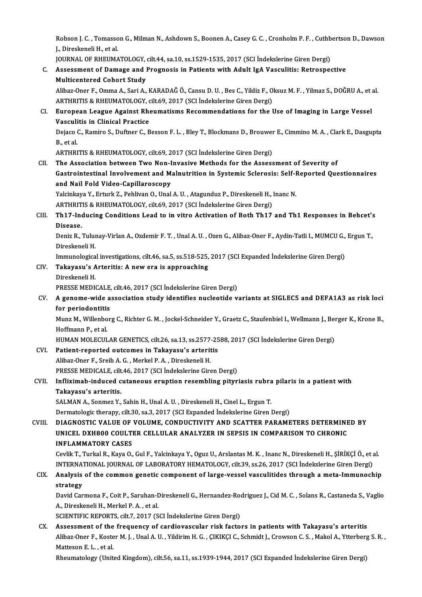Robson J. C. , Tomasson G., Milman N., Ashdown S., Boonen A., Casey G. C. , Cronholm P. F. , Cuthbertson D., Dawson<br>L. Direckoneli H. et al. Robson J. C. , Tomasso<br>J., Direskeneli H., et al.<br>JOUPNAL OF PHEUMA Robson J. C. , Tomasson G., Milman N., Ashdown S., Boonen A., Casey G. C. , Cronholm P. F. , Cuthb<br>J., Direskeneli H., et al.<br>JOURNAL OF RHEUMATOLOGY, cilt.44, sa.10, ss.1529-1535, 2017 (SCI İndekslerine Giren Dergi)<br>Asses

JOURNAL OF RHEUMATOLOGY, cilt.44, sa.10, ss.1529-1535, 2017 (SCI Indekslerine Giren Dergi)

# J., Direskeneli H., et al.<br>JOURNAL OF RHEUMATOLOGY, cilt.44, sa.10, ss.1529-1535, 2017 (SCI İndekslerine Giren Dergi)<br>C. Assessment of Damage and Prognosis in Patients with Adult IgA Vasculitis: Retrospective<br>Multicentered Assessment of Damage and Prognosis in Patients with Adult IgA Vasculitis: Retrospective<br>Multicentered Cohort Study<br>Alibaz-Oner F., Omma A., Sari A., KARADAĞ Ö., Cansu D. U. , Bes C., Yildiz F., Oksuz M. F. , Yilmaz S., DOĞ

Multicentered Cohort Study<br>Alibaz-Oner F., Omma A., Sari A., KARADAĞ Ö., Cansu D. U. , Bes C., Yildiz F., O<br>ARTHRITIS & RHEUMATOLOGY, cilt.69, 2017 (SCI İndekslerine Giren Dergi)<br>Furanean Laague Against Bhoumatisms Basamma ARTHRITIS & RHEUMATOLOGY, cilt.69, 2017 (SCI Indekslerine Giren Dergi)

#### CI. European League Against Rheumatisms Recommendations for the Use of Imaging in Large Vessel European League Against Rheumatisms Recommendations for the Use of Imaging in Large Vessel<br>Vasculitis in Clinical Practice<br>Dejaco C., Ramiro S., Duftner C., Besson F. L. , Bley T., Blockmans D., Brouwer E., Cimmino M. A. ,

**Vasculi**<br>Dejaco (<br>B., et al. Dejaco C., Ramiro S., Duftner C., Besson F. L. , Bley T., Blockmans D., Brouwer<br>B., et al.<br>ARTHRITIS & RHEUMATOLOGY, cilt.69, 2017 (SCI İndekslerine Giren Dergi)<br>The Association between Two Non Invesive Methods for the Ass B., et al.<br>ARTHRITIS & RHEUMATOLOGY, cilt.69, 2017 (SCI İndekslerine Giren Dergi)<br>CII. The Association between Two Non-Invasive Methods for the Assessment of Severity of

ARTHRITIS & RHEUMATOLOGY, cilt.69, 2017 (SCI İndekslerine Giren Dergi)<br>The Association between Two Non-Invasive Methods for the Assessment of Severity of<br>Gastrointestinal Involvement and Malnutrition in Systemic Sclerosis: The Association between Two Non-I<br>Gastrointestinal Involvement and M<br>and Nail Fold Video-Capillaroscopy<br>Velsinkayo V. Erturk 7, Bobliven O. Upol Gastrointestinal Involvement and Malnutrition in Systemic Sclerosis: Self-I<br>and Nail Fold Video-Capillaroscopy<br>Yalcinkaya Y., Erturk Z., Pehlivan O., Unal A.U. , Atagunduz P., Direskeneli H., Inanc N.<br>APTURITIS & RHEUMATOL and Nail Fold Video-Capillaroscopy<br>Yalcinkaya Y., Erturk Z., Pehlivan O., Unal A. U. , Atagunduz P., Direskeneli H., Inanc N.

ARTHRITIS & RHEUMATOLOGY, cilt.69, 2017 (SCI Indekslerine Giren Dergi)

#### CIII. Th17-Inducing Conditions Lead to in vitro Activation of Both Th17 and Th1 Responses in Behcet's<br>Disease. Th17-Inducing Conditions Lead to in vitro Activation of Both Th17 and Th1 Responses in Behcet':<br>Disease.<br>Deniz R., Tulunay-Virlan A., Ozdemir F. T. , Unal A. U. , Ozen G., Alibaz-Oner F., Aydin-Tatli I., MUMCU G., Ergun T.

Di<mark>sease.</mark><br>Deniz R., Tulur<br>Direskeneli H.<br>Immunologica Deniz R., Tulunay-Virlan A., Ozdemir F. T. , Unal A. U. , Ozen G., Alibaz-Oner F., Aydin-Tatli I., MUMCU G.,<br>Direskeneli H.<br>Immunological investigations, cilt.46, sa.5, ss.518-525, 2017 (SCI Expanded İndekslerine Giren Der

Immunologica<br><mark>Takayasu's *A*<br>Direskeneli H.</mark><br>PRESSE MEDI

# Direskeneli H.<br>Immunological investigations, cilt.46, sa.5, ss.518-525,<br>CIV. Takayasu's Arteritis: A new era is approaching<br>Direckeneli H

Takayasu's Arteritis: A new era is approaching<br>Direskeneli H.<br>PRESSE MEDICALE, cilt.46, 2017 (SCI İndekslerine Giren Dergi)<br>A sanama uida association study identifies nucleotide v

Direskeneli H.<br>PRESSE MEDICALE, cilt.46, 2017 (SCI İndekslerine Giren Dergi)<br>CV. A genome-wide association study identifies nucleotide variants at SIGLEC5 and DEFA1A3 as risk loci<br>for periodentitis PRESSE MEDICALE,<br>A genome-wide a<br>for periodontitis<br>Mung M. Willenber A genome-wide association study identifies nucleotide variants at SIGLEC5 and DEFA1A3 as risk loci<br>for periodontitis<br>Munz M., Willenborg C., Richter G. M. , Jockel-Schneider Y., Graetz C., Staufenbiel I., Wellmann J., Berg

f<mark>or periodontiti</mark>s<br>Munz M., Willenbo<br>Hoffmann P., et al.<br>HUMAN MOLECUL Munz M., Willenborg C., Richter G. M. , Jockel-Schneider Y., Graetz C., Staufenbiel I., Wellmann J., Bei<br>Hoffmann P., et al.<br>HUMAN MOLECULAR GENETICS, cilt.26, sa.13, ss.2577-2588, 2017 (SCI İndekslerine Giren Dergi)<br>Petia

# Hoffmann P., et al.<br>HUMAN MOLECULAR GENETICS, cilt.26, sa.13, ss.2577-25<br>CVI. Patient-reported outcomes in Takayasu's arteritis

HUMAN MOLECULAR GENETICS, cilt.26, sa.13, ss.2577<br>Patient-reported outcomes in Takayasu's arterit<br>Alibaz-Oner F., Sreih A. G. , Merkel P. A. , Direskeneli H.<br>PRESSE MEDICALE silt 46, 2017 (SCL Indekslerine Circ Patient-reported outcomes in Takayasu's arteritis<br>Alibaz-Oner F., Sreih A. G. , Merkel P. A. , Direskeneli H.<br>PRESSE MEDICALE, cilt.46, 2017 (SCI İndekslerine Giren Dergi)<br>Inflirimab indused sutaneous enuntion nesambling n

## Alibaz-Oner F., Sreih A. G. , Merkel P. A. , Direskeneli H.<br>PRESSE MEDICALE, cilt.46, 2017 (SCI İndekslerine Giren Dergi)<br>CVII. Infliximab-induced cutaneous eruption resembling pityriasis rubra pilaris in a patient with<br>Te PRESSE MEDICALE, cilt<br>Infliximab-induced c<br>Takayasu's arteritis.<br>SALMAN A. Sonmor Y Infliximab-induced cutaneous eruption resembling pityriasis rubra<br>Takayasu's arteritis.<br>SALMAN A., Sonmez Y., Sahin H., Unal A. U. , Direskeneli H., Cinel L., Ergun T.<br>Dermatelegis thereny, silt 20, ss 2, 2017 (SSL Eupende

Takayasu's arteritis.<br>SALMAN A., Sonmez Y., Sahin H., Unal A. U. , Direskeneli H., Cinel L., Ergun T.<br>Dermatologic therapy, cilt.30, sa.3, 2017 (SCI Expanded İndekslerine Giren Dergi)

#### SALMAN A., Sonmez Y., Sahin H., Unal A. U. , Direskeneli H., Cinel L., Ergun T.<br>Dermatologic therapy, cilt.30, sa.3, 2017 (SCI Expanded Indekslerine Giren Dergi)<br>CVIII. DIAGNOSTIC VALUE OF VOLUME, CONDUCTIVITY AND SCATTER Dermatologic therapy, cilt.30, sa.3, 2017 (SCI Expanded Indekslerine Giren Dergi)<br>DIAGNOSTIC VALUE OF VOLUME, CONDUCTIVITY AND SCATTER PARAMETERS DETERMINE<br>UNICEL DXH800 COULTER CELLULAR ANALYZER IN SEPSIS IN COMPARISON TO DIAGNOSTIC VALUE OF<br>UNICEL DXH800 COULTI<br>INFLAMMATORY CASES<br>Coulik T. Turkel B. Kava O UNICEL DXH800 COULTER CELLULAR ANALYZER IN SEPSIS IN COMPARISON TO CHRONIC<br>INFLAMMATORY CASES<br>Cevlik T., Turkal R., Kaya O., Gul F., Yalcinkaya Y., Oguz U., Arslantas M. K. , Inanc N., Direskeneli H., ŞİRİKÇİ Ö., et al.

INFLAMMATORY CASES<br>Cevlik T., Turkal R., Kaya O., Gul F., Yalcinkaya Y., Oguz U., Arslantas M. K. , Inanc N., Direskeneli H., ŞİRİKÇİ Ö., et a<br>INTERNATIONAL JOURNAL OF LABORATORY HEMATOLOGY, cilt.39, ss.26, 2017 (SCI İndek Cevlik T., Turkal R., Kaya O., Gul F., Yalcinkaya Y., Oguz U., Arslantas M. K. , Inanc N., Direskeneli H., ŞİRİKÇİ Ö., et al.<br>INTERNATIONAL JOURNAL OF LABORATORY HEMATOLOGY, cilt.39, ss.26, 2017 (SCI İndekslerine Giren Der

# **INTERNA<br>Analysis<br>strategy**<br>David Car Analysis of the common genetic component of large-vessel vasculitides through a meta-Immunochip<br>strategy<br>David Carmona F., Coit P., Saruhan-Direskeneli G., Hernandez-Rodriguez J., Cid M. C. , Solans R., Castaneda S., Vagli

s<mark>trategy</mark><br>David Carmona F., Coit P., Saruhan-I<br>A., Direskeneli H., Merkel P. A. , et al.<br>SCIENTIEIC PEPOPTS, silt 7, 2017 (S David Carmona F., Coit P., Saruhan-Direskeneli G., Hernandez-Roo<br>A., Direskeneli H., Merkel P. A. , et al.<br>SCIENTIFIC REPORTS, cilt.7, 2017 (SCI İndekslerine Giren Dergi)<br>Assessment of the frequency of candiousesular risk A., Direskeneli H., Merkel P. A. , et al.<br>SCIENTIFIC REPORTS, cilt.7, 2017 (SCI İndekslerine Giren Dergi)<br>CX. Assessment of the frequency of cardiovascular risk factors in patients with Takayasu's arteritis

SCIENTIFIC REPORTS, cilt.7, 2017 (SCI İndekslerine Giren Dergi)<br>Assessment of the frequency of cardiovascular risk factors in patients with Takayasu's arteritis<br>Alibaz-Oner F., Koster M. J. , Unal A. U. , Yildirim H. G. , Assessment of the<br>Alibaz-Oner F., Koste<br>Matteson E. L. , et al.<br>Pheumatelogy (Unit Alibaz-Oner F., Koster M. J. , Unal A. U. , Yildirim H. G. , ÇIKIKÇI C., Schmidt J., Crowson C. S. , Makol A., Ytterberg<br>Matteson E. L. , et al.<br>Rheumatology (United Kingdom), cilt.56, sa.11, ss.1939-1944, 2017 (SCI Expand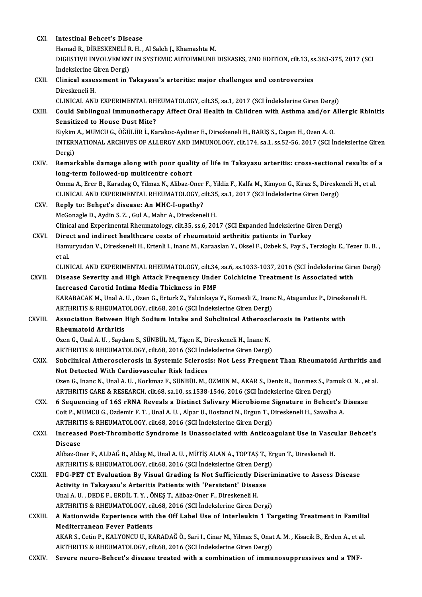| CXI.         | <b>Intestinal Behcet's Disease</b>                                                                                                                                                        |
|--------------|-------------------------------------------------------------------------------------------------------------------------------------------------------------------------------------------|
|              | Hamad R., DİRESKENELİ R. H., Al Saleh J., Khamashta M.                                                                                                                                    |
|              | DIGESTIVE INVOLVEMENT IN SYSTEMIC AUTOIMMUNE DISEASES, 2ND EDITION, cilt.13, ss.363-375, 2017 (SCI                                                                                        |
|              | Indekslerine Giren Dergi)                                                                                                                                                                 |
| CXII.        | Clinical assessment in Takayasu's arteritis: major challenges and controversies<br>Direskeneli H.                                                                                         |
|              | CLINICAL AND EXPERIMENTAL RHEUMATOLOGY, cilt.35, sa.1, 2017 (SCI İndekslerine Giren Dergi)                                                                                                |
| CXIII.       | Could Sublingual Immunotherapy Affect Oral Health in Children with Asthma and/or Allergic Rhinitis<br><b>Sensitized to House Dust Mite?</b>                                               |
|              | Kiykim A., MUMCU G., ÖĞÜLÜR İ., Karakoc-Aydiner E., Direskeneli H., BARIŞ S., Cagan H., Ozen A. O.                                                                                        |
|              | INTERNATIONAL ARCHIVES OF ALLERGY AND IMMUNOLOGY, cilt.174, sa.1, ss.52-56, 2017 (SCI İndekslerine Giren                                                                                  |
|              | Dergi)                                                                                                                                                                                    |
| CXIV.        | Remarkable damage along with poor quality of life in Takayasu arteritis: cross-sectional results of a                                                                                     |
|              | long-term followed-up multicentre cohort                                                                                                                                                  |
|              | Omma A., Erer B., Karadag O., Yilmaz N., Alibaz-Oner F., Yildiz F., Kalfa M., Kimyon G., Kiraz S., Direskeneli H., et al.                                                                 |
|              | CLINICAL AND EXPERIMENTAL RHEUMATOLOGY, cilt.35, sa.1, 2017 (SCI İndekslerine Giren Dergi)                                                                                                |
| CXV.         | Reply to: Behçet's disease: An MHC-I-opathy?                                                                                                                                              |
|              | McGonagle D., Aydin S. Z., Gul A., Mahr A., Direskeneli H.                                                                                                                                |
|              | Clinical and Experimental Rheumatology, cilt.35, ss.6, 2017 (SCI Expanded İndekslerine Giren Dergi)                                                                                       |
| CXVI.        | Direct and indirect healthcare costs of rheumatoid arthritis patients in Turkey                                                                                                           |
|              | Hamuryudan V., Direskeneli H., Ertenli I., Inanc M., Karaaslan Y., Oksel F., Ozbek S., Pay S., Terzioglu E., Tezer D. B.,<br>et al.                                                       |
|              | CLINICAL AND EXPERIMENTAL RHEUMATOLOGY, cilt.34, sa.6, ss.1033-1037, 2016 (SCI İndekslerine Giren Dergi)                                                                                  |
| <b>CXVII</b> | Disease Severity and High Attack Frequency Under Colchicine Treatment Is Associated with                                                                                                  |
|              | Increased Carotid Intima Media Thickness in FMF                                                                                                                                           |
|              | KARABACAK M., Unal A. U., Ozen G., Erturk Z., Yalcinkaya Y., Komesli Z., Inanc N., Atagunduz P., Direskeneli H.<br>ARTHRITIS & RHEUMATOLOGY, cilt.68, 2016 (SCI İndekslerine Giren Dergi) |
| CXVIII.      | Association Between High Sodium Intake and Subclinical Atherosclerosis in Patients with                                                                                                   |
|              | Rheumatoid Arthritis                                                                                                                                                                      |
|              | Ozen G., Unal A. U., Saydam S., SÜNBÜL M., Tigen K., Direskeneli H., Inanc N.                                                                                                             |
|              | ARTHRITIS & RHEUMATOLOGY, cilt.68, 2016 (SCI Indekslerine Giren Dergi)                                                                                                                    |
| CXIX.        | Subclinical Atherosclerosis in Systemic Sclerosis: Not Less Frequent Than Rheumatoid Arthritis and                                                                                        |
|              | Not Detected With Cardiovascular Risk Indices                                                                                                                                             |
|              | Ozen G., Inanc N., Unal A. U., Korkmaz F., SÜNBÜL M., ÖZMEN M., AKAR S., Deniz R., Donmez S., Pamuk O. N., et al.                                                                         |
|              | ARTHRITIS CARE & RESEARCH, cilt.68, sa.10, ss.1538-1546, 2016 (SCI İndekslerine Giren Dergi)                                                                                              |
| CXX.         | 6 Sequencing of 16S rRNA Reveals a Distinct Salivary Microbiome Signature in Behcet's Disease                                                                                             |
|              | Coit P., MUMCU G., Ozdemir F. T., Unal A. U., Alpar U., Bostanci N., Ergun T., Direskeneli H., Sawalha A.                                                                                 |
|              | ARTHRITIS & RHEUMATOLOGY, cilt.68, 2016 (SCI Indekslerine Giren Dergi)                                                                                                                    |
| CXXI.        | Increased Post-Thrombotic Syndrome Is Unassociated with Anticoagulant Use in Vascular Behcet's                                                                                            |
|              | <b>Disease</b>                                                                                                                                                                            |
|              | Alibaz-Oner F., ALDAĞ B., Aldag M., Unal A. U., MÜTİŞ ALAN A., TOPTAŞ T., Ergun T., Direskeneli H.                                                                                        |
|              | ARTHRITIS & RHEUMATOLOGY, cilt.68, 2016 (SCI Indekslerine Giren Dergi)                                                                                                                    |
| <b>CXXII</b> | FDG-PET CT Evaluation By Visual Grading Is Not Sufficiently Discriminative to Assess Disease                                                                                              |
|              | Activity in Takayasu's Arteritis Patients with 'Persistent' Disease                                                                                                                       |
|              | Unal A. U., DEDE F., ERDİL T. Y., ÖNEŞ T., Alibaz-Oner F., Direskeneli H.                                                                                                                 |
|              | ARTHRITIS & RHEUMATOLOGY, cilt.68, 2016 (SCI Indekslerine Giren Dergi)                                                                                                                    |
| CXXIII.      | A Nationwide Experience with the Off Label Use of Interleukin 1 Targeting Treatment in Familial<br><b>Mediterranean Fever Patients</b>                                                    |
|              | AKAR S., Cetin P., KALYONCU U., KARADAĞ Ö., Sari I., Cinar M., Yilmaz S., Onat A. M., Kisacik B., Erden A., et al.                                                                        |
|              | ARTHRITIS & RHEUMATOLOGY, cilt.68, 2016 (SCI Indekslerine Giren Dergi)                                                                                                                    |
| CXXIV.       | Severe neuro-Behcet's disease treated with a combination of immunosuppressives and a TNF-                                                                                                 |
|              |                                                                                                                                                                                           |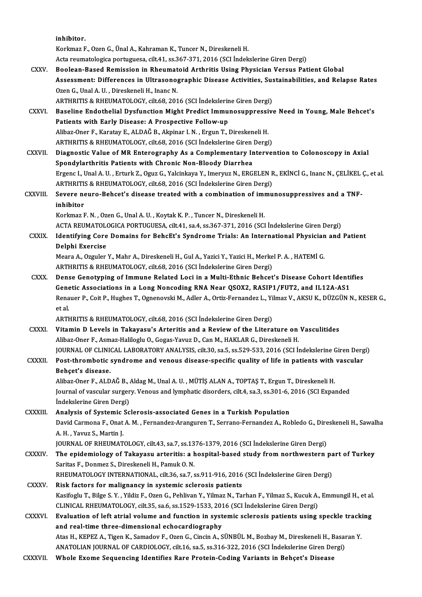|                | inhibitor.                                                                                                                                                                                     |
|----------------|------------------------------------------------------------------------------------------------------------------------------------------------------------------------------------------------|
|                | Korkmaz F., Ozen G., Ünal A., Kahraman K., Tuncer N., Direskeneli H.                                                                                                                           |
|                | Acta reumatologica portuguesa, cilt.41, ss.367-371, 2016 (SCI İndekslerine Giren Dergi)                                                                                                        |
| CXXV.          | Boolean-Based Remission in Rheumatoid Arthritis Using Physician Versus Patient Global                                                                                                          |
|                | Assessment: Differences in Ultrasonographic Disease Activities, Sustainabilities, and Relapse Rates                                                                                            |
|                | Ozen G., Unal A. U., Direskeneli H., Inanc N.                                                                                                                                                  |
|                | ARTHRITIS & RHEUMATOLOGY, cilt.68, 2016 (SCI Indekslerine Giren Dergi)                                                                                                                         |
| CXXVI.         | Baseline Endothelial Dysfunction Might Predict Immunosuppressive Need in Young, Male Behcet's                                                                                                  |
|                | Patients with Early Disease: A Prospective Follow-up                                                                                                                                           |
|                | Alibaz-Oner F., Karatay E., ALDAĞ B., Akpinar I. N., Ergun T., Direskeneli H.                                                                                                                  |
|                | ARTHRITIS & RHEUMATOLOGY, cilt.68, 2016 (SCI İndekslerine Giren Dergi)                                                                                                                         |
| <b>CXXVII</b>  | Diagnostic Value of MR Enterography As a Complementary Intervention to Colonoscopy in Axial                                                                                                    |
|                | Spondylarthritis Patients with Chronic Non-Bloody Diarrhea                                                                                                                                     |
|                | Ergenc I., Unal A. U., Erturk Z., Oguz G., Yalcinkaya Y., Imeryuz N., ERGELEN R., EKİNCİ G., Inanc N., ÇELİKEL Ç., et al.                                                                      |
|                | ARTHRITIS & RHEUMATOLOGY, cilt.68, 2016 (SCI Indekslerine Giren Dergi)                                                                                                                         |
| <b>CXXVIII</b> | Severe neuro-Behcet's disease treated with a combination of immunosuppressives and a TNF-                                                                                                      |
|                | inhibitor                                                                                                                                                                                      |
|                | Korkmaz F. N., Ozen G., Unal A. U., Koytak K. P., Tuncer N., Direskeneli H.                                                                                                                    |
|                | ACTA REUMATOLOGICA PORTUGUESA, cilt.41, sa.4, ss.367-371, 2016 (SCI İndekslerine Giren Dergi)                                                                                                  |
| <b>CXXIX</b>   | Identifying Core Domains for BehcEt's Syndrome Trials: An International Physician and Patient<br>Delphi Exercise                                                                               |
|                | Meara A., Ozguler Y., Mahr A., Direskeneli H., Gul A., Yazici Y., Yazici H., Merkel P. A., HATEMİ G.                                                                                           |
|                | ARTHRITIS & RHEUMATOLOGY, cilt.68, 2016 (SCI Indekslerine Giren Dergi)                                                                                                                         |
| CXXX.          | Dense Genotyping of Immune Related Loci in a Multi-Ethnic Behcet's Disease Cohort Identifies                                                                                                   |
|                | Genetic Associations in a Long Noncoding RNA Near QSOX2, RASIP1/FUT2, and IL12A-AS1                                                                                                            |
|                | Renauer P., Coit P., Hughes T., Ognenovski M., Adler A., Ortiz-Fernandez L., Yilmaz V., AKSU K., DÜZGÜN N., KESER G.,                                                                          |
|                | et al.                                                                                                                                                                                         |
|                | ARTHRITIS & RHEUMATOLOGY, cilt.68, 2016 (SCI Indekslerine Giren Dergi)                                                                                                                         |
| CXXXI.         | Vitamin D Levels in Takayasu's Arteritis and a Review of the Literature on Vasculitides                                                                                                        |
|                | Alibaz-Oner F., Asmaz-Haliloglu O., Gogas-Yavuz D., Can M., HAKLAR G., Direskeneli H.                                                                                                          |
|                | JOURNAL OF CLINICAL LABORATORY ANALYSIS, cilt.30, sa.5, ss.529-533, 2016 (SCI İndekslerine Giren Dergi)                                                                                        |
| <b>CXXXII</b>  | Post-thrombotic syndrome and venous disease-specific quality of life in patients with vascular                                                                                                 |
|                | Behcet's disease.                                                                                                                                                                              |
|                | Alibaz-Oner F., ALDAĞ B., Aldag M., Unal A. U., MÜTİŞ ALAN A., TOPTAŞ T., Ergun T., Direskeneli H.                                                                                             |
|                | Journal of vascular surgery. Venous and lymphatic disorders, cilt.4, sa.3, ss.301-6, 2016 (SCI Expanded                                                                                        |
|                | İndekslerine Giren Dergi)                                                                                                                                                                      |
| CXXXIII.       | Analysis of Systemic Sclerosis-associated Genes in a Turkish Population                                                                                                                        |
|                | David Carmona F., Onat A. M., Fernandez-Aranguren T., Serrano-Fernandez A., Robledo G., Direskeneli H., Sawalha                                                                                |
|                | A. H., Yavuz S., Martin J.                                                                                                                                                                     |
|                | JOURNAL OF RHEUMATOLOGY, cilt.43, sa.7, ss.1376-1379, 2016 (SCI İndekslerine Giren Dergi)                                                                                                      |
| <b>CXXXIV</b>  | The epidemiology of Takayasu arteritis: a hospital-based study from northwestern part of Turkey                                                                                                |
|                | Saritas F., Donmez S., Direskeneli H., Pamuk O. N.                                                                                                                                             |
|                | RHEUMATOLOGY INTERNATIONAL, cilt.36, sa.7, ss.911-916, 2016 (SCI İndekslerine Giren Dergi)                                                                                                     |
| <b>CXXXV</b>   | Risk factors for malignancy in systemic sclerosis patients                                                                                                                                     |
|                | Kasifoglu T., Bilge S. Y., Yildiz F., Ozen G., Pehlivan Y., Yilmaz N., Tarhan F., Yilmaz S., Kucuk A., Emmungil H., et al.                                                                     |
|                | CLINICAL RHEUMATOLOGY, cilt.35, sa.6, ss.1529-1533, 2016 (SCI İndekslerine Giren Dergi)<br>Evaluation of left atrial volume and function in systemic sclerosis patients using speckle tracking |
| <b>CXXXVI</b>  | and real-time three-dimensional echocardiography                                                                                                                                               |
|                | Atas H., KEPEZ A., Tigen K., Samadov F., Ozen G., Cincin A., SÜNBÜL M., Bozbay M., Direskeneli H., Basaran Y.                                                                                  |
|                | ANATOLIAN JOURNAL OF CARDIOLOGY, cilt.16, sa.5, ss.316-322, 2016 (SCI İndekslerine Giren Dergi)                                                                                                |
| CXXXVII.       | Whole Exome Sequencing Identifies Rare Protein-Coding Variants in Behçet's Disease                                                                                                             |
|                |                                                                                                                                                                                                |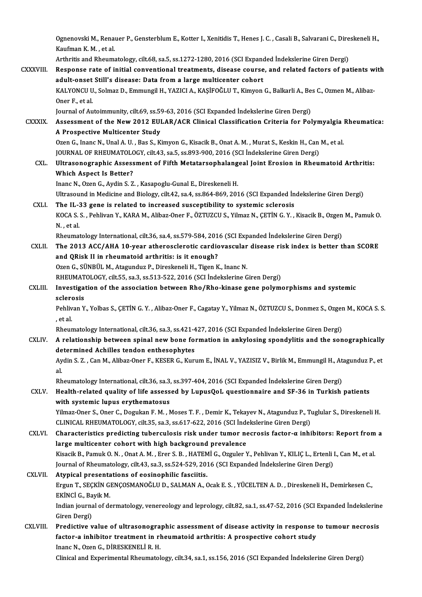Ognenovski M., Renauer P., Gensterblum E., Kotter I., Xenitidis T., Henes J. C. , Casali B., Salvarani C., Direskeneli H.,<br>Kayfman K. M., et al Ognenovski M., Rena<br>Kaufman K. M. , et al.<br>Arthritic and Pheume Ognenovski M., Renauer P., Gensterblum E., Kotter I., Xenitidis T., Henes J. C. , Casali B., Salvarani C., Dire<br>Kaufman K. M. , et al.<br>Arthritis and Rheumatology, cilt.68, sa.5, ss.1272-1280, 2016 (SCI Expanded İndekslerin

Kaufman K. M. , et al.<br>Arthritis and Rheumatology, cilt.68, sa.5, ss.1272-1280, 2016 (SCI Expanded Indekslerine Giren Dergi)<br>CXXXVIII. Response rate of initial conventional treatments, disease course, and related factors o Arthritis and Rheumatology, cilt.68, sa.5, ss.1272-1280, 2016 (SCI Expand<br>Response rate of initial conventional treatments, disease course<br>adult-onset Still's disease: Data from a large multicenter cohort<br>KAJ VONCU U. Solm Response rate of initial conventional treatments, disease course, and related factors of patients w<br>adult-onset Still's disease: Data from a large multicenter cohort<br>KALYONCU U., Solmaz D., Emmungil H., YAZICI A., KAŞİFOĞL adult-onset Still's disease: Data from a large multicenter cohort<br>KALYONCU U., Solmaz D., Emmungil H., YAZICI A., KAŞİFOĞLU T., Kimyon G., Balkarli A., Be<br>Oner F., et al.<br>Journal of Autoimmunity, cilt.69, ss.59-63, 2016 (S KALYONCU U., Solmaz D., Emmungil H., YAZICI A., KASİFOĞLU T., Kimyon G., Balkarli A., Bes C., Ozmen M., Alibaz-Oner F., et al.<br>Journal of Autoimmunity, cilt.69, ss.59-63, 2016 (SCI Expanded Indekslerine Giren Dergi)<br>CXXXIX. Assessment of the New 2012 EULAR/ACR Clinical Classification Criteria for Polymyalgia Rheumatica:<br>A Prospecti Journal of Autoimmunity, cilt.69, ss.59<br>Assessment of the New 2012 EUI<br>A Prospective Multicenter Study<br>Oren G Jrans N Hual A H Bas S K Assessment of the New 2012 EULAR/ACR Clinical Classification Criteria for Polymyalgia<br>A Prospective Multicenter Study<br>Ozen G., Inanc N., Unal A.U. , Bas S., Kimyon G., Kisacik B., Onat A. M. , Murat S., Keskin H., Can M., A Prospective Multicenter Study<br>Ozen G., Inanc N., Unal A. U. , Bas S., Kimyon G., Kisacik B., Onat A. M. , Murat S., Keskin H., Can M., et al.<br>JOURNAL OF RHEUMATOLOGY, cilt.43, sa.5, ss.893-900, 2016 (SCI İndekslerine Gir Ozen G., Inanc N., Unal A. U. , Bas S., Kimyon G., Kisacik B., Onat A. M. , Murat S., Keskin H., Can M., et al.<br>JOURNAL OF RHEUMATOLOGY, cilt.43, sa.5, ss.893-900, 2016 (SCI Indekslerine Giren Dergi)<br>CXL. Ultrasonographic Which Aspect Is Better?<br>Inanc N., Ozen G., Aydin S. Z., Kasapoglu-Gunal E., Direskeneli H. Ultrasonographic Assessment of Fifth Metatarsophalang<br>Which Aspect Is Better?<br>Inanc N., Ozen G., Aydin S. Z. , Kasapoglu-Gunal E., Direskeneli H.<br>Ultrasound in Modisine and Biology silt 42, as 4, as 964, 960, 201 Which Aspect Is Better?<br>Inanc N., Ozen G., Aydin S. Z. , Kasapoglu-Gunal E., Direskeneli H.<br>Ultrasound in Medicine and Biology, cilt.42, sa.4, ss.864-869, 2016 (SCI Expanded İndekslerine Giren Dergi)<br>The U. 33 gane is rela Inanc N., Ozen G., Aydin S. Z., Kasapoglu-Gunal E., Direskeneli H.<br>Ultrasound in Medicine and Biology, cilt.42, sa.4, ss.864-869, 2016 (SCI Expanded In<br>CXLI. The IL-33 gene is related to increased susceptibility to systemi KOCA S. S. , Pehlivan Y., KARA M., Alibaz-Oner F., ÖZTUZCU S., Yilmaz N., ÇETİN G. Y. , Kisacik B., Ozgen M., Pamuk O.<br>N. , et al. The IL-33 gene is related to increased susceptibility to systemic sclerosis KOCA S. S. , Pehlivan Y., KARA M., Alibaz-Oner F., ÖZTUZCU S., Yilmaz N., ÇETİN G. Y. , Kisacik B., Ozgen<br>N. , et al.<br>Rheumatology International, cilt.36, sa.4, ss.579-584, 2016 (SCI Expanded İndekslerine Giren Dergi)<br>The CXLII. The 2013 ACC/AHA 10-year atherosclerotic cardiovascular disease risk index is better than SCORE<br>and QRisk II in rheumatoid arthritis: is it enough? Rheumatology International, cilt.36, sa.4, ss.579-584, 201<br>The 2013 ACC/AHA 10-year atherosclerotic cardic<br>and QRisk II in rheumatoid arthritis: is it enough?<br>Ozen C. SÜNPÜLM, Atagundus B. Direckaneli H. Tigen K Ozen G., SÜNBÜL M., Atagunduz P., Direskeneli H., Tigen K., Inanc N. and QRisk II in rheumatoid arthritis: is it enough?<br>Ozen G., SÜNBÜL M., Atagunduz P., Direskeneli H., Tigen K., Inanc N.<br>RHEUMATOLOGY, cilt.55, sa.3, ss.513-522, 2016 (SCI İndekslerine Giren Dergi)<br>Investigation of the ass CXLIII. Investigation of the association between Rho/Rho-kinase gene polymorphisms and systemic<br>sclerosis RHEUMAT<br>Investiga<br>sclerosis<br><sup>Roblivon V</sup> Investigation of the association between Rho/Rho-kinase gene polymorphisms and systemic<br>sclerosis<br>Pehlivan Y., Yolbas S., ÇETİN G. Y. , Alibaz-Oner F., Cagatay Y., Yilmaz N., ÖZTUZCU S., Donmez S., Ozgen M., KOCA S. S.<br>... sclere<br>Pehliv<br>, et al.<br>Phour Pehlivan Y., Yolbas S., ÇETİN G. Y. , Alibaz-Oner F., Cagatay Y., Yilmaz N., ÖZTUZCU S., Donmez S., Ozger<br>, et al.<br>Rheumatology International, cilt.36, sa.3, ss.421-427, 2016 (SCI Expanded İndekslerine Giren Dergi)<br>A relat et al.<br>Rheumatology International, cilt.36, sa.3, ss.421-427, 2016 (SCI Expanded Indekslerine Giren Dergi)<br>CXLIV. A relationship between spinal new bone formation in ankylosing spondylitis and the sonographically<br>determine Rheumatology International, cilt.36, sa.3, ss.421-427, 2016 (SCI Expanded İndekslerine Giren Dergi) A relationship between spinal new bone formation in ankylosing spondylitis and the sonographically<br>determined Achilles tendon enthesophytes<br>Aydin S. Z. , Can M., Alibaz-Oner F., KESER G., Kurum E., İNAL V., YAZISIZ V., Bir de<br>Ay<br>al. Aydin S. Z. , Can M., Alibaz-Oner F., KESER G., Kurum E., İNAL V., YAZISIZ V., Birlik M., Emmungil H., At<br>al.<br>Rheumatology International, cilt.36, sa.3, ss.397-404, 2016 (SCI Expanded İndekslerine Giren Dergi)<br>Health relat al.<br>Rheumatology International, cilt.36, sa.3, ss.397-404, 2016 (SCI Expanded İndekslerine Giren Dergi)<br>CXLV. Health-related quality of life assessed by LupusQoL questionnaire and SF-36 in Turkish patients<br>with systemic lu Rheumatology International, cilt.36, sa.3, ss.397-404, 2016 (SCI Expanded Indekslerine Giren Dergi) Yilmaz-Oner S., Oner C., Dogukan F. M., Moses T. F., Demir K., Tekayev N., Atagunduz P., Tuglular S., Direskeneli H. with systemic lupus erythematosus<br>Yilmaz-Oner S., Oner C., Dogukan F. M. , Moses T. F. , Demir K., Tekayev N., Atagunduz P., To<br>CLINICAL RHEUMATOLOGY, cilt.35, sa.3, ss.617-622, 2016 (SCI İndekslerine Giren Dergi)<br>Characto Yilmaz-Oner S., Oner C., Dogukan F. M. , Moses T. F. , Demir K., Tekayev N., Atagunduz P., Tuglular S., Direskeneli H.<br>CLINICAL RHEUMATOLOGY, cilt.35, sa.3, ss.617-622, 2016 (SCI İndekslerine Giren Dergi)<br>CXLVI. Character CLINICAL RHEUMATOLOGY, cilt.35, sa.3, ss.617-622, 2016 (SCI Independent Characteristics predicting tuberculosis risk under tumor ne<br>large multicenter cohort with high background prevalence<br>*Visagik B. Bamuk Q.N., Quat A.M.* Characteristics predicting tuberculosis risk under tumor necrosis factor-α inhibitors: Report from<br>large multicenter cohort with high background prevalence<br>Kisacik B., Pamuk O. N. , Onat A. M. , Erer S. B. , HATEMİ G., Oz large multicenter cohort with high background prevalence<br>Kisacik B., Pamuk O. N. , Onat A. M. , Erer S. B. , HATEMİ G., Ozguler Y., Pehlivan Y., KILIÇ L., Ertenli l<br>Journal of Rheumatology, cilt.43, sa.3, ss.524-529, 2016 Kisacik B., Pamuk O. N., Onat A. M., Erer S. B., HATEM<br>Journal of Rheumatology, cilt.43, sa.3, ss.524-529, 201<br>CXLVII. Atypical presentations of eosinophilic fasciitis. Ergun T., SEÇKİN GENÇOSMANOĞLU D., SALMAN A., Ocak E. S. , YÜCELTEN A. D. , Direskeneli H., Demirkesen C.,<br>EKİNCİ G., Bavik M. Atypical presentations of eosinophilic fasciitis. Ergun T., SEÇKİN GENÇOSMANOĞLU D., SALMAN A., Ocak E. S. , YÜCELTEN A. D. , Direskeneli H., Demirkesen C.,<br>EKİNCİ G., Bayik M.<br>Indian journal of dermatology, venereology and leprology, cilt.82, sa.1, ss.47-52, 2016 (SCI Ex EKİNCİ G., Ba<br>Indian journa<br>Giren Dergi)<br>Predistive u Indian journal of dermatology, venereology and leprology, cilt.82, sa.1, ss.47-52, 2016 (SCI Expanded Indekslering<br>Giren Dergi)<br>CXLVIII. Predictive value of ultrasonographic assessment of disease activity in response to tu Giren Dergi)<br>Predictive value of ultrasonographic assessment of disease activity in response t<br>factor-a inhibitor treatment in rheumatoid arthritis: A prospective cohort study<br>Inane N. Oren G. DiPESKENELLE H Predictive value of ultrasonogra<br>factor-a inhibitor treatment in rl<br>Inanc N., Ozen G., DİRESKENELİ R. H.<br>Clinical and Eunerimental Bhaumatal factor-a inhibitor treatment in rheumatoid arthritis: A prospective cohort study<br>Inanc N., Ozen G., DİRESKENELİ R. H.<br>Clinical and Experimental Rheumatology, cilt.34, sa.1, ss.156, 2016 (SCI Expanded İndekslerine Giren Der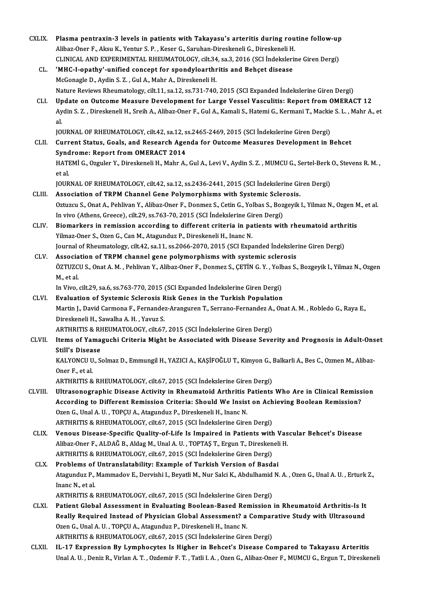| <b>CXLIX</b> | Plasma pentraxin-3 levels in patients with Takayasu's arteritis during routine follow-up                                   |
|--------------|----------------------------------------------------------------------------------------------------------------------------|
|              | Alibaz-Oner F., Aksu K., Yentur S. P., Keser G., Saruhan-Direskeneli G., Direskeneli H.                                    |
|              | CLINICAL AND EXPERIMENTAL RHEUMATOLOGY, cilt.34, sa.3, 2016 (SCI İndekslerine Giren Dergi)                                 |
| CL.          | 'MHC-I-opathy'-unified concept for spondyloarthritis and Behçet disease                                                    |
|              | McGonagle D., Aydin S. Z., Gul A., Mahr A., Direskeneli H.                                                                 |
|              | Nature Reviews Rheumatology, cilt.11, sa.12, ss.731-740, 2015 (SCI Expanded İndekslerine Giren Dergi)                      |
| CLI.         | Update on Outcome Measure Development for Large Vessel Vasculitis: Report from OMERACT 12                                  |
|              | Aydin S. Z., Direskeneli H., Sreih A., Alibaz-Oner F., Gul A., Kamali S., Hatemi G., Kermani T., Mackie S. L., Mahr A., et |
|              | al.                                                                                                                        |
|              | JOURNAL OF RHEUMATOLOGY, cilt.42, sa.12, ss.2465-2469, 2015 (SCI İndekslerine Giren Dergi)                                 |
| CLII.        | Current Status, Goals, and Research Agenda for Outcome Measures Development in Behcet                                      |
|              | <b>Syndrome: Report from OMERACT 2014</b>                                                                                  |
|              | HATEMİ G., Ozguler Y., Direskeneli H., Mahr A., Gul A., Levi V., Aydin S. Z., MUMCU G., Sertel-Berk O., Stevens R. M.,     |
|              | et al.                                                                                                                     |
|              | JOURNAL OF RHEUMATOLOGY, cilt.42, sa.12, ss.2436-2441, 2015 (SCI İndekslerine Giren Dergi)                                 |
| CLIII.       | Association of TRPM Channel Gene Polymorphisms with Systemic Sclerosis.                                                    |
|              | Oztuzcu S., Onat A., Pehlivan Y., Alibaz-Oner F., Donmez S., Cetin G., Yolbas S., Bozgeyik I., Yilmaz N., Ozgen M., et al. |
|              | In vivo (Athens, Greece), cilt.29, ss.763-70, 2015 (SCI Indekslerine Giren Dergi)                                          |
| CLIV.        | Biomarkers in remission according to different criteria in patients with rheumatoid arthritis                              |
|              | Yilmaz-Oner S., Ozen G., Can M., Atagunduz P., Direskeneli H., Inanc N.                                                    |
|              | Journal of Rheumatology, cilt.42, sa.11, ss.2066-2070, 2015 (SCI Expanded Indekslerine Giren Dergi)                        |
| CLV.         | Association of TRPM channel gene polymorphisms with systemic sclerosis                                                     |
|              | ÖZTUZCU S., Onat A. M. , Pehlivan Y., Alibaz-Oner F., Donmez S., ÇETİN G. Y. , Yolbas S., Bozgeyik I., Yilmaz N., Ozgen    |
|              | M, et al.                                                                                                                  |
|              | In Vivo, cilt.29, sa.6, ss.763-770, 2015 (SCI Expanded Indekslerine Giren Dergi)                                           |
| CLVI.        | Evaluation of Systemic Sclerosis Risk Genes in the Turkish Population                                                      |
|              | Martin J., David Carmona F., Fernandez-Aranguren T., Serrano-Fernandez A., Onat A. M., Robledo G., Raya E.,                |
|              | Direskeneli H., Sawalha A.H., Yavuz S.                                                                                     |
|              | ARTHRITIS & RHEUMATOLOGY, cilt.67, 2015 (SCI İndekslerine Giren Dergi)                                                     |
| CLVII.       | Items of Yamaguchi Criteria Might be Associated with Disease Severity and Prognosis in Adult-Onset                         |
|              | <b>Still's Disease</b>                                                                                                     |
|              | KALYONCU U., Solmaz D., Emmungil H., YAZICI A., KAŞİFOĞLU T., Kimyon G., Balkarli A., Bes C., Ozmen M., Alibaz-            |
|              | Oner F, et al.                                                                                                             |
|              | ARTHRITIS & RHEUMATOLOGY, cilt.67, 2015 (SCI Indekslerine Giren Dergi)                                                     |
| CLVIII.      | Ultrasonographic Disease Activity in Rheumatoid Arthritis Patients Who Are in Clinical Remission                           |
|              | According to Different Remission Criteria: Should We Insist on Achieving Boolean Remission?                                |
|              | Ozen G., Unal A. U., TOPÇU A., Atagunduz P., Direskeneli H., Inanc N.                                                      |
|              | ARTHRITIS & RHEUMATOLOGY, cilt.67, 2015 (SCI Indekslerine Giren Dergi)                                                     |
| CLIX.        | Venous Disease-Specific Quality-of-Life Is Impaired in Patients with Vascular Behcet's Disease                             |
|              | Alibaz-Oner F., ALDAĞ B., Aldag M., Unal A. U., TOPTAŞ T., Ergun T., Direskeneli H.                                        |
|              | ARTHRITIS & RHEUMATOLOGY, cilt.67, 2015 (SCI İndekslerine Giren Dergi)                                                     |
| CLX.         | Problems of Untranslatability: Example of Turkish Version of Basdai                                                        |
|              | Atagunduz P., Mammadov E., Dervishi I., Beyatli M., Nur Salci K., Abdulhamid N. A., Ozen G., Unal A. U., Erturk Z.,        |
|              | Inanc N, et al.                                                                                                            |
|              | ARTHRITIS & RHEUMATOLOGY, cilt.67, 2015 (SCI İndekslerine Giren Dergi)                                                     |
| <b>CLXI</b>  | Patient Global Assessment in Evaluating Boolean-Based Remission in Rheumatoid Arthritis-Is It                              |
|              | Really Required Instead of Physician Global Assessment? a Comparative Study with Ultrasound                                |
|              | Ozen G., Unal A. U., TOPÇU A., Atagunduz P., Direskeneli H., Inanc N.                                                      |
|              | ARTHRITIS & RHEUMATOLOGY, cilt.67, 2015 (SCI Indekslerine Giren Dergi)                                                     |
| <b>CLXII</b> | IL-17 Expression By Lymphocytes Is Higher in Behcet's Disease Compared to Takayasu Arteritis                               |
|              | Unal A. U., Deniz R., Virlan A. T., Ozdemir F. T., Tatli I. A., Ozen G., Alibaz-Oner F., MUMCU G., Ergun T., Direskeneli   |
|              |                                                                                                                            |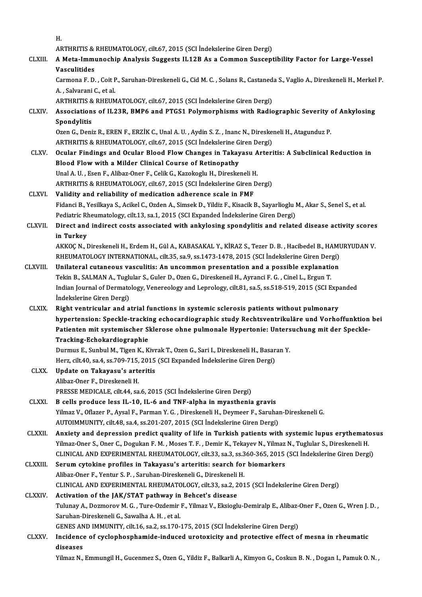H.<br>Ar

- H.<br>ARTHRITIS & RHEUMATOLOGY, cilt.67, 2015 (SCI İndekslerine Giren Dergi)<br>A Meta İmmungabin Analysis Suggesta II 12B As a Common Suggent
- H.<br>ARTHRITIS & RHEUMATOLOGY, cilt.67, 2015 (SCI İndekslerine Giren Dergi)<br>CLXIII. A Meta-Immunochip Analysis Suggests IL12B As a Common Susceptibility Factor for Large-Vessel<br>Vasculitides ARTHRITIS &<br>A Meta-Immu<br>Vasculitides<br>Carmone E D A Meta-Immunochip Analysis Suggests IL12B As a Common Susceptibility Factor for Large-Vessel<br>Vasculitides<br>Carmona F. D. , Coit P., Saruhan-Direskeneli G., Cid M. C. , Solans R., Castaneda S., Vaglio A., Direskeneli H., Mer

**Vasculitides<br>Carmona F. D. , Coit F<br>A. , Salvarani C., et al.<br>APTUPITIS & PUFIIM** Carmona F. D. , Coit P., Saruhan-Direskeneli G., Cid M. C. , Solans R., Castaned<br>A. , Salvarani C., et al.<br>ARTHRITIS & RHEUMATOLOGY, cilt.67, 2015 (SCI İndekslerine Giren Dergi)<br>Associations of U.22P. PMP6 and PTCS1 Polymo

ARTHRITIS & RHEUMATOLOGY, cilt.67, 2015 (SCI Indekslerine Giren Dergi)

A. , Salvarani C., et al.<br>ARTHRITIS & RHEUMATOLOGY, cilt.67, 2015 (SCI İndekslerine Giren Dergi)<br>CLXIV. Associations of IL23R, BMP6 and PTGS1 Polymorphisms with Radiographic Severity of Ankylosing<br>Spondylitis Associations of IL23R, BMP6 and PTGS1 Polymorphisms with Radiographic Severity of<br>Spondylitis<br>Ozen G., Deniz R., EREN F., ERZİK C., Unal A. U. , Aydin S. Z. , Inanc N., Direskeneli H., Atagunduz P.<br>APTURITIS & PHEUMATOLOCY

Spondylitis<br>Ozen G., Deniz R., EREN F., ERZİK C., Unal A. U. , Aydin S. Z. , Inanc N., Direske:<br>ARTHRITIS & RHEUMATOLOGY, cilt.67, 2015 (SCI İndekslerine Giren Dergi)<br>Qaylar Eindings and Qaylar Blaad Elaw Changes in Takaya ARTHRITIS & RHEUMATOLOGY, cilt.67, 2015 (SCI Indekslerine Giren Dergi)

- CLXV. Ocular Findings and Ocular Blood FlowChanges in Takayasu Arteritis: A Subclinical Reduction in Ocular Findings and Ocular Blood Flow Changes in Takayasu A<br>Blood Flow with a Milder Clinical Course of Retinopathy<br>Unal A.U., Esen F., Alibaz-Oner F., Celik G., Kazokoglu H., Direskeneli H.<br>APTURITIS & PHEUMATOLOCY silt 6 ARTHRITIS & RHEUMATOLOGY, cilt.67, 2015 (SCI İndekslerine Giren Dergi)<br>Validity and reliability of medication adherence scale in FMF Unal A. U., Esen F., Alibaz-Oner F., Celik G., Kazokoglu H., Direskeneli H<br>ARTHRITIS & RHEUMATOLOGY, cilt.67, 2015 (SCI İndekslerine Giren I<br>CLXVI. Validity and reliability of medication adherence scale in FMF
- Fidanci B., Yesilkaya S., Acikel C., Ozden A., Simsek D., Yildiz F., Kisacik B., Sayarlioglu M., Akar S., Senel S., et al. Validity and reliability of medication adherence scale in FMF<br>Fidanci B., Yesilkaya S., Acikel C., Ozden A., Simsek D., Yildiz F., Kisacik B., Sayarlioglu I<br>Pediatric Rheumatology, cilt.13, sa.1, 2015 (SCI Expanded Indeksl Fidanci B., Yesilkaya S., Acikel C., Ozden A., Simsek D., Yildiz F., Kisacik B., Sayarlioglu M., Akar S., Senel S., et al.<br>Pediatric Rheumatology, cilt.13, sa.1, 2015 (SCI Expanded İndekslerine Giren Dergi)<br>CLXVII. Direct
- Pediatric Rh<br>Direct and<br>in Turkey<br>AKKOC N Direct and indirect costs associated with ankylosing spondylitis and related disease activity scores<br>in Turkey<br>AKKOÇ N., Direskeneli H., Erdem H., Gül A., KABASAKAL Y., KİRAZ S., Tezer D. B. , Hacibedel B., HAMURYUDAN V.<br>R

in Turkey<br>AKKOÇ N., Direskeneli H., Erdem H., Gül A., KABASAKAL Y., KİRAZ S., Tezer D. B. , Hacibedel B., HAMURYUDAN V.<br>RHEUMATOLOGY INTERNATIONAL, cilt.35, sa.9, ss.1473-1478, 2015 (SCI İndekslerine Giren Dergi) AKKOÇ N., Direskeneli H., Erdem H., Gül A., KABASAKAL Y., KİRAZ S., Tezer D. B., Hacibedel B., HAMI<br>RHEUMATOLOGY INTERNATIONAL, cilt.35, sa.9, ss.1473-1478, 2015 (SCI İndekslerine Giren Dergi)<br>CLXVIII. Unilateral cutaneous

- RHEUMATOLOGY INTERNATIONAL, cilt.35, sa.9, ss.1473-1478, 2015 (SCI İndekslerine Giren Der<br>Unilateral cutaneous vasculitis: An uncommon presentation and a possible explanation<br>Tekin B., SALMAN A., Tuglular S., Guler D., Oze Unilateral cutaneous vasculitis: An uncommon presentation and a possible explanation<br>Tekin B., SALMAN A., Tuglular S., Guler D., Ozen G., Direskeneil H., Ayranci F. G. , Cinel L., Ergun T.<br>Indian Journal of Dermatology, Ve Tekin B., SALMAN A., Tuglular S., Guler D., Ozen G., Direskeneil H., Ayranci F. G. , Cinel L., Ergun T.<br>Indian Journal of Dermatology, Venereology and Leprology, cilt.81, sa.5, ss.518-519, 2015 (SCI Expanded<br>Indekslerine G
- CLXIX. Right ventricular and atrial functions in systemic sclerosis patients without pulmonary hypertension: Speckle-tracking echocardiographic study Rechtsventrikuläre und Vorhoffunktion bei Right ventricular and atrial functions in systemic sclerosis patients without pulmonary<br>hypertension: Speckle-tracking echocardiographic study Rechtsventrikuläre und Vorhoffunktion<br>Patienten mit systemischer Sklerose ohne hypertension: Speckle-trackin<br>Patienten mit systemischer S<br>Tracking-Echokardiographie<br>Dunnus E. Sunbul M. Tigen K. K Patienten mit systemischer Sklerose ohne pulmonale Hypertonie: Unters<br>Tracking-Echokardiographie<br>Durmus E., Sunbul M., Tigen K., Kivrak T., Ozen G., Sari I., Direskeneli H., Basaran Y.<br>Hers silt 40, 82 4, 85,700,715, 2015, Tracking-Echokardiographie<br>Durmus E., Sunbul M., Tigen K., Kivrak T., Ozen G., Sari I., Direskeneli H., Basar<br>Herz, cilt.40, sa.4, ss.709-715, 2015 (SCI Expanded İndekslerine Giren Dergi)<br>Undete en Takayaay'e entenitis

- Durmus E., Sunbul M., Tigen K., Kivrak T., Ozen G., Sari I., Direskeneli H., Basaran Y.<br>Herz, cilt.40, sa.4, ss.709-715, 2015 (SCI Expanded İndekslerine Giren Dergi)<br>CLXX. Update on Takayasu's arteritis<br>Alibaz-Oner F., Dir Herz, cilt.40, sa.4, ss.709-715,<br>Update on Takayasu's arte<br>Alibaz-Oner F., Direskeneli H.<br>PRESSE MEDICALE silt.44, sa PRESSE MEDICALE, cilt.44, sa.6, 2015 (SCI İndekslerine Giren Dergi)
- CLXXI. B cells produce less IL-10, IL-6 and TNF-alpha in myasthenia gravis Yilmaz V., Oflazer P., Aysal F., Parman Y. G., Direskeneli H., Deymeer F., Saruhan-Direskeneli G. AUTOIMMUNITY, cilt.48, sa.4, ss.201-207, 2015 (SCI İndekslerine Giren Dergi) Yilmaz V., Oflazer P., Aysal F., Parman Y. G. , Direskeneli H., Deymeer F., Saruhan-Direskeneli G.<br>AUTOIMMUNITY, cilt48, sa.4, ss.201-207, 2015 (SCI Indekslerine Giren Dergi)<br>CLXXII. Anxiety and depression predict quality
- AUTOIMMUNITY, cilt48, sa.4, ss.201-207, 2015 (SCI İndekslerine Giren Dergi)<br>Anxiety and depression predict quality of life in Turkish patients with systemic lupus erythemate<br>Yilmaz-Oner S., Oner C., Dogukan F. M. , Moses T Anxiety and depression predict quality of life in Turkish patients with systemic lupus erythematos<br>Yilmaz-Oner S., Oner C., Dogukan F. M. , Moses T. F. , Demir K., Tekayev N., Yilmaz N., Tuglular S., Direskeneli H.<br>CLINICA Yilmaz-Oner S., Oner C., Dogukan F. M., Moses T. F., Demir K., Tekayev N., Yilmaz<br>CLINICAL AND EXPERIMENTAL RHEUMATOLOGY, cilt.33, sa.3, ss.360-365, 2015<br>CLXXIII. Serum cytokine profiles in Takayasu's arteritis: search for
- CLINICAL AND EXPERIMENTAL RHEUMATOLOGY, cilt.33, sa.3, ss.3<br>Serum cytokine profiles in Takayasu's arteritis: search for<br>Alibaz-Oner F., Yentur S. P. , Saruhan-Direskeneli G., Direskeneli H.<br>CLINICAL AND EXPERIMENTAL PHEIMA Serum cytokine profiles in Takayasu's arteritis: search for biomarkers<br>Alibaz-Oner F., Yentur S. P. , Saruhan-Direskeneli G., Direskeneli H.<br>CLINICAL AND EXPERIMENTAL RHEUMATOLOGY, cilt.33, sa.2, 2015 (SCI İndekslerine Gir Alibaz-Oner F., Yentur S. P., Saruhan-Direskeneli G., Direskeneli H.<br>CLINICAL AND EXPERIMENTAL RHEUMATOLOGY, cilt.33, sa.2, 201<br>CLXXIV. Activation of the IAK/STAT pathway in Behcet's disease

#### CLINICAL AND EXPERIMENTAL RHEUMATOLOGY, cilt.33, sa.2, 2015 (SCI İndekslerine Giren Dergi)<br>Activation of the JAK/STAT pathway in Behcet's disease<br>Tulunay A., Dozmorov M. G. , Ture-Ozdemir F., Yilmaz V., Eksioglu-Demiralp E Activation of the JAK/STAT pathway in Behcet's disease<br>Tulunay A., Dozmorov M. G. , Ture-Ozdemir F., Yilmaz V., Eksiogl<br>Saruhan-Direskeneli G., Sawalha A. H. , et al. Tulunay A., Dozmorov M. G. , Ture-Ozdemir F., Yilmaz V., Eksioglu-Demiralp E., Alibaz-Saruhan-Direskeneli G., Sawalha A. H. , et al.<br>GENES AND IMMUNITY, cilt.16, sa.2, ss.170-175, 2015 (SCI İndekslerine Giren Dergi)<br>Ingida GENES AND IMMUNITY, cilt.16, sa.2, ss.170-175, 2015 (SCI Indekslerine Giren Dergi)

CLXXV. Incidence of cyclophosphamide-induced urotoxicity and protective effect of mesna in rheumatic<br>diseases

Yilmaz N., Emmungil H., Gucenmez S., Ozen G., Yildiz F., Balkarli A., Kimyon G., Coskun B. N. , Dogan I., Pamuk O. N. ,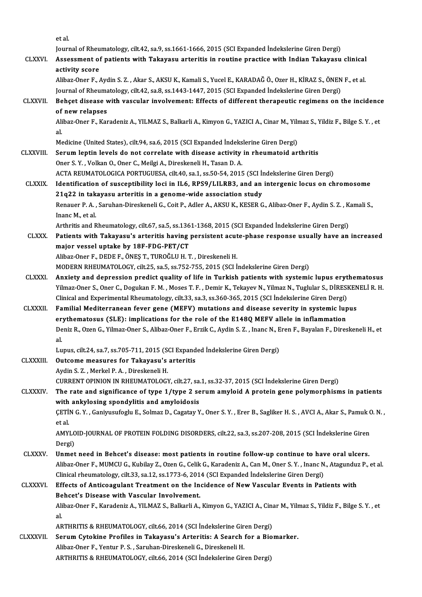etal.

et al.<br>Journal of Rheumatology, cilt.42, sa.9, ss.1661-1666, 2015 (SCI Expanded İndekslerine Giren Dergi)<br>Assessment of patients with Takeyesy exteritis in neutine prestise with Indian Takeyesy

CLXXVI. Assessment of patients with Takayasu arteritis in routine practice with Indian Takayasu clinical **Journal of Rheu<br>Assessment of<br>activity score** 

Alibaz-Oner F., Aydin S. Z. , Akar S., AKSU K., Kamali S., Yucel E., KARADAĞ Ö., Ozer H., KİRAZ S., ÖNEN F., et al. activity score<br>Alibaz-Oner F., Aydin S. Z. , Akar S., AKSU K., Kamali S., Yucel E., KARADAĞ Ö., Ozer H., KİRAZ S., ÖNEN<br>Journal of Rheumatology, cilt.42, sa.8, ss.1443-1447, 2015 (SCI Expanded İndekslerine Giren Dergi)<br>Roh Alibaz-Oner F., Aydin S. Z. , Akar S., AKSU K., Kamali S., Yucel E., KARADAĞ Ö., Ozer H., KİRAZ S., ÖNEN F., et al.<br>Journal of Rheumatology, cilt.42, sa.8, ss.1443-1447, 2015 (SCI Expanded Indekslerine Giren Dergi)<br>CLXXVII

Journal of Rheuma<br>Behçet disease v<br>of new relapses<br>Alibaz Oper E. Kar Behçet disease with vascular involvement: Effects of different therapeutic regimens on the incidence<br>of new relapses<br>Alibaz-Oner F., Karadeniz A., YILMAZ S., Balkarli A., Kimyon G., YAZICI A., Cinar M., Yilmaz S., Yildiz F

of<br>Ali<br>al<br>M Alibaz-Oner F., Karadeniz A., YILMAZ S., Balkarli A., Kimyon G., YAZICI A., Cinar M., Yilmaz S., Yildiz F., Bilge S. Y. , et<br>al.

Medicine (United States), cilt.94, sa.6, 2015 (SCI Expanded Indekslerine Giren Dergi)

CLXXVIII. Serum leptin levels do not correlate with disease activity in rheumatoid arthritis<br>Oner S. Y., Volkan O., Oner C., Meilgi A., Direskeneli H., Tasan D. A. Serum leptin levels do not correlate with disease activity in rheumatoid arthritis<br>Oner S. Y. , Volkan O., Oner C., Meilgi A., Direskeneli H., Tasan D. A.<br>ACTA REUMATOLOGICA PORTUGUESA, cilt.40, sa.1, ss.50-54, 2015 (SCI İ

CLXXIX. Identification of susceptibility loci in IL6, RPS9/LILRB3, and an intergenic locus on chromosome ACTA REUMATOLOGICA PORTUGUESA, cilt.40, sa.1, ss.50-54, 2015 (SCI h<br>Identification of susceptibility loci in IL6, RPS9/LILRB3, and an<br>21q22 in takayasu arteritis in a genome-wide association study<br>Benauer B.A., Samban Dipe Identification of susceptibility loci in IL6, RPS9/LILRB3, and an intergenic locus on chromosome<br>21q22 in takayasu arteritis in a genome-wide association study<br>Renauer P. A. , Saruhan-Direskeneli G., Coit P., Adler A., AKS 21q22 in tak<br>Renauer P.A.,<br>Inanc M., et al. Renauer P. A. , Saruhan-Direskeneli G., Coit P., Adler A., AKSU K., KESER G., Alibaz-Oner F., Aydin S. Z. , K<br>Inanc M., et al.<br>Arthritis and Rheumatology, cilt.67, sa.5, ss.1361-1368, 2015 (SCI Expanded İndekslerine Giren

Inanc M., et al.<br>Arthritis and Rheumatology, cilt.67, sa.5, ss.1361-1368, 2015 (SCI Expanded Indekslerine Giren Dergi)<br>CLXXX. Patients with Takayasu's arteritis having persistent acute-phase response usually have an increa Arthritis and Rheumatology, cilt.67, sa.5, ss.136<br>Patients with Takayasu's arteritis having<br>major vessel uptake by 18F-FDG-PET/CT<br>Alibaz Oper E. DEDE F. ÖNES T. TUPOČLU H. T Patients with Takayasu's arteritis having persistent acut<br>major vessel uptake by 18F-FDG-PET/CT<br>Alibaz-Oner F., DEDE F., ÖNEŞ T., TUROĞLU H. T. , Direskeneli H.<br>MODEPN PHEIJMATOLOCY, silt 25, sa 5, sa 752, 755, 2015, (SCL) major vessel uptake by 18F-FDG-PET/CT<br>Alibaz-Oner F., DEDE F., ÖNEŞ T., TUROĞLU H. T. , Direskeneli H.<br>MODERN RHEUMATOLOGY, cilt.25, sa.5, ss.752-755, 2015 (SCI İndekslerine Giren Dergi)

- Alibaz-Oner F., DEDE F., ÖNEŞ T., TUROĞLU H. T. , Direskeneli H.<br>MODERN RHEUMATOLOGY, cilt.25, sa.5, ss.752-755, 2015 (SCI İndekslerine Giren Dergi)<br>CLXXXI. Anxiety and depression predict quality of life in Turkish patient MODERN RHEUMATOLOGY, cilt.25, sa.5, ss.752-755, 2015 (SCI İndekslerine Giren Dergi)<br>Anxiety and depression predict quality of life in Turkish patients with systemic lupus erythematosus<br>Yilmaz-Oner S., Oner C., Dogukan F. M Anxiety and depression predict quality of life in Turkish patients with systemic lupus eryt<br>Yilmaz-Oner S., Oner C., Dogukan F. M. , Moses T. F. , Demir K., Tekayev N., Yilmaz N., Tuglular S., DİRESI<br>Clinical and Experimen Yilmaz-Oner S., Oner C., Dogukan F. M. , Moses T. F. , Demir K., Tekayev N., Yilmaz N., Tuglular S., DİRESKEN<br>Clinical and Experimental Rheumatology, cilt.33, sa.3, ss.360-365, 2015 (SCI İndekslerine Giren Dergi)<br>CLXXXII.
- Clinical and Experimental Rheumatology, cilt.33, sa.3, ss.360-365, 2015 (SCI Indekslerine Giren Dergi)<br>Familial Mediterranean fever gene (MEFV) mutations and disease severity in systemic lup<br>erythematosus (SLE): implicatio Familial Mediterranean fever gene (MEFV) mutations and disease severity in systemic lupus<br>erythematosus (SLE): implications for the role of the E148Q MEFV allele in inflammation<br>Deniz R., Ozen G., Yilmaz-Oner S., Alibaz-On er<br>De<br>al. Deniz R., Ozen G., Yilmaz-Oner S., Alibaz-Oner F., Erzik C., Aydin S. Z. , Inanc N., E<br>al.<br>Lupus, cilt.24, sa.7, ss.705-711, 2015 (SCI Expanded İndekslerine Giren Dergi)<br>Outse me measures for Teksysay's arteritis. al.<br>Lupus, cilt.24, sa.7, ss.705-711, 2015 (SCI Expand<br>CLXXXIII. Outcome measures for Takayasu's arteritis

Lupus, cilt.24, sa.7, ss.705-711, 2015 (S)<br>Outcome measures for Takayasu's<br>Aydin S. Z. , Merkel P. A. , Direskeneli H.<br>CUPPENT OPINION IN PHEUMATOLOC Outcome measures for Takayasu's arteritis<br>Aydin S. Z. , Merkel P. A. , Direskeneli H.<br>CURRENT OPINION IN RHEUMATOLOGY, cilt.27, sa.1, ss.32-37, 2015 (SCI İndekslerine Giren Dergi)<br>The rate and significance of tune 1 (tune Aydin S. Z. , Merkel P. A. , Direskeneli H.<br>CURRENT OPINION IN RHEUMATOLOGY, cilt.27, sa.1, ss.32-37, 2015 (SCI İndekslerine Giren Dergi)<br>CLXXXIV. The rate and significance of type 1/type 2 serum amyloid A protein gene pol

CURRENT OPINION IN RHEUMATOLOGY, cilt.27, sa.<br>The rate and significance of type 1/type 2 se<br>with ankylosing spondylitis and amyloidosis The rate and significance of type 1/type 2 serum amyloid A protein gene polymorphisms in patients<br>with ankylosing spondylitis and amyloidosis<br>ÇETİN G.Y. , Ganiyusufoglu E., Solmaz D., Cagatay Y., Oner S.Y. , Erer B., Sagli with ankylosing spondylitis and amyloidosis<br>CETIN G. Y. , Ganiyusufoglu E., Solmaz D., Cagatay Y<br>et al.

ÇETİN G. Y. , Ganiyusufoglu E., Solmaz D., Cagatay Y., Oner S. Y. , Erer B., Sagliker H. S. , AVCI A., Akar S., Pamuk C<br>et al.<br>AMYLOID-JOURNAL OF PROTEIN FOLDING DISORDERS, cilt.22, sa.3, ss.207-208, 2015 (SCI İndekslerine AMYLOID-JOURNAL OF PROTEIN FOLDING DISORDERS, cilt.22, sa.3, ss.207-208, 2015 (SCI İndekslerine Giren Dergi)

AMYLOID-JOURNAL OF PROTEIN FOLDING DISORDERS, cilt.22, sa.3, ss.207-208, 2015 (SCI Indekslerine Giren<br>Dergi)<br>CLXXXV. Unmet need in Behcet's disease: most patients in routine follow-up continue to have oral ulcers.<br>Alihar O Dergi)<br><mark>Unmet need in Behcet's disease: most patients in routine follow-up continue to have oral ulcers.</mark><br>Alibaz-Oner F., MUMCU G., Kubilay Z., Ozen G., Celik G., Karadeniz A., Can M., Oner S.Y. , Inanc N., Atagunduz P., e Unmet need in Behcet's disease: most patients in routine follow-up continue to have<br>Alibaz-Oner F., MUMCU G., Kubilay Z., Ozen G., Celik G., Karadeniz A., Can M., Oner S. Y. , Inanc N<br>Clinical rheumatology, cilt.33, sa.12, Alibaz-Oner F., MUMCU G., Kubilay Z., Ozen G., Celik G., Karadeniz A., Can M., Oner S. Y., Inanc N., Atagunduz<br>Clinical rheumatology, cilt.33, sa.12, ss.1773-6, 2014 (SCI Expanded Indekslerine Giren Dergi)<br>CLXXXVI. Effects

#### Clinical rheumatology, cilt.33, sa.12, ss.1773-6, 2014 (SCI Expanded Indekslerine Giren Dergi)<br>Effects of Anticoagulant Treatment on the Incidence of New Vascular Events in Patients with<br>Behcet's Disease with Vascular Invo Effects of Anticoagulant Treatment on the Incidence of New Vascular Events in Patients with<br>Behcet's Disease with Vascular Involvement.<br>Alibaz-Oner F., Karadeniz A., YILMAZ S., Balkarli A., Kimyon G., YAZICI A., Cinar M., **Be**<br>Ali<br>al Alibaz-Oner F., Karadeniz A., YILMAZ S., Balkarli A., Kimyon G., YAZICI A., Cina<br>al.<br>ARTHRITIS & RHEUMATOLOGY, cilt.66, 2014 (SCI İndekslerine Giren Dergi)<br>Serum Gutakine Brafiles in Takayasu's Arteritis: A Searsh for a Bi

ARTHRITIS & RHEUMATOLOGY, cilt.66, 2014 (SCI Indekslerine Giren Dergi)

al.<br>ARTHRITIS & RHEUMATOLOGY, cilt.66, 2014 (SCI Indekslerine Giren Dergi)<br>CLXXXVII. Serum Cytokine Profiles in Takayasu's Arteritis: A Search for a Biomarker.<br>Alibaz-Oner F., Yentur P. S. , Saruhan-Direskeneli G., Direske ARTHRITIS & RHEUMATOLOGY, cilt.66, 2014 (SCI İndekslerine Giren Dergi)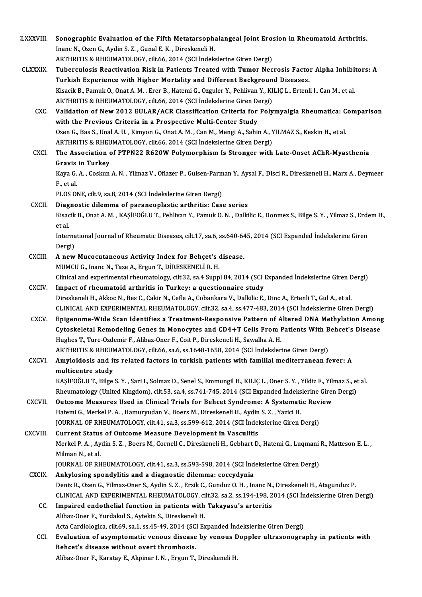| <b>LXXXVIII.</b> | Sonographic Evaluation of the Fifth Metatarsophalangeal Joint Erosion in Rheumatoid Arthritis.                            |
|------------------|---------------------------------------------------------------------------------------------------------------------------|
|                  | Inanc N., Ozen G., Aydin S. Z., Gunal E. K., Direskeneli H.                                                               |
|                  | ARTHRITIS & RHEUMATOLOGY, cilt.66, 2014 (SCI Indekslerine Giren Dergi)                                                    |
| <b>CLXXXIX</b>   | Tuberculosis Reactivation Risk in Patients Treated with Tumor Necrosis Factor Alpha Inhibitors: A                         |
|                  | Turkish Experience with Higher Mortality and Different Background Diseases.                                               |
|                  | Kisacik B., Pamuk O., Onat A. M., Erer B., Hatemi G., Ozguler Y., Pehlivan Y., KILIÇ L., Ertenli I., Can M., et al.       |
|                  | ARTHRITIS & RHEUMATOLOGY, cilt.66, 2014 (SCI İndekslerine Giren Dergi)                                                    |
| CXC.             | Validation of New 2012 EULAR/ACR Classification Criteria for Polymyalgia Rheumatica: Comparison                           |
|                  | with the Previous Criteria in a Prospective Multi-Center Study                                                            |
|                  | Ozen G., Bas S., Unal A. U., Kimyon G., Onat A. M., Can M., Mengi A., Sahin A., YILMAZ S., Keskin H., et al.              |
|                  | ARTHRITIS & RHEUMATOLOGY, cilt.66, 2014 (SCI İndekslerine Giren Dergi)                                                    |
| <b>CXCI</b>      | The Association of PTPN22 R620W Polymorphism Is Stronger with Late-Onset AChR-Myasthenia                                  |
|                  | <b>Gravis in Turkey</b>                                                                                                   |
|                  | Kaya G. A., Coskun A. N., Yilmaz V., Oflazer P., Gulsen-Parman Y., Aysal F., Disci R., Direskeneli H., Marx A., Deymeer   |
|                  | F, et al.                                                                                                                 |
|                  | PLOS ONE, cilt 9, sa.8, 2014 (SCI Indekslerine Giren Dergi)                                                               |
| <b>CXCII</b>     | Diagnostic dilemma of paraneoplastic arthritis: Case series                                                               |
|                  | Kisacik B., Onat A. M., KAŞİFOĞLU T., Pehlivan Y., Pamuk O. N., Dalkilic E., Donmez S., Bilge S. Y., Yilmaz S., Erdem H., |
|                  | et al.                                                                                                                    |
|                  | International Journal of Rheumatic Diseases, cilt.17, sa.6, ss.640-645, 2014 (SCI Expanded Indekslerine Giren             |
|                  | Dergi)                                                                                                                    |
| <b>CXCIII.</b>   | A new Mucocutaneous Activity Index for Behçet's disease.                                                                  |
|                  | MUMCU G., Inanc N., Taze A., Ergun T., DİRESKENELİ R. H.                                                                  |
|                  | Clinical and experimental rheumatology, cilt.32, sa.4 Suppl 84, 2014 (SCI Expanded Indekslerine Giren Dergi)              |
| <b>CXCIV</b>     | Impact of rheumatoid arthritis in Turkey: a questionnaire study                                                           |
|                  | Direskeneli H., Akkoc N., Bes C., Cakir N., Cefle A., Cobankara V., Dalkilic E., Dinc A., Ertenli T., Gul A., et al.      |
|                  | CLINICAL AND EXPERIMENTAL RHEUMATOLOGY, cilt.32, sa.4, ss.477-483, 2014 (SCI İndekslerine Giren Dergi)                    |
| <b>CXCV</b>      | Epigenome-Wide Scan Identifies a Treatment-Responsive Pattern of Altered DNA Methylation Among                            |
|                  | Cytoskeletal Remodeling Genes in Monocytes and CD4+T Cells From Patients With Behcet's Disease                            |
|                  | Hughes T., Ture-Ozdemir F., Alibaz-Oner F., Coit P., Direskeneli H., Sawalha A. H.                                        |
|                  | ARTHRITIS & RHEUMATOLOGY, cilt.66, sa.6, ss.1648-1658, 2014 (SCI Indekslerine Giren Dergi)                                |
| <b>CXCVI</b>     | Amyloidosis and its related factors in turkish patients with familial mediterranean fever: A                              |
|                  | multicentre study                                                                                                         |
|                  | KAŞİFOĞLU T., Bilge S.Y., Sari I., Solmaz D., Senel S., Emmungil H., KILIÇ L., Oner S.Y., Yildiz F., Yilmaz S., et al.    |
|                  | Rheumatology (United Kingdom), cilt.53, sa.4, ss.741-745, 2014 (SCI Expanded İndekslerine Giren Dergi)                    |
| <b>CXCVII</b>    | Outcome Measures Used in Clinical Trials for Behcet Syndrome: A Systematic Review                                         |
|                  | Hatemi G., Merkel P. A., Hamuryudan V., Boers M., Direskeneli H., Aydin S. Z., Yazici H.                                  |
|                  | JOURNAL OF RHEUMATOLOGY, cilt.41, sa.3, ss.599-612, 2014 (SCI Indekslerine Giren Dergi)                                   |
| <b>CXCVIII</b>   | Current Status of Outcome Measure Development in Vasculitis                                                               |
|                  | Merkel P. A., Aydin S. Z., Boers M., Cornell C., Direskeneli H., Gebhart D., Hatemi G., Luqmani R., Matteson E. L.,       |
|                  | Milman N, et al.                                                                                                          |
|                  | JOURNAL OF RHEUMATOLOGY, cilt.41, sa.3, ss.593-598, 2014 (SCI Indekslerine Giren Dergi)                                   |
| <b>CXCIX</b>     | Ankylosing spondylitis and a diagnostic dilemma: coccydynia                                                               |
|                  | Deniz R., Ozen G., Yilmaz-Oner S., Aydin S. Z., Erzik C., Gunduz O. H., Inanc N., Direskeneli H., Atagunduz P.            |
|                  | CLINICAL AND EXPERIMENTAL RHEUMATOLOGY, cilt.32, sa.2, ss.194-198, 2014 (SCI Indekslerine Giren Dergi)                    |
| CC.              | Impaired endothelial function in patients with Takayasu's arteritis                                                       |
|                  | Alibaz-Oner F., Yurdakul S., Aytekin S., Direskeneli H.                                                                   |
|                  | Acta Cardiologica, cilt.69, sa.1, ss.45-49, 2014 (SCI Expanded Indekslerine Giren Dergi)                                  |
| CCI.             | Evaluation of asymptomatic venous disease by venous Doppler ultrasonography in patients with                              |
|                  | Behcet's disease without overt thrombosis.                                                                                |
|                  | Alibaz-Oner F., Karatay E., Akpinar I. N., Ergun T., Direskeneli H.                                                       |
|                  |                                                                                                                           |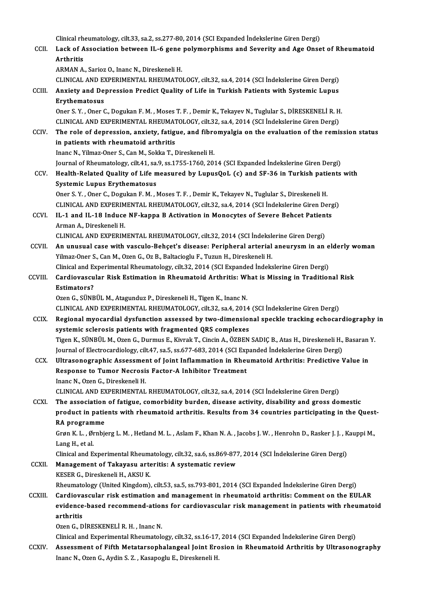Clinical rheumatology, cilt.33, sa.2, ss.277-80, 2014 (SCI Expanded İndekslerine Giren Dergi)<br>Lask of Association between U. 6 gane nelymernhisme and Saverity and Age Ones

Clinical rheumatology, cilt.33, sa.2, ss.277-80, 2014 (SCI Expanded İndekslerine Giren Dergi)<br>CCII. Lack of Association between IL-6 gene polymorphisms and Severity and Age Onset of Rheumatoid Clinical rh<br>Lack of A<br>Arthritis<br>ARMAN A Lack of Association between IL-6 gene<br>Arthritis<br>ARMAN A., Sarioz O., Inanc N., Direskeneli H.<br>CLINICAL AND EVPERIMENTAL BUEUMATO Arthritis<br>ARMAN A., Sarioz O., Inanc N., Direskeneli H.<br>CLINICAL AND EXPERIMENTAL RHEUMATOLOGY, cilt.32, sa.4, 2014 (SCI İndekslerine Giren Dergi)<br>Anviety and Denressian Bredist Quality of Life in Turkish Batiants with Sys

ARMAN A., Sarioz O., Inanc N., Direskeneli H.<br>CLINICAL AND EXPERIMENTAL RHEUMATOLOGY, cilt.32, sa.4, 2014 (SCI İndekslerine Giren Dergi)<br>CCIII. Anxiety and Depression Predict Quality of Life in Turkish Patients with System CLINICAL AND EX<br>Anxiety and De<br>Erythematosus<br>Oper S. Y. Oper G Anxiety and Depression Predict Quality of Life in Turkish Patients with Systemic Lupus<br>Erythematosus<br>Oner S.Y. , Oner C., Dogukan F. M. , Moses T. F. , Demir K., Tekayev N., Tuglular S., DİRESKENELİ R. H.<br>CLINICAL AND EXPE

Erythematosus<br>Oner S. Y. , Oner C., Dogukan F. M. , Moses T. F. , Demir K., Tekayev N., Tuglular S., DİRESKENELİ R. H<br>CLINICAL AND EXPERIMENTAL RHEUMATOLOGY, cilt.32, sa.4, 2014 (SCI İndekslerine Giren Dergi)<br>The role of d

Oner S. Y. , Oner C., Dogukan F. M. , Moses T. F. , Demir K., Tekayev N., Tuglular S., DİRESKENELİ R. H.<br>CLINICAL AND EXPERIMENTAL RHEUMATOLOGY, cilt.32, sa.4, 2014 (SCI İndekslerine Giren Dergi)<br>CCIV. The role of depressi CLINICAL AND EXPERIMENTAL RHEUMAT<br>The role of depression, anxiety, fatig<br>in patients with rheumatoid arthritis<br>Inane N. Vilmaz Oner S. Can M. Soldta T. I The role of depression, anxiety, fatigue, and fibro<br>in patients with rheumatoid arthritis<br>Inanc N., Yilmaz-Oner S., Can M., Sokka T., Direskeneli H.<br>Journal of Phoumatology, gilt 41, 82.9, 88,1755,1760, 200 in patients with rheumatoid arthritis<br>Inanc N., Yilmaz-Oner S., Can M., Sokka T., Direskeneli H.<br>Journal of Rheumatology, cilt.41, sa.9, ss.1755-1760, 2014 (SCI Expanded İndekslerine Giren Dergi)

Inanc N., Yilmaz-Oner S., Can M., Sokka T., Direskeneli H.<br>Journal of Rheumatology, cilt.41, sa.9, ss.1755-1760, 2014 (SCI Expanded Indekslerine Giren Dergi)<br>CCV. Health-Related Quality of Life measured by LupusQoL (c) and Journal of Rheumatology, cilt.41, sa.<br>Health-Related Quality of Life m<br>Systemic Lupus Erythematosus<br>Oper S. X., Oper G. Degylian E.M., J Health-Related Quality of Life measured by LupusQoL (c) and SF-36 in Turkish pations.<br>Systemic Lupus Erythematosus<br>Oner S.Y. , Oner C., Dogukan F. M. , Moses T. F. , Demir K., Tekayev N., Tuglular S., Direskeneli H.<br>CLINIC

Systemic Lupus Erythematosus<br>Oner S. Y. , Oner C., Dogukan F. M. , Moses T. F. , Demir K., Tekayev N., Tuglular S., Direskeneli H.<br>CLINICAL AND EXPERIMENTAL RHEUMATOLOGY, cilt.32, sa.4, 2014 (SCI İndekslerine Giren Dergi)<br>

Oner S. Y. , Oner C., Dogukan F. M. , Moses T. F. , Demir K., Tekayev N., Tuglular S., Direskeneli H.<br>CLINICAL AND EXPERIMENTAL RHEUMATOLOGY, cilt.32, sa.4, 2014 (SCI Indekslerine Giren Derg<br>CCVI. IL-1 and IL-18 Induce NF-CLINICAL AND EXPERIM<br>IL-1 and IL-18 Induce<br>Arman A., Direskeneli H.<br>CLINICAL AND EXPERIM IL-1 and IL-18 Induce NF-kappa B Activation in Monocytes of Severe Behcet Patien<br>Arman A., Direskeneli H.<br>CLINICAL AND EXPERIMENTAL RHEUMATOLOGY, cilt.32, 2014 (SCI İndekslerine Giren Dergi)<br>An unusual sase with vassula Ba

CCVII. An unusual case with vasculo-Behçet's disease: Peripheral arterial aneurysm in an elderly woman<br>Yilmaz-Oner S., Can M., Ozen G., Oz B., Baltacioglu F., Tuzun H., Direskeneli H. CLINICAL AND EXPERIMENTAL RHEUMATOLOGY, cilt.32, 2014 (SCI İndeksley)<br>An unusual case with vasculo-Behçet's disease: Peripheral arterial<br>Yilmaz-Oner S., Can M., Ozen G., Oz B., Baltacioglu F., Tuzun H., Direskeneli H.<br>Clin An unusual case with vasculo-Behçet's disease: Peripheral arterial aneurysm in an e<br>Yilmaz-Oner S., Can M., Ozen G., Oz B., Baltacioglu F., Tuzun H., Direskeneli H.<br>Clinical and Experimental Rheumatology, cilt.32, 2014 (SC Yilmaz-Oner S., Can M., Ozen G., Oz B., Baltacioglu F., Tuzun H., Direskeneli H.<br>Clinical and Experimental Rheumatology, cilt.32, 2014 (SCI Expanded Indekslerine Giren Dergi)<br>CCVIII. Cardiovascular Risk Estimation in Rheum

#### Clinical and Execution<br>**Cardiovascu<br>Estimators?**<br>Ozen C. S<sup>ijnup</sup> Cardiovascular Risk Estimation in Rheumatoid Arthritis: Wl<br>Estimators?<br>Ozen G., SÜNBÜL M., Atagunduz P., Direskeneli H., Tigen K., Inanc N.<br>CLINICAL AND EXPERIMENTAL RHEUMATOLOCY, silt 22, ss.4, 2014 Estimators?<br>Ozen G., SÜNBÜL M., Atagunduz P., Direskeneli H., Tigen K., Inanc N.<br>CLINICAL AND EXPERIMENTAL RHEUMATOLOGY, cilt.32, sa.4, 2014 (SCI İndekslerine Giren Dergi)

- CCIX. Regional myocardial dysfunction assessed by two-dimensional speckle tracking echocardiography in systemic sclerosis patients with fragmented QRS complexes Regional myocardial dysfunction assessed by two-dimensional speckle tracking echocardiography<br>systemic sclerosis patients with fragmented QRS complexes<br>Tigen K., SÜNBÜL M., Ozen G., Durmus E., Kivrak T., Cincin A., ÖZBEN S systemic sclerosis patients with fragmented QRS complexes<br>Tigen K., SÜNBÜL M., Ozen G., Durmus E., Kivrak T., Cincin A., ÖZBEN SADIÇ B., Atas H., Direskeneli H.,<br>Journal of Electrocardiology, cilt.47, sa.5, ss.677-683, 201 Journal of Electrocardiology, cilt.47, sa.5, ss.677-683, 2014 (SCI Expanded Indekslerine Giren Dergi)<br>CCX. Ultrasonographic Assessment of Joint Inflammation in Rheumatoid Arthritis: Predictive Value in
- Journal of Electrocardiology, cilt.47, sa.5, ss.677-683, 2014 (SCI Exp<br>Ultrasonographic Assessment of Joint Inflammation in Rheu<br>Response to Tumor Necrosis Factor-A Inhibitor Treatment<br>Inane N. Ozan G. Diveskansli H Ultrasonographic Assessmer<br>Response to Tumor Necrosi:<br>Inanc N., Ozen G., Direskeneli H.<br>CLINICAL AND EXPERIMENTAL

Inanc N., Ozen G., Direskeneli H.<br>CLINICAL AND EXPERIMENTAL RHEUMATOLOGY, cilt.32, sa.4, 2014 (SCI İndekslerine Giren Dergi)

Inanc N., Ozen G., Direskeneli H.<br>CLINICAL AND EXPERIMENTAL RHEUMATOLOGY, cilt.32, sa.4, 2014 (SCI indekslerine Giren Dergi)<br>CCXI. The association of fatigue, comorbidity burden, disease activity, disability and gross dome CLINICAL AND EXPERIMENTAL RHEUMATOLOGY, cilt.32, sa.4, 2014 (SCI İndekslerine Giren Dergi)<br>The association of fatigue, comorbidity burden, disease activity, disability and gross domestic<br>product in patients with rheumatoid The association<br>product in patie<br>RA programme<br>Cran K J - Ørnbie product in patients with rheumatoid arthritis. Results from 34 countries participating in the Quest<br>RA programme<br>Grøn K. L. , Ørnbjerg L. M. , Hetland M. L. , Aslam F., Khan N. A. , Jacobs J. W. , Henrohn D., Rasker J. J.

RA programme<br>Grøn K. L. , Ørnbjerg L. M. , Hetland M. L. , Aslam F., Khan N. A. , Jacobs J. W. , Henrohn D., Rasker J. J. , Kauppi M.,<br>Lang H., et al.

Clinical and Experimental Rheumatology, cilt.32, sa.6, ss.869-877, 2014 (SCI İndekslerine Giren Dergi)

Lang H., et al.<br>Clinical and Experimental Rheumatology, cilt.32, sa.6, ss.869-877<br>CCXII. Management of Takayasu arteritis: A systematic review Clinical and Experimental Rheum<br>Management of Takayasu arte<br>KESER G., Direskeneli H., AKSU K.<br>Pheumatelegy (United Kingdom) KESER G., Direskeneli H., AKSU K.<br>Rheumatology (United Kingdom), cilt.53, sa.5, ss.793-801, 2014 (SCI Expanded İndekslerine Giren Dergi)

KESER G., Direskeneli H., AKSU K.<br>Rheumatology (United Kingdom), cilt.53, sa.5, ss.793-801, 2014 (SCI Expanded Indekslerine Giren Dergi)<br>CCXIII. Cardiovascular risk estimation and management in rheumatoid arthritis: Commen Rheumatology (United Kingdom), cilt.53, sa.5, ss.793-801, 2014 (SCI Expanded İndekslerine Giren Dergi)<br>Cardiovascular risk estimation and management in rheumatoid arthritis: Comment on the EULAR<br>evidence-based recommend-at Cardiova<br>evidence<br>arthritis<br>Ozen C - D evidence-based recommend-ation<br>arthritis<br>Ozen G., DİRESKENELİ R. H. , Inanc N.<br>Clinical and Eunerimental Bhaumatak arthritis<br>Ozen G., DİRESKENELİ R. H. , Inanc N.<br>Clinical and Experimental Rheumatology, cilt.32, ss.16-17, 2014 (SCI Expanded İndekslerine Giren Dergi)

CCXIV. Assessment of Fifth Metatarsophalangeal Joint Erosion in Rheumatoid Arthritis by Ultrasonography Inanc N., Ozen G., Aydin S. Z., Kasapoglu E., Direskeneli H.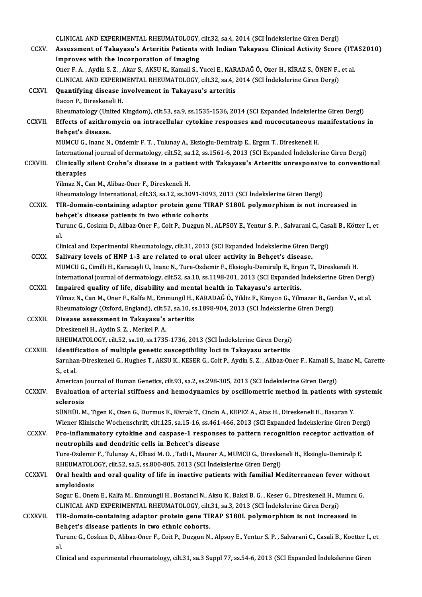|                 | CLINICAL AND EXPERIMENTAL RHEUMATOLOGY, cilt.32, sa.4, 2014 (SCI İndekslerine Giren Dergi)                                                                                                                                       |
|-----------------|----------------------------------------------------------------------------------------------------------------------------------------------------------------------------------------------------------------------------------|
| <b>CCXV</b>     | Assessment of Takayasu's Arteritis Patients with Indian Takayasu Clinical Activity Score (ITAS2010)<br>Improves with the Incorporation of Imaging                                                                                |
|                 | Oner F. A., Aydin S. Z., Akar S., AKSU K., Kamali S., Yucel E., KARADAĞ Ö., Ozer H., KİRAZ S., ÖNEN F., et al.<br>CLINICAL AND EXPERIMENTAL RHEUMATOLOGY, cilt.32, sa.4, 2014 (SCI İndekslerine Giren Dergi)                     |
| <b>CCXVI</b> .  | Quantifying disease involvement in Takayasu's arteritis                                                                                                                                                                          |
|                 | Bacon P., Direskeneli H.                                                                                                                                                                                                         |
|                 | Rheumatology (United Kingdom), cilt53, sa.9, ss.1535-1536, 2014 (SCI Expanded Indekslerine Giren Dergi)                                                                                                                          |
| <b>CCXVII.</b>  | Effects of azithromycin on intracellular cytokine responses and mucocutaneous manifestations in<br>Behçet's disease.                                                                                                             |
|                 | MUMCU G., Inanc N., Ozdemir F. T., Tulunay A., Eksioglu-Demiralp E., Ergun T., Direskeneli H.                                                                                                                                    |
|                 | International journal of dermatology, cilt.52, sa.12, ss.1561-6, 2013 (SCI Expanded Indekslerine Giren Dergi)                                                                                                                    |
| <b>CCXVIII.</b> | Clinically silent Crohn's disease in a patient with Takayasu's Arteritis unresponsive to conventional                                                                                                                            |
|                 | therapies<br>Yilmaz N., Can M., Alibaz-Oner F., Direskeneli H.                                                                                                                                                                   |
|                 | Rheumatology International, cilt.33, sa.12, ss.3091-3093, 2013 (SCI İndekslerine Giren Dergi)                                                                                                                                    |
| <b>CCXIX</b>    | TIR-domain-containing adaptor protein gene TIRAP S180L polymorphism is not increased in<br>behçet's disease patients in two ethnic cohorts                                                                                       |
|                 | Turunc G., Coskun D., Alibaz-Oner F., Coit P., Duzgun N., ALPSOY E., Yentur S. P., Salvarani C., Casali B., Kötter I., et<br>al.                                                                                                 |
|                 | Clinical and Experimental Rheumatology, cilt.31, 2013 (SCI Expanded Indekslerine Giren Dergi)                                                                                                                                    |
| <b>CCXX</b>     | Salivary levels of HNP 1-3 are related to oral ulcer activity in Behçet's disease.                                                                                                                                               |
|                 | MUMCU G., Cimilli H., Karacayli U., Inanc N., Ture-Ozdemir F., Eksioglu-Demiralp E., Ergun T., Direskeneli H.<br>International journal of dermatology, cilt.52, sa.10, ss.1198-201, 2013 (SCI Expanded Indekslerine Giren Dergi) |
| <b>CCXXI</b>    | Impaired quality of life, disability and mental health in Takayasu's arteritis.                                                                                                                                                  |
|                 | Yilmaz N., Can M., Oner F., Kalfa M., Emmungil H., KARADAĞ Ö., Yildiz F., Kimyon G., Yilmazer B., Gerdan V., et al.                                                                                                              |
|                 | Rheumatology (Oxford, England), cilt.52, sa.10, ss.1898-904, 2013 (SCI İndekslerine Giren Dergi)                                                                                                                                 |
| <b>CCXXII</b>   | Disease assessment in Takayasu's arteritis<br>Direskeneli H., Aydin S. Z., Merkel P. A.                                                                                                                                          |
|                 | RHEUMATOLOGY, cilt.52, sa.10, ss.1735-1736, 2013 (SCI İndekslerine Giren Dergi)                                                                                                                                                  |
| <b>CCXXIII.</b> | Identification of multiple genetic susceptibility loci in Takayasu arteritis                                                                                                                                                     |
|                 | Saruhan-Direskeneli G., Hughes T., AKSU K., KESER G., Coit P., Aydin S. Z., Alibaz-Oner F., Kamali S., Inanc M., Carette<br>S, et al.                                                                                            |
|                 | American Journal of Human Genetics, cilt.93, sa.2, ss.298-305, 2013 (SCI Indekslerine Giren Dergi)                                                                                                                               |
| <b>CCXXIV.</b>  | Evaluation of arterial stiffness and hemodynamics by oscillometric method in patients with systemic<br>sclerosis                                                                                                                 |
|                 | SÜNBÜL M., Tigen K., Ozen G., Durmus E., Kivrak T., Cincin A., KEPEZ A., Atas H., Direskeneli H., Basaran Y.<br>Wiener Klinische Wochenschrift, cilt.125, sa.15-16, ss.461-466, 2013 (SCI Expanded İndekslerine Giren Dergi)     |
| CCXXV.          | Pro-inflammatory cytokine and caspase-1 responses to pattern recognition receptor activation of                                                                                                                                  |
|                 | neutrophils and dendritic cells in Behcet's disease                                                                                                                                                                              |
|                 | Ture-Ozdemir F., Tulunay A., Elbasi M. O., Tatli I., Maurer A., MUMCU G., Direskeneli H., Eksioglu-Demiralp E.                                                                                                                   |
|                 | RHEUMATOLOGY, cilt.52, sa.5, ss.800-805, 2013 (SCI Indekslerine Giren Dergi)                                                                                                                                                     |
| <b>CCXXVI.</b>  | Oral health and oral quality of life in inactive patients with familial Mediterranean fever without<br>amyloidosis                                                                                                               |
|                 | Sogur E., Onem E., Kalfa M., Emmungil H., Bostanci N., Aksu K., Baksi B. G., Keser G., Direskeneli H., Mumcu G.<br>CLINICAL AND EXPERIMENTAL RHEUMATOLOGY, cilt.31, sa.3, 2013 (SCI İndekslerine Giren Dergi)                    |
| CCXXVII.        | TIR-domain-containing adaptor protein gene TIRAP S180L polymorphism is not increased in                                                                                                                                          |
|                 | Behçet's disease patients in two ethnic cohorts.                                                                                                                                                                                 |
|                 | Turunc G., Coskun D., Alibaz-Oner F., Coit P., Duzgun N., Alpsoy E., Yentur S. P., Salvarani C., Casali B., Koetter I., et<br>al.                                                                                                |
|                 | Clinical and experimental rheumatology, cilt.31, sa.3 Suppl 77, ss.54-6, 2013 (SCI Expanded Indekslerine Giren                                                                                                                   |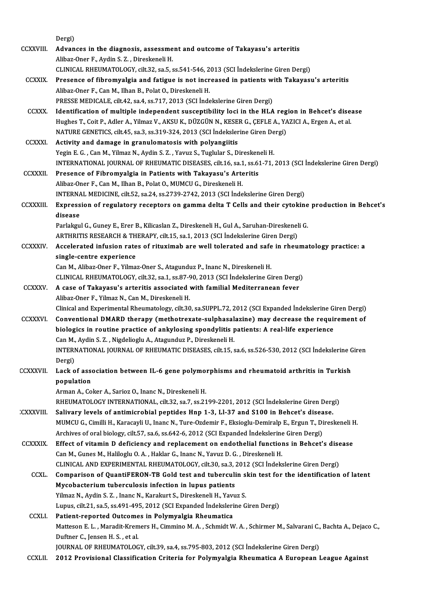Dergi) Dergi)<br>CCXXVIII. Advances in the diagnosis, assessment and outcome of Takayasu's arteritis Dergi)<br>**Advances in the diagnosis, assessme**<br>Alibaz-Oner F., Aydin S. Z. , Direskeneli H.<br>CLINICAL RHEUMATOLOCY, silt 33, ss E. s Advances in the diagnosis, assessment and outcome of Takayasu's arteritis<br>Alibaz-Oner F., Aydin S. Z. , Direskeneli H.<br>CLINICAL RHEUMATOLOGY, cilt.32, sa.5, ss.541-546, 2013 (SCI İndekslerine Giren Dergi)<br>Presense of fibre Alibaz-Oner F., Aydin S. Z. , Direskeneli H.<br>CLINICAL RHEUMATOLOGY, cilt.32, sa.5, ss.541-546, 2013 (SCI İndekslerine Giren Dergi)<br>CCXXIX. Presence of fibromyalgia and fatigue is not increased in patients with Takayasu's a CLINICAL RHEUMATOLOGY, cilt.32, sa.5, ss.541-546, 2<br>Presence of fibromyalgia and fatigue is not incr<br>Alibaz-Oner F., Can M., Ilhan B., Polat O., Direskeneli H.<br>PRESSE MEDICALE silt 42, sa.4, ss.717, 2012 (SCL inde Presence of fibromyalgia and fatigue is not increased in patients w<br>Alibaz-Oner F., Can M., Ilhan B., Polat O., Direskeneli H.<br>PRESSE MEDICALE, cilt.42, sa.4, ss.717, 2013 (SCI İndekslerine Giren Dergi)<br>Identification of m Alibaz-Oner F., Can M., Ilhan B., Polat O., Direskeneli H.<br>PRESSE MEDICALE, cilt.42, sa.4, ss.717, 2013 (SCI Indekslerine Giren Dergi)<br>CCXXX. Identification of multiple independent susceptibility loci in the HLA region in PRESSE MEDICALE, cilt.42, sa.4, ss.717, 2013 (SCI İndekslerine Giren Dergi)<br>Identification of multiple independent susceptibility loci in the HLA region in Behcet's dise.<br>Hughes T., Coit P., Adler A., Yilmaz V., AKSU K., D Identification of multiple independent susceptibility loci in the HLA reg<br>Hughes T., Coit P., Adler A., Yilmaz V., AKSU K., DÜZGÜN N., KESER G., ÇEFLE A., YA<br>NATURE GENETICS, cilt.45, sa.3, ss.319-324, 2013 (SCI İndeksleri Hughes T., Coit P., Adler A., Yilmaz V., AKSU K., DÜZGÜN N., KESE.<br>NATURE GENETICS, cilt.45, sa.3, ss.319-324, 2013 (SCI İndeksler<br>CCXXXI. Activity and damage in granulomatosis with polyangiitis<br>Nativity and damage in gran NATURE GENETICS, cilt.45, sa.3, ss.319-324, 2013 (SCI Indekslerine Giren Dergi)<br>Activity and damage in granulomatosis with polyangiitis<br>Yegin E. G., Can M., Yilmaz N., Aydin S. Z., Yavuz S., Tuglular S., Direskeneli H. INTERNATIONAL JOURNAL OF RHEUMATIC DISEASES, cilt.16, sa.1, ss.61-71, 2013 (SCI İndekslerine Giren Dergi) Yegin E. G., Can M., Yilmaz N., Aydin S. Z., Yavuz S., Tuglular S., Diresken<br>INTERNATIONAL JOURNAL OF RHEUMATIC DISEASES, cilt.16, sa.1, ss.65<br>CCXXXII. Presence of Fibromyalgia in Patients with Takayasu's Arteritis INTERNATIONAL JOURNAL OF RHEUMATIC DISEASES, cilt.16, sa.1<br>Presence of Fibromyalgia in Patients with Takayasu's Arte<br>Alibaz-Oner F., Can M., Ilhan B., Polat O., MUMCU G., Direskeneli H.<br>INTERNAL MEDICINE silt 52, sa.24, sa Alibaz-Oner F., Can M., Ilhan B., Polat O., MUMCU G., Direskeneli H.<br>INTERNAL MEDICINE, cilt.52, sa.24, ss.2739-2742, 2013 (SCI İndekslerine Giren Dergi) Alibaz-Oner F., Can M., Ilhan B., Polat O., MUMCU G., Direskeneli H.<br>INTERNAL MEDICINE, cilt.52, sa.24, ss.2739-2742, 2013 (SCI İndekslerine Giren Dergi)<br>CCXXXIII. Expression of regulatory receptors on gamma delta T Cells **INTERNA**<br>Express<br>disease Expression of regulatory receptors on gamma delta T Cells and their cytokine<br>disease<br>Parlakgul G., Guney E., Erer B., Kilicaslan Z., Direskeneli H., Gul A., Saruhan-Direskeneli G.<br>APTUDITIS PESEARCH & TUERARY silt 15, 89.1 disease<br>Parlakgul G., Guney E., Erer B., Kilicaslan Z., Direskeneli H., Gul A., Saruhan-Direskenel<br>ARTHRITIS RESEARCH & THERAPY, cilt.15, sa.1, 2013 (SCI İndekslerine Giren Dergi)<br>Accelerated infusion rates of riturimab ar Parlakgul G., Guney E., Erer B., Kilicaslan Z., Direskeneli H., Gul A., Saruhan-Direskeneli G.<br>ARTHRITIS RESEARCH & THERAPY, cilt.15, sa.1, 2013 (SCI Indekslerine Giren Dergi)<br>CCXXXIV. Accelerated infusion rates of rituxim ARTHRITIS RESEARCH & TH<br>Accelerated infusion rate<br>single-centre experience Can M., Alibaz-Oner F., Yilmaz-Oner S., Atagunduz P., Inanc N., Direskeneli H. single-centre experience<br>Can M., Alibaz-Oner F., Yilmaz-Oner S., Atagunduz P., Inanc N., Direskeneli H.<br>CLINICAL RHEUMATOLOGY, cilt.32, sa.1, ss.87-90, 2013 (SCI İndekslerine Giren Dergi)<br>A sase of Tekeyesu's arteritis ass Can M., Alibaz-Oner F., Yilmaz-Oner S., Atagunduz P., Inanc N., Direskeneli H.<br>CLINICAL RHEUMATOLOGY, cilt.32, sa.1, ss.87-90, 2013 (SCI İndekslerine Giren Dergi<br>CCXXXV. A case of Takayasu's arteritis associated with famil CLINICAL RHEUMATOLOGY, cilt.32, sa.1, ss.87-9<br>A case of Takayasu's arteritis associated<br>Alibaz-Oner F., Yilmaz N., Can M., Direskeneli H.<br>Clinical and Eunerimental Bhoumatology, cilt.30 A case of Takayasu's arteritis associated with familial Mediterranean fever<br>Alibaz-Oner F., Yilmaz N., Can M., Direskeneli H.<br>Clinical and Experimental Rheumatology, cilt.30, sa.SUPPL.72, 2012 (SCI Expanded İndekslerine Gi CCXXXVI. Conventional DMARD therapy (methotrexate-sulphasalazine) may decrease the requirement of Clinical and Experimental Rheumatology, cilt.30, sa.SUPPL.72, 2012 (SCI Expanded Indekslerine G.<br>Conventional DMARD therapy (methotrexate-sulphasalazine) may decrease the require<br>biologics in routine practice of ankylosing Conventional DMARD therapy (methotrexate-sulphasal<br>biologics in routine practice of ankylosing spondylitis p<br>Can M., Aydin S. Z. , Nigdelioglu A., Atagunduz P., Direskeneli H.<br>INTERNATIONAL JOURNAL OF RHEUMATIC DISEASES, 6 biologics in routine practice of ankylosing spondylitis patients: A real-life experience<br>Can M., Aydin S. Z. , Nigdelioglu A., Atagunduz P., Direskeneli H.<br>INTERNATIONAL JOURNAL OF RHEUMATIC DISEASES, cilt.15, sa.6, ss.526 Can M., Aydin S. Z. , Nigdelioglu A., Atagunduz P., Direskeneli H.<br>INTERNATIONAL JOURNAL OF RHEUMATIC DISEASES, cilt.15, sa.6, ss.526-530, 2012 (SCI İndekslerine Giren<br>Dergi) INTERNATIONAL JOURNAL OF RHEUMATIC DISEASES, cilt.15, sa.6, ss.526-530, 2012 (SCI İndekslerine C<br>Dergi)<br>CCXXXVII. Lack of association between IL-6 gene polymorphisms and rheumatoid arthritis in Turkish<br>nonulation Dergi)<br>Lack of asse<br>population<br>Arman A. Co Lack of association between IL-6 gene polymo:<br>population<br>Arman A., Coker A., Sarioz O., Inanc N., Direskeneli H.<br>PHEUMATOLOCY INTERNATIONAL sil: 22.22.7, 22.21 **population**<br>Arman A., Coker A., Sarioz O., Inanc N., Direskeneli H.<br>RHEUMATOLOGY INTERNATIONAL. cilt.32. sa.7. ss.2199-2201. 2012 (SCI İndekslerine Giren Dergi) CXXXVIII. Salivary levels of antimicrobial peptides Hnp 1-3, Ll-37 and S100 in Behcet's disease. RHEUMATOLOGY INTERNATIONAL, cilt.32, sa.7, ss.2199-2201, 2012 (SCI İndekslerine Giren Dergi)<br>Salivary levels of antimicrobial peptides Hnp 1-3, Ll-37 and S100 in Behcet's disease.<br>MUMCU G., Cimilli H., Karacayli U., Inanc Salivary levels of antimicrobial peptides Hnp 1-3, Ll-37 and S100 in Behcet's disea<br>MUMCU G., Cimilli H., Karacayli U., Inanc N., Ture-Ozdemir F., Eksioglu-Demiralp E., Ergun T., Di<br>Archives of oral biology, cilt.57, sa.6, MUMCU G., Cimilli H., Karacayli U., Inanc N., Ture-Ozdemir F., Eksioglu-Demiralp E., Ergun T., Direskeneli H<br>Archives of oral biology, cilt.57, sa.6, ss.642-6, 2012 (SCI Expanded Indekslerine Giren Dergi)<br>CCXXXIX. Effect o Archives of oral biology, cilt.57, sa.6, ss.642-6, 2012 (SCI Expanded Indekslerine Giren Dergi)<br>Effect of vitamin D deficiency and replacement on endothelial functions in Behcet's disease<br>Can M., Gunes M., Haliloglu O.A., Effect of vitamin D deficiency and replacement on endothelial functions in Behcet's dise<br>Can M., Gunes M., Haliloglu O. A. , Haklar G., Inanc N., Yavuz D. G. , Direskeneli H.<br>CLINICAL AND EXPERIMENTAL RHEUMATOLOGY, cilt.30 Can M., Gunes M., Haliloglu O. A. , Haklar G., Inanc N., Yavuz D. G. , Direskeneli H.<br>CLINICAL AND EXPERIMENTAL RHEUMATOLOGY, cilt.30, sa.3, 2012 (SCI Indekslerine Giren Dergi)<br>CCXL. Comparison of QuantiFERON-TB Gold test CLINICAL AND EXPERIMENTAL RHEUMATOLOGY, cilt.30, sa.3, 3<br>Comparison of QuantiFERON-TB Gold test and tuberculi<br>Mycobacterium tuberculosis infection in lupus patients<br>Vilmes N. Aydin S.7, Jaane N. Karakurt S. Direckansli H. Comparison of QuantiFERON-TB Gold test and tuberculin s<br>Mycobacterium tuberculosis infection in lupus patients<br>Yilmaz N., Aydin S. Z. , Inanc N., Karakurt S., Direskeneli H., Yavuz S.<br>Lupus silt 21, 20 5, 20 401, 405, 2012 Mycobacterium tuberculosis infection in lupus patients<br>1911 - Yilmaz N., Aydin S. Z. , Inanc N., Karakurt S., Direskeneli H., Yavuz S.<br>1912 - Lupus, cilt.21, sa.5, ss.491-495, 2012 (SCI Expanded İndekslerine Giren Dergi) CCXLI. Patient-reported Outcomes in Polymyalgia Rheumatica Lupus, cilt.21, sa.5, ss.491-495, 2012 (SCI Expanded İndekslerine Giren Dergi)<br>Patient-reported Outcomes in Polymyalgia Rheumatica<br>Matteson E. L. , Maradit-Kremers H., Cimmino M. A. , Schmidt W. A. , Schirmer M., Salvarani Patient-reported Outcome<br>Matteson E. L. , Maradit-Krem<br>Duftner C., Jensen H. S. , et al.<br>JOUPNAL OF PHEUMATOLOC Matteson E. L. , Maradit-Kremers H., Cimmino M. A. , Schmidt W. A. , Schirmer M., Salvarani C.,<br>Duftner C., Jensen H. S. , et al.<br>JOURNAL OF RHEUMATOLOGY, cilt.39, sa.4, ss.795-803, 2012 (SCI İndekslerine Giren Dergi)<br>2012 Duftner C., Jensen H. S. , et al.<br>JOURNAL OF RHEUMATOLOGY, cilt.39, sa.4, ss.795-803, 2012 (SCI İndekslerine Giren Dergi)<br>CCXLII. 2012 Provisional Classification Criteria for Polymyalgia Rheumatica A European League Ag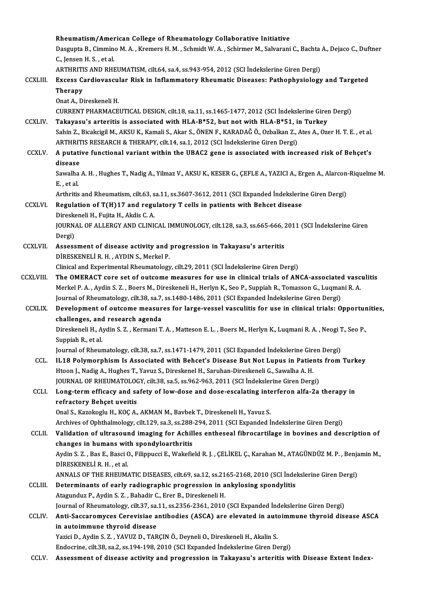|                 | Rheumatism/American College of Rheumatology Collaborative Initiative                                                                                                                     |
|-----------------|------------------------------------------------------------------------------------------------------------------------------------------------------------------------------------------|
|                 | Dasgupta B., Cimmino M. A., Kremers H. M., Schmidt W. A., Schirmer M., Salvarani C., Bachta A., Dejaco C., Duftner                                                                       |
|                 | C., Jensen H. S., et al.                                                                                                                                                                 |
|                 | ARTHRITIS AND RHEUMATISM, cilt.64, sa.4, ss.943-954, 2012 (SCI Indekslerine Giren Dergi)                                                                                                 |
| <b>CCXLIII.</b> | Excess Cardiovascular Risk in Inflammatory Rheumatic Diseases: Pathophysiology and Targeted                                                                                              |
|                 | Therapy                                                                                                                                                                                  |
|                 | Onat A., Direskeneli H.                                                                                                                                                                  |
|                 | CURRENT PHARMACEUTICAL DESIGN, cilt.18, sa.11, ss.1465-1477, 2012 (SCI İndekslerine Giren Dergi)                                                                                         |
| <b>CCXLIV</b>   | Takayasu's arteritis is associated with HLA-B*52, but not with HLA-B*51, in Turkey                                                                                                       |
|                 | Sahin Z., Bicakcigil M., AKSU K., Kamali S., Akar S., ÖNEN F., KARADAĞ Ö., Ozbalkan Z., Ates A., Ozer H. T. E., et al.                                                                   |
|                 | ARTHRITIS RESEARCH & THERAPY, cilt.14, sa.1, 2012 (SCI İndekslerine Giren Dergi)                                                                                                         |
| <b>CCXLV</b>    | A putative functional variant within the UBAC2 gene is associated with increased risk of Behçet's                                                                                        |
|                 | disease                                                                                                                                                                                  |
|                 | Sawalha A. H., Hughes T., Nadig A., Yilmaz V., AKSU K., KESER G., ÇEFLE A., YAZICI A., Ergen A., Alarcon-Riquelme M.                                                                     |
|                 | E, et al.                                                                                                                                                                                |
|                 | Arthritis and Rheumatism, cilt.63, sa.11, ss.3607-3612, 2011 (SCI Expanded Indekslerine Giren Dergi)                                                                                     |
| CCXLVI.         | Regulation of T(H)17 and regulatory T cells in patients with Behcet disease<br>Direskeneli H., Fujita H., Akdis C. A.                                                                    |
|                 | JOURNAL OF ALLERGY AND CLINICAL IMMUNOLOGY, cilt.128, sa.3, ss.665-666, 2011 (SCI Indekslerine Giren                                                                                     |
|                 | Dergi)                                                                                                                                                                                   |
| <b>CCXLVII.</b> | Assessment of disease activity and progression in Takayasu's arteritis                                                                                                                   |
|                 | DİRESKENELİ R. H., AYDIN S., Merkel P.                                                                                                                                                   |
|                 | Clinical and Experimental Rheumatology, cilt.29, 2011 (SCI Indekslerine Giren Dergi)                                                                                                     |
| <b>CCXLVIII</b> | The OMERACT core set of outcome measures for use in clinical trials of ANCA-associated vasculitis                                                                                        |
|                 | Merkel P. A., Aydin S. Z., Boers M., Direskeneli H., Herlyn K., Seo P., Suppiah R., Tomasson G., Luqmani R. A.                                                                           |
|                 | Journal of Rheumatology, cilt.38, sa.7, ss.1480-1486, 2011 (SCI Expanded Indekslerine Giren Dergi)                                                                                       |
| <b>CCXLIX.</b>  | Development of outcome measures for large-vessel vasculitis for use in clinical trials: Opportunities,                                                                                   |
|                 | challenges, and research agenda                                                                                                                                                          |
|                 | Direskeneli H., Aydin S. Z., Kermani T. A., Matteson E. L., Boers M., Herlyn K., Luqmani R. A., Neogi T., Seo P.                                                                         |
|                 | Suppiah R, et al.                                                                                                                                                                        |
|                 | Journal of Rheumatology, cilt.38, sa.7, ss.1471-1479, 2011 (SCI Expanded Indekslerine Giren Dergi)                                                                                       |
| CCL.            | IL18 Polymorphism Is Associated with Behcet's Disease But Not Lupus in Patients from Turkey                                                                                              |
|                 | Htoon J., Nadig A., Hughes T., Yavuz S., Direskenel H., Saruhan-Direskeneli G., Sawalha A. H.<br>JOURNAL OF RHEUMATOLOGY, cilt.38, sa.5, ss.962-963, 2011 (SCI Indekslerine Giren Dergi) |
| CCLI.           | Long-term efficacy and safety of low-dose and dose-escalating interferon alfa-2a therapy in                                                                                              |
|                 | refractory Behçet uveitis                                                                                                                                                                |
|                 | Onal S., Kazokoglu H., KOÇ A., AKMAN M., Bavbek T., Direskeneli H., Yavuz S.                                                                                                             |
|                 | Archives of Ophthalmology, cilt.129, sa.3, ss.288-294, 2011 (SCI Expanded Indekslerine Giren Dergi)                                                                                      |
| CCLII.          | Validation of ultrasound imaging for Achilles entheseal fibrocartilage in bovines and description of                                                                                     |
|                 | changes in humans with spondyloarthritis                                                                                                                                                 |
|                 | Aydin S. Z., Bas E., Basci O., Filippucci E., Wakefield R. J., ÇELİKEL Ç., Karahan M., ATAGÜNDÜZ M. P., Benjamin M.,                                                                     |
|                 | DİRESKENELİ R.H., et al.                                                                                                                                                                 |
|                 | ANNALS OF THE RHEUMATIC DISEASES, cilt.69, sa.12, ss.2165-2168, 2010 (SCI Indekslerine Giren Dergi)                                                                                      |
| CCLIII.         | Determinants of early radiographic progression in ankylosing spondylitis                                                                                                                 |
|                 | Atagunduz P., Aydin S. Z., Bahadir C., Erer B., Direskeneli H.                                                                                                                           |
|                 | Journal of Rheumatology, cilt.37, sa.11, ss.2356-2361, 2010 (SCI Expanded İndekslerine Giren Dergi)                                                                                      |
| <b>CCLIV</b>    | Anti-Saccaromyces Cerevisiae antibodies (ASCA) are elevated in autoimmune thyroid disease ASCA                                                                                           |
|                 | in autoimmune thyroid disease                                                                                                                                                            |
|                 | Yazici D., Aydin S. Z., YAVUZ D., TARÇIN Ö., Deyneli O., Direskeneli H., Akalin S.<br>Endocrine, cilt.38, sa.2, ss.194-198, 2010 (SCI Expanded Indekslerine Giren Dergi)                 |
| <b>CCLV</b>     | Assessment of disease activity and progression in Takayasu's arteritis with Disease Extent Index-                                                                                        |
|                 |                                                                                                                                                                                          |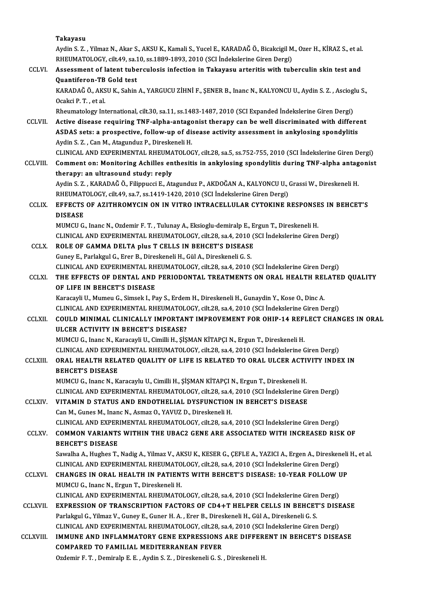|                | Takayasu                                                                                                                                                                           |
|----------------|------------------------------------------------------------------------------------------------------------------------------------------------------------------------------------|
|                | Aydin S. Z., Yilmaz N., Akar S., AKSU K., Kamali S., Yucel E., KARADAĞ Ö., Bicakcigil M., Ozer H., KİRAZ S., et al.                                                                |
| CCLVI.         | RHEUMATOLOGY, cilt.49, sa.10, ss.1889-1893, 2010 (SCI İndekslerine Giren Dergi)<br>Assessment of latent tuberculosis infection in Takayasu arteritis with tuberculin skin test and |
|                | Quantiferon-TB Gold test                                                                                                                                                           |
|                | KARADAĞ Ö., AKSU K., Sahin A., YARGUCU ZİHNİ F., ŞENER B., Inanc N., KALYONCU U., Aydin S. Z. , Ascioglu S.,                                                                       |
|                | Ocakci P.T., et al.                                                                                                                                                                |
|                | Rheumatology International, cilt.30, sa.11, ss.1483-1487, 2010 (SCI Expanded İndekslerine Giren Dergi)                                                                             |
| <b>CCLVII</b>  | Active disease requiring TNF-alpha-antagonist therapy can be well discriminated with different                                                                                     |
|                | ASDAS sets: a prospective, follow-up of disease activity assessment in ankylosing spondylitis                                                                                      |
|                | Aydin S. Z., Can M., Atagunduz P., Direskeneli H.<br>CLINICAL AND EXPERIMENTAL RHEUMATOLOGY, cilt.28, sa.5, ss.752-755, 2010 (SCI İndekslerine Giren Dergi)                        |
| <b>CCLVIII</b> | Comment on: Monitoring Achilles enthesitis in ankylosing spondylitis during TNF-alpha antagonist                                                                                   |
|                | therapy: an ultrasound study: reply                                                                                                                                                |
|                | Aydin S. Z., KARADAĞ Ö., Filippucci E., Atagunduz P., AKDOĞAN A., KALYONCU U., Grassi W., Direskeneli H.                                                                           |
|                | RHEUMATOLOGY, cilt.49, sa.7, ss.1419-1420, 2010 (SCI İndekslerine Giren Dergi)                                                                                                     |
| <b>CCLIX</b>   | EFFECTS OF AZITHROMYCIN ON IN VITRO INTRACELLULAR CYTOKINE RESPONSES IN BEHCET'S                                                                                                   |
|                | <b>DISEASE</b>                                                                                                                                                                     |
|                | MUMCU G., Inanc N., Ozdemir F. T., Tulunay A., Eksioglu-demiralp E., Ergun T., Direskeneli H.                                                                                      |
| <b>CCLX</b>    | CLINICAL AND EXPERIMENTAL RHEUMATOLOGY, cilt.28, sa.4, 2010 (SCI İndekslerine Giren Dergi)<br>ROLE OF GAMMA DELTA plus T CELLS IN BEHCET'S DISEASE                                 |
|                | Guney E., Parlakgul G., Erer B., Direskeneli H., Gül A., Direskeneli G. S.                                                                                                         |
|                | CLINICAL AND EXPERIMENTAL RHEUMATOLOGY, cilt.28, sa.4, 2010 (SCI İndekslerine Giren Dergi)                                                                                         |
| <b>CCLXI</b>   | THE EFFECTS OF DENTAL AND PERIODONTAL TREATMENTS ON ORAL HEALTH RELATED QUALITY                                                                                                    |
|                | OF LIFE IN BEHCET'S DISEASE                                                                                                                                                        |
|                | Karacayli U., Mumeu G., Simsek I., Pay S., Erdem H., Direskeneli H., Gunaydin Y., Kose O., Dinc A.                                                                                 |
|                | CLINICAL AND EXPERIMENTAL RHEUMATOLOGY, cilt.28, sa.4, 2010 (SCI Indekslerine Giren Dergi)                                                                                         |
| <b>CCLXII.</b> | COULD MINIMAL CLINICALLY IMPORTANT IMPROVEMENT FOR OHIP-14 REFLECT CHANGES IN ORAL<br>ULCER ACTIVITY IN BEHCET'S DISEASE?                                                          |
|                | MUMCU G., Inanc N., Karacayli U., Cimilli H., ŞİŞMAN KİTAPÇI N., Ergun T., Direskeneli H.                                                                                          |
|                | CLINICAL AND EXPERIMENTAL RHEUMATOLOGY, cilt.28, sa.4, 2010 (SCI İndekslerine Giren Dergi)                                                                                         |
| <b>CCLXIII</b> | ORAL HEALTH RELATED QUALITY OF LIFE IS RELATED TO ORAL ULCER ACTIVITY INDEX IN                                                                                                     |
|                | <b>BEHCET'S DISEASE</b>                                                                                                                                                            |
|                | MUMCU G., Inanc N., Karacaylu U., Cimilli H., ŞİŞMAN KİTAPÇI N., Ergun T., Direskeneli H.                                                                                          |
|                | CLINICAL AND EXPERIMENTAL RHEUMATOLOGY, cilt.28, sa.4, 2010 (SCI İndekslerine Giren Dergi)                                                                                         |
| <b>CCLXIV.</b> | VITAMIN D STATUS AND ENDOTHELIAL DYSFUNCTION IN BEHCET'S DISEASE<br>Can M., Gunes M., Inanc N., Asmaz O., YAVUZ D., Direskeneli H.                                                 |
|                | CLINICAL AND EXPERIMENTAL RHEUMATOLOGY, cilt.28, sa.4, 2010 (SCI Indekslerine Giren Dergi)                                                                                         |
| <b>CCLXV</b>   | COMMON VARIANTS WITHIN THE UBAC2 GENE ARE ASSOCIATED WITH INCREASED RISK OF                                                                                                        |
|                | <b>BEHCET'S DISEASE</b>                                                                                                                                                            |
|                | Sawalha A., Hughes T., Nadig A., Yilmaz V., AKSU K., KESER G., ÇEFLE A., YAZICI A., Ergen A., Direskeneli H., et al.                                                               |
|                | CLINICAL AND EXPERIMENTAL RHEUMATOLOGY, cilt.28, sa.4, 2010 (SCI İndekslerine Giren Dergi)                                                                                         |
| <b>CCLXVI</b>  | CHANGES IN ORAL HEALTH IN PATIENTS WITH BEHCET'S DISEASE: 10-YEAR FOLLOW UP                                                                                                        |
|                | MUMCU G., Inanc N., Ergun T., Direskeneli H.                                                                                                                                       |
| <b>CCLXVII</b> | CLINICAL AND EXPERIMENTAL RHEUMATOLOGY, cilt.28, sa.4, 2010 (SCI Indekslerine Giren Dergi)<br>EXPRESSION OF TRANSCRIPTION FACTORS OF CD4+T HELPER CELLS IN BEHCET'S DISEASE        |
|                | Parlakgul G., Yilmaz V., Guney E., Guner H. A., Erer B., Direskeneli H., Gül A., Direskeneli G. S.                                                                                 |
|                | CLINICAL AND EXPERIMENTAL RHEUMATOLOGY, cilt.28, sa.4, 2010 (SCI İndekslerine Giren Dergi)                                                                                         |
| CCLXVIII       | IMMUNE AND INFLAMMATORY GENE EXPRESSIONS ARE DIFFERENT IN BEHCET'S DISEASE                                                                                                         |
|                | COMPARED TO FAMILIAL MEDITERRANEAN FEVER                                                                                                                                           |
|                | Ozdemir F. T., Demiralp E. E., Aydin S. Z., Direskeneli G. S., Direskeneli H.                                                                                                      |
|                |                                                                                                                                                                                    |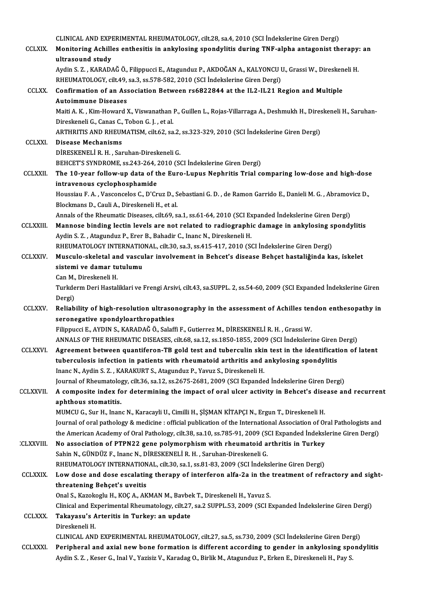| CLINICAL AND EXPERIMENTAL RHEUMATOLOGY, cilt.28, sa.4, 2010 (SCI İndekslerine Giren Dergi)<br>Monitoring Achilles enthesitis in ankylosing spondylitis during TNF-alpha antagonist therapy: an<br><b>CCLXIX</b><br>ultrasound study<br>Aydin S. Z., KARADAĞ Ö., Filippucci E., Atagunduz P., AKDOĞAN A., KALYONCU U., Grassi W., Direskeneli H.<br>RHEUMATOLOGY, cilt.49, sa.3, ss.578-582, 2010 (SCI Indekslerine Giren Dergi)<br><b>CCLXX</b><br>Confirmation of an Association Between rs6822844 at the IL2-IL21 Region and Multiple<br><b>Autoimmune Diseases</b><br>Maiti A. K., Kim-Howard X., Viswanathan P., Guillen L., Rojas-Villarraga A., Deshmukh H., Direskeneli H., Saruhan-<br>Direskeneli G., Canas C., Tobon G. J., et al.<br>ARTHRITIS AND RHEUMATISM, cilt.62, sa.2, ss.323-329, 2010 (SCI İndekslerine Giren Dergi)<br><b>CCLXXI</b><br><b>Disease Mechanisms</b><br>DİRESKENELİ R. H., Saruhan-Direskeneli G.<br>BEHCET'S SYNDROME, ss 243-264, 2010 (SCI İndekslerine Giren Dergi)<br>The 10-year follow-up data of the Euro-Lupus Nephritis Trial comparing low-dose and high-dose<br><b>CCLXXII</b><br>intravenous cyclophosphamide<br>Houssiau F. A., Vasconcelos C., D'Cruz D., Sebastiani G. D., de Ramon Garrido E., Danieli M. G., Abramovicz D.,<br>Blockmans D., Cauli A., Direskeneli H., et al.<br>Annals of the Rheumatic Diseases, cilt.69, sa.1, ss.61-64, 2010 (SCI Expanded Indekslerine Giren Dergi)<br>Mannose binding lectin levels are not related to radiographic damage in ankylosing spondylitis<br><b>CCLXXIII</b><br>Aydin S. Z., Atagunduz P., Erer B., Bahadir C., Inanc N., Direskeneli H.<br>RHEUMATOLOGY INTERNATIONAL, cilt.30, sa.3, ss.415-417, 2010 (SCI Indekslerine Giren Dergi)<br><b>CCLXXIV</b><br>Musculo-skeletal and vascular involvement in Behcet's disease Behçet hastaliğinda kas, iskelet<br>sistemi ve damar tutulumu<br>Can M., Direskeneli H.<br>Turkderm Deri Hastaliklari ve Frengi Arsivi, cilt.43, sa.SUPPL. 2, ss.54-60, 2009 (SCI Expanded İndekslerine Giren<br>Dergi)<br>Reliability of high-resolution ultrasonography in the assessment of Achilles tendon enthesopathy in<br><b>CCLXXV</b><br>seronegative spondyloarthropathies<br>Filippucci E., AYDIN S., KARADAĞ Ö., Salaffi F., Gutierrez M., DİRESKENELİ R. H., Grassi W.<br>ANNALS OF THE RHEUMATIC DISEASES, cilt.68, sa.12, ss.1850-1855, 2009 (SCI Indekslerine Giren Dergi)<br>Agreement between quantiferon-TB gold test and tuberculin skin test in the identification of latent<br><b>CCLXXVI</b><br>tuberculosis infection in patients with rheumatoid arthritis and ankylosing spondylitis<br>Inanc N., Aydin S. Z., KARAKURT S., Atagunduz P., Yavuz S., Direskeneli H.<br>Journal of Rheumatology, cilt.36, sa.12, ss.2675-2681, 2009 (SCI Expanded Indekslerine Giren Dergi)<br>A composite index for determining the impact of oral ulcer activity in Behcet's disease and recurrent<br><b>CCLXXVII</b><br>aphthous stomatitis.<br>MUMCU G., Sur H., Inanc N., Karacayli U., Cimilli H., ŞİŞMAN KİTAPÇI N., Ergun T., Direskeneli H.<br>Journal of oral pathology & medicine : official publication of the International Association of Oral Pathologists and<br>the American Academy of Oral Pathology, cilt.38, sa.10, ss.785-91, 2009 (SCI Expanded İndekslerine Giren Dergi)<br>No association of PTPN22 gene polymorphism with rheumatoid arthritis in Turkey<br><b>CLXXVIII</b><br>Sahin N., GÜNDÜZ F., Inanc N., DİRESKENELİ R. H., Saruhan-Direskeneli G.<br>RHEUMATOLOGY INTERNATIONAL, cilt.30, sa.1, ss.81-83, 2009 (SCI Indekslerine Giren Dergi)<br>Low dose and dose escalating therapy of interferon alfa-2a in the treatment of refractory and sight-<br><b>CCLXXIX</b><br>threatening Behçet's uveitis<br>Onal S., Kazokoglu H., KOÇ A., AKMAN M., Bavbek T., Direskeneli H., Yavuz S.<br>Clinical and Experimental Rheumatology, cilt.27, sa.2 SUPPL.53, 2009 (SCI Expanded İndekslerine Giren Dergi)<br>Takayasu's Arteritis in Turkey: an update<br><b>CCLXXX.</b><br>Direskeneli H.<br>CLINICAL AND EXPERIMENTAL RHEUMATOLOGY, cilt.27, sa.5, ss.730, 2009 (SCI İndekslerine Giren Dergi)<br>Peripheral and axial new bone formation is different according to gender in ankylosing spondylitis<br><b>CCLXXXI</b><br>Aydin S. Z., Keser G., Inal V., Yazisiz V., Karadag O., Birlik M., Atagunduz P., Erken E., Direskeneli H., Pay S. |  |
|---------------------------------------------------------------------------------------------------------------------------------------------------------------------------------------------------------------------------------------------------------------------------------------------------------------------------------------------------------------------------------------------------------------------------------------------------------------------------------------------------------------------------------------------------------------------------------------------------------------------------------------------------------------------------------------------------------------------------------------------------------------------------------------------------------------------------------------------------------------------------------------------------------------------------------------------------------------------------------------------------------------------------------------------------------------------------------------------------------------------------------------------------------------------------------------------------------------------------------------------------------------------------------------------------------------------------------------------------------------------------------------------------------------------------------------------------------------------------------------------------------------------------------------------------------------------------------------------------------------------------------------------------------------------------------------------------------------------------------------------------------------------------------------------------------------------------------------------------------------------------------------------------------------------------------------------------------------------------------------------------------------------------------------------------------------------------------------------------------------------------------------------------------------------------------------------------------------------------------------------------------------------------------------------------------------------------------------------------------------------------------------------------------------------------------------------------------------------------------------------------------------------------------------------------------------------------------------------------------------------------------------------------------------------------------------------------------------------------------------------------------------------------------------------------------------------------------------------------------------------------------------------------------------------------------------------------------------------------------------------------------------------------------------------------------------------------------------------------------------------------------------------------------------------------------------------------------------------------------------------------------------------------------------------------------------------------------------------------------------------------------------------------------------------------------------------------------------------------------------------------------------------------------------------------------------------------------------------------------------------------------------------------------------------------------------------------------------------------------------------------------------------------------------------------------------------------------------------------------------------------------------------------------------------------------------------------------------------------------------------------------------------------------------------------------------------------------------------------------------------------------------------------------------------------------------------------------------------------------------------------------------------------------------------------------------------------------------------------------------------------------------------------------------------|--|
|                                                                                                                                                                                                                                                                                                                                                                                                                                                                                                                                                                                                                                                                                                                                                                                                                                                                                                                                                                                                                                                                                                                                                                                                                                                                                                                                                                                                                                                                                                                                                                                                                                                                                                                                                                                                                                                                                                                                                                                                                                                                                                                                                                                                                                                                                                                                                                                                                                                                                                                                                                                                                                                                                                                                                                                                                                                                                                                                                                                                                                                                                                                                                                                                                                                                                                                                                                                                                                                                                                                                                                                                                                                                                                                                                                                                                                                                                                                                                                                                                                                                                                                                                                                                                                                                                                                                                                                                                     |  |
|                                                                                                                                                                                                                                                                                                                                                                                                                                                                                                                                                                                                                                                                                                                                                                                                                                                                                                                                                                                                                                                                                                                                                                                                                                                                                                                                                                                                                                                                                                                                                                                                                                                                                                                                                                                                                                                                                                                                                                                                                                                                                                                                                                                                                                                                                                                                                                                                                                                                                                                                                                                                                                                                                                                                                                                                                                                                                                                                                                                                                                                                                                                                                                                                                                                                                                                                                                                                                                                                                                                                                                                                                                                                                                                                                                                                                                                                                                                                                                                                                                                                                                                                                                                                                                                                                                                                                                                                                     |  |
|                                                                                                                                                                                                                                                                                                                                                                                                                                                                                                                                                                                                                                                                                                                                                                                                                                                                                                                                                                                                                                                                                                                                                                                                                                                                                                                                                                                                                                                                                                                                                                                                                                                                                                                                                                                                                                                                                                                                                                                                                                                                                                                                                                                                                                                                                                                                                                                                                                                                                                                                                                                                                                                                                                                                                                                                                                                                                                                                                                                                                                                                                                                                                                                                                                                                                                                                                                                                                                                                                                                                                                                                                                                                                                                                                                                                                                                                                                                                                                                                                                                                                                                                                                                                                                                                                                                                                                                                                     |  |
|                                                                                                                                                                                                                                                                                                                                                                                                                                                                                                                                                                                                                                                                                                                                                                                                                                                                                                                                                                                                                                                                                                                                                                                                                                                                                                                                                                                                                                                                                                                                                                                                                                                                                                                                                                                                                                                                                                                                                                                                                                                                                                                                                                                                                                                                                                                                                                                                                                                                                                                                                                                                                                                                                                                                                                                                                                                                                                                                                                                                                                                                                                                                                                                                                                                                                                                                                                                                                                                                                                                                                                                                                                                                                                                                                                                                                                                                                                                                                                                                                                                                                                                                                                                                                                                                                                                                                                                                                     |  |
|                                                                                                                                                                                                                                                                                                                                                                                                                                                                                                                                                                                                                                                                                                                                                                                                                                                                                                                                                                                                                                                                                                                                                                                                                                                                                                                                                                                                                                                                                                                                                                                                                                                                                                                                                                                                                                                                                                                                                                                                                                                                                                                                                                                                                                                                                                                                                                                                                                                                                                                                                                                                                                                                                                                                                                                                                                                                                                                                                                                                                                                                                                                                                                                                                                                                                                                                                                                                                                                                                                                                                                                                                                                                                                                                                                                                                                                                                                                                                                                                                                                                                                                                                                                                                                                                                                                                                                                                                     |  |
|                                                                                                                                                                                                                                                                                                                                                                                                                                                                                                                                                                                                                                                                                                                                                                                                                                                                                                                                                                                                                                                                                                                                                                                                                                                                                                                                                                                                                                                                                                                                                                                                                                                                                                                                                                                                                                                                                                                                                                                                                                                                                                                                                                                                                                                                                                                                                                                                                                                                                                                                                                                                                                                                                                                                                                                                                                                                                                                                                                                                                                                                                                                                                                                                                                                                                                                                                                                                                                                                                                                                                                                                                                                                                                                                                                                                                                                                                                                                                                                                                                                                                                                                                                                                                                                                                                                                                                                                                     |  |
|                                                                                                                                                                                                                                                                                                                                                                                                                                                                                                                                                                                                                                                                                                                                                                                                                                                                                                                                                                                                                                                                                                                                                                                                                                                                                                                                                                                                                                                                                                                                                                                                                                                                                                                                                                                                                                                                                                                                                                                                                                                                                                                                                                                                                                                                                                                                                                                                                                                                                                                                                                                                                                                                                                                                                                                                                                                                                                                                                                                                                                                                                                                                                                                                                                                                                                                                                                                                                                                                                                                                                                                                                                                                                                                                                                                                                                                                                                                                                                                                                                                                                                                                                                                                                                                                                                                                                                                                                     |  |
|                                                                                                                                                                                                                                                                                                                                                                                                                                                                                                                                                                                                                                                                                                                                                                                                                                                                                                                                                                                                                                                                                                                                                                                                                                                                                                                                                                                                                                                                                                                                                                                                                                                                                                                                                                                                                                                                                                                                                                                                                                                                                                                                                                                                                                                                                                                                                                                                                                                                                                                                                                                                                                                                                                                                                                                                                                                                                                                                                                                                                                                                                                                                                                                                                                                                                                                                                                                                                                                                                                                                                                                                                                                                                                                                                                                                                                                                                                                                                                                                                                                                                                                                                                                                                                                                                                                                                                                                                     |  |
|                                                                                                                                                                                                                                                                                                                                                                                                                                                                                                                                                                                                                                                                                                                                                                                                                                                                                                                                                                                                                                                                                                                                                                                                                                                                                                                                                                                                                                                                                                                                                                                                                                                                                                                                                                                                                                                                                                                                                                                                                                                                                                                                                                                                                                                                                                                                                                                                                                                                                                                                                                                                                                                                                                                                                                                                                                                                                                                                                                                                                                                                                                                                                                                                                                                                                                                                                                                                                                                                                                                                                                                                                                                                                                                                                                                                                                                                                                                                                                                                                                                                                                                                                                                                                                                                                                                                                                                                                     |  |
|                                                                                                                                                                                                                                                                                                                                                                                                                                                                                                                                                                                                                                                                                                                                                                                                                                                                                                                                                                                                                                                                                                                                                                                                                                                                                                                                                                                                                                                                                                                                                                                                                                                                                                                                                                                                                                                                                                                                                                                                                                                                                                                                                                                                                                                                                                                                                                                                                                                                                                                                                                                                                                                                                                                                                                                                                                                                                                                                                                                                                                                                                                                                                                                                                                                                                                                                                                                                                                                                                                                                                                                                                                                                                                                                                                                                                                                                                                                                                                                                                                                                                                                                                                                                                                                                                                                                                                                                                     |  |
|                                                                                                                                                                                                                                                                                                                                                                                                                                                                                                                                                                                                                                                                                                                                                                                                                                                                                                                                                                                                                                                                                                                                                                                                                                                                                                                                                                                                                                                                                                                                                                                                                                                                                                                                                                                                                                                                                                                                                                                                                                                                                                                                                                                                                                                                                                                                                                                                                                                                                                                                                                                                                                                                                                                                                                                                                                                                                                                                                                                                                                                                                                                                                                                                                                                                                                                                                                                                                                                                                                                                                                                                                                                                                                                                                                                                                                                                                                                                                                                                                                                                                                                                                                                                                                                                                                                                                                                                                     |  |
|                                                                                                                                                                                                                                                                                                                                                                                                                                                                                                                                                                                                                                                                                                                                                                                                                                                                                                                                                                                                                                                                                                                                                                                                                                                                                                                                                                                                                                                                                                                                                                                                                                                                                                                                                                                                                                                                                                                                                                                                                                                                                                                                                                                                                                                                                                                                                                                                                                                                                                                                                                                                                                                                                                                                                                                                                                                                                                                                                                                                                                                                                                                                                                                                                                                                                                                                                                                                                                                                                                                                                                                                                                                                                                                                                                                                                                                                                                                                                                                                                                                                                                                                                                                                                                                                                                                                                                                                                     |  |
|                                                                                                                                                                                                                                                                                                                                                                                                                                                                                                                                                                                                                                                                                                                                                                                                                                                                                                                                                                                                                                                                                                                                                                                                                                                                                                                                                                                                                                                                                                                                                                                                                                                                                                                                                                                                                                                                                                                                                                                                                                                                                                                                                                                                                                                                                                                                                                                                                                                                                                                                                                                                                                                                                                                                                                                                                                                                                                                                                                                                                                                                                                                                                                                                                                                                                                                                                                                                                                                                                                                                                                                                                                                                                                                                                                                                                                                                                                                                                                                                                                                                                                                                                                                                                                                                                                                                                                                                                     |  |
|                                                                                                                                                                                                                                                                                                                                                                                                                                                                                                                                                                                                                                                                                                                                                                                                                                                                                                                                                                                                                                                                                                                                                                                                                                                                                                                                                                                                                                                                                                                                                                                                                                                                                                                                                                                                                                                                                                                                                                                                                                                                                                                                                                                                                                                                                                                                                                                                                                                                                                                                                                                                                                                                                                                                                                                                                                                                                                                                                                                                                                                                                                                                                                                                                                                                                                                                                                                                                                                                                                                                                                                                                                                                                                                                                                                                                                                                                                                                                                                                                                                                                                                                                                                                                                                                                                                                                                                                                     |  |
|                                                                                                                                                                                                                                                                                                                                                                                                                                                                                                                                                                                                                                                                                                                                                                                                                                                                                                                                                                                                                                                                                                                                                                                                                                                                                                                                                                                                                                                                                                                                                                                                                                                                                                                                                                                                                                                                                                                                                                                                                                                                                                                                                                                                                                                                                                                                                                                                                                                                                                                                                                                                                                                                                                                                                                                                                                                                                                                                                                                                                                                                                                                                                                                                                                                                                                                                                                                                                                                                                                                                                                                                                                                                                                                                                                                                                                                                                                                                                                                                                                                                                                                                                                                                                                                                                                                                                                                                                     |  |
|                                                                                                                                                                                                                                                                                                                                                                                                                                                                                                                                                                                                                                                                                                                                                                                                                                                                                                                                                                                                                                                                                                                                                                                                                                                                                                                                                                                                                                                                                                                                                                                                                                                                                                                                                                                                                                                                                                                                                                                                                                                                                                                                                                                                                                                                                                                                                                                                                                                                                                                                                                                                                                                                                                                                                                                                                                                                                                                                                                                                                                                                                                                                                                                                                                                                                                                                                                                                                                                                                                                                                                                                                                                                                                                                                                                                                                                                                                                                                                                                                                                                                                                                                                                                                                                                                                                                                                                                                     |  |
|                                                                                                                                                                                                                                                                                                                                                                                                                                                                                                                                                                                                                                                                                                                                                                                                                                                                                                                                                                                                                                                                                                                                                                                                                                                                                                                                                                                                                                                                                                                                                                                                                                                                                                                                                                                                                                                                                                                                                                                                                                                                                                                                                                                                                                                                                                                                                                                                                                                                                                                                                                                                                                                                                                                                                                                                                                                                                                                                                                                                                                                                                                                                                                                                                                                                                                                                                                                                                                                                                                                                                                                                                                                                                                                                                                                                                                                                                                                                                                                                                                                                                                                                                                                                                                                                                                                                                                                                                     |  |
|                                                                                                                                                                                                                                                                                                                                                                                                                                                                                                                                                                                                                                                                                                                                                                                                                                                                                                                                                                                                                                                                                                                                                                                                                                                                                                                                                                                                                                                                                                                                                                                                                                                                                                                                                                                                                                                                                                                                                                                                                                                                                                                                                                                                                                                                                                                                                                                                                                                                                                                                                                                                                                                                                                                                                                                                                                                                                                                                                                                                                                                                                                                                                                                                                                                                                                                                                                                                                                                                                                                                                                                                                                                                                                                                                                                                                                                                                                                                                                                                                                                                                                                                                                                                                                                                                                                                                                                                                     |  |
|                                                                                                                                                                                                                                                                                                                                                                                                                                                                                                                                                                                                                                                                                                                                                                                                                                                                                                                                                                                                                                                                                                                                                                                                                                                                                                                                                                                                                                                                                                                                                                                                                                                                                                                                                                                                                                                                                                                                                                                                                                                                                                                                                                                                                                                                                                                                                                                                                                                                                                                                                                                                                                                                                                                                                                                                                                                                                                                                                                                                                                                                                                                                                                                                                                                                                                                                                                                                                                                                                                                                                                                                                                                                                                                                                                                                                                                                                                                                                                                                                                                                                                                                                                                                                                                                                                                                                                                                                     |  |
|                                                                                                                                                                                                                                                                                                                                                                                                                                                                                                                                                                                                                                                                                                                                                                                                                                                                                                                                                                                                                                                                                                                                                                                                                                                                                                                                                                                                                                                                                                                                                                                                                                                                                                                                                                                                                                                                                                                                                                                                                                                                                                                                                                                                                                                                                                                                                                                                                                                                                                                                                                                                                                                                                                                                                                                                                                                                                                                                                                                                                                                                                                                                                                                                                                                                                                                                                                                                                                                                                                                                                                                                                                                                                                                                                                                                                                                                                                                                                                                                                                                                                                                                                                                                                                                                                                                                                                                                                     |  |
|                                                                                                                                                                                                                                                                                                                                                                                                                                                                                                                                                                                                                                                                                                                                                                                                                                                                                                                                                                                                                                                                                                                                                                                                                                                                                                                                                                                                                                                                                                                                                                                                                                                                                                                                                                                                                                                                                                                                                                                                                                                                                                                                                                                                                                                                                                                                                                                                                                                                                                                                                                                                                                                                                                                                                                                                                                                                                                                                                                                                                                                                                                                                                                                                                                                                                                                                                                                                                                                                                                                                                                                                                                                                                                                                                                                                                                                                                                                                                                                                                                                                                                                                                                                                                                                                                                                                                                                                                     |  |
|                                                                                                                                                                                                                                                                                                                                                                                                                                                                                                                                                                                                                                                                                                                                                                                                                                                                                                                                                                                                                                                                                                                                                                                                                                                                                                                                                                                                                                                                                                                                                                                                                                                                                                                                                                                                                                                                                                                                                                                                                                                                                                                                                                                                                                                                                                                                                                                                                                                                                                                                                                                                                                                                                                                                                                                                                                                                                                                                                                                                                                                                                                                                                                                                                                                                                                                                                                                                                                                                                                                                                                                                                                                                                                                                                                                                                                                                                                                                                                                                                                                                                                                                                                                                                                                                                                                                                                                                                     |  |
|                                                                                                                                                                                                                                                                                                                                                                                                                                                                                                                                                                                                                                                                                                                                                                                                                                                                                                                                                                                                                                                                                                                                                                                                                                                                                                                                                                                                                                                                                                                                                                                                                                                                                                                                                                                                                                                                                                                                                                                                                                                                                                                                                                                                                                                                                                                                                                                                                                                                                                                                                                                                                                                                                                                                                                                                                                                                                                                                                                                                                                                                                                                                                                                                                                                                                                                                                                                                                                                                                                                                                                                                                                                                                                                                                                                                                                                                                                                                                                                                                                                                                                                                                                                                                                                                                                                                                                                                                     |  |
|                                                                                                                                                                                                                                                                                                                                                                                                                                                                                                                                                                                                                                                                                                                                                                                                                                                                                                                                                                                                                                                                                                                                                                                                                                                                                                                                                                                                                                                                                                                                                                                                                                                                                                                                                                                                                                                                                                                                                                                                                                                                                                                                                                                                                                                                                                                                                                                                                                                                                                                                                                                                                                                                                                                                                                                                                                                                                                                                                                                                                                                                                                                                                                                                                                                                                                                                                                                                                                                                                                                                                                                                                                                                                                                                                                                                                                                                                                                                                                                                                                                                                                                                                                                                                                                                                                                                                                                                                     |  |
|                                                                                                                                                                                                                                                                                                                                                                                                                                                                                                                                                                                                                                                                                                                                                                                                                                                                                                                                                                                                                                                                                                                                                                                                                                                                                                                                                                                                                                                                                                                                                                                                                                                                                                                                                                                                                                                                                                                                                                                                                                                                                                                                                                                                                                                                                                                                                                                                                                                                                                                                                                                                                                                                                                                                                                                                                                                                                                                                                                                                                                                                                                                                                                                                                                                                                                                                                                                                                                                                                                                                                                                                                                                                                                                                                                                                                                                                                                                                                                                                                                                                                                                                                                                                                                                                                                                                                                                                                     |  |
|                                                                                                                                                                                                                                                                                                                                                                                                                                                                                                                                                                                                                                                                                                                                                                                                                                                                                                                                                                                                                                                                                                                                                                                                                                                                                                                                                                                                                                                                                                                                                                                                                                                                                                                                                                                                                                                                                                                                                                                                                                                                                                                                                                                                                                                                                                                                                                                                                                                                                                                                                                                                                                                                                                                                                                                                                                                                                                                                                                                                                                                                                                                                                                                                                                                                                                                                                                                                                                                                                                                                                                                                                                                                                                                                                                                                                                                                                                                                                                                                                                                                                                                                                                                                                                                                                                                                                                                                                     |  |
|                                                                                                                                                                                                                                                                                                                                                                                                                                                                                                                                                                                                                                                                                                                                                                                                                                                                                                                                                                                                                                                                                                                                                                                                                                                                                                                                                                                                                                                                                                                                                                                                                                                                                                                                                                                                                                                                                                                                                                                                                                                                                                                                                                                                                                                                                                                                                                                                                                                                                                                                                                                                                                                                                                                                                                                                                                                                                                                                                                                                                                                                                                                                                                                                                                                                                                                                                                                                                                                                                                                                                                                                                                                                                                                                                                                                                                                                                                                                                                                                                                                                                                                                                                                                                                                                                                                                                                                                                     |  |
|                                                                                                                                                                                                                                                                                                                                                                                                                                                                                                                                                                                                                                                                                                                                                                                                                                                                                                                                                                                                                                                                                                                                                                                                                                                                                                                                                                                                                                                                                                                                                                                                                                                                                                                                                                                                                                                                                                                                                                                                                                                                                                                                                                                                                                                                                                                                                                                                                                                                                                                                                                                                                                                                                                                                                                                                                                                                                                                                                                                                                                                                                                                                                                                                                                                                                                                                                                                                                                                                                                                                                                                                                                                                                                                                                                                                                                                                                                                                                                                                                                                                                                                                                                                                                                                                                                                                                                                                                     |  |
|                                                                                                                                                                                                                                                                                                                                                                                                                                                                                                                                                                                                                                                                                                                                                                                                                                                                                                                                                                                                                                                                                                                                                                                                                                                                                                                                                                                                                                                                                                                                                                                                                                                                                                                                                                                                                                                                                                                                                                                                                                                                                                                                                                                                                                                                                                                                                                                                                                                                                                                                                                                                                                                                                                                                                                                                                                                                                                                                                                                                                                                                                                                                                                                                                                                                                                                                                                                                                                                                                                                                                                                                                                                                                                                                                                                                                                                                                                                                                                                                                                                                                                                                                                                                                                                                                                                                                                                                                     |  |
|                                                                                                                                                                                                                                                                                                                                                                                                                                                                                                                                                                                                                                                                                                                                                                                                                                                                                                                                                                                                                                                                                                                                                                                                                                                                                                                                                                                                                                                                                                                                                                                                                                                                                                                                                                                                                                                                                                                                                                                                                                                                                                                                                                                                                                                                                                                                                                                                                                                                                                                                                                                                                                                                                                                                                                                                                                                                                                                                                                                                                                                                                                                                                                                                                                                                                                                                                                                                                                                                                                                                                                                                                                                                                                                                                                                                                                                                                                                                                                                                                                                                                                                                                                                                                                                                                                                                                                                                                     |  |
|                                                                                                                                                                                                                                                                                                                                                                                                                                                                                                                                                                                                                                                                                                                                                                                                                                                                                                                                                                                                                                                                                                                                                                                                                                                                                                                                                                                                                                                                                                                                                                                                                                                                                                                                                                                                                                                                                                                                                                                                                                                                                                                                                                                                                                                                                                                                                                                                                                                                                                                                                                                                                                                                                                                                                                                                                                                                                                                                                                                                                                                                                                                                                                                                                                                                                                                                                                                                                                                                                                                                                                                                                                                                                                                                                                                                                                                                                                                                                                                                                                                                                                                                                                                                                                                                                                                                                                                                                     |  |
|                                                                                                                                                                                                                                                                                                                                                                                                                                                                                                                                                                                                                                                                                                                                                                                                                                                                                                                                                                                                                                                                                                                                                                                                                                                                                                                                                                                                                                                                                                                                                                                                                                                                                                                                                                                                                                                                                                                                                                                                                                                                                                                                                                                                                                                                                                                                                                                                                                                                                                                                                                                                                                                                                                                                                                                                                                                                                                                                                                                                                                                                                                                                                                                                                                                                                                                                                                                                                                                                                                                                                                                                                                                                                                                                                                                                                                                                                                                                                                                                                                                                                                                                                                                                                                                                                                                                                                                                                     |  |
|                                                                                                                                                                                                                                                                                                                                                                                                                                                                                                                                                                                                                                                                                                                                                                                                                                                                                                                                                                                                                                                                                                                                                                                                                                                                                                                                                                                                                                                                                                                                                                                                                                                                                                                                                                                                                                                                                                                                                                                                                                                                                                                                                                                                                                                                                                                                                                                                                                                                                                                                                                                                                                                                                                                                                                                                                                                                                                                                                                                                                                                                                                                                                                                                                                                                                                                                                                                                                                                                                                                                                                                                                                                                                                                                                                                                                                                                                                                                                                                                                                                                                                                                                                                                                                                                                                                                                                                                                     |  |
|                                                                                                                                                                                                                                                                                                                                                                                                                                                                                                                                                                                                                                                                                                                                                                                                                                                                                                                                                                                                                                                                                                                                                                                                                                                                                                                                                                                                                                                                                                                                                                                                                                                                                                                                                                                                                                                                                                                                                                                                                                                                                                                                                                                                                                                                                                                                                                                                                                                                                                                                                                                                                                                                                                                                                                                                                                                                                                                                                                                                                                                                                                                                                                                                                                                                                                                                                                                                                                                                                                                                                                                                                                                                                                                                                                                                                                                                                                                                                                                                                                                                                                                                                                                                                                                                                                                                                                                                                     |  |
|                                                                                                                                                                                                                                                                                                                                                                                                                                                                                                                                                                                                                                                                                                                                                                                                                                                                                                                                                                                                                                                                                                                                                                                                                                                                                                                                                                                                                                                                                                                                                                                                                                                                                                                                                                                                                                                                                                                                                                                                                                                                                                                                                                                                                                                                                                                                                                                                                                                                                                                                                                                                                                                                                                                                                                                                                                                                                                                                                                                                                                                                                                                                                                                                                                                                                                                                                                                                                                                                                                                                                                                                                                                                                                                                                                                                                                                                                                                                                                                                                                                                                                                                                                                                                                                                                                                                                                                                                     |  |
|                                                                                                                                                                                                                                                                                                                                                                                                                                                                                                                                                                                                                                                                                                                                                                                                                                                                                                                                                                                                                                                                                                                                                                                                                                                                                                                                                                                                                                                                                                                                                                                                                                                                                                                                                                                                                                                                                                                                                                                                                                                                                                                                                                                                                                                                                                                                                                                                                                                                                                                                                                                                                                                                                                                                                                                                                                                                                                                                                                                                                                                                                                                                                                                                                                                                                                                                                                                                                                                                                                                                                                                                                                                                                                                                                                                                                                                                                                                                                                                                                                                                                                                                                                                                                                                                                                                                                                                                                     |  |
|                                                                                                                                                                                                                                                                                                                                                                                                                                                                                                                                                                                                                                                                                                                                                                                                                                                                                                                                                                                                                                                                                                                                                                                                                                                                                                                                                                                                                                                                                                                                                                                                                                                                                                                                                                                                                                                                                                                                                                                                                                                                                                                                                                                                                                                                                                                                                                                                                                                                                                                                                                                                                                                                                                                                                                                                                                                                                                                                                                                                                                                                                                                                                                                                                                                                                                                                                                                                                                                                                                                                                                                                                                                                                                                                                                                                                                                                                                                                                                                                                                                                                                                                                                                                                                                                                                                                                                                                                     |  |
|                                                                                                                                                                                                                                                                                                                                                                                                                                                                                                                                                                                                                                                                                                                                                                                                                                                                                                                                                                                                                                                                                                                                                                                                                                                                                                                                                                                                                                                                                                                                                                                                                                                                                                                                                                                                                                                                                                                                                                                                                                                                                                                                                                                                                                                                                                                                                                                                                                                                                                                                                                                                                                                                                                                                                                                                                                                                                                                                                                                                                                                                                                                                                                                                                                                                                                                                                                                                                                                                                                                                                                                                                                                                                                                                                                                                                                                                                                                                                                                                                                                                                                                                                                                                                                                                                                                                                                                                                     |  |
|                                                                                                                                                                                                                                                                                                                                                                                                                                                                                                                                                                                                                                                                                                                                                                                                                                                                                                                                                                                                                                                                                                                                                                                                                                                                                                                                                                                                                                                                                                                                                                                                                                                                                                                                                                                                                                                                                                                                                                                                                                                                                                                                                                                                                                                                                                                                                                                                                                                                                                                                                                                                                                                                                                                                                                                                                                                                                                                                                                                                                                                                                                                                                                                                                                                                                                                                                                                                                                                                                                                                                                                                                                                                                                                                                                                                                                                                                                                                                                                                                                                                                                                                                                                                                                                                                                                                                                                                                     |  |
|                                                                                                                                                                                                                                                                                                                                                                                                                                                                                                                                                                                                                                                                                                                                                                                                                                                                                                                                                                                                                                                                                                                                                                                                                                                                                                                                                                                                                                                                                                                                                                                                                                                                                                                                                                                                                                                                                                                                                                                                                                                                                                                                                                                                                                                                                                                                                                                                                                                                                                                                                                                                                                                                                                                                                                                                                                                                                                                                                                                                                                                                                                                                                                                                                                                                                                                                                                                                                                                                                                                                                                                                                                                                                                                                                                                                                                                                                                                                                                                                                                                                                                                                                                                                                                                                                                                                                                                                                     |  |
|                                                                                                                                                                                                                                                                                                                                                                                                                                                                                                                                                                                                                                                                                                                                                                                                                                                                                                                                                                                                                                                                                                                                                                                                                                                                                                                                                                                                                                                                                                                                                                                                                                                                                                                                                                                                                                                                                                                                                                                                                                                                                                                                                                                                                                                                                                                                                                                                                                                                                                                                                                                                                                                                                                                                                                                                                                                                                                                                                                                                                                                                                                                                                                                                                                                                                                                                                                                                                                                                                                                                                                                                                                                                                                                                                                                                                                                                                                                                                                                                                                                                                                                                                                                                                                                                                                                                                                                                                     |  |
|                                                                                                                                                                                                                                                                                                                                                                                                                                                                                                                                                                                                                                                                                                                                                                                                                                                                                                                                                                                                                                                                                                                                                                                                                                                                                                                                                                                                                                                                                                                                                                                                                                                                                                                                                                                                                                                                                                                                                                                                                                                                                                                                                                                                                                                                                                                                                                                                                                                                                                                                                                                                                                                                                                                                                                                                                                                                                                                                                                                                                                                                                                                                                                                                                                                                                                                                                                                                                                                                                                                                                                                                                                                                                                                                                                                                                                                                                                                                                                                                                                                                                                                                                                                                                                                                                                                                                                                                                     |  |
|                                                                                                                                                                                                                                                                                                                                                                                                                                                                                                                                                                                                                                                                                                                                                                                                                                                                                                                                                                                                                                                                                                                                                                                                                                                                                                                                                                                                                                                                                                                                                                                                                                                                                                                                                                                                                                                                                                                                                                                                                                                                                                                                                                                                                                                                                                                                                                                                                                                                                                                                                                                                                                                                                                                                                                                                                                                                                                                                                                                                                                                                                                                                                                                                                                                                                                                                                                                                                                                                                                                                                                                                                                                                                                                                                                                                                                                                                                                                                                                                                                                                                                                                                                                                                                                                                                                                                                                                                     |  |
|                                                                                                                                                                                                                                                                                                                                                                                                                                                                                                                                                                                                                                                                                                                                                                                                                                                                                                                                                                                                                                                                                                                                                                                                                                                                                                                                                                                                                                                                                                                                                                                                                                                                                                                                                                                                                                                                                                                                                                                                                                                                                                                                                                                                                                                                                                                                                                                                                                                                                                                                                                                                                                                                                                                                                                                                                                                                                                                                                                                                                                                                                                                                                                                                                                                                                                                                                                                                                                                                                                                                                                                                                                                                                                                                                                                                                                                                                                                                                                                                                                                                                                                                                                                                                                                                                                                                                                                                                     |  |
|                                                                                                                                                                                                                                                                                                                                                                                                                                                                                                                                                                                                                                                                                                                                                                                                                                                                                                                                                                                                                                                                                                                                                                                                                                                                                                                                                                                                                                                                                                                                                                                                                                                                                                                                                                                                                                                                                                                                                                                                                                                                                                                                                                                                                                                                                                                                                                                                                                                                                                                                                                                                                                                                                                                                                                                                                                                                                                                                                                                                                                                                                                                                                                                                                                                                                                                                                                                                                                                                                                                                                                                                                                                                                                                                                                                                                                                                                                                                                                                                                                                                                                                                                                                                                                                                                                                                                                                                                     |  |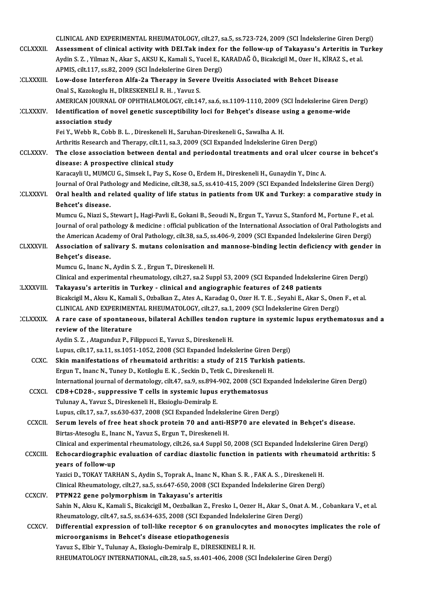|                 | CLINICAL AND EXPERIMENTAL RHEUMATOLOGY, cilt.27, sa.5, ss.723-724, 2009 (SCI İndekslerine Giren Dergi)                                                                                                                |
|-----------------|-----------------------------------------------------------------------------------------------------------------------------------------------------------------------------------------------------------------------|
| <b>CCLXXXII</b> | Assessment of clinical activity with DEI.Tak index for the follow-up of Takayasu's Arteritis in Turkey                                                                                                                |
|                 | Aydin S. Z. , Yilmaz N., Akar S., AKSU K., Kamali S., Yucel E., KARADAĞ Ö., Bicakcigil M., Ozer H., KİRAZ S., et al.                                                                                                  |
|                 | APMIS, cilt 117, ss.82, 2009 (SCI Indekslerine Giren Dergi)                                                                                                                                                           |
| <b>CLXXXIII</b> | Low-dose Interferon Alfa-2a Therapy in Severe Uveitis Associated with Behcet Disease                                                                                                                                  |
|                 | Onal S., Kazokoglu H., DİRESKENELİ R. H., Yavuz S.<br>AMERICAN JOURNAL OF OPHTHALMOLOGY, cilt.147, sa.6, ss.1109-1110, 2009 (SCI İndekslerine Giren Dergi)                                                            |
| <b>CLXXXIV</b>  | Identification of novel genetic susceptibility loci for Behçet's disease using a genome-wide                                                                                                                          |
|                 | association study                                                                                                                                                                                                     |
|                 | Fei Y., Webb R., Cobb B. L., Direskeneli H., Saruhan-Direskeneli G., Sawalha A. H.                                                                                                                                    |
|                 | Arthritis Research and Therapy, cilt.11, sa.3, 2009 (SCI Expanded İndekslerine Giren Dergi)                                                                                                                           |
| <b>CCLXXXV</b>  | The close association between dental and periodontal treatments and oral ulcer course in behcet's                                                                                                                     |
|                 | disease: A prospective clinical study                                                                                                                                                                                 |
|                 | Karacayli U., MUMCU G., Simsek I., Pay S., Kose O., Erdem H., Direskeneli H., Gunaydin Y., Dinc A.                                                                                                                    |
|                 | Journal of Oral Pathology and Medicine, cilt.38, sa.5, ss.410-415, 2009 (SCI Expanded İndekslerine Giren Dergi)                                                                                                       |
| <b>CLXXXVI</b>  | Oral health and related quality of life status in patients from UK and Turkey: a comparative study in<br>Behcet's disease.                                                                                            |
|                 | Mumcu G., Niazi S., Stewart J., Hagi-Pavli E., Gokani B., Seoudi N., Ergun T., Yavuz S., Stanford M., Fortune F., et al.                                                                                              |
|                 | Journal of oral pathology & medicine : official publication of the International Association of Oral Pathologists and                                                                                                 |
|                 | the American Academy of Oral Pathology, cilt.38, sa.5, ss.406-9, 2009 (SCI Expanded İndekslerine Giren Dergi)                                                                                                         |
| <b>CLXXXVII</b> | Association of salivary S. mutans colonisation and mannose-binding lectin deficiency with gender in                                                                                                                   |
|                 | Behçet's disease.                                                                                                                                                                                                     |
|                 | Mumcu G., Inanc N., Aydin S. Z., Ergun T., Direskeneli H.                                                                                                                                                             |
|                 | Clinical and experimental rheumatology, cilt.27, sa.2 Suppl 53, 2009 (SCI Expanded İndekslerine Giren Dergi)                                                                                                          |
| <b>LXXXVIII</b> | Takayasu's arteritis in Turkey - clinical and angiographic features of 248 patients                                                                                                                                   |
|                 | Bicakcigil M., Aksu K., Kamali S., Ozbalkan Z., Ates A., Karadag O., Ozer H. T. E., Seyahi E., Akar S., Onen F., et al.<br>CLINICAL AND EXPERIMENTAL RHEUMATOLOGY, cilt.27, sa.1, 2009 (SCI İndekslerine Giren Dergi) |
| <b>CLXXXIX</b>  | A rare case of spontaneous, bilateral Achilles tendon rupture in systemic lupus erythematosus and a                                                                                                                   |
|                 | review of the literature                                                                                                                                                                                              |
|                 | Aydin S. Z., Atagunduz P., Filippucci E., Yavuz S., Direskeneli H.<br>Lupus, cilt.17, sa.11, ss.1051-1052, 2008 (SCI Expanded Indekslerine Giren Dergi)                                                               |
| <b>CCXC</b>     | Skin manifestations of rheumatoid arthritis: a study of 215 Turkish patients.                                                                                                                                         |
|                 | Ergun T., Inanc N., Tuney D., Kotiloglu E. K., Seckin D., Tetik C., Direskeneli H.                                                                                                                                    |
|                 | International journal of dermatology, cilt.47, sa.9, ss.894-902, 2008 (SCI Expanded Indekslerine Giren Dergi)                                                                                                         |
| CCXCI.          | CD8+CD28-, suppressive T cells in systemic lupus erythematosus                                                                                                                                                        |
|                 | Tulunay A., Yavuz S., Direskeneli H., Eksioglu-Demiralp E.                                                                                                                                                            |
|                 | Lupus, cilt.17, sa.7, ss.630-637, 2008 (SCI Expanded Indekslerine Giren Dergi)                                                                                                                                        |
| CCXCII.         | Serum levels of free heat shock protein 70 and anti-HSP70 are elevated in Behçet's disease.                                                                                                                           |
|                 | Birtas-Atesoglu E., Inanc N., Yavuz S., Ergun T., Direskeneli H.                                                                                                                                                      |
| <b>CCXCIII</b>  | Clinical and experimental rheumatology, cilt.26, sa.4 Suppl 50, 2008 (SCI Expanded İndekslerine Giren Dergi)<br>Echocardiographic evaluation of cardiac diastolic function in patients with rheumatoid arthritis: 5   |
|                 | years of follow-up                                                                                                                                                                                                    |
|                 | Yazici D., TOKAY TARHAN S., Aydin S., Toprak A., Inanc N., Khan S. R., FAK A. S., Direskeneli H.                                                                                                                      |
|                 | Clinical Rheumatology, cilt.27, sa.5, ss.647-650, 2008 (SCI Expanded Indekslerine Giren Dergi)                                                                                                                        |
| <b>CCXCIV</b>   | PTPN22 gene polymorphism in Takayasu's arteritis                                                                                                                                                                      |
|                 | Sahin N., Aksu K., Kamali S., Bicakcigil M., Oezbalkan Z., Fresko I., Oezer H., Akar S., Onat A. M., Cobankara V., et al.                                                                                             |
|                 | Rheumatology, cilt.47, sa.5, ss.634-635, 2008 (SCI Expanded Indekslerine Giren Dergi)                                                                                                                                 |
| <b>CCXCV</b>    | Differential expression of toll-like receptor 6 on granulocytes and monocytes implicates the role of                                                                                                                  |
|                 | microorganisms in Behcet's disease etiopathogenesis                                                                                                                                                                   |
|                 | Yavuz S., Elbir Y., Tulunay A., Eksioglu-Demiralp E., DİRESKENELİ R. H.                                                                                                                                               |
|                 | RHEUMATOLOGY INTERNATIONAL, cilt.28, sa.5, ss.401-406, 2008 (SCI Indekslerine Giren Dergi)                                                                                                                            |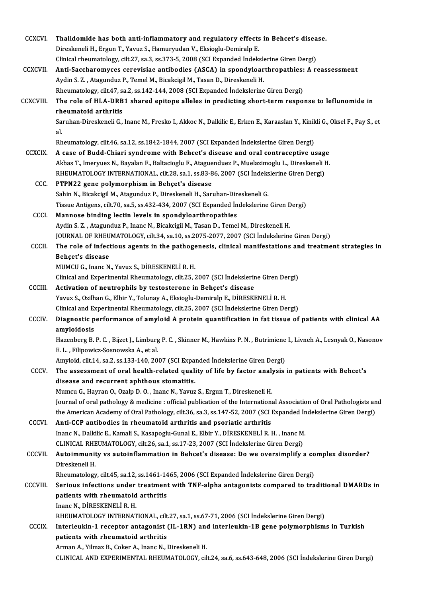| CCXCVI.         | Thalidomide has both anti-inflammatory and regulatory effects in Behcet's disease.                                           |
|-----------------|------------------------------------------------------------------------------------------------------------------------------|
|                 | Direskeneli H., Ergun T., Yavuz S., Hamuryudan V., Eksioglu-Demiralp E.                                                      |
|                 | Clinical rheumatology, cilt.27, sa.3, ss.373-5, 2008 (SCI Expanded Indekslerine Giren Dergi)                                 |
| <b>CCXCVII.</b> | Anti-Saccharomyces cerevisiae antibodies (ASCA) in spondyloarthropathies: A reassessment                                     |
|                 | Aydin S. Z., Atagunduz P., Temel M., Bicakcigil M., Tasan D., Direskeneli H.                                                 |
|                 | Rheumatology, cilt.47, sa.2, ss.142-144, 2008 (SCI Expanded Indekslerine Giren Dergi)                                        |
| CCXCVIII.       | The role of HLA-DRB1 shared epitope alleles in predicting short-term response to leflunomide in                              |
|                 | rheumatoid arthritis                                                                                                         |
|                 | Saruhan-Direskeneli G., Inanc M., Fresko I., Akkoc N., Dalkilic E., Erken E., Karaaslan Y., Kinikli G., Oksel F., Pay S., et |
|                 | al.                                                                                                                          |
|                 | Rheumatology, cilt.46, sa.12, ss.1842-1844, 2007 (SCI Expanded Indekslerine Giren Dergi)                                     |
| <b>CCXCIX</b>   | A case of Budd-Chiari syndrome with Behcet's disease and oral contraceptive usage                                            |
|                 | Akbas T., Imeryuez N., Bayalan F., Baltacioglu F., Ataguenduez P., Muelazimoglu L., Direskeneli H.                           |
|                 | RHEUMATOLOGY INTERNATIONAL, cilt.28, sa.1, ss.83-86, 2007 (SCI İndekslerine Giren Dergi)                                     |
| CC <sub>c</sub> | PTPN22 gene polymorphism in Behçet's disease                                                                                 |
|                 | Sahin N., Bicakcigil M., Atagunduz P., Direskeneli H., Saruhan-Direskeneli G.                                                |
|                 | Tissue Antigens, cilt.70, sa.5, ss.432-434, 2007 (SCI Expanded Indekslerine Giren Dergi)                                     |
| <b>CCCI</b>     | Mannose binding lectin levels in spondyloarthropathies                                                                       |
|                 |                                                                                                                              |
|                 | Aydin S. Z., Atagunduz P., Inanc N., Bicakcigil M., Tasan D., Temel M., Direskeneli H.                                       |
|                 | JOURNAL OF RHEUMATOLOGY, cilt.34, sa.10, ss.2075-2077, 2007 (SCI Indekslerine Giren Dergi)                                   |
| <b>CCCII</b>    | The role of infectious agents in the pathogenesis, clinical manifestations and treatment strategies in                       |
|                 | Behçet's disease                                                                                                             |
|                 | MUMCU G., Inanc N., Yavuz S., DİRESKENELİ R. H.                                                                              |
|                 | Clinical and Experimental Rheumatology, cilt.25, 2007 (SCI İndekslerine Giren Dergi)                                         |
| CCCIII.         | Activation of neutrophils by testosterone in Behçet's disease                                                                |
|                 | Yavuz S., Ozilhan G., Elbir Y., Tolunay A., Eksioglu-Demiralp E., DİRESKENELİ R. H.                                          |
|                 | Clinical and Experimental Rheumatology, cilt.25, 2007 (SCI İndekslerine Giren Dergi)                                         |
| <b>CCCIV</b>    | Diagnostic performance of amyloid A protein quantification in fat tissue of patients with clinical AA<br>amyloidosis         |
|                 | Hazenberg B. P. C., Bijzet J., Limburg P. C., Skinner M., Hawkins P. N., Butrimiene I., Livneh A., Lesnyak O., Nasonov       |
|                 | E. L., Filipowicz-Sosnowska A., et al.                                                                                       |
|                 | Amyloid, cilt.14, sa.2, ss.133-140, 2007 (SCI Expanded Indekslerine Giren Dergi)                                             |
| CCCV.           | The assessment of oral health-related quality of life by factor analysis in patients with Behcet's                           |
|                 | disease and recurrent aphthous stomatitis.                                                                                   |
|                 | Mumcu G., Hayran O., Ozalp D. O., Inanc N., Yavuz S., Ergun T., Direskeneli H.                                               |
|                 | Journal of oral pathology & medicine : official publication of the International Association of Oral Pathologists and        |
|                 | the American Academy of Oral Pathology, cilt.36, sa.3, ss.147-52, 2007 (SCI Expanded İndekslerine Giren Dergi)               |
| CCCVI.          | Anti-CCP antibodies in rheumatoid arthritis and psoriatic arthritis                                                          |
|                 | Inanc N., Dalkilic E., Kamali S., Kasapoglu-Gunal E., Elbir Y., DİRESKENELİ R. H., Inanc M.                                  |
|                 | CLINICAL RHEUMATOLOGY, cilt.26, sa.1, ss.17-23, 2007 (SCI Indekslerine Giren Dergi)                                          |
| <b>CCCVII</b>   | Autoimmunity vs autoinflammation in Behcet's disease: Do we oversimplify a complex disorder?                                 |
|                 | Direskeneli H.                                                                                                               |
|                 | Rheumatology, cilt.45, sa.12, ss.1461-1465, 2006 (SCI Expanded Indekslerine Giren Dergi)                                     |
| <b>CCCVIII.</b> | Serious infections under treatment with TNF-alpha antagonists compared to traditional DMARDs in                              |
|                 | patients with rheumatoid arthritis                                                                                           |
|                 | Inanc N., DİRESKENELİ R. H.                                                                                                  |
|                 | RHEUMATOLOGY INTERNATIONAL, cilt.27, sa.1, ss.67-71, 2006 (SCI İndekslerine Giren Dergi)                                     |
| <b>CCCIX</b>    | Interleukin-1 receptor antagonist (IL-1RN) and interleukin-1B gene polymorphisms in Turkish                                  |
|                 | patients with rheumatoid arthritis                                                                                           |
|                 | Arman A., Yilmaz B., Coker A., Inanc N., Direskeneli H.                                                                      |
|                 | CLINICAL AND EXPERIMENTAL RHEUMATOLOGY, cilt.24, sa.6, ss.643-648, 2006 (SCI Indekslerine Giren Dergi)                       |
|                 |                                                                                                                              |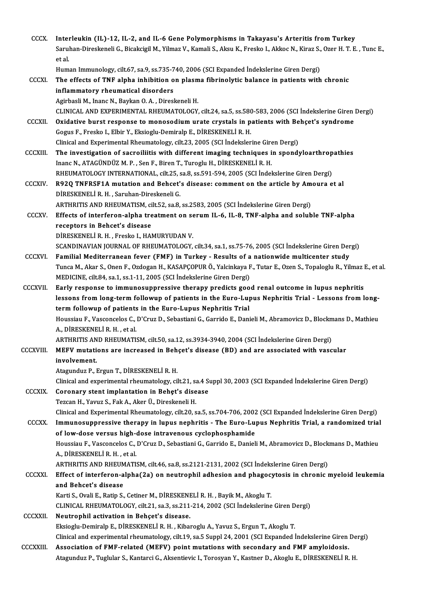| <b>CCCX</b>     | Interleukin (IL)-12, IL-2, and IL-6 Gene Polymorphisms in Takayasu's Arteritis from Turkey<br>Saruhan-Direskeneli G., Bicakcigil M., Yilmaz V., Kamali S., Aksu K., Fresko I., Akkoc N., Kiraz S., Ozer H. T. E., Tunc E.,<br>et al. |
|-----------------|--------------------------------------------------------------------------------------------------------------------------------------------------------------------------------------------------------------------------------------|
|                 | Human Immunology, cilt.67, sa.9, ss.735-740, 2006 (SCI Expanded Indekslerine Giren Dergi)                                                                                                                                            |
| CCCXI.          | The effects of TNF alpha inhibition on plasma fibrinolytic balance in patients with chronic                                                                                                                                          |
|                 | inflammatory rheumatical disorders                                                                                                                                                                                                   |
|                 | Agirbasli M., Inanc N., Baykan O. A., Direskeneli H.                                                                                                                                                                                 |
|                 | CLINICAL AND EXPERIMENTAL RHEUMATOLOGY, cilt.24, sa.5, ss.580-583, 2006 (SCI İndekslerine Giren Dergi)                                                                                                                               |
| <b>CCCXII</b>   | Oxidative burst response to monosodium urate crystals in patients with Behçet's syndrome                                                                                                                                             |
|                 | Gogus F., Fresko I., Elbir Y., Eksioglu-Demiralp E., DİRESKENELİ R. H.                                                                                                                                                               |
|                 | Clinical and Experimental Rheumatology, cilt.23, 2005 (SCI Indekslerine Giren Dergi)                                                                                                                                                 |
| <b>CCCXIII.</b> | The investigation of sacroiliitis with different imaging techniques in spondyloarthropathies                                                                                                                                         |
|                 | Inanc N., ATAGÜNDÜZ M. P., Sen F., Biren T., Turoglu H., DİRESKENELİ R. H.                                                                                                                                                           |
|                 | RHEUMATOLOGY INTERNATIONAL, cilt.25, sa.8, ss.591-594, 2005 (SCI İndekslerine Giren Dergi)                                                                                                                                           |
| <b>CCCXIV</b>   | R92Q TNFRSF1A mutation and Behcet's disease: comment on the article by Amoura et al                                                                                                                                                  |
|                 | DİRESKENELİ R. H., Saruhan-Direskeneli G.                                                                                                                                                                                            |
|                 | ARTHRITIS AND RHEUMATISM, cilt.52, sa.8, ss.2583, 2005 (SCI Indekslerine Giren Dergi)                                                                                                                                                |
| CCCXV.          | Effects of interferon-alpha treatment on serum IL-6, IL-8, TNF-alpha and soluble TNF-alpha                                                                                                                                           |
|                 | receptors in Behcet's disease<br>DİRESKENELİ R. H., Fresko I., HAMURYUDAN V.                                                                                                                                                         |
|                 | SCANDINAVIAN JOURNAL OF RHEUMATOLOGY, cilt.34, sa.1, ss.75-76, 2005 (SCI Indekslerine Giren Dergi)                                                                                                                                   |
| <b>CCCXVI</b>   | Familial Mediterranean fever (FMF) in Turkey - Results of a nationwide multicenter study                                                                                                                                             |
|                 | Tunca M., Akar S., Onen F., Ozdogan H., KASAPÇOPUR Ö., Yalcinkaya F., Tutar E., Ozen S., Topaloglu R., Yilmaz E., et al.                                                                                                             |
|                 | MEDICINE, cilt.84, sa.1, ss.1-11, 2005 (SCI İndekslerine Giren Dergi)                                                                                                                                                                |
| <b>CCCXVII.</b> | Early response to immunosuppressive therapy predicts good renal outcome in lupus nephritis                                                                                                                                           |
|                 | lessons from long-term followup of patients in the Euro-Lupus Nephritis Trial - Lessons from long-                                                                                                                                   |
|                 | term followup of patients in the Euro-Lupus Nephritis Trial                                                                                                                                                                          |
|                 | Houssiau F., Vasconcelos C., D'Cruz D., Sebastiani G., Garrido E., Danieli M., Abramovicz D., Blockmans D., Mathieu                                                                                                                  |
|                 | A., DİRESKENELİ R. H. , et al.                                                                                                                                                                                                       |
|                 | ARTHRITIS AND RHEUMATISM, cilt.50, sa.12, ss.3934-3940, 2004 (SCI İndekslerine Giren Dergi)                                                                                                                                          |
| CCCXVIII.       | MEFV mutations are increased in Behçet's disease (BD) and are associated with vascular                                                                                                                                               |
|                 | involvement.                                                                                                                                                                                                                         |
|                 | Atagunduz P., Ergun T., DİRESKENELİ R. H.                                                                                                                                                                                            |
|                 | Clinical and experimental rheumatology, cilt.21, sa.4 Suppl 30, 2003 (SCI Expanded Indekslerine Giren Dergi)                                                                                                                         |
| <b>CCCXIX</b>   | Coronary stent implantation in Behet's disease                                                                                                                                                                                       |
|                 | Tezcan H., Yavuz S., Fak A., Aker Ü., Direskeneli H.                                                                                                                                                                                 |
|                 | Clinical and Experimental Rheumatology, cilt.20, sa.5, ss.704-706, 2002 (SCI Expanded Indekslerine Giren Dergi)                                                                                                                      |
| <b>CCCXX</b>    | Immunosuppressive therapy in lupus nephritis - The Euro-Lupus Nephritis Trial, a randomized trial                                                                                                                                    |
|                 | of low-dose versus high-dose intravenous cyclophosphamide                                                                                                                                                                            |
|                 | Houssiau F., Vasconcelos C., D'Cruz D., Sebastiani G., Garrido E., Danieli M., Abramovicz D., Blockmans D., Mathieu<br>A., DİRESKENELİ R.H., et al.                                                                                  |
|                 | ARTHRITIS AND RHEUMATISM, cilt.46, sa.8, ss.2121-2131, 2002 (SCI İndekslerine Giren Dergi)                                                                                                                                           |
| <b>CCCXXI</b>   | Effect of interferon-alpha(2a) on neutrophil adhesion and phagocytosis in chronic myeloid leukemia                                                                                                                                   |
|                 | and Behcet's disease                                                                                                                                                                                                                 |
|                 | Karti S., Ovali E., Ratip S., Cetiner M., DİRESKENELİ R. H., Bayik M., Akoglu T.                                                                                                                                                     |
|                 | CLINICAL RHEUMATOLOGY, cilt.21, sa.3, ss.211-214, 2002 (SCI Indekslerine Giren Dergi)                                                                                                                                                |
| <b>CCCXXII</b>  | Neutrophil activation in Behçet's disease.                                                                                                                                                                                           |
|                 | Eksioglu-Demiralp E., DİRESKENELİ R. H., Kibaroglu A., Yavuz S., Ergun T., Akoglu T.                                                                                                                                                 |
|                 | Clinical and experimental rheumatology, cilt.19, sa.5 Suppl 24, 2001 (SCI Expanded Indekslerine Giren Dergi)                                                                                                                         |
| CCCXXIII.       | Association of FMF-related (MEFV) point mutations with secondary and FMF amyloidosis.                                                                                                                                                |
|                 | Atagunduz P., Tuglular S., Kantarci G., Aksentievic I., Torosyan Y., Kastner D., Akoglu E., DİRESKENELİ R. H.                                                                                                                        |
|                 |                                                                                                                                                                                                                                      |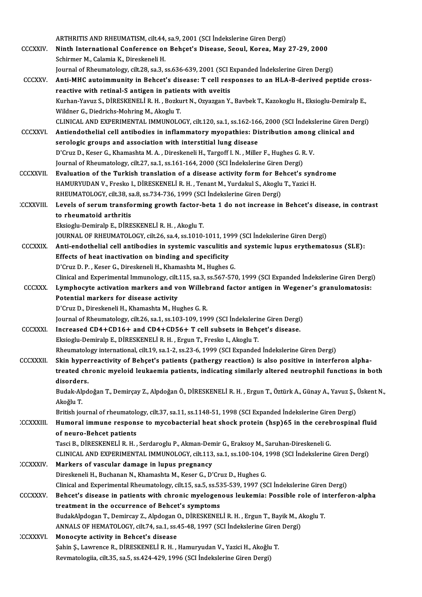ARTHRITIS AND RHEUMATISM, cilt.44, sa.9, 2001 (SCI İndekslerine Giren Dergi)<br>Ninth International Conference en Beheat's Disease, Seaul, Kerea, Mau

- CCCXXIV. Ninth International Conference on Behçet's Disease, Seoul, Korea, May 27-29, 2000<br>Schirmer M., Calamia K., Direskeneli H. ARTHRITIS AND RHEUMATISM, cilt.44,<br>Ninth International Conference on<br>Schirmer M., Calamia K., Direskeneli H.<br>Journal of Phoumatalogy, cilt.29, ca.3, c Ninth International Conference on Behçet's Disease, Seoul, Korea, May 27-29, 2000<br>Schirmer M., Calamia K., Direskeneli H.<br>Journal of Rheumatology, cilt.28, sa.3, ss.636-639, 2001 (SCI Expanded Indekslerine Giren Dergi)<br>Ant
- CCCXXV. Anti-MHC autoimmunity in Behcet's disease: T cell responses to an HLA-B-derived peptide cross-<br>reactive with retinal-S antigen in patients with uveitis Journal of Rheumatology, cilt.28, sa.3, ss.636-639, 2001 (SCI E<br>Anti-MHC autoimmunity in Behcet's disease: T cell res<br>reactive with retinal-S antigen in patients with uveitis<br>Kurban Youws S. DiRESKENELLR H. Berlaut N. Oweg Anti-MHC autoimmunity in Behcet's disease: T cell responses to an HLA-B-derived peptide cros:<br>reactive with retinal-S antigen in patients with uveitis<br>Kurhan-Yavuz S., DİRESKENELİ R. H. , Bozkurt N., Ozyazgan Y., Bavbek T. reactive with retinal-S antigen in patien<br>Kurhan-Yavuz S., DİRESKENELİ R. H. , Bozku<br>Wildner G., Diedrichs-Mohring M., Akoglu T.<br>CLINICAL AND EXPERIMENTAL IMMUNOLO Wildner G., Diedrichs-Mohring M., Akoglu T.<br>CLINICAL AND EXPERIMENTAL IMMUNOLOGY, cilt.120, sa.1, ss.162-166, 2000 (SCI İndekslerine Giren Dergi)
- Wildner G., Diedrichs-Mohring M., Akoglu T.<br>CLINICAL AND EXPERIMENTAL IMMUNOLOGY, cilt.120, sa.1, ss.162-166, 2000 (SCI İndekslerine Giren De<br>CCCXXVI. Antiendothelial cell antibodies in inflammatory myopathies: Distributio CLINICAL AND EXPERIMENTAL IMMUNOLOGY, cilt.120, sa.1, ss.162-16<br>Antiendothelial cell antibodies in inflammatory myopathies: Di<br>serologic groups and association with interstitial lung disease<br>P'Crug D. Keser C. Khamashta M. Antiendothelial cell antibodies in inflammatory myopathies: Distribution among<br>serologic groups and association with interstitial lung disease<br>D'Cruz D., Keser G., Khamashta M.A. , Direskeneli H., Targoff I.N. , Miller F., serologic groups and association with interstitial lung disease<br>D'Cruz D., Keser G., Khamashta M. A. , Direskeneli H., Targoff I. N. , Miller F., Hughes G. R. V.<br>Journal of Rheumatology, cilt.27, sa.1, ss.161-164, 2000 (SC D'Cruz D., Keser G., Khamashta M. A., Direskeneli H., Targoff I. N., Miller F., Hughes G. R. V.<br>Journal of Rheumatology, cilt.27, sa.1, ss.161-164, 2000 (SCI Indekslerine Giren Dergi)<br>CCCXXVII. Evaluation of the Turkish tr
- Journal of Rheumatology, cilt.27, sa.1, ss.161-164, 2000 (SCI İndekslerine Giren Dergi)<br>**Evaluation of the Turkish translation of a disease activity form for Behcet's syne<br>HAMURYUDAN V., Fresko I., DİRESKENELİ R. H. , Tena** Evaluation of the Turkish translation of a disease activity form for Be<br>HAMURYUDAN V., Fresko I., DİRESKENELİ R. H. , Tenant M., Yurdakul S., Akoglu<br>RHEUMATOLOGY, cilt.38, sa.8, ss.734-736, 1999 (SCI İndekslerine Giren Der HAMURYUDAN V., Fresko I., DİRESKENELİ R. H. , Tenant M., Yurdakul S., Akoglu T., Yazici H.<br>RHEUMATOLOGY, cilt.38, sa.8, ss.734-736, 1999 (SCI İndekslerine Giren Dergi)<br>CCXXVIII. Levels of serum transforming growth factor-b
- RHEUMATOLOGY, cilt.38, sa.8, ss.734-736, 1999 (SCI İndekslerine Giren Dergi)<br>Levels of serum transforming growth factor-beta 1 do not increase in<br>to rheumatoid arthritis<br>Eksioglu-Demiralp E., DİRESKENELİ R. H., Akoglu T. Levels of serum transforming growth factor-b<br>to rheumatoid arthritis<br>Eksioglu-Demiralp E., DİRESKENELİ R. H. , Akoglu T.<br>JOUPMAL OF PHEUMATOLOCY silt 26, 28,4, 28,1010. to rheumatoid arthritis<br>Eksioglu-Demiralp E., DİRESKENELİ R. H. , Akoglu T.<br>JOURNAL OF RHEUMATOLOGY, cilt.26, sa.4, ss.1010-1011, 1999 (SCI İndekslerine Giren Dergi)<br>Anti-andethelial sell antibedies in systemis vessulitis

- Eksioglu-Demiralp E., DİRESKENELİ R. H. , Akoglu T.<br>JOURNAL OF RHEUMATOLOGY, cilt.26, sa.4, ss.1010-1011, 1999 (SCI İndekslerine Giren Dergi)<br>CCCXXIX. Anti-endothelial cell antibodies in systemic vasculitis and systemic lu JOURNAL OF RHEUMATOLOGY, cilt.26, sa.4, ss.1010-1011, 19<br>Anti-endothelial cell antibodies in systemic vasculitis<br>Effects of heat inactivation on binding and specificity<br>P'Crug D. B., Keser G. Direckeneli H. Khamashta M. Hu Anti-endothelial cell antibodies in systemic vasculitis are<br>Effects of heat inactivation on binding and specificity<br>D'Cruz D. P. , Keser G., Direskeneli H., Khamashta M., Hughes G.<br>Clinical and Experimental Immunology, cil Effects of heat inactivation on binding and specificity<br>D'Cruz D. P. , Keser G., Direskeneli H., Khamashta M., Hughes G.<br>Clinical and Experimental Immunology, cilt.115, sa.3, ss.567-570, 1999 (SCI Expanded İndekslerine Gir D'Cruz D. P. , Keser G., Direskeneli H., Khamashta M., Hughes G.<br>Clinical and Experimental Immunology, cilt.115, sa.3, ss.567-570, 1999 (SCI Expanded Indekslerine Giren Dergi<br>CCCXXX. Lymphocyte activation markers and von W
- Clinical and Experimental Immunology, cilt.<br>Lymphocyte activation markers and vertical markers for disease activity<br>P'Crug D. Direckeneli H. Khamashta M. Hu Lymphocyte activation markers and von Willebrand factor antigen in Wegener's granulomatosis:<br>Potential markers for disease activity<br>D'Cruz D., Direskeneli H., Khamashta M., Hughes G. R.

Journal of Rheumatology, cilt.26, sa.1, ss.103-109, 1999 (SCI İndekslerine Giren Dergi)

D'Cruz D., Direskeneli H., Khamashta M., Hughes G. R.<br>Journal of Rheumatology, cilt.26, sa.1, ss.103-109, 1999 (SCI Indekslerine Giren Dergi)<br>CCCXXXI. Increased CD4+CD16+ and CD4+CD56+ T cell subsets in Behçet's disease. Journal of Rheumatology, cilt.26, sa.1, ss.103-109, 1999 (SCI İndekslerii<br>Increased CD4+CD16+ and CD4+CD56+ T cell subsets in Behç<br>Eksioglu-Demiralp E., DİRESKENELİ R. H. , Ergun T., Fresko I., Akoglu T.<br>Phoumatologu inter Increased CD4+CD16+ and CD4+CD56+ T cell subsets in Behçet's disease.<br>Eksioglu-Demiralp E., DİRESKENELİ R. H. , Ergun T., Fresko I., Akoglu T.<br>Rheumatology international, cilt.19, sa.1-2, ss.23-6, 1999 (SCI Expanded İndeks

Eksioglu-Demiralp E., DİRESKENELİ R. H. , Ergun T., Fresko I., Akoglu T.<br>Rheumatology international, cilt.19, sa.1-2, ss.23-6, 1999 (SCI Expanded Indekslerine Giren Dergi)<br>CCCXXXII. Skin hyperreactivity of Behçet's patient Rheumatology international, cilt.19, sa.1-2, ss.23-6, 1999 (SCI Expanded İndekslerine Giren Dergi)<br>Skin hyperreactivity of Behçet's patients (pathergy reaction) is also positive in interferon alpha-<br>treated chronic myeloid Skin hyper<br>treated ch<br>disorders.<br><sup>Pudak Alad</sup> treated chronic myeloid leukaemia patients, indicating similarly altered neutrophil functions in both<br>disorders.<br>Budak-Alpdoğan T., Demirçay Z., Alpdoğan Ö., DİRESKENELİ R. H. , Ergun T., Öztürk A., Günay A., Yavuz Ş., Üsk

<mark>disorder</mark><br>Budak-Al<sub>l</sub><br>Akoğlu T.<br><sup>Pritish</sup>... Budak-Alpdoğan T., Demirçay Z., Alpdoğan Ö., DİRESKENELİ R. H. , Ergun T., Öztürk A., Günay A., Yavuz Ş., `<br>Akoğlu T.<br>British journal of rheumatology, cilt.37, sa.11, ss.1148-51, 1998 (SCI Expanded İndekslerine Giren Dergi

Akoğlu T.<br>British journal of rheumatology, cilt.37, sa.11, ss.1148-51, 1998 (SCI Expanded İndekslerine Giren Dergi)<br>CCXXXIII. Humoral immune response to mycobacterial heat shock protein (hsp)65 in the cerebrospinal fluid:<br> British journal of rheumatolo<br>Humoral immune respons<br>of neuro-Behcet patients<br>Tassi B. Dipesysnet i p. u Humoral immune response to mycobacterial heat shock protein (hsp)65 in the cereb<br>of neuro-Behcet patients<br>Tasci B., DİRESKENELİ R. H. , Serdaroglu P., Akman-Demir G., Eraksoy M., Saruhan-Direskeneli G.<br>CLINICAL AND EXPERIM

of neuro-Behcet patients<br>Tasci B., DİRESKENELİ R. H. , Serdaroglu P., Akman-Demir G., Eraksoy M., Saruhan-Direskeneli G.<br>CLINICAL AND EXPERIMENTAL IMMUNOLOGY, cilt.113, sa.1, ss.100-104, 1998 (SCI İndekslerine Giren Dergi) Tasci B., DİRESKENELİ R. H., Serdaroglu P., Akman-Den<br>CLINICAL AND EXPERIMENTAL IMMUNOLOGY, cilt.113<br>CCXXXIV. Markers of vascular damage in lupus pregnancy<br>Directorali H. Buchanan N. Khamashta M. Kasar G. D.

CLINICAL AND EXPERIMENTAL IMMUNOLOGY, cilt.113, sa.1, ss.100-104, 1<br>Markers of vascular damage in lupus pregnancy<br>Direskeneli H., Buchanan N., Khamashta M., Keser G., D'Cruz D., Hughes G.<br>Clinical and Experimental Phoumata Markers of vascular damage in lupus pregnancy<br>Direskeneli H., Buchanan N., Khamashta M., Keser G., D'Cruz D., Hughes G.<br>Clinical and Experimental Rheumatology, cilt.15, sa.5, ss.535-539, 1997 (SCI İndekslerine Giren Dergi) Direskeneli H., Buchanan N., Khamashta M., Keser G., D'Cruz D., Hughes G.<br>Clinical and Experimental Rheumatology, cilt.15, sa.5, ss.535-539, 1997 (SCI İndekslerine Giren Dergi)<br>CCCXXXV. Behcet's disease in patients with ch Clinical and Experimental Rheumatology, cilt.15, sa.5, ss.53<br>Behcet's disease in patients with chronic myelogen<br>treatment in the occurrence of Behcet's symptoms<br>BudakAhdegan T. Demireey 7, Ahdegan O. DiBESYENEI Behcet's disease in patients with chronic myelogenous leukemia: Possible role of in<br>treatment in the occurrence of Behcet's symptoms<br>BudakAlpdogan T., Demircay Z., Alpdogan O., DİRESKENELİ R. H. , Ergun T., Bayik M., Akogl treatment in the occurrence of Behcet's symptoms<br>BudakAlpdogan T., Demircay Z., Alpdogan O., DİRESKENELİ R. H., Ergun T., Bayik M., Akoglu T.<br>ANNALS OF HEMATOLOGY, cilt.74, sa.1, ss.45-48, 1997 (SCI İndekslerine Giren Derg

# BudakAlpdogan T., Demircay Z., Alpdogan (<br>ANNALS OF HEMATOLOGY, cilt.74, sa.1, ss.4<br>CCXXXVI. Monocyte activity in Behcet's disease

ANNALS OF HEMATOLOGY, cilt.74, sa.1, ss.45-48, 1997 (SCI İndekslerine Giren<br>Monocyte activity in Behcet's disease<br>Şahin Ş., Lawrence R., DİRESKENELİ R. H. , Hamuryudan V., Yazici H., Akoğlu T.<br>Reymetologija. silt 35. ss.5. Şahin Ş., Lawrence R., DİRESKENELİ R. H. , Hamuryudan V., Yazici H., Akoğlu T.<br>Revmatologiia, cilt.35, sa.5, ss.424-429, 1996 (SCI İndekslerine Giren Dergi)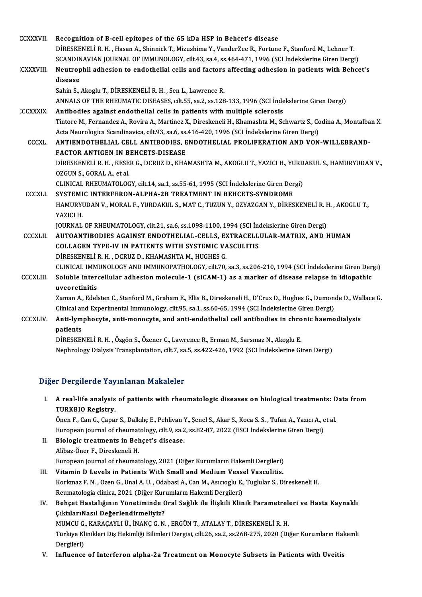| <b>CCXXXVII</b>  | Recognition of B-cell epitopes of the 65 kDa HSP in Behcet's disease                                                  |
|------------------|-----------------------------------------------------------------------------------------------------------------------|
|                  | DIRESKENELI R. H., Hasan A., Shinnick T., Mizushima Y., VanderZee R., Fortune F., Stanford M., Lehner T.              |
|                  | SCANDINAVIAN JOURNAL OF IMMUNOLOGY, cilt.43, sa.4, ss.464-471, 1996 (SCI Indekslerine Giren Dergi)                    |
| CXXXVIII.        | Neutrophil adhesion to endothelial cells and factors affecting adhesion in patients with Behcet's                     |
|                  | disease                                                                                                               |
|                  | Sahin S., Akoglu T., DİRESKENELİ R. H., Sen L., Lawrence R.                                                           |
|                  | ANNALS OF THE RHEUMATIC DISEASES, cilt.55, sa.2, ss.128-133, 1996 (SCI İndekslerine Giren Dergi)                      |
| <b>CCXXXIX</b>   | Antibodies against endothelial cells in patients with multiple sclerosis                                              |
|                  | Tintore M., Fernandez A., Rovira A., Martinez X., Direskeneli H., Khamashta M., Schwartz S., Codina A., Montalban X.  |
|                  | Acta Neurologica Scandinavica, cilt.93, sa.6, ss.416-420, 1996 (SCI İndekslerine Giren Dergi)                         |
| CCCXL.           | ANTIENDOTHELIAL CELL ANTIBODIES, ENDOTHELIAL PROLIFERATION AND VON-WILLEBRAND-                                        |
|                  | <b>FACTOR ANTIGEN IN BEHCETS-DISEASE</b>                                                                              |
|                  | DİRESKENELİ R. H., KESER G., DCRUZ D., KHAMASHTA M., AKOGLU T., YAZICI H., YURDAKUL S., HAMURYUDAN V.,                |
|                  | OZGUN S., GORAL A., et al.                                                                                            |
|                  | CLINICAL RHEUMATOLOGY, cilt.14, sa.1, ss.55-61, 1995 (SCI Indekslerine Giren Dergi)                                   |
| <b>CCCXLI</b>    | SYSTEMIC INTERFERON-ALPHA-2B TREATMENT IN BEHCETS-SYNDROME                                                            |
|                  | HAMURYUDAN V., MORAL F., YURDAKUL S., MAT C., TUZUN Y., OZYAZGAN Y., DİRESKENELİ R. H., AKOGLU T.,                    |
|                  | YAZICI H.                                                                                                             |
|                  | JOURNAL OF RHEUMATOLOGY, cilt.21, sa.6, ss.1098-1100, 1994 (SCI İndekslerine Giren Dergi)                             |
| <b>CCCXLII</b>   | AUTOANTIBODIES AGAINST ENDOTHELIAL-CELLS, EXTRACELLULAR-MATRIX, AND HUMAN                                             |
|                  | <b>COLLAGEN TYPE-IV IN PATIENTS WITH SYSTEMIC VASCULITIS</b>                                                          |
|                  | DİRESKENELİ R. H., DCRUZ D., KHAMASHTA M., HUGHES G.                                                                  |
|                  | CLINICAL IMMUNOLOGY AND IMMUNOPATHOLOGY, cilt.70, sa.3, ss.206-210, 1994 (SCI İndekslerine Giren Dergi)               |
| <b>CCCXLIII.</b> | Soluble intercellular adhesion molecule-1 (sICAM-1) as a marker of disease relapse in idiopathic                      |
|                  | uveoretinitis                                                                                                         |
|                  | Zaman A., Edelsten C., Stanford M., Graham E., Ellis B., Direskeneli H., D'Cruz D., Hughes G., Dumonde D., Wallace G. |
|                  | Clinical and Experimental Immunology, cilt.95, sa.1, ss.60-65, 1994 (SCI Indekslerine Giren Dergi)                    |
| <b>CCCXLIV</b>   | Anti-lymphocyte, anti-monocyte, and anti-endothelial cell antibodies in chronic haemodialysis                         |
|                  | patients                                                                                                              |
|                  | DİRESKENELİ R.H., Özgön S., Özener C., Lawrence R., Erman M., Sarsmaz N., Akoglu E.                                   |
|                  | Nephrology Dialysis Transplantation, cilt.7, sa.5, ss.422-426, 1992 (SCI İndekslerine Giren Dergi)                    |
|                  |                                                                                                                       |

#### Diğer Dergilerde Yayınlanan Makaleler

Iger Dergilerde Yayınlanan Makaleler<br>I. A real-life analysis of patients with rheumatologic diseases on biological treatments: Data from<br>TIIRKRIO Begistry A real-life analysis<br>A real-life analysis<br>TURKBIO Registry. A real-life analysis of patients with rheumatologic diseases on biological treatments: D<br>TURKBIO Registry.<br>Önen F., Can G., Çapar S., Dalkılıç E., Pehlivan Y., Şenel S., Akar S., Koca S. S. , Tufan A., Yazıcı A., et al<br>Eur

TURKBIO Registry.<br>Önen F., Can G., Çapar S., Dalkılıç E., Pehlivan Y., Şenel S., Akar S., Koca S. S. , Tufan A., Yazıcı A., e<br>European journal of rheumatology, cilt.9, sa.2, ss.82-87, 2022 (ESCI İndekslerine Giren Dergi)<br>P Önen F., Can G., Çapar S., Dalkılıç E., Pehlivan Y., Şenel S., Akar S., Koca S. S. , Tufan A., Yazıcı A., et al.<br>European journal of rheumatology, cilt.9, sa.2, ss.82-87, 2022 (ESCI İndekslerine Giren Dergi)<br>II. Biolog

European journal of rheumat<br>Biologic treatments in Bel<br>Alibaz-Öner F., Direskeneli H.<br>European journal of rheumat Biologic treatments in Behçet's disease.<br>Alibaz-Öner F., Direskeneli H.<br>European journal of rheumatology, 2021 (Diğer Kurumların Hakemli Dergileri)<br>Vitamin D. Lavels in Batiants With Small and Madium Vassal Vasaulitis. Alibaz-Öner F., Direskeneli H.<br>European journal of rheumatology, 2021 (Diğer Kurumların Hakemli Dergileri)<br>III. Vitamin D Levels in Patients With Small and Medium Vessel Vasculitis.<br>Kerkmar E.N., Ozen G. Unal A.U., Odebesi

#### European journal of rheumatology, 2021 (Diğer Kurumların Hakemli Dergileri)<br>Vitamin D Levels in Patients With Small and Medium Vessel Vasculitis.<br>Korkmaz F. N. , Ozen G., Unal A. U. , Odabasi A., Can M., Asıcıoglu E., Tugl Vitamin D Levels in Patients With Small and Medium Vesse<br>Korkmaz F. N. , Ozen G., Unal A. U. , Odabasi A., Can M., Asıcıoglu E.,<br>Reumatologia clinica, 2021 (Diğer Kurumların Hakemli Dergileri)<br>Poheet Hastalığının Vönetimin Reumatologia clinica, 2021 (Diğer Kurumların Hakemli Dergileri)

#### IV. Behçet Hastalığının Yönetiminde Oral Sağlık ile İlişkili Klinik Parametreleri ve Hasta Kaynaklı Behçet Hastalığının Yönetiminde Oral Sağlık ile İlişkili Klinik Parametrel<mark>.</mark><br>ÇıktılarıNasıl Değerlendirmeliyiz?<br>MUMCU G., KARAÇAYLI Ü., İNANÇ G.N. , ERGÜN T., ATALAY T., DİRESKENELİ R. H.<br>Türkiye Klinikleri Diş Hekimliği

Türkiye Klinikleri Diş Hekimliği Bilimleri Dergisi, cilt.26, sa.2, ss.268-275, 2020 (Diğer Kurumların Hakemli<br>Dergileri) MUMCU G.<br>Türkiye Kl<br>Dergileri)<br>Influance

V. Influence of Interferon alpha-2a Treatment on Monocyte Subsets in Patients with Uveitis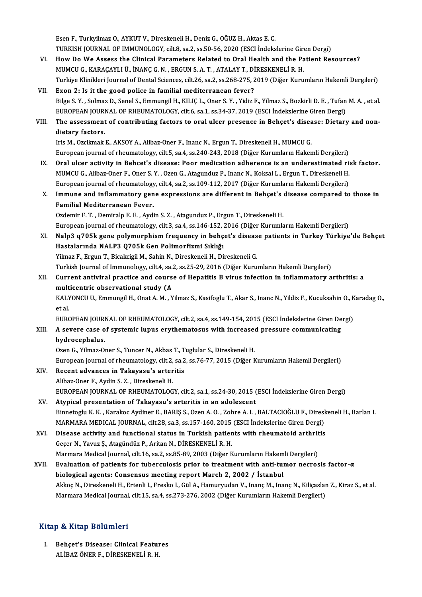EsenF.,TurkyilmazO.,AYKUTV.,DireskeneliH.,DenizG.,OĞUZH.,AktasE.C. Esen F., Turkyilmaz O., AYKUT V., Direskeneli H., Deniz G., OĞUZ H., Aktas E. C.<br>TURKISH JOURNAL OF IMMUNOLOGY, cilt.8, sa.2, ss.50-56, 2020 (ESCI İndekslerine Giren Dergi)<br>How De We Assess the Clinisel Benematers Belated

- VI. How Do We Assess the Clinical Parameters Related to Oral Health and the Patient Resources?<br>MUMCU G., KARAÇAYLI Ü., İNANÇ G. N., ERGUN S. A. T., ATALAY T., DİRESKENELİ R. H. TURKISH JOURNAL OF IMMUNOLOGY, cilt.8, sa.2, ss.50-56, 2020 (ESCI İndekslerine Giro<br>How Do We Assess the Clinical Parameters Related to Oral Health and the Pa<br>MUMCU G., KARAÇAYLI Ü., İNANÇ G. N. , ERGUN S. A. T. , ATALAY T Turkiye Klinikleri Journal of Dental Sciences, cilt.26, sa.2, ss.268-275, 2019 (Diğer Kurumların Hakemli Dergileri)
- VII. Exon 2: Is it the good police in familial mediterranean fever? Turkiye Klinikleri Journal of Dental Sciences, cilt.26, sa.2, ss.268-275, 2019 (Diğer Kurumların Hakemli Dergileri)<br><mark>Exon 2: Is it the good police in familial mediterranean fever?</mark><br>Bilge S.Y. , Solmaz D., Senel S., Emmungi Exon 2: Is it the good police in familial mediterranean fever?<br>Bilge S. Y. , Solmaz D., Senel S., Emmungil H., KILIÇ L., Oner S. Y. , Yidiz F., Yilmaz S., Bozkirli D. E. , Tufan<br>EUROPEAN JOURNAL OF RHEUMATOLOGY, cilt.6, sa Bilge S. Y. , Solmaz D., Senel S., Emmungil H., KILIÇ L., Oner S. Y. , Yidiz F., Yilmaz S., Bozkirli D. E. , Tufan M. A. , et al.<br>EUROPEAN JOURNAL OF RHEUMATOLOGY, cilt.6, sa.1, ss.34-37, 2019 (ESCI İndekslerine Giren Derg

# EUROPEAN JOURI<br>The assessment<br>dietary factors. The assessment of contributing factors to oral ulcer presence in Behçet's disea<br>dietary factors.<br>Iris M., Ozcikmak E., AKSOY A., Alibaz-Oner F., Inanc N., Ergun T., Direskeneli H., MUMCU G.<br>European journal of rhoumatelegy

dietary factors.<br>Iris M., Ozcikmak E., AKSOY A., Alibaz-Oner F., Inanc N., Ergun T., Direskeneli H., MUMCU G.<br>European journal of rheumatology, cilt.5, sa.4, ss.240-243, 2018 (Diğer Kurumların Hakemli Dergileri)

- IX. Oral ulcer activity in Behcet's disease: Poor medication adherence is an underestimated risk factor. European journal of rheumatology, cilt.5, sa.4, ss.240-243, 2018 (Diğer Kurumların Hakemli Dergileri)<br>Oral ulcer activity in Behcet's disease: Poor medication adherence is an underestimated ri:<br>MUMCU G., Alibaz-Oner F., On Oral ulcer activity in Behcet's disease: Poor medication adherence is an underestimated ri<br>MUMCU G., Alibaz-Oner F., Oner S. Y. , Ozen G., Atagunduz P., Inanc N., Koksal L., Ergun T., Direskeneli H.<br>European journal of rhe MUMCU G., Alibaz-Oner F., Oner S. Y. , Ozen G., Atagunduz P., Inanc N., Koksal L., Ergun T., Direskeneli H.<br>European journal of rheumatology, cilt.4, sa.2, ss.109-112, 2017 (Diğer Kurumların Hakemli Dergileri)<br>X. Immune an
- European journal of rheumatology, cilt.4, sa.2, ss.109-112, 2017 (Diğer Kurumların Hakemli Dergileri)<br>Immune and inflammatory gene expressions are different in Behçet's disease compared to<br>Familial Mediterranean Fever.<br>Ozd Immune and inflammatory gene expressions are different in Behçet's<br>Familial Mediterranean Fever.<br>Ozdemir F.T.,Demiralp E.E.,Aydin S.Z.,Atagunduz P., Ergun T., Direskeneli H.<br>European journal of rheumatelegy, silt 2, so 4, Familial Mediterranean Fever.<br>Ozdemir F. T. , Demiralp E. E. , Aydin S. Z. , Atagunduz P., Ergun T., Direskeneli H.<br>European journal of rheumatology, cilt.3, sa.4, ss.146-152, 2016 (Diğer Kurumların Hakemli Dergileri)<br>Naln

Ozdemir F. T. , Demiralp E. E. , Aydin S. Z. , Atagunduz P., Ergun T., Direskeneli H.<br>European journal of rheumatology, cilt.3, sa.4, ss.146-152, 2016 (Diğer Kurumların Hakemli Dergileri)<br>XI. Nalp3 q705k gene polymorphism European journal of rheumatology, cilt.3, sa.4, ss.146-152, ;<br>Nalp3 q705k gene polymorphism frequency in behç<br>Hastalarında NALP3 Q705k Gen Polimorfizmi Sıklığı<br><sup>Vilmog E.</sup> Ergun T. Bisəlsisil M. Səhin N. Direskanali H. Di Nalp3 q705k gene polymorphism frequency in behçet's diseas<br>Hastalarında NALP3 Q705k Gen Polimorfizmi Sıklığı<br>Yilmaz F., Ergun T., Bicakcigil M., Sahin N., Direskeneli H., Direskeneli G.<br>Turkich Journal of Immunology silt 4 Hastalarında NALP3 Q705k Gen Polimorfizmi Sıklığı<br>Yilmaz F., Ergun T., Bicakcigil M., Sahin N., Direskeneli H., Direskeneli G.<br>Turkish Journal of Immunology, cilt.4, sa.2, ss.25-29, 2016 (Diğer Kurumların Hakemli Dergileri

Yilmaz F., Ergun T., Bicakcigil M., Sahin N., Direskeneli H., Direskeneli G.<br>Turkish Journal of Immunology, cilt4, sa.2, ss.25-29, 2016 (Diğer Kurumların Hakemli Dergileri)<br>XII. Current antiviral practice and course of Hep Turkish Journal of Immunology, cilt.4, sa.<br>Current antiviral practice and cours<br>multicentric observational study (A<br>KALVONCU U. Emmungil H. Opet A. M. V Current antiviral practice and course of Hepatitis B virus infection in inflammatory arthritis: a<br>multicentric observational study (A<br>KALYONCU U., Emmungil H., Onat A. M. , Yilmaz S., Kasifoglu T., Akar S., Inanc N., Yildi

mult<br>KAL)<br>et al.<br>EUP*C* KALYONCU U., Emmungil H., Onat A. M. , Yilmaz S., Kasifoglu T., Akar S., Inanc N., Yildiz F., Kucuksahin O., K<br>et al.<br>EUROPEAN JOURNAL OF RHEUMATOLOGY, cilt.2, sa.4, ss.149-154, 2015 (ESCI İndekslerine Giren Dergi)<br>A sayar

#### et al.<br>EUROPEAN JOURNAL OF RHEUMATOLOGY, cilt.2, sa.4, ss.149-154, 2015 (ESCI İndekslerine Giren De<br>XIII. A severe case of systemic lupus erythematosus with increased pressure communicating<br>hydrocophelys EUROPEAN JOURI<br>A severe case o<br>hydrocephalus.<br>Ozen C. <sup>Vilmor</sup> Oʻ A severe case of systemic lupus erythematosus with increase<br>hydrocephalus.<br>Ozen G., Yilmaz-Oner S., Tuncer N., Akbas T., Tuglular S., Direskeneli H.<br>European journal of rhoumatelegy, cilt 2, 22, 25, 25, 27, 2015 (Dižer k hydrocephalus.<br>Ozen G., Yilmaz-Oner S., Tuncer N., Akbas T., Tuglular S., Direskeneli H.<br>European journal of rheumatology, cilt.2, sa.2, ss.76-77, 2015 (Diğer Kurumların Hakemli Dergileri)<br>Resent advanses in Takayasu's ent

- Ozen G., Yilmaz-Oner S., Tuncer N., Akbas T., Tuglular S., Direskeneli H.<br>European journal of rheumatology, cilt.2, sa.2, ss.76-77, 2015 (Diğer K<br>XIV. Recent advances in Takayasu's arteritis<br>Alibaz-Oner F., Aydin S. Z. , D European journal of rheumatology, cilt.2,<br>Recent advances in Takayasu's arter<br>Alibaz-Oner F., Aydin S. Z. , Direskeneli H.<br>FUROPEAN JOURNAL OF RHEUMATOLOC Recent advances in Takayasu's arteritis<br>Alibaz-Oner F., Aydin S. Z. , Direskeneli H.<br>EUROPEAN JOURNAL OF RHEUMATOLOGY, cilt.2, sa.1, ss.24-30, 2015 (ESCI İndekslerine Giren Dergi)<br>Atunisal anesentation of Takayasu's arteri Alibaz-Oner F., Aydin S. Z., Direskeneli H.<br>EUROPEAN JOURNAL OF RHEUMATOLOGY, cilt.2, sa.1, ss.24-30, 2015 (<br>XV. Atypical presentation of Takayasu's arteritis in an adolescent<br>Pinnatogly K. Karakas Aydinar E. BARIS S. Oran
- Atypical presentation of Takayasu's arteritis in an adolescent<br>Binnetoglu K.K., Karakoc Aydiner E., BARIŞ S., Ozen A. O., Zohre A. I., BALTACIOĞLU F., Direskeneli H., Barlan I. Atypical presentation of Takayasu's arteritis in an adolescent<br>Binnetoglu K. K. , Karakoc Aydiner E., BARIŞ S., Ozen A. O. , Zohre A. I. , BALTACIOĞLU F., Diresl<br>MARMARA MEDICAL JOURNAL, cilt.28, sa.3, ss.157-160, 2015 (ES Binnetoglu K. K., Karakoc Aydiner E., BARIŞ S., Ozen A. O., Zohre A. I., BALTACIOĞLU F., Diresk<br>MARMARA MEDICAL JOURNAL, cilt.28, sa.3, ss.157-160, 2015 (ESCI İndekslerine Giren Dergi)<br>XVI. Disease activity and functional
- MARMARA MEDICAL JOURNAL, cilt.28, sa.3, ss.157-160, 2015<br>Disease activity and functional status in Turkish patier<br>Geçer N., Yavuz Ş., Atagündüz P., Aritan N., DİRESKENELİ R. H.<br>Marmara Modical Journal, cilt.16, sa.2, ss.85 Disease activity and functional status in Turkish patients with rheumatoid arthrit<br>Geçer N., Yavuz Ş., Atagündüz P., Aritan N., DİRESKENELİ R. H.<br>Marmara Medical Journal, cilt.16, sa.2, ss.85-89, 2003 (Diğer Kurumların Hak Geçer N., Yavuz Ş., Atagündüz P., Aritan N., DİRESKENELİ R. H.<br>Marmara Medical Journal, cilt.16, sa.2, ss.85-89, 2003 (Diğer Kurumların Hakemli Dergileri)<br>XVII. Evaluation of patients for tuberculosis prior to treatment w
- Marmara Medical Journal, cilt.16, sa.2, ss.85-89, 2003 (Diğer Kurumların Hakem<br>Evaluation of patients for tuberculosis prior to treatment with anti-tur<br>biological agents: Consensus meeting report March 2, 2002 / İstanbul<br>A Evaluation of patients for tuberculosis prior to treatment with anti-tumor necrosis factor-α<br>biological agents: Consensus meeting report March 2, 2002 / İstanbul<br>Akkoç N., Direskeneli H., Ertenli I., Fresko I., Gül A., Ha biological agents: Consensus meeting report March 2, 2002 / İstanbul<br>Akkoç N., Direskeneli H., Ertenli I., Fresko I., Gül A., Hamuryudan V., Inanç M., Inanç N., Kiliçaslan Z., Kiraz S., et al.<br>Marmara Medical Journal, cilt

#### Kitap & Kitap Bölümleri

I. Behçet's Disease: Clinical Features ALİBAZÖNERF.,DİRESKENELİR.H.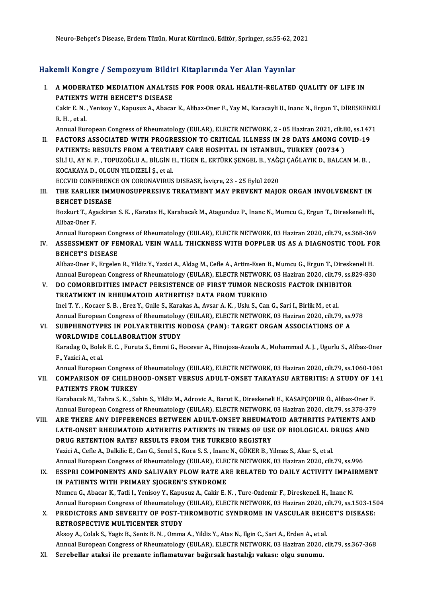Neuro-Behçet'sDisease,ErdemTüzün,MuratKürtüncü,Editör,Springer, ss.55-62,2021

#### Hakemli Kongre / Sempozyum Bildiri Kitaplarında Yer Alan Yayınlar

akemli Kongre / Sempozyum Bildiri Kitaplarında Yer Alan Yayınlar<br>I. AMODERATED MEDIATION ANALYSIS FOR POOR ORAL HEALTH-RELATED QUALITY OF LIFE IN MATT TRONGTO / COMPOLY AM DTATE<br>A MODERATED MEDIATION ANALYSI<br>PATIENTS WITH BEHCET'S DISEASE A MODERATED MEDIATION ANALYSIS FOR POOR ORAL HEALTH-RELATED QUALITY OF LIFE IN<br>PATIENTS WITH BEHCET'S DISEASE<br>Cakir E. N. , Yenisoy Y., Kapusuz A., Abacar K., Alibaz-Oner F., Yay M., Karacayli U., Inanc N., Ergun T., DİRES PATIENTS<br>Cakir E. N.,<br>R. H., et al.<br>Annual Eur Cakir E. N. , Yenisoy Y., Kapusuz A., Abacar K., Alibaz-Oner F., Yay M., Karacayli U., Inanc N., Ergun T., DİRESKENEL<br>R. H. , et al.<br>Annual European Congress of Rheumatology (EULAR), ELECTR NETWORK, 2 - 05 Haziran 2021, ci R. H., et al.<br>Annual European Congress of Rheumatology (EULAR), ELECTR NETWORK, 2 - 05 Haziran 2021, cilt.80, ss.147<br>II. FACTORS ASSOCIATED WITH PROGRESSION TO CRITICAL ILLNESS IN 28 DAYS AMONG COVID-19<br>RATIENTS: RESIU TS Annual European Congress of Rheumatology (EULAR), ELECTR NETWORK, 2 - 05 Haziran 2021, cilt.<br>FACTORS ASSOCIATED WITH PROGRESSION TO CRITICAL ILLNESS IN 28 DAYS AMONG CO<br>PATIENTS: RESULTS FROM A TERTIARY CARE HOSPITAL IN IS FACTORS ASSOCIATED WITH PROGRESSION TO CRITICAL ILLNESS IN 28 DAYS AMONG COVID-19<br>PATIENTS: RESULTS FROM A TERTIARY CARE HOSPITAL IN ISTANBUL, TURKEY (00734 )<br>SİLİ U., AY N. P. , TOPUZOĞLU A., BİLGİN H., TİGEN E., ERTÜRK Ş PATIENTS: RESULTS FROM A TERTIARY CARE HOSPITAL IN ISTANBUL, TURKEY (00734 )<br>SİLİ U., AY N. P. , TOPUZOĞLU A., BİLGİN H., TİGEN E., ERTÜRK ŞENGEL B., YAĞÇI ÇAĞLAYIK D., BALCA<br>KOCAKAYA D., OLGUN YILDIZELİ Ş., et al.<br>ECCVID SİLİ U., AY N. P. , TOPUZOĞLU A., BİLGİN H., TİGEN E., ERTÜRK ŞENGEL B., YAĞ(<br>KOCAKAYA D., OLGUN YILDIZELİ Ş., et al.<br>ECCVID CONFERENCE ON CORONAVIRUS DISEASE, İsviçre, 23 - 25 Eylül 2020<br>THE FARL JER JIMMINOSURRRESIYE TRE KOCAKAYA D., OLGUN YILDIZELİ Ş., et al.<br>ECCVID CONFERENCE ON CORONAVIRUS DISEASE, İsviçre, 23 - 25 Eylül 2020<br>III. THE EARLIER IMMUNOSUPPRESIVE TREATMENT MAY PREVENT MAJOR ORGAN INVOLVEMENT IN<br>REHCET DISEASE ECCVID CONFERENC<br>THE EARLIER IMM<br>BEHCET DISEASE<br>Begluut T. Agesline THE EARLIER IMMUNOSUPPRESIVE TREATMENT MAY PREVENT MAJOR ORGAN INVOLVEMENT IN<br>BEHCET DISEASE<br>Bozkurt T., Agackiran S. K. , Karatas H., Karabacak M., Atagunduz P., Inanc N., Mumcu G., Ergun T., Direskeneli H.,<br>Alibaz Open E BEHCET DISEASE<br>Bozkurt T., Agackiran S. K. , Karatas H., Karabacak M., Atagunduz P., Inanc N., Mumcu G., Ergun T., Direskeneli H.,<br>Alibaz-Oner F. Bozkurt T., Agackiran S. K. , Karatas H., Karabacak M., Atagunduz P., Inanc N., Mumcu G., Ergun T., Direskeneli H.,<br>Alibaz-Oner F.<br>Annual European Congress of Rheumatology (EULAR), ELECTR NETWORK, 03 Haziran 2020, cilt.79, Alibaz-Oner F.<br>Annual European Congress of Rheumatology (EULAR), ELECTR NETWORK, 03 Haziran 2020, cilt.79, ss.368-369<br>IV. ASSESSMENT OF FEMORAL VEIN WALL THICKNESS WITH DOPPLER US AS A DIAGNOSTIC TOOL FOR<br>RELICETIS DISE Annual European Con<br>ASSESSMENT OF FE<br>BEHCET'S DISEASE<br>Alibaz Oper E. Ergeler ASSESSMENT OF FEMORAL VEIN WALL THICKNESS WITH DOPPLER US AS A DIAGNOSTIC TOOL FO<br>BEHCET'S DISEASE<br>Alibaz-Oner F., Ergelen R., Yildiz Y., Yazici A., Aldag M., Cefle A., Artim-Esen B., Mumcu G., Ergun T., Direskeneli H.<br>Ann BEHCET'S DISEASE<br>Alibaz-Oner F., Ergelen R., Yildiz Y., Yazici A., Aldag M., Cefle A., Artim-Esen B., Mumcu G., Ergun T., Direskeneli H.<br>Annual European Congress of Rheumatology (EULAR), ELECTR NETWORK, 03 Haziran 2020, ci Alibaz-Oner F., Ergelen R., Yildiz Y., Yazici A., Aldag M., Cefle A., Artim-Esen B., Mumcu G., Ergun T., Diresk<br>Annual European Congress of Rheumatology (EULAR), ELECTR NETWORK, 03 Haziran 2020, cilt.79, ss.&<br>V. DO COMORBI Annual European Congress of Rheumatology (EULAR), ELECTR NETWORK, 03 Haziran 2020, cilt.79, ss.829-830<br>V. DO COMORBIDITIES IMPACT PERSISTENCE OF FIRST TUMOR NECROSIS FACTOR INHIBITOR<br>TREATMENT IN RHEUMATOID ARTHRITIS? DATA DO COMORBIDITIES IMPACT PERSISTENCE OF FIRST TUMOR NECROSIS FACTOR INHIBIT<br>TREATMENT IN RHEUMATOID ARTHRITIS? DATA FROM TURKBIO<br>Inel T.Y., Kocaer S.B., Erez Y., Gulle S., Karakas A., Avsar A. K. , Uslu S., Can G., Sari I., TREATMENT IN RHEUMATOID ARTHRITIS? DATA FROM TURKBIO<br>Inel T. Y. , Kocaer S. B. , Erez Y., Gulle S., Karakas A., Avsar A. K. , Uslu S., Can G., Sari I., Birlik M., et al.<br>Annual European Congress of Rheumatology (EULAR), EL Inel T. Y. , Kocaer S. B. , Erez Y., Gulle S., Karakas A., Avsar A. K. , Uslu S., Can G., Sari I., Birlik M., et al.<br>Annual European Congress of Rheumatology (EULAR), ELECTR NETWORK, 03 Haziran 2020, cilt.79, ss.<br>VI. SUBPH Annual European Congress of Rheumatology (EULAR), ELECTR NETWORK, 03 Haziran 2020, cilt.79, ss.978<br>SUBPHENOTYPES IN POLYARTERITIS NODOSA (PAN): TARGET ORGAN ASSOCIATIONS OF A<br>WORLDWIDE COLLABORATION STUDY SUBPHENOTYPES IN POLYARTERITIS NODOSA (PAN): TARGET ORGAN ASSOCIATIONS OF A<br>WORLDWIDE COLLABORATION STUDY<br>Karadag O., Bolek E. C. , Furuta S., Emmi G., Hocevar A., Hinojosa-Azaola A., Mohammad A. J. , Ugurlu S., Alibaz-One WORLDWIDE<br>Karadag O., Bolel<br>F., Yazici A., et al.<br>Annual Europear Karadag O., Bolek E. C. , Furuta S., Emmi G., Hocevar A., Hinojosa-Azaola A., Mohammad A. J. , Ugurlu S., Alibaz-Oner<br>F., Yazici A., et al.<br>Annual European Congress of Rheumatology (EULAR), ELECTR NETWORK, 03 Haziran 2020, F., Yazici A., et al.<br>Annual European Congress of Rheumatology (EULAR), ELECTR NETWORK, 03 Haziran 2020, cilt.79, ss.1060-1061<br>VII. COMPARISON OF CHILDHOOD-ONSET VERSUS ADULT-ONSET TAKAYASU ARTERITIS: A STUDY OF 141<br>RA Annual European Congress o<br>COMPARISON OF CHILDHO<br>PATIENTS FROM TURKEY COMPARISON OF CHILDHOOD-ONSET VERSUS ADULT-ONSET TAKAYASU ARTERITIS: A STUDY OF 1<br>PATIENTS FROM TURKEY<br>Karabacak M., Tahra S. K. , Sahin S., Yildiz M., Adrovic A., Barut K., Direskeneli H., KASAPÇOPUR Ö., Alibaz-Oner F.<br>An PATIENTS FROM TURKEY<br>Karabacak M., Tahra S. K. , Sahin S., Yildiz M., Adrovic A., Barut K., Direskeneli H., KASAPÇOPUR Ö., Alibaz-Oner F.<br>Annual European Congress of Rheumatology (EULAR), ELECTR NETWORK, 03 Haziran 2020, c Karabacak M., Tahra S. K. , Sahin S., Yildiz M., Adrovic A., Barut K., Direskeneli H., KASAPÇOPUR Ö., Alibaz-Oner F.<br>Annual European Congress of Rheumatology (EULAR), ELECTR NETWORK, 03 Haziran 2020, cilt.79, ss.378-379<br>VI Annual European Congress of Rheumatology (EULAR), ELECTR NETWORK, 03 Haziran 2020, cilt.79, ss.378-379<br>VIII. ARE THERE ANY DIFFERENCES BETWEEN ADULT-ONSET RHEUMATOID ARTHRITIS PATIENTS AND<br>LATE-ONSET RHEUMATOID ARTHRITIS P ARE THERE ANY DIFFERENCES BETWEEN ADULT-ONSET RHEUMAT<br>LATE-ONSET RHEUMATOID ARTHRITIS PATIENTS IN TERMS OF USI<br>DRUG RETENTION RATE? RESULTS FROM THE TURKBIO REGISTRY<br>Varici A. Cefle A. Dalitlie E. Can G. Sanal S. Kosa S. S LATE-ONSET RHEUMATOID ARTHRITIS PATIENTS IN TERMS OF USE OF BIOLOGICAL D<br>DRUG RETENTION RATE? RESULTS FROM THE TURKBIO REGISTRY<br>Yazici A., Cefle A., Dalkilic E., Can G., Senel S., Koca S. S. , Inanc N., GÖKER B., Yilmaz S. DRUG RETENTION RATE? RESULTS FROM THE TURKBIO REGISTRY<br>Yazici A., Cefle A., Dalkilic E., Can G., Senel S., Koca S. S. , Inanc N., GÖKER B., Yilmaz S., Akar S., et al<br>Annual European Congress of Rheumatology (EULAR), ELECTR Yazici A., Cefle A., Dalkilic E., Can G., Senel S., Koca S. S. , Inanc N., GÖKER B., Yilmaz S., Akar S., et al.<br>Annual European Congress of Rheumatology (EULAR), ELECTR NETWORK, 03 Haziran 2020, cilt.79, ss.996<br>IX. ESS Annual European Congress of Rheumatology (EULAR), ELECTRISS COMPONENTS AND SALIVARY FLOW RATE ARE<br>IN PATIENTS WITH PRIMARY SJOGREN'S SYNDROME<br>Mumau C. Abecer K. Tetli L. Venisou V. Kenusur A. Celin E. I

ESSPRI COMPONENTS AND SALIVARY FLOW RATE ARE RELATED TO DAILY ACTIVITY IMPAI<br>IN PATIENTS WITH PRIMARY SJOGREN'S SYNDROME<br>Mumcu G., Abacar K., Tatli I., Yenisoy Y., Kapusuz A., Cakir E. N. , Ture-Ozdemir F., Direskeneli H., IN PATIENTS WITH PRIMARY SJOGREN'S SYNDROME<br>Mumcu G., Abacar K., Tatli I., Yenisoy Y., Kapusuz A., Cakir E. N. , Ture-Ozdemir F., Direskeneli H., Inanc N.<br>Annual European Congress of Rheumatology (EULAR), ELECTR NETWORK, 0 Mumcu G., Abacar K., Tatli I., Yenisoy Y., Kapusuz A., Cakir E. N. , Ture-Ozdemir F., Direskeneli H., Inanc N.<br>Annual European Congress of Rheumatology (EULAR), ELECTR NETWORK, 03 Haziran 2020, cilt.79, ss.1503-15<br>X. PREDI

Annual European Congress of Rheumatology<br>PREDICTORS AND SEVERITY OF POST-T<br>RETROSPECTIVE MULTICENTER STUDY X. PREDICTORS AND SEVERITY OF POST-THROMBOTIC SYNDROME IN VASCULAR BEHCET'S DISEASE:<br>RETROSPECTIVE MULTICENTER STUDY<br>Aksoy A., Colak S., Yagiz B., Seniz B. N. , Omma A., Yildiz Y., Atas N., Ilgin C., Sari A., Erden A., et

Annual European Congress of Rheumatology (EULAR), ELECTR NETWORK, 03 Haziran 2020, cilt.79, ss.367-368

XI. Serebel ar ataksi ile prezante inflamatuvar bağırsak hastalığı vakası: olgu sunumu.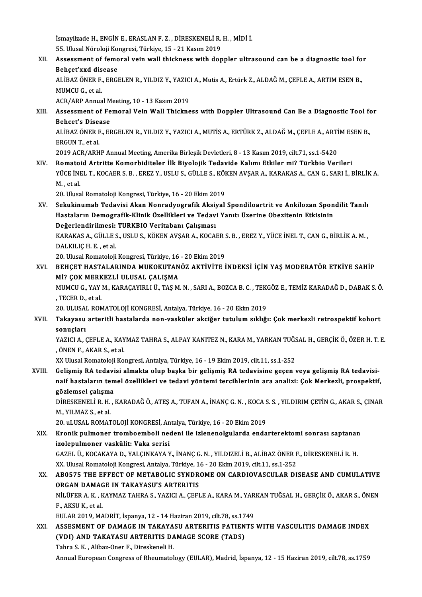İsmayilzade H., ENGİN E., ERASLAN F. Z. , DİRESKENELİ R. H. , MİDİ İ.<br>EE Ulucel Nöroloji Kongresi Türkiye 15 - 21 Kesur 2019 ismayilzade H., ENGİN E., ERASLAN F. Z. , DİRESKENELİ R.<br>55. Ulusal Nöroloji Kongresi, Türkiye, 15 - 21 Kasım 2019<br>Assessment of femenal vejn vuall thiskness with den 55. Ulusal Nöroloji Kongresi, Türkiye, 15 - 21 Kasım 2019

XII. Assessment of femoral vein wall thickness with doppler ultrasound can be a diagnostic tool for<br>Behcet'xxd disease Assessment of femoral vein wall thickness with doppler ultrasound can be a diagnostic tool fo<br>Behçet'xxd disease<br>ALİBAZ ÖNER F., ERGELEN R., YILDIZ Y., YAZICI A., Mutis A., Ertürk Z., ALDAĞ M., ÇEFLE A., ARTIM ESEN B.,<br>MUM

**Behçet'xxd dis<br>ALİBAZ ÖNER F.<br>MUMCU G., et al.**<br>ACP (APP Annua ALİBAZ ÖNER F., ERGELEN R., YILDIZ Y., YAZIC<br>MUMCU G., et al.<br>ACR/ARP Annual Meeting, 10 - 13 Kasım 2019<br>Assessment of Femoral Vein Wall Thiskne

ACR/ARP Annual Meeting, 10 - 13 Kasım 2019

MUMCU G., et al.<br>ACR/ARP Annual Meeting, 10 - 13 Kasım 2019<br>XIII. Assessment of Femoral Vein Wall Thickness with Doppler Ultrasound Can Be a Diagnostic Tool for<br>Behcet's Disease Assessment of Femoral Vein Wall Thickness with Doppler Ultrasound Can Be a Diagnostic Tool fo<br>Behcet's Disease<br>ALİBAZ ÖNER F., ERGELEN R., YILDIZ Y., YAZICI A., MUTİS A., ERTÜRK Z., ALDAĞ M., ÇEFLE A., ARTİM ESEN B.,<br>ERCUN

Behcet's Disea<br>ALIBAZ ÖNER F<br>ERGUN T., et al.<br>2019 ACB (APH ALİBAZ ÖNER F., ERGELEN R., YILDIZ Y., YAZICI A., MUTİS A., ERTÜRK Z., ALDAĞ M., ÇEFLE A., ARTİ<br>ERGUN T., et al.<br>2019 ACR/ARHP Annual Meeting, Amerika Birleşik Devletleri, 8 - 13 Kasım 2019, cilt.71, ss.1-5420<br>Bomataid, Ar

ERGUN T., et al.<br>2019 ACR/ARHP Annual Meeting, Amerika Birleşik Devletleri, 8 - 13 Kasım 2019, cilt.71, ss.1-5420<br>XIV. Romatoid Artritte Komorbiditeler İlk Biyolojik Tedavide Kalımı Etkiler mi? Türkbio Verileri

2019 ACR/ARHP Annual Meeting, Amerika Birleşik Devletleri, 8 - 13 Kasım 2019, cilt.71, ss.1-5420<br>Romatoid Artritte Komorbiditeler İlk Biyolojik Tedavide Kalımı Etkiler mi? Türkbio Verileri<br>YÜCE İNEL T., KOCAER S. B. , EREZ Romato<br>YÜCE İNI<br>M. , et al.<br>20. Uhrea YÜCE İNEL T., KOCAER S. B. , EREZ Y., USLU S., GÜLLE S., KÖI<br>M. , et al.<br>20. Ulusal Romatoloji Kongresi, Türkiye, 16 - 20 Ekim 2019<br>Sekukinumah Todavisi Akan Nongotvegrefik Aksiyel

M. , et al.<br>20. Ulusal Romatoloji Kongresi, Türkiye, 16 - 20 Ekim 2019<br>XV. Sekukinumab Tedavisi Akan Nonradyografik Aksiyal Spondiloartrit ve Ankilozan Spondilit Tanılı<br>Hastaların Domagrafik Klinik Özellikleri ve Tedav 20. Ulusal Romatoloji Kongresi, Türkiye, 16 - 20 Ekim 2019<br>Sekukinumab Tedavisi Akan Nonradyografik Aksiyal Spondiloartrit ve Ankilozan Spon<br>Hastaların Demografik-Klinik Özellikleri ve Tedavi Yanıtı Üzerine Obezitenin Etki Sekukinumab Tedavisi Akan Nonradyografik Aksiy<br>Hastaların Demografik-Klinik Özellikleri ve Tedav<br>Değerlendirilmesi: TURKBIO Veritabanı Çalışması<br>KARAKAS A CÜLLES HELLS KÖKEN AKSAR A KOSAL Hastaların Demografik-Klinik Özellikleri ve Tedavi Yanıtı Üzerine Obezitenin Etkisinin<br>Değerlendirilmesi: TURKBIO Veritabanı Çalışması<br>KARAKAS A., GÜLLE S., USLU S., KÖKEN AVŞAR A., KOCAER S. B. , EREZ Y., YÜCE İNEL T., CA

Değerlendirilmesi:<br>KARAKAS A., GÜLLE S<br>DALKILIÇ H. E. , et al.<br>20. Ulusal Bamatalaii KARAKAS A., GÜLLE S., USLU S., KÖKEN AVŞAR A., KOCAER S.<br>DALKILIÇ H. E. , et al.<br>20. Ulusal Romatoloji Kongresi, Türkiye, 16 - 20 Ekim 2019<br>PEHCET HASTAL ARINDA MUKOKUTANÖZ AKTİVİTE İ

## DALKILIÇ H. E. , et al.<br>20. Ulusal Romatoloji Kongresi, Türkiye, 16 - 20 Ekim 2019<br>XVI. BEHÇET HASTALARINDA MUKOKUTANÖZ AKTİVİTE İNDEKSİ İÇİN YAŞ MODERATÖR ETKİYE SAHİP<br>MİZ COK MERKEZLİ III USAL CALISMA 20. Ulusal Romatoloji Kongresi, Türkiye, 16<br>BEHÇET HASTALARINDA MUKOKUTAN<br>Mİ? ÇOK MERKEZLİ ULUSAL ÇALIŞMA<br>MUMCU C. YAY M. KABACAYIPLLÜ, TAS M BEHÇET HASTALARINDA MUKOKUTANÖZ AKTİVİTE İNDEKSİ İÇİN YAŞ MODERATÖR ETKİYE SAHİP<br>Mİ? ÇOK MERKEZLİ ULUSAL ÇALIŞMA<br>MUMCU G., YAY M., KARAÇAYIRLI Ü., TAŞ M. N. , SARI A., BOZCA B. C. , TEKGÖZ E., TEMİZ KARADAĞ D., DABAK S. Ö.

Mİ? ÇOK MERKEZLİ ULUSAL ÇALIŞMA<br>MUMCU G., YAY M., KARAÇAYIRLI Ü., TAŞ M. N. , SARI A., BOZCA B. C. , TEK<br>, TECER D., et al.<br>20. ULUSAL ROMATOLOJİ KONGRESİ, Antalya, Türkiye, 16 - 20 Ekim 2019 MUMCU G., YAY M., KARAÇAYIRLI Ü., TAŞ M. N. , SARI A., BOZCA B. C. , TEKGÖZ E., TEMİZ KARADAĞ D., DABAK S. Ö.

## , TECER D., et al.<br>20. ULUSAL ROMATOLOJİ KONGRESİ, Antalya, Türkiye, 16 - 20 Ekim 2019<br>XVII. Takayasu arteritli hastalarda non-vasküler akciğer tutulum sıklığı: Çok merkezli retrospektif kohort<br>20. urlanı 20. ULUSA<br><mark>Takayasu</mark><br>sonuçları<br><sup>VAZICLA</sup> ( Takayasu arteritli hastalarda non-vasküler akciğer tutulum sıklığı: Çok merkezli retrospektif kohort<br>sonuçları<br>YAZICI A., ÇEFLE A., KAYMAZ TAHRA S., ALPAY KANITEZ N., KARA M., YARKAN TUĞSAL H., GERÇİK Ö., ÖZER H. T. E.<br>ÖNE

sonuçları<br>YAZICI A., ÇEFLE A., KAYMAZ TAHRA S., ALPAY KANITEZ N., KARA M., YARKAN TUĞSAL H., GERÇİK Ö., ÖZER H. T. E.<br>, ÖNEN F., AKAR S., et al.

XX Ulusal Romatoloji Kongresi, Antalya, Türkiye, 16 - 19 Ekim 2019, cilt.11, ss.1-252

XX Ulusal Romatoloji Kongresi, Antalya, Türkiye, 16 - 19 Ekim 2019, cilt.11, ss.1-252,<br>XX Ulusal Romatoloji Kongresi, Antalya, Türkiye, 16 - 19 Ekim 2019, cilt.11, ss.1-252<br>XVIII. Gelişmiş RA tedavisi almakta olup başk naif hastaların temel özellikleri ve tedavi yöntemi tercihlerinin ara analizi: Çok Merkezli, prospektif, Gelişmiş RA tedavi<br>naif hastaların tem<br>gözlemsel çalışma<br>Dinesyeneti n gözlemsel çalışma

DİRESKENELİ R. H. , KARADAĞ Ö., ATEŞ A., TUFAN A., İNANÇ G. N. , KOCA S. S. , YILDIRIM ÇETİN G., AKAR S., ÇINAR<br>M., YILMAZ S., et al. DİRESKENELİ R. H. , KARADAĞ Ö., ATEŞ A., TUFAN A., İNANÇ G. N. , KOCA S.<br>M., YILMAZ S., et al.<br>20. uLUSAL ROMATOLOJİ KONGRESİ, Antalya, Türkiye, 16 - 20 Ekim 2019<br>Kranik pulmanar trambasımbali nadani ile izlananalsıylarda

XIX. Kronik pulmoner tromboemboli nedeni ile izlenenolgularda endarterektomi sonrası saptanan 20. uLUSAL ROMATOLOJİ KONGRESİ, An<br>Kronik pulmoner tromboemboli ne<br>izolepulmoner vaskülit: Vaka serisi<br>GAZEL ÜLKOGAKAYA DI YALGINKAYA Y Kronik pulmoner tromboemboli nedeni ile izlenenolgularda endarterektomi sonrası saptanar<br>izolepulmoner vaskülit: Vaka serisi<br>GAZEL Ü., KOCAKAYA D., YALÇINKAYA Y., İNANÇ G. N. , YILDIZELİ B., ALİBAZ ÖNER F., DİRESKENELİ R. izolepulmoner vaskülit: Vaka serisi<br>GAZEL Ü., KOCAKAYA D., YALÇINKAYA Y., İNANÇ G. N. , YILDIZELİ B., ALİBAZ ÖNER F<br>XX. Ulusal Romatoloji Kongresi, Antalya, Türkiye, 16 - 20 Ekim 2019, cilt.11, ss.1-252<br>AROEZE TUE EEEECT O

## GAZEL Ü., KOCAKAYA D., YALÇINKAYA Y., İNANÇ G. N. , YILDIZELİ B., ALİBAZ ÖNER F., DİRESKENELİ R. H.<br>XX. Ulusal Romatoloji Kongresi, Antalya, Türkiye, 16 - 20 Ekim 2019, cilt.11, ss.1-252<br>XX. AB0575 THE EFFECT OF METABO XX. Ulusal Romatoloji Kongresi, Antalya, Türkiye, 1<br>AB0575 THE EFFECT OF METABOLIC SYNDR<br>ORGAN DAMAGE IN TAKAYASU'S ARTERITIS<br>NU ÜEER A K. KAYMAZ TAHRA S. YAZICLA, CEEL AB0575 THE EFFECT OF METABOLIC SYNDROME ON CARDIOVASCULAR DISEASE AND CUMULATIVE<br>ORGAN DAMAGE IN TAKAYASU'S ARTERITIS<br>NİLÜFER A. K., KAYMAZ TAHRA S., YAZICI A., ÇEFLE A., KARA M., YARKAN TUĞSAL H., GERÇİK Ö., AKAR S., ÖNEN

**ORGAN DAMAGE IN TAKAYASU'S ARTERITIS<br>NİLÜFER A. K., KAYMAZ TAHRA S., YAZICI A., ÇEFI<br>F., AKSU K., et al.** NİLÜFER A. K., KAYMAZ TAHRA S., YAZICI A., ÇEFLE A., KARA M., YARKAN TUĞSAL H., GERÇİK Ö., AKAR S., ÖNEN

## F., AKSU K., et al.<br>EULAR 2019, MADRİT, İspanya, 12 - 14 Haziran 2019, cilt.78, ss.1749<br>XXI. ASSESMENT OF DAMAGE IN TAKAYASU ARTERITIS PATIENTS WITH VASCULITIS DAMAGE INDEX<br>(YDL) AND TAKAYASU ARTERITIS DAMAGE SCORE (TA EULAR 2019, MADRIT, İspanya, 12 - 14 Haziran 2019, cilt.78, ss.1749<br>ASSESMENT OF DAMAGE IN TAKAYASU ARTERITIS PATIENTS<br>(VDI) AND TAKAYASU ARTERITIS DAMAGE SCORE (TADS)<br>Tahra S. K., Alibaz-Oner F., Direskeneli H. ASSESMENT OF DAMAGE IN TAKAYA<br>(VDI) AND TAKAYASU ARTERITIS DA<br>Tahra S.K., Alibaz-Oner F., Direskeneli H.<br>Annual Euronean Congress of Bhoumatal

Annual European Congress of Rheumatology (EULAR), Madrid, İspanya, 12 - 15 Haziran 2019, cilt.78, ss.1759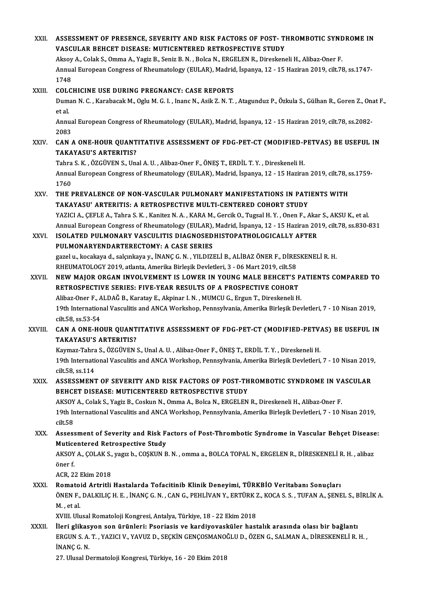| XXII.   | ASSESSMENT OF PRESENCE, SEVERITY AND RISK FACTORS OF POST- THROMBOTIC SYNDROME IN<br>VASCULAR BEHCET DISEASE: MUTICENTERED RETROSPECTIVE STUDY                                                                                       |
|---------|--------------------------------------------------------------------------------------------------------------------------------------------------------------------------------------------------------------------------------------|
|         | Aksoy A., Colak S., Omma A., Yagiz B., Seniz B. N., Bolca N., ERGELEN R., Direskeneli H., Alibaz-Oner F.                                                                                                                             |
|         | Annual European Congress of Rheumatology (EULAR), Madrid, İspanya, 12 - 15 Haziran 2019, cilt.78, ss.1747-<br>1748                                                                                                                   |
| XXIII.  | <b>COLCHICINE USE DURING PREGNANCY: CASE REPORTS</b>                                                                                                                                                                                 |
|         | Duman N. C., Karabacak M., Oglu M. G. I., Inanc N., Asik Z. N. T., Atagunduz P., Özkula S., Gülhan R., Goren Z., Onat F.,<br>et al.                                                                                                  |
|         | Annual European Congress of Rheumatology (EULAR), Madrid, İspanya, 12 - 15 Haziran 2019, cilt.78, ss.2082-<br>2083                                                                                                                   |
| XXIV.   | CAN A ONE-HOUR QUANTITATIVE ASSESSMENT OF FDG-PET-CT (MODIFIED-PETVAS) BE USEFUL IN<br><b>TAKAYASU'S ARTERITIS?</b>                                                                                                                  |
|         | Tahra S. K., ÖZGÜVEN S., Unal A. U., Alibaz-Oner F., ÖNEŞ T., ERDİL T. Y., Direskeneli H.                                                                                                                                            |
|         | Annual European Congress of Rheumatology (EULAR), Madrid, İspanya, 12 - 15 Haziran 2019, cilt.78, ss.1759-<br>1760                                                                                                                   |
| XXV.    | THE PREVALENCE OF NON-VASCULAR PULMONARY MANIFESTATIONS IN PATIENTS WITH<br>TAKAYASU' ARTERITIS: A RETROSPECTIVE MULTI-CENTERED COHORT STUDY                                                                                         |
|         | YAZICI A., ÇEFLE A., Tahra S. K., Kanitez N. A., KARA M., Gercik O., Tugsal H. Y., Onen F., Akar S., AKSU K., et al.<br>Annual European Congress of Rheumatology (EULAR), Madrid, İspanya, 12 - 15 Haziran 2019, cilt.78, ss.830-831 |
| XXVI.   | ISOLATED PULMONARY VASCULITIS DIAGNOSEDHISTOPATHOLOGICALLY AFTER<br>PULMONARYENDARTERECTOMY: A CASE SERIES                                                                                                                           |
|         | gazel u., kocakaya d., salçınkaya y., İNANÇ G. N., YILDIZELİ B., ALİBAZ ÖNER F., DİRESKENELİ R. H.                                                                                                                                   |
|         | RHEUMATOLOGY 2019, atlanta, Amerika Birleşik Devletleri, 3 - 06 Mart 2019, cilt.58                                                                                                                                                   |
| XXVII.  | NEW MAJOR ORGAN INVOLVEMENT IS LOWER IN YOUNG MALE BEHCET'S PATIENTS COMPARED TO                                                                                                                                                     |
|         | RETROSPECTIVE SERIES: FIVE-YEAR RESULTS OF A PROSPECTIVE COHORT                                                                                                                                                                      |
|         | Alibaz-Oner F., ALDAĞ B., Karatay E., Akpinar I. N., MUMCU G., Ergun T., Direskeneli H.                                                                                                                                              |
|         | 19th International Vasculitis and ANCA Workshop, Pennsylvania, Amerika Birleşik Devletleri, 7 - 10 Nisan 2019,<br>cilt 58, ss 53-54                                                                                                  |
| XXVIII. | CAN A ONE-HOUR QUANTITATIVE ASSESSMENT OF FDG-PET-CT (MODIFIED-PETVAS) BE USEFUL IN                                                                                                                                                  |
|         | <b>TAKAYASU'S ARTERITIS?</b>                                                                                                                                                                                                         |
|         | Kaymaz-Tahra S., ÖZGÜVEN S., Unal A. U., Alibaz-Oner F., ÖNES T., ERDİL T. Y., Direskeneli H.                                                                                                                                        |
|         | 19th International Vasculitis and ANCA Workshop, Pennsylvania, Amerika Birleşik Devletleri, 7 - 10 Nisan 2019,<br>cilt 58, ss 114                                                                                                    |
| XXIX.   | ASSESSMENT OF SEVERITY AND RISK FACTORS OF POST-THROMBOTIC SYNDROME IN VASCULAR<br>BEHCET DISEASE: MUTICENTERED RETROSPECTIVE STUDY                                                                                                  |
|         | AKSOY A., Colak S., Yagiz B., Coskun N., Omma A., Bolca N., ERGELEN R., Direskeneli H., Alibaz-Oner F.                                                                                                                               |
|         | 19th International Vasculitis and ANCA Workshop, Pennsylvania, Amerika Birleşik Devletleri, 7 - 10 Nisan 2019,<br>cilt <sub>58</sub>                                                                                                 |
| XXX.    | Assessment of Severity and Risk Factors of Post-Thrombotic Syndrome in Vascular Behçet Disease:                                                                                                                                      |
|         | Muticentered Retrospective Study                                                                                                                                                                                                     |
|         | AKSOY A., ÇOLAK S., yagız b., COŞKUN B. N., omma a., BOLCA TOPAL N., ERGELEN R., DİRESKENELİ R. H., alibaz<br>öner f                                                                                                                 |
|         | ACR, 22 Ekim 2018                                                                                                                                                                                                                    |
| XXXI.   | Romatoid Artritli Hastalarda Tofacitinib Klinik Deneyimi, TÜRKBİO Veritabanı Sonuçları                                                                                                                                               |
|         | ÖNEN F., DALKILIÇ H. E., İNANÇ G. N., CAN G., PEHLİVAN Y., ERTÜRK Z., KOCA S. S., TUFAN A., ŞENEL S., BİRLİK A.<br>M, et al.                                                                                                         |
|         | XVIII. Ulusal Romatoloji Kongresi, Antalya, Türkiye, 18 - 22 Ekim 2018                                                                                                                                                               |
| XXXII.  | İleri glikasyon son ürünleri: Psoriasis ve kardiyovasküler hastalık arasında olası bir bağlantı<br>ERGUN S. A. T., YAZICI V., YAVUZ D., SEÇKİN GENÇOSMANOĞLU D., ÖZEN G., SALMAN A., DİRESKENELİ R. H.,                              |
|         | INANÇ G.N.<br>27. Ulusal Dermatoloji Kongresi, Türkiye, 16 - 20 Ekim 2018                                                                                                                                                            |
|         |                                                                                                                                                                                                                                      |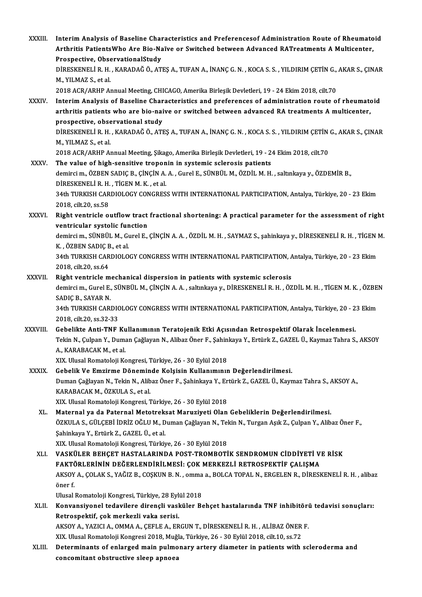XXXIII. Interim Analysis of Baseline Characteristics and Preferencesof Administration Route of Rheumatoid<br>Arthritic PotiontoWho Are Bio Neïve en Switched between Advanced PATreetments A Multicenter Interim Analysis of Baseline Characteristics and Preferencesof Administration Route of Rheumato<br>Arthritis PatientsWho Are Bio-Naïve or Switched between Advanced RATreatments A Multicenter, Interim Analysis of Baseline Chai<br>Arthritis PatientsWho Are Bio-Na<br>Prospective, ObservationalStudy<br>DipESVENELLE H. KARADAČÖ AT Arthritis PatientsWho Are Bio-Naïve or Switched between Advanced RATreatments A Multicenter,<br>Prospective, ObservationalStudy<br>DİRESKENELİ R.H., KARADAĞ Ö., ATEŞ A., TUFAN A., İNANÇ G. N. , KOCA S. S. , YILDIRIM ÇETİN G., AK Prospective, Obse<br>DIRESKENELI R. H.<br>M., YILMAZ S., et al.<br>2019 ACP (ABUB A) DİRESKENELİ R. H. , KARADAĞ Ö., ATEŞ A., TUFAN A., İNANÇ G. N. , KOCA S. S. , YILDIRIM ÇETİN G.,<br>M., YILMAZ S., et al.<br>2018 ACR/ARHP Annual Meeting, CHICAGO, Amerika Birleşik Devletleri, 19 - 24 Ekim 2018, cilt.70<br>Interim M., YILMAZ S., et al.<br>2018 ACR/ARHP Annual Meeting, CHICAGO, Amerika Birleşik Devletleri, 19 - 24 Ekim 2018, cilt.70<br>XXXIV. Interim Analysis of Baseline Characteristics and preferences of administration route of rheuma 2018 ACR/ARHP Annual Meeting, CHICAGO, Amerika Birleşik Devletleri, 19 - 24 Ekim 2018, cilt.70<br>Interim Analysis of Baseline Characteristics and preferences of administration route of rheumato<br>arthritis patients who are bio Interim Analysis of Baseline Char<br>arthritis patients who are bio-nai<br>prospective, observational study<br>pipesyeneti p u = KARADAČÖ ATI arthritis patients who are bio-naive or switched between advanced RA treatments A multicenter,<br>prospective, observational study<br>DİRESKENELİ R.H., KARADAĞ Ö., ATEŞ A., TUFAN A., İNANÇ G. N. , KOCA S. S. , YILDIRIM ÇETİN G., prospective, obse<br>DIRESKENELI R. H.<br>M., YILMAZ S., et al.<br>2019 ACP (ABUB A) DİRESKENELİ R. H. , KARADAĞ Ö., ATEŞ A., TUFAN A., İNANÇ G. N. , KOCA S. S. , YILDIRIM ÇETİN<br>M., YILMAZ S., et al.<br>2018 ACR/ARHP Annual Meeting, Şikago, Amerika Birleşik Devletleri, 19 - 24 Ekim 2018, cilt.70<br>The value of M., YILMAZ S., et al.<br>2018 ACR/ARHP Annual Meeting, Şikago, Amerika Birleşik Devletleri, 19 - 24 Ekim 2018, cilt.70<br>XXXV. The value of high-sensitive troponin in systemic sclerosis patients 2018 ACR/ARHP Annual Meeting, Şikago, Amerika Birleşik Devletleri, 19 - 24 Ekim 2018, cilt.70<br>The value of high-sensitive troponin in systemic sclerosis patients<br>demirci m., ÖZBEN SADIÇ B., ÇİNÇİN A. A. , Gurel E., SÜNBÜL The value of high-sensitive tropon<br>demirci m., ÖZBEN SADIÇ B., ÇİNÇİN A.<br>DİRESKENELİ R. H. , TİGEN M. K. , et al.<br>24th TURKISH GARDIQLOCY CONGRES. 34th TURKISH CARDIOLOGY CONGRESS WITH INTERNATIONAL PARTICIPATION, Antalya, Türkiye, 20 - 23 Ekim<br>2018, cilt.20, ss.58 DIRESKENELI R. H., TIGEN M. K., et al. 34th TURKISH CARDIOLOGY CONGRESS WITH INTERNATIONAL PARTICIPATION, Antalya, Türkiye, 20 - 23 Ekim<br>2018, cilt.20, ss.58<br>XXXVI. Right ventricle outflow tract fractional shortening: A practical parameter for the assessment of 2018, cilt.20, ss.58<br>Right ventricle outflow tract<br>ventricular systolic function<br>demingi m. SÜNPÜL M. Gunal E Right ventricle outflow tract fractional shortening: A practical parameter for the assessment of right<br>ventricular systolic function<br>demirci m., SÜNBÜL M., Gurel E., ÇİNÇİN A.A. , ÖZDİL M. H. , SAYMAZ S., şahinkaya y., DİR **ventricular systolic fun<br>demirci m., SÜNBÜL M., G.<br>K. , ÖZBEN SADIÇ B., et al.<br>24th TURKISH CARDIQLO** demirci m., SÜNBÜL M., Gurel E., ÇİNÇİN A. A. , ÖZDİL M. H. , SAYMAZ S., şahinkaya y., DİRESKENELİ R. H. , TİGEN I<br>K. , ÖZBEN SADIÇ B., et al.<br>34th TURKISH CARDIOLOGY CONGRESS WITH INTERNATIONAL PARTICIPATION, Antalya, Tür K. , ÖZBEN SADIÇ B., et al.<br>34th TURKISH CARDIOLOGY CONGRESS WITH INTERNATIONAL PARTICIPATION, Antalya, Türkiye, 20 - 23 Ekim<br>2018, cilt.20, ss.64 XXXVII. Right ventricle mechanical dispersion in patients with systemic sclerosis 2018, cilt.20, ss.64<br>Right ventricle mechanical dispersion in patients with systemic sclerosis<br>demirci m., Gurel E., SÜNBÜL M., ÇİNÇİN A. A. , saltınkaya y., DİRESKENELİ R. H. , ÖZDİL M. H. , TİGEN M. K. , ÖZBEN<br>SADIÇ P. S Right ventricle m<br>demirci m., Gurel E.,<br>SADIÇ B., SAYAR N.<br>24th TURKISH CARI demirci m., Gurel E., SÜNBÜL M., ÇİNÇİN A. A. , saltınkaya y., DİRESKENELİ R. H. , ÖZDİL M. H. , TİGEN M. K. , ÖZBEI<br>SADIÇ B., SAYAR N.<br>34th TURKISH CARDIOLOGY CONGRESS WITH INTERNATIONAL PARTICIPATION, Antalya, Türkiye, 2 SADIÇ B., SAYAR N.<br>34th TURKISH CARDIOLOGY CONGRESS WITH INTERNATIONAL PARTICIPATION, Antalya, Türkiye, 20 - 23 Ekim<br>2018, cilt.20, ss.32-33 34th TURKISH CARDIOLOGY CONGRESS WITH INTERNATIONAL PARTICIPATION, Antalya, Türkiye, 20 - 2<br>2018, cilt.20, ss.32-33<br>XXXVIII. Gebelikte Anti-TNF Kullanımının Teratojenik Etki Açısından Retrospektif Olarak İncelenmesi.<br>Tekin 2018, cilt.20, ss.32-33<br>Gebelikte Anti-TNF Kullanımının Teratojenik Etki Açısından Retrospektif Olarak İncelenmesi.<br>Tekin N., Çulpan Y., Duman Çağlayan N., Alibaz Öner F., Şahinkaya Y., Ertürk Z., GAZEL Ü., Kaymaz Tahra S. Gebelikte Anti-TNF Ku<br>Tekin N., Çulpan Y., Duma<br>A., KARABACAK M., et al.<br>YIY. Hlugal Pernataleji Ke Tekin N., Çulpan Y., Duman Çağlayan N., Alibaz Öner F., Şahin<br>A., KARABACAK M., et al.<br>XIX. Ulusal Romatoloji Kongresi, Türkiye, 26 - 30 Eylül 2018<br>Cobelik Ve Emrinme Döneminde Kelsisin Kullanımının A., KARABACAK M., et al.<br>XIX. Ulusal Romatoloji Kongresi, Türkiye, 26 - 30 Eylül 2018<br>XXXIX. Gebelik Ve Emzirme Döneminde Kolşisin Kullanımının Değerlendirilmesi.<br>Duman Cağlayan N. Takin N. Alihaz Öner E. Sahinkaya V. Ertü XIX. Ulusal Romatoloji Kongresi, Türkiye, 26 - 30 Eylül 2018<br>Gebelik Ve Emzirme Döneminde Kolşisin Kullanımının Değerlendirilmesi.<br>Duman Çağlayan N., Tekin N., Alibaz Öner F., Şahinkaya Y., Ertürk Z., GAZEL Ü., Kaymaz Tahr Gebelik Ve Emzirme Dönemin<br>Duman Çağlayan N., Tekin N., Alib<br>KARABACAK M., ÖZKULA S., et al.<br>YIY Hluaal Pemateleji Kengresi Duman Çağlayan N., Tekin N., Alibaz Öner F., Şahinkaya Y., Er<br>KARABACAK M., ÖZKULA S., et al.<br>XIX. Ulusal Romatoloji Kongresi, Türkiye, 26 - 30 Eylül 2018<br>Matannal ve da Patannal Matatrakaat Manuriyati Olan KARABACAK M., ÖZKULA S., et al.<br>XIX. Ulusal Romatoloji Kongresi, Türkiye, 26 - 30 Eylül 2018<br>XL. Maternal ya da Paternal Metotreksat Maruziyeti Olan Gebeliklerin Değerlendirilmesi. XIX. Ulusal Romatoloji Kongresi, Türkiye, 26 - 30 Eylül 2018<br>Maternal ya da Paternal Metotreksat Maruziyeti Olan Gebeliklerin Değerlendirilmesi.<br>ÖZKULA S., GÜLÇEBİ İDRİZ OĞLU M., Duman Çağlayan N., Tekin N., Turgan Aşık Z. Maternal ya da Paternal Metotrek:<br>ÖZKULA S., GÜLÇEBİ İDRİZ OĞLU M., D<br>Şahinkaya Y., Ertürk Z., GAZEL Ü., et al.<br>YIY. Ulusal Pemateleji Kengresi, Türki: ÖZKULA S., GÜLÇEBİ İDRİZ OĞLU M., Duman Çağlayan N., Tel<br>Şahinkaya Y., Ertürk Z., GAZEL Ü., et al.<br>XIX. Ulusal Romatoloji Kongresi, Türkiye, 26 - 30 Eylül 2018<br>VASKÜLER REHCET HASTALARINDA ROST TROMBOTİ Şahinkaya Y., Ertürk Z., GAZEL Ü., et al.<br>XIX. Ulusal Romatoloji Kongresi, Türkiye, 26 - 30 Eylül 2018<br>XLI. VASKÜLER BEHÇET HASTALARINDA POST-TROMBOTİK SENDROMUN CİDDİYETİ VE RİSK<br>RAKTÖRI FRİNİN DEĞERI ENDİRİL MESİ. CO XIX. Ulusal Romatoloji Kongresi, Türkiye, 26 - 30 Eylül 2018<br>VASKÜLER BEHÇET HASTALARINDA POST-TROMBOTİK SENDROMUN CİDDİYETİ V<br>FAKTÖRLERİNİN DEĞERLENDİRİLMESİ: ÇOK MERKEZLİ RETROSPEKTİF ÇALIŞMA<br>AKSOV A, ÇOLAK S, VAĞIZ B, Ç VASKÜLER BEHÇET HASTALARINDA POST-TROMBOTİK SENDROMUN CİDDİYETİ VE RİSK<br>FAKTÖRLERİNİN DEĞERLENDİRİLMESİ: ÇOK MERKEZLİ RETROSPEKTİF ÇALIŞMA<br>AKSOY A., ÇOLAK S., YAĞIZ B., COŞKUN B. N. , omma a., BOLCA TOPAL N., ERGELEN R., D **FAKT<br>AKSOY<br>öner f.**<br>Ulusal AKSOY A., ÇOLAK S., YAĞIZ B., COŞKUN B. N. , omma<br>öner f.<br>Ulusal Romatoloji Kongresi, Türkiye, 28 Eylül 2018<br>Konvensiyenel tedevilere direneli yeşküler. Be öner f.<br>Ulusal Romatoloji Kongresi, Türkiye, 28 Eylül 2018<br>XLII. Konvansiyonel tedavilere dirençli vasküler Behçet hastalarında TNF inhibitörü tedavisi sonuçları:<br>Retrospektif, çok merkezli vaka serisi. Ulusal Romatoloji Kongresi, Türkiye, 28 Eylül 2018 Konvansiyonel tedavilere dirençli vasküler Behçet hastalarında TNF inhibitöri<br>Retrospektif, çok merkezli vaka serisi.<br>AKSOY A., YAZICI A., OMMA A., ÇEFLE A., ERGUN T., DİRESKENELİ R. H. , ALİBAZ ÖNER F.<br>Y.V. Ulusal Bamatal Retrospektif, çok merkezli vaka serisi.<br>AKSOY A., YAZICI A., OMMA A., ÇEFLE A., ERGUN T., DİRESKENELİ R. H. , ALİBAZ ÖNER<br>XIX. Ulusal Romatoloji Kongresi 2018, Muğla, Türkiye, 26 - 30 Eylül 2018, cilt.10, ss.72<br>Determinant AKSOY A., YAZICI A., OMMA A., ÇEFLE A., ERGUN T., DİRESKENELİ R. H. , ALİBAZ ÖNER F.<br>XLII. Determinants of enlarged main pulmonary artery diameter in patients with scleroderma and<br>
 XIX. Ulusal Romatoloji Kongresi 2018, Muğ<br>Determinants of enlarged main pulmo<br>concomitant obstructive sleep apnoea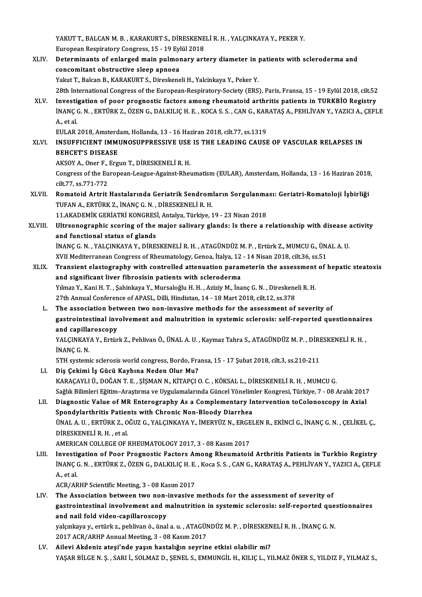YAKUT T., BALCAN M. B. , KARAKURT S., DİRESKENELİ R. H. , YALÇINKAYA Y., PEKER Y.<br>Furansan Bespiratory Congress, 15 , 19 Fylül 2019 YAKUT T., BALCAN M. B. , KARAKURT S., DİRESKENE<br>European Respiratory Congress, 15 - 19 Eylül 2018<br>Determinants of onlanged mejn nulmaneru art European Respiratory Congress, 15 - 19 Eylül 2018

- XLIV. Determinants of enlarged main pulmonary artery diameter in patients with scleroderma and<br>concomitant obstructive sleep apnoea Yakut T., Balcan B., KARAKURT S., Direskeneli H., Yalcinkaya Y., Peker Y. 28th International Congress of the European-Respiratory-Society (ERS), Paris, Fransa, 15 - 19 Eylül 2018, cilt.52 Yakut T., Balcan B., KARAKURT S., Direskeneli H., Yalcinkaya Y., Peker Y.<br>28th International Congress of the European-Respiratory-Society (ERS), Paris, Fransa, 15 - 19 Eylül 2018, cilt<br>28LV. Investigation of poor prognosti
- 28th International Congress of the European-Respiratory-Society (ERS), Paris, Fransa, 15 19 Eylül 2018, cilt.52<br>Investigation of poor prognostic factors among rheumatoid arthritis patients in TURKBİO Registry<br>İNANÇ G. N. **Investi;<br>İNANÇ (**<br>A., et al.<br>EULAB : İNANÇ G. N. , ERTÜRK Z., ÖZEN G., DALKILIÇ H. E. , KOCA S. S. , CAN G., KAR<br>A., et al.<br>EULAR 2018, Amsterdam, Hollanda, 13 - 16 Haziran 2018, cilt.77, ss.1319<br>INSUEEICIENT IMMUNOSUPPRESSIVE USE IS THE I FADINC CAUSE

EULAR 2018, Amsterdam, Hollanda, 13 - 16 Haziran 2018, cilt.77, ss.1319

# A., et al.<br>EULAR 2018, Amsterdam, Hollanda, 13 - 16 Haziran 2018, cilt.77, ss.1319<br>XLVI. INSUFFICIENT IMMUNOSUPPRESSIVE USE IS THE LEADING CAUSE OF VASCULAR RELAPSES IN<br>BEHCET'S DISEASE

AKSOYA.,Oner F.,ErgunT.,DİRESKENELİR.H.

BEHCET'S DISEASE<br>AKSOY A., Oner F., Ergun T., DİRESKENELİ R. H.<br>Congress of the European-League-Against-Rheumatism (EULAR), Amsterdam, Hollanda, 13 - 16 Haziran 2018,<br>S<sup>ilt 77</sup>, 28 <sup>771 772</sup> AKSOY A., Oner F., Congress of the Eu<br>cilt.77, ss.771-772<br>Bomatoid Antrit Congress of the European-League-Against-Rheumatism (EULAR), Amsterdam, Hollanda, 13 - 16 Haziran 2018<br>cilt.77, ss.771-772<br>XLVII. Romatoid Artrit Hastalarında Geriatrik Sendromların Sorgulanması: Geriatri-Romatoloji İşbirli

- cilt.77, ss.771-772<br>Romatoid Artrit Hastalarında Geriatrik Sendrom<br>TUFAN A., ERTÜRK Z., İNANÇ G.N. , DİRESKENELİ R. H.<br>11 AKADEMİK GERİATRİ KONGRESİ, Antalya Türkiye 1 Romatoid Artrit Hastalarında Geriatrik Sendromların Sorgulanma<br>TUFAN A., ERTÜRK Z., İNANÇ G. N. , DİRESKENELİ R. H.<br>11.AKADEMİK GERİATRİ KONGRESİ, Antalya, Türkiye, 19 - 23 Nisan 2018<br>Ultreenestenbiş seoring of the major s TUFAN A., ERTÜRK Z., İNANÇ G. N. , DİRESKENELİ R. H.<br>11.AKADEMİK GERİATRİ KONGRESİ, Antalya, Türkiye, 19 - 23 Nisan 2018<br>XLVIII. Ultrsonographic scoring of the major salivary glands: Is there a relationship with disease ac
- 11.AKADEMIK GERIATRI KONGRES<br>Ultrsonographic scoring of the<br>and functional status of glands<br>INANG G.N., YALGINKAYA V. DIRES Ultrsonographic scoring of the major salivary glands: Is there a relationship with disease and functional status of glands<br>and functional status of glands<br>INANÇ G.N., YALÇINKAYA Y., DİRESKENELİ R. H., ATAGÜNDÜZ M. P., Ertü

and functional status of glands<br>İNANÇ G. N. , YALÇINKAYA Y., DİRESKENELİ R. H. , ATAGÜNDÜZ M. P. , Ertürk Z., MUMCU G., ÜNAL A. U.<br>XVII Mediterranean Congress of Rheumatology, Genoa, İtalya, 12 - 14 Nisan 2018, cilt.36, ss

- iNANÇ G. N. , YALÇINKAYA Y., DİRESKENELİ R. H. , ATAGÜNDÜZ M. P. , Ertürk Z., MUMCU G., ÜNAL A. U.<br>XVII Mediterranean Congress of Rheumatology, Genoa, İtalya, 12 14 Nisan 2018, cilt.36, ss.51<br>XLIX. Transient elastography XVII Mediterranean Congress of Rheumatology, Genoa, İtalya, 12<br>Transient elastography with controlled attenuation paran<br>and significant liver fibrosisin patients with scleroderma<br>Vilmes V. Kani H. T., Sobinkaya V. Murseloğ Transient elastography with controlled attenuation parameterin the assessment<br>and significant liver fibrosisin patients with scleroderma<br>Yılmaz Y., Kani H. T. , Şahinkaya Y., Mursaloğlu H. H. , Aziziy M., İnanç G. N. , Dir and significant liver fibrosisin patients with scleroderma<br>Yılmaz Y., Kani H. T. , Şahinkaya Y., Mursaloğlu H. H. , Aziziy M., İnanç G. N. , Direskeneli R. H.<br>27th Annual Conference of APASL, Dilli, Hindistan, 14 - 18 Mart Yılmaz Y., Kani H. T. , Şahinkaya Y., Mursaloğlu H. H. , Aziziy M., İnanç G. N. , Direskeneli R. H.<br>27th Annual Conference of APASL, Dilli, Hindistan, 14 - 18 Mart 2018, cilt.12, ss.378<br>L. The association between two non-i
	- gastrointestinal involvement andmalnutrition in systemic sclerosis: self-reported questionnaires The association bet<br>gastrointestinal inv<br>and capillaroscopy<br>vALCINKAVA V. Extin and capillaroscopy

YALÇINKAYA Y., Ertürk Z., Pehlivan Ö., ÜNAL A. U. , Kaymaz Tahra S., ATAGÜNDÜZ M. P. , DİRESKENELİ R. H. ,<br>İNANC G. N. YALÇINKAYA Y., Ertürk Z., Pehlivan Ö., ÜNAL A. U. , Kaymaz Tahra S., ATAGÜNDÜZ M. P. , DİRI<br>İNANÇ G. N.<br>5TH systemic sclerosis world congress, Bordo, Fransa, 15 - 17 Şubat 2018, cilt.3, ss.210-211<br>Die Geltimi İs Güsü Kaybu

- LI. Diş Çekimi İş Gücü Kaybına Neden Olur Mu? 5TH systemic sclerosis world congress, Bordo, Fransa, 15 - 17 Şubat 2018, cilt.3, ss.210-211<br>Diş Çekimi İş Gücü Kaybına Neden Olur Mu?<br>KARAÇAYLI Ü., DOĞAN T. E. , ŞİŞMAN N., KİTAPÇI O. C. , KÖKSAL L., DİRESKENELİ R. H. , M Diş Çekimi İş Gücü Kaybına Neden Olur Mu?<br>KARAÇAYLI Ü., DOĞAN T. E. , ŞİŞMAN N., KİTAPÇI O. C. , KÖKSAL L., DİRESKENELİ R. H. , MUMCU G.<br>Sağlık Bilimleri Eğitim–Araştırma ve Uygulamalarında Güncel Yönelimler Kongresi, Türk KARAÇAYLI Ü., DOĞAN T. E. , ŞİŞMAN N., KİTAPÇI O. C. , KÖKSAL L., DİRESKENELİ R. H. , MUMCU G.<br>Sağlık Bilimleri Eğitim–Araştırma ve Uygulamalarında Güncel Yönelimler Kongresi, Türkiye, 7 - 08 Aralık 2017<br>LII. Diagnosti
- Sağlık Bilimleri Eğitim-Araştırma ve Uygulamalarında Güncel Yönelim<br>Diagnostic Value of MR Enterography As a Complementary In<br>Spondylarthritis Patients with Chronic Non-Bloody Diarrhea<br>ÜNALA IL ERTÜRKZ OĞUZ G VALGINKAYA V Diagnostic Value of MR Enterography As a Complementary Intervention toColonoscopy in Axial<br>Spondylarthritis Patients with Chronic Non-Bloody Diarrhea<br>ÜNAL A.U., ERTÜRK Z., OĞUZ G., YALÇINKAYA Y., İMERYÜZ N., ERGELEN R., EK Spondylarthritis Patier<br>ÜNAL A. U. , ERTÜRK Z., O<br>DİRESKENELİ R. H. , et al.<br>AMERICAN COLLECE OF 1 ÜNAL A. U. , ERTÜRK Z., OĞUZ G., YALÇINKAYA Y., İMERYÜZ N., ERGE<br>DİRESKENELİ R. H. , et al.<br>AMERICAN COLLEGE OF RHEUMATOLOGY 2017, 3 - 08 Kasım 2017<br>Investisation of Boor Brospestis Festors Amers Bhoumatois DIRESKENELI R. H., et al.<br>AMERICAN COLLEGE OF RHEUMATOLOGY 2017, 3 - 08 Kasım 2017<br>LIII. Investigation of Poor Prognostic Factors Among Rheumatoid Arthritis Patients in Turkbio Registry<br>INANG C. N. EPTÜRK 7, ÖZEN C. DALKU
	-
- AMERICAN COLLEGE OF RHEUMATOLOGY 2017, 3 08 Kasım 2017<br>Investigation of Poor Prognostic Factors Among Rheumatoid Arthritis Patients in Turkbio Registry<br>İNANÇ G. N. , ERTÜRK Z., ÖZEN G., DALKILIÇ H. E. , Koca S. S. , CAN Investi<sub>a</sub><br>İNANÇ (<br>A., et al. INANÇ G. N. , ERTÜRK Z., ÖZEN G., DALKILIÇ H. E.<br>A., et al.<br>ACR/ARHP Scientific Meeting, 3 - 08 Kasım 2017<br>The Association between two non-inwesive

A., et al.<br>ACR/ARHP Scientific Meeting, 3 - 08 Kasım 2017<br>LIV. The Association between two non-invasive methods for the assessment of severity of<br>gestreintestinal invaluement and malnutrition in systemic selenceis: sel ACR/ARHP Scientific Meeting, 3 - 08 Kasım 2017<br>The Association between two non-invasive methods for the assessment of severity of<br>gastrointestinal involvement and malnutrition in systemic sclerosis: self-reported questionn The Association between two non-<br>gastrointestinal involvement and n<br>and nail fold video-capillaroscopy<br>velaplave veettinks pobliven äevinel gastrointestinal involvement and malnutrition in systemic sclerosis: self-reported que<br>and nail fold video-capillaroscopy<br>yalçınkaya y., ertürk z., pehlivan ö., ünal a. u. , ATAGÜNDÜZ M. P. , DİRESKENELİ R. H. , İNANÇ G. N

and nail fold video-capillaroscopy<br>yalçınkaya y., ertürk z., pehlivan ö., ünal a. u. , ATAGÜN<br>2017 ACR/ARHP Annual Meeting, 3 - 08 Kasım 2017<br>Ailovi Akdoniz atosi'nde yosun bastalığın seynin LV. Ailevi Akdeniz ateşi'nde yaşın hastalığın seyrine etkisi olabilir mi?

YAŞAR BİLGE N. Ş. , SARI İ., SOLMAZ D., ŞENEL S., EMMUNGİL H., KILIÇ L., YILMAZ ÖNER S., YILDIZ F., YILMAZ S.,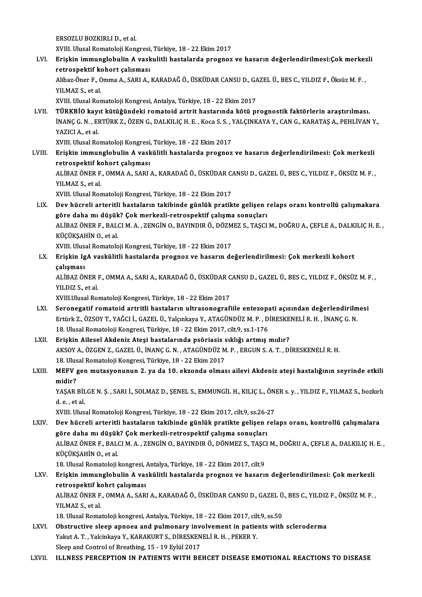ERSOZLUBOZKIRLID.,etal.

XVIII. Ulusal Romatoloji Kongresi, Türkiye, 18 - 22 Ekim 2017

ERSOZLU BOZKIRLI D., et al.<br>XVIII. Ulusal Romatoloji Kongresi, Türkiye, 18 - 22 Ekim 2017<br>LVI. Erişkin immunglobulin A vaskulitli hastalarda prognoz ve hasarın değerlendirilmesi:Çok merkezli<br> XVIII. Ulusal Romatoloji Kongresi,<br>Erişkin immunglobulin A vask<br>retrospektif kohort çalısması<br>Alibaz Öner E. Omma A. SAPLA Erişkin immunglobulin A vaskulitli hastalarda prognoz ve hasarın değerlendirilmesi:Çok merkez<br>retrospektif kohort çalısması<br>Alibaz-Öner F., Omma A., SARI A., KARADAĞ Ö., ÜSKÜDAR CANSU D., GAZEL Ü., BES C., YILDIZ F., Öksüz

r<mark>etrospektif k</mark><br>Alibaz-Öner F., C<br>YILMAZ S., et al.<br>YVIII. Ulusel Bor Alibaz-Öner F., Omma A., SARI A., KARADAĞ Ö., ÜSKÜDAR CANSU D., GA<br>YILMAZ S., et al.<br>XVIII. Ulusal Romatoloji Kongresi, Antalya, Türkiye, 18 - 22 Ekim 2017<br>TÜRKRİQ kayıt kütüğündeki romatoid artrit bastarında kötü, pı

YILMAZ S., et al.<br>XVIII. Ulusal Romatoloji Kongresi, Antalya, Türkiye, 18 - 22 Ekim 2017<br>LVII. TÜRKBİO kayıt kütüğündeki romatoid artrit hastarında kötü prognostik faktörlerin araştırılması. XVIII. Ulusal Romatoloji Kongresi, Antalya, Türkiye, 18 - 22 Ekim 2017<br><mark>TÜRKBİO kayıt kütüğündeki romatoid artrit hastarında kötü prognostik faktörlerin araştırılması.</mark><br>İNANÇ G. N. , ERTÜRK Z., ÖZEN G., DALKILIÇ H. E. , Ko <mark>TÜRKBİO kay</mark>ı<br>İNANÇ G. N. , EI<br>YAZICI A., et al.<br>YVIII. Ulusel Bo İNANÇ G. N. , ERTÜRK Z., ÖZEN G., DALKILIÇ H. E. , Koca S. S. , '<br>YAZICI A., et al.<br>XVIII. Ulusal Romatoloji Kongresi, Türkiye, 18 - 22 Ekim 2017<br>Erickin immunglobulin A. vaskülitli bastalarda prognaz

YAZICI A., et al.<br>XVIII. Ulusal Romatoloji Kongresi, Türkiye, 18 - 22 Ekim 2017<br>LVIII. Erişkin immunglobulin A vaskülitli hastalarda prognoz ve hasarın değerlendirilmesi: Çok merkezli<br>retrospektif kohort çalışması XVIII. Ulusal Romatoloji Kongresi,<br>Erişkin immunglobulin A vask<br>retrospektif kohort çalışması<br>ALİPAZÖNER E. OMMA A. SARL Erişkin immunglobulin A vaskülitli hastalarda prognoz ve hasarın değerlendirilmesi: Çok merkezli<br>retrospektif kohort çalışması<br>ALİBAZ ÖNER F., OMMA A., SARI A., KARADAĞ Ö., ÜSKÜDAR CANSU D., GAZEL Ü., BES C., YILDIZ F., ÖK

retrospektif ko<br>ALİBAZ ÖNER F.<br>YILMAZ S., et al.<br>YVIII. Ulusel Ber ALİBAZ ÖNER F., OMMA A., SARI A., KARADAĞ Ö., ÜSKÜDAR C.<br>YILMAZ S., et al.<br>XVIII. Ulusal Romatoloji Kongresi, Türkiye, 18 - 22 Ekim 2017<br>Dev büsreli arteritli bastaların takibinde günlük pratik

YILMAZ S., et al.<br>XVIII. Ulusal Romatoloji Kongresi, Türkiye, 18 - 22 Ekim 2017<br>LIX. Dev hücreli arteritli hastaların takibinde günlük pratikte gelişen relaps oranı kontrollü çalışmakara<br>Göne daha mı düsül:? Cek menker XVIII. Ulusal Romatoloji Kongresi, Türkiye, 18 - 22 Ekim 2017<br>Dev hücreli arteritli hastaların takibinde günlük pratikte gelişen ı<br>göre daha mı düşük? Çok merkezli-retrospektif çalışma sonuçları<br>ALİPAZÖNER E. PALCLM A. ZEN Dev hücreli arteritli hastaların takibinde günlük pratikte gelişen relaps oranı kontrollü çalışmakara<br>göre daha mı düşük? Çok merkezli-retrospektif çalışma sonuçları<br>ALİBAZ ÖNER F., BALCI M. A. , ZENGİN O., BAYINDIR Ö., DÖ göre daha mı düşük<br>ALİBAZ ÖNER F., BAL<br>KÜÇÜKŞAHİN O., et al.<br>YVIII. Illusel Bematala ALİBAZ ÖNER F., BALCI M. A. , ZENGİN O., BAYINDIR Ö., DÖZM<br>KÜÇÜKŞAHİN O., et al.<br>XVIII. Ulusal Romatoloji Kongresi, Türkiye, 18 - 22 Ekim 2017<br>Erickin IsA yaşkülitli baştalarda prospos ve başarın de

KÜÇÜKŞAHİN O., et al.<br>18 Erişkin Ilusal Romatoloji Kongresi, Türkiye, 18 - 22 Ekim 2017<br>19 Erişkin IgA vaskülitli hastalarda prognoz ve hasarın değerlendirilmesi: Çok merkezli kohort çalışması Erişkin IgA vaskülitli hastalarda prognoz ve hasarın değerlendirilmesi: Çok merkezli kohort<br>çalışması<br>ALİBAZ ÖNER F., OMMA A., SARI A., KARADAĞ Ö., ÜSKÜDAR CANSU D., GAZEL Ü., BES C., YILDIZ F., ÖKSÜZ M. F. ,<br>YU DIZ S. et

<mark>çalışması</mark><br>ALİBAZ ÖNER I<br>YILDIZ S., et al.<br>YVIII Ulusal Baı ALİBAZ ÖNER F., OMMA A., SARI A., KARADAĞ Ö., ÜSKÜDAR C<br>YILDIZ S., et al.<br>XVIII.Ulusal Romatoloji Kongresi, Türkiye, 18 - 22 Ekim 2017<br>Seronogatif romatoid, artritli bastaların ultrasonografi

- YILDIZ S., et al.<br>XVIII.Ulusal Romatoloji Kongresi, Türkiye, 18 22 Ekim 2017<br>LXI. Seronegatif romatoid artritli hastaların ultrasonografiile entezopati açısından değerlendirilmesi<br>Frtirk Z. ÖZSOV T. VAČCLİ, GAZEL Ü. Voku XVIII.Ulusal Romatoloji Kongresi, Türkiye, 18 - 22 Ekim 2017<br>Seronegatif romatoid artritli hastaların ultrasonografiile entezopati açısından değerlendirilm<br>Ertürk Z., ÖZSOY T., YAĞCI İ., GAZEL Ü., Yalçınkaya Y., ATAGÜNDÜZ Ertürk Z., ÖZSOY T., YAĞCI İ., GAZEL Ü., Yalçınkaya Y., ATAGÜNDÜZ M. P. , DİRESKENELİ R. H. , İNANÇ G. N.<br>18. Ulusal Romatoloji Kongresi, Türkiye, 18 - 22 Ekim 2017, cilt.9, ss.1-176 Ertürk Z., ÖZSOY T., YAĞCI İ., GAZEL Ü., Yalçınkaya Y., ATAGÜNDÜZ M. P. , DİRESKE<br>18. Ulusal Romatoloji Kongresi, Türkiye, 18 - 22 Ekim 2017, cilt.9, ss.1-176<br>LXII. Erişkin Ailesel Akdeniz Ateşi hastalarında psöriasis sıkl
- AKSOY A., ÖZGEN Z., GAZEL Ü., İNANÇ G. N. , ATAGÜNDÜZ M. P. , ERGUN S. A. T. , DİRESKENELİ R. H.<br>18. Ulusal Romatoloji Kongresi, Türkiye, 18 22 Ekim 2017 Erişkin Ailesel Akdeniz Ateşi hastalarında psöriasis s<br>AKSOY A., ÖZGEN Z., GAZEL Ü., İNANÇ G. N. , ATAGÜNDÜZ M<br>18. Ulusal Romatoloji Kongresi, Türkiye, 18 - 22 Ekim 2017<br>MEEV gen mutasyonunun 2. ve da 10. ekzanda elmes AKSOY A., ÖZGEN Z., GAZEL Ü., İNANÇ G. N. , ATAGÜNDÜZ M. P. , ERGUN S. A. T. , DİRESKENELİ R. H.<br>18. Ulusal Romatoloji Kongresi, Türkiye, 18 - 22 Ekim 2017<br>LXIII. MEFV gen mutasyonunun 2. ya da 10. ekzonda olması ailev

# 18. Ulus<br>MEFV<br>midir?<br><sup>VASAD</sup> MEFV gen mutasyonunun 2. ya da 10. ekzonda olması ailevi Akdeniz ateşi hastalığının seyrinde etkili<br>midir?<br>YAŞAR BİLGE N. Ş. , SARI İ., SOLMAZ D., ŞENEL S., EMMUNGİL H., KILIÇ L., ÖNER s. y. , YILDIZ F., YILMAZ S., bozkırl

midir?<br>YAŞAR BİL<br>d. e. , et al.<br>YVIII. Ilhe YAŞAR BİLGE N. Ş. , SARI İ., SOLMAZ D., ŞENEL S., EMMUNGİL H., KILIÇ L., ÖN!<br>d. e. , et al.<br>XVIII. Ulusal Romatoloji Kongresi, Türkiye, 18 - 22 Ekim 2017, cilt.9, ss.26-27<br>Dav büsreli arteritli bastaların takibinde günlük

d. e. , et al.<br>XVIII. Ulusal Romatoloji Kongresi, Türkiye, 18 - 22 Ekim 2017, cilt.9, ss.26-27<br>LXIV. Dev hücreli arteritli hastaların takibinde günlük pratikte gelişen relaps oranı, kontrollü çalışmalara<br>Göre daha mı d XVIII. Ulusal Romatoloji Kongresi, Türkiye, 18 - 22 Ekim 2017, cilt.9, ss.26-2<br>Dev hücreli arteritli hastaların takibinde günlük pratikte gelişen ı<br>göre daha mı düşük? Çok merkezli-retrospektif çalışma sonuçları<br>ALİPAZÖNER Dev hücreli arteritli hastaların takibinde günlük pratikte gelişen relaps oranı, kontrollü çalışmalara<br>göre daha mı düşük? Çok merkezli-retrospektif çalışma sonuçları<br>ALİBAZ ÖNER F., BALCI M. A. , ZENGİN O., BAYINDIR Ö., D göre daha mı düşük? Çok merkezli-retrospektif çalışma sonuçları<br>ALİBAZ ÖNER F., BALCI M. A. , ZENGİN O., BAYINDIR Ö., DÖNMEZ S., TAŞCI M., DOĞRU A., ÇEFLE A., DALKILIÇ H. E. ,<br>KÜÇÜKŞAHİN O., et al. 18. Ulusal Romatoloji kongresi, Antalya, Türkiye, 18 - 22 Ekim 2017, cilt.9 KÜÇÜKŞAHİN 0., et al.<br>18. Ulusal Romatoloji kongresi, Antalya, Türkiye, 18 - 22 Ekim 2017, cilt.9<br>LXV. Erişkin immunglobulin A vaskülitli hastalarda prognoz ve hasarın değerlendirilmesi: Çok merkezli<br>

18. Ulusal Romatoloji kongresi, *1*<br>Erişkin immunglobulin A vas<br>retrospektif kohrt çalışması<br>ALİPAZÖNER E. QMMA A, SAR Erişkin immunglobulin A vaskülitli hastalarda prognoz ve hasarın değerlendirilmesi: Çok merkezli<br>retrospektif kohrt çalışması<br>ALİBAZ ÖNER F., OMMA A., SARI A., KARADAĞ Ö., ÜSKÜDAR CANSU D., GAZEL Ü., BES C., YILDIZ F., ÖKS retrospektif kohrt çalışması<br>ALİBAZ ÖNER F., OMMA A., SARI A., KARADAĞ Ö., ÜSKÜDAR CANSU D., GAZEL Ü<br>YILMAZ S., et al.<br>18. Ulusal Romatoloji kongresi, Antalya, Türkiye, 18 - 22 Ekim 2017, cilt.9, ss.50 ALİBAZ ÖNER F., OMMA A., SARI A., KARADAĞ Ö., ÜSKÜDAR CANSU D., GAZEL Ü., BES C., YILDIZ F., ÖKSÜZ M. F.,

YILMAZ S., et al.<br>18. Ulusal Romatoloji kongresi, Antalya, Türkiye, 18 - 22 Ekim 2017, cilt.9, ss.50<br>LXVI. Obstructive sleep apnoea and pulmonary involvement in patients with scleroderma<br>Valut A.T. Valginizya V. KARAKURTS, 18. Ulusal Romatoloji kongresi, Antalya, Türkiye, 18 - 22 Ekim 2017, cili<br>Obstructive sleep apnoea and pulmonary involvement in patie<br>Yakut A. T. , Yalcinkaya Y., KARAKURT S., DİRESKENELİ R. H. , PEKER Y.<br>Sleep and Control Obstructive sleep apnoea and pulmonary inverticles<br>Takut A. T. , Yalcinkaya Y., KARAKURT S., DİRESKEN<br>Sleep and Control of Breathing, 15 - 19 Eylül 2017<br>ILLNESS RERGERTION IN RATIENTS WITH PE Yakut A. T. , Yalcinkaya Y., KARAKURT S., DİRESKENELİ R. H. , PEKER Y.<br>Sleep and Control of Breathing, 15 - 19 Eylül 2017<br>LXVII. ILLNESS PERCEPTION IN PATIENTS WITH BEHCET DISEASE EMOTIONAL REACTIONS TO DISEASE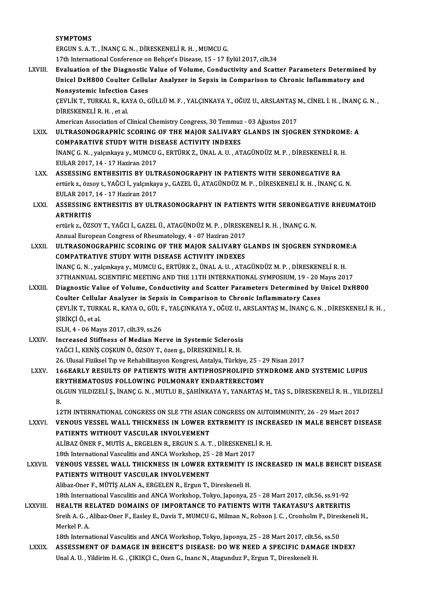SYMPTOMS ERGUNS.A.T. , İNANÇG.N. ,DİRESKENELİR.H. ,MUMCUG. 17th International Conference on Behçet's Disease, 15 - 17 Eylül 2017, cilt.34 ERGUN S. A. T., İNANÇ G. N., DİRESKENELİ R. H., MUMCU G.<br>17th International Conference on Behçet's Disease, 15 - 17 Eylül 2017, cilt.34<br>17th Internation of the Diagnostic Value of Volume, Conductivity and Scatter Parameter 17th International Conference on Behçet's Disease, 15 - 17 Eylül 2017, cilt.34<br>Evaluation of the Diagnostic Value of Volume, Conductivity and Scatter Parameters Determined<br>Unicel DxH800 Coulter Cellular Analyzer in Sepsis Evaluation of the Diagnostic<br>Unicel DxH800 Coulter Cellul<br>Nonsystemic Infection Cases<br>CEVI IV T TURVAL B - KAVA O-G Unicel DxH800 Coulter Cellular Analyzer in Sepsis in Comparison to Chronic Inflammatory and<br>Nonsystemic Infection Cases<br>ÇEVLİK T., TURKAL R., KAYA O., GÜLLÜ M. F. , YALÇINKAYA Y., OĞUZ U., ARSLANTAŞ M., CİNEL İ. H. , İNANÇ Nonsystemic Infection<br>ÇEVLİK T., TURKAL R., KA<br>DİRESKENELİ R. H. , et al.<br>American Association of ( CEVLİK T., TURKAL R., KAYA O., GÜLLÜ M. F. , YALÇINKAYA Y., OĞUZ U., ARSLANTAŞ I<br>DİRESKENELİ R. H. , et al.<br>American Association of Clinical Chemistry Congress, 30 Temmuz - 03 Ağustos 2017<br>III TRASONOCRARHIC SCORINC OF THE DIRESKENELI R. H. , et al.<br>American Association of Clinical Chemistry Congress, 30 Temmuz - 03 Ağustos 2017<br>LXIX. ULTRASONOGRAPHIC SCORING OF THE MAJOR SALIVARY GLANDS IN SJOGREN SYNDROME: A<br>COMBARATIVE STUDY WITH DISEASE American Association of Clinical Chemistry Congress, 30 Temmuz - 03 Ağustos 2017<br>ULTRASONOGRAPHIC SCORING OF THE MAJOR SALIVARY GLANDS IN SJOGREN SYNDROMI<br>COMPARATIVE STUDY WITH DISEASE ACTIVITY INDEXES<br>INANC G. N. , valcı ULTRASONOGRAPHİC SCORING OF THE MAJOR SALIVARY GLANDS IN SJOGREN SYNDROMI<br>COMPARATIVE STUDY WITH DISEASE ACTIVITY INDEXES<br>İNANÇ G.N. , yalçınkaya y., MUMCU G., ERTÜRK Z., ÜNAL A. U. , ATAGÜNDÜZ M. P. , DİRESKENELİ R. H.<br>FI COMPARATIVE STUDY WITH DISEASE ACTIVITY INDEXES<br>İNANÇ G. N. , yalçınkaya y., MUMCU G., ERTÜRK Z., ÜNAL A. U. , AT<br>EULAR 2017, 14 - 17 Haziran 2017 LXX. ASSESSING ENTHESITIS BY ULTRASONOGRAPHY IN PATIENTS WITH SERONEGATIVE RA EULAR 2017, 14 - 17 Haziran 2017<br>ASSESSING ENTHESITIS BY ULTRASONOGRAPHY IN PATIENTS WITH SERONEGATIVE RA<br>ertürk z., özsoy t., YAĞCI İ., yalçınkaya y., GAZEL Ü., ATAGÜNDÜZ M. P. , DİRESKENELİ R. H. , İNANÇ G. N.<br>EULAR 2017 ASSESSING ENTHESITIS BY ULT<br>ertürk z., özsoy t., YAĞCI İ., yalçınkay<br>EULAR 2017, 14 - 17 Haziran 2017<br>ASSESSING ENTHESITIS PY III T ertürk z., özsoy t., YAĞCI İ., yalçınkaya y., GAZEL Ü., ATAGÜNDÜZ M. P. , DİRESKENELİ R. H. , İNANÇ G. N.<br>EULAR 2017, 14 - 17 Haziran 2017<br>ARSESSING ENTHESITIS BY ULTRASONOGRAPHY IN PATIENTS WITH SERONEGATIVE RHEUMATOID EULAR 2017,<br>ASSESSING<br>ARTHRITIS<br>artürks ÖZS ASSESSING ENTHESITIS BY ULTRASONOGRAPHY IN PATIENTS WITH SERONEGAT<br>ARTHRITIS<br>ertürk z., ÖZSOY T., YAĞCI İ., GAZEL Ü., ATAGÜNDÜZ M. P. , DİRESKENELİ R. H. , İNANÇ G. N.<br>Annual European Congress of Phoumatalogu 4 , 07 Hegira ARTHRITIS<br>ertürk z., ÖZSOY T., YAĞCI İ., GAZEL Ü., ATAGÜNDÜZ M. P. , DİRESKENELİ R. H. , İNANÇ G. N.<br>Annual European Congress of Rheumatology, 4 - 07 Haziran 2017 ertürk z., ÖZSOY T., YAĞCI İ., GAZEL Ü., ATAGÜNDÜZ M. P. , DİRESKENELİ R. H. , İNANÇ G. N.<br>Annual European Congress of Rheumatology, 4 - 07 Haziran 2017<br>LXXII. ULTRASONOGRAPHIC SCORING OF THE MAJOR SALIVARY GLANDS I Annual European Congress of Rheumatology, 4 - 07 Haziran 2017<br>ULTRASONOGRAPHIC SCORING OF THE MAJOR SALIVARY G<br>COMPATRATIVE STUDY WITH DISEASE ACTIVITY INDEXES<br>INANC G.N. - VRISINERIA WALLMCLLG - EPTÜRK 7 - ÜNAL A-U--ATA ULTRASONOGRAPHIC SCORING OF THE MAJOR SALIVARY GLANDS IN SJOGREN SYNDROM!<br>COMPATRATIVE STUDY WITH DISEASE ACTIVITY INDEXES<br>İNANÇ G.N. , yalçınkaya y., MUMCU G., ERTÜRK Z., ÜNAL A. U. , ATAGÜNDÜZ M. P. , DİRESKENELİ R. H.<br>2 COMPATRATIVE STUDY WITH DISEASE ACTIVITY INDEXES<br>İNANÇ G. N. , yalçınkaya y., MUMCU G., ERTÜRK Z., ÜNAL A. U. , ATAGÜNDÜZ M. P. , DİRESKENELİ R. H.<br>37THANNUAL SCIENTIFIC MEETING AND THE 11TH INTERNATIONAL SYMPOSIUM, 19 - 2 INANÇ G. N. , yalçınkaya y., MUMCU G., ERTÜRK Z., ÜNAL A. U. , ATAGÜNDÜZ M. P. , DİRESKENELİ R. H.<br>37THANNUAL SCIENTIFIC MEETING AND THE 11TH INTERNATIONAL SYMPOSIUM, 19 - 20 Mayıs 2017<br>LXXIII. Diagnostic Value of Volume, 37THANNUAL SCIENTIFIC MEETING AND THE 11TH INTERNATIONAL SYMPOSIUM, 19 - 20 N<br>Diagnostic Value of Volume, Conductivity and Scatter Parameters Determined by l<br>Coulter Cellular Analyzer in Sepsis in Comparison to Chronic Inf Diagnostic Value of Volume, Conductivity and Scatter Parameters Determined by Unicel DxH800<br>Coulter Cellular Analyzer in Sepsis in Comparison to Chronic Inflammatory Cases<br>ÇEVLİK T., TURKAL R., KAYA O., GÜL F., YALÇINKAYA Coulter Cellular Analyzer in Sepsis in Comparison to Chronic Inflammatory Cases ISLH,4 -06Mayıs2017, cilt.39, ss.26 SİRİKÇİ Ö., et al.<br>ISLH, 4 - 06 Mayıs 2017, cilt.39, ss.26<br>LXXIV. Increased Stiffness of Median Nerve in Systemic Sclerosis<br>VAČCLI, KENİS COSKUN Ö. ÖZSOV T. ÖZƏR G. DİRESKENELİ B.H ISLH, 4 - 06 Mayıs 2017, cilt.39, ss.26<br>Increased Stiffness of Median Nerve in Systemic Sclerosis<br>YAĞCI İ., KENİŞ COŞKUN Ö., ÖZSOY T., özen g., DİRESKENELİ R. H.<br>26 Hlusel Eirikeel Tıp ve Behebilitesyon Kongresi, Antekya T Increased Stiffness of Median Nerve in Systemic Sclerosis<br>YAĞCI İ., KENİŞ COŞKUN Ö., ÖZSOY T., özen g., DİRESKENELİ R. H.<br>26. Ulusal Fiziksel Tıp ve Rehabilitasyon Kongresi, Antalya, Türkiye, 25 - 29 Nisan 2017<br>166EARLY RE YAĞCI İ., KENİŞ COŞKUN Ö., ÖZSOY T., özen g., DİRESKENELİ R. H.<br>26. Ulusal Fiziksel Tıp ve Rehabilitasyon Kongresi, Antalya, Türkiye, 25 - 29 Nisan 2017<br>LXXV. 166EARLY RESULTS OF PATIENTS WITH ANTIPHOSPHOLIPID SYNDROME 26. Ulusal Fiziksel Tıp ve Rehabilitasyon Kongresi, Antalya, Türkiye, 25 - 2<br>166EARLY RESULTS OF PATIENTS WITH ANTIPHOSPHOLIPID SYP<br>ERYTHEMATOSUS FOLLOWING PULMONARY ENDARTERECTOMY<br>OLCUN VILDIZELLS, İNANÇÇNI, MITULP, SAHİN 166EARLY RESULTS OF PATIENTS WITH ANTIPHOSPHOLIPID SYNDROME AND SYSTEMIC LUPUS<br>ERYTHEMATOSUS FOLLOWING PULMONARY ENDARTERECTOMY<br>OLGUN YILDIZELİ Ş., İNANÇ G. N. , MUTLU B., ŞAHİNKAYA Y., YANARTAŞ M., TAŞ S., DİRESKENELİ R. EF<br>OI<br>B. OLGUN YILDIZELİ Ş., İNANÇ G. N. , MUTLU B., ŞAHİNKAYA Y., YANARTAŞ M., TAŞ S., DİRESKENELİ R. H. , YIL<br>B.<br>12TH INTERNATIONAL CONGRESS ON SLE 7TH ASIAN CONGRESS ON AUTOIMMUNITY, 26 - 29 Mart 2017<br>VENOUS VESSEL WALL THICKNES B.<br>12TH INTERNATIONAL CONGRESS ON SLE 7TH ASIAN CONGRESS ON AUTOIMMUNITY, 26 - 29 Mart 2017<br>LXXVI. VENOUS VESSEL WALL THICKNESS IN LOWER EXTREMITY IS INCREASED IN MALE BEHCET DISEASE<br>RATIENTS WITHOUT VASCULAR INVOLVEME 12TH INTERNATIONAL CONGRESS ON SLE 7TH ASIAN<br>VENOUS VESSEL WALL THICKNESS IN LOWER E<br>PATIENTS WITHOUT VASCULAR INVOLVEMENT<br>ALIPAZ ÖNER E. MITIS A. ERCELEN R. PERCIN S. A. T VENOUS VESSEL WALL THICKNESS IN LOWER EXTREMITY IS INCRI<br>PATIENTS WITHOUT VASCULAR INVOLVEMENT<br>ALİBAZ ÖNER F., MUTİS A., ERGELEN R., ERGUN S. A. T. , DİRESKENELİ R. H.<br>19th International Vesculitis and ANCA Werkshop 25 - 2 19th International Vascular Involvement<br>Alibaz ÖNER F., MUTIS A., ERGELEN R., ERGUN S. A. T. , DIRESKENELI<br>18th International Vasculitis and ANCA Workshop, 25 - 28 Mart 2017<br>VENOUS VESSEL WALL THICKNESS IN LOWER EXTREMITY ALIBAZ ÖNER F., MUTIS A., ERGELEN R., ERGUN S. A. T. , DIRESKENELI R. H.<br>18th International Vasculitis and ANCA Workshop, 25 - 28 Mart 2017<br>LXXVII. VENOUS VESSEL WALL THICKNESS IN LOWER EXTREMITY IS INCREASED IN MALE B 18th International Vasculitis and ANCA Workshop, 25 - 28 Mart 2017 Alibaz-Oner F.,MÜTİŞALANA.,ERGELENR.,ErgunT.,DireskeneliH. PATI<mark>ENTS WITHOUT VASCULAR INVOLVEMENT</mark><br>Alibaz-Oner F., MÜTİŞ ALAN A., ERGELEN R., Ergun T., Direskeneli H.<br>18th International Vasculitis and ANCA Workshop, Tokyo, Japonya, 25 - 28 Mart 2017, cilt.56, ss.91-92<br>HEALTH RELAT Alibaz-Oner F., MÜTİŞ ALAN A., ERGELEN R., Ergun T., Direskeneli H.<br>18th International Vasculitis and ANCA Workshop, Tokyo, Japonya, 25 - 28 Mart 2017, cilt.56, ss.91-92<br>18th I. HEALTH RELATED DOMAINS OF IMPORTANCE TO PATI 18th International Vasculitis and ANCA Workshop, Tokyo, Japonya, 25 - 28 Mart 2017, cilt.56, ss.91-92<br>HEALTH RELATED DOMAINS OF IMPORTANCE TO PATIENTS WITH TAKAYASU'S ARTERITIS<br>Sreih A. G. , Alibaz-Oner F., Easley E., Davi HEALTH RI<br>Sreih A. G. , ,<br>Merkel P. A.<br>19th Interns Sreih A. G. , Alibaz-Oner F., Easley E., Davis T., MUMCU G., Milman N., Robson J. C. , Cronholm P., Dires<br>Merkel P. A.<br>18th International Vasculitis and ANCA Workshop, Tokyo, Japonya, 25 - 28 Mart 2017, cilt.56, ss.50<br>ASSE LXXIX. ASSESSMENT OF DAMAGE IN BEHCET'S DISEASE: DOWE NEED A SPECIFIC DAMAGE INDEX? 18th International Vasculitis and ANCA Workshop, Tokyo, Japonya, 25 - 28 Mart 2017, cilt.5<br>ASSESSMENT OF DAMAGE IN BEHCET'S DISEASE: DO WE NEED A SPECIFIC DAM*I*<br>Unal A. U. , Yildirim H. G. , ÇIKIKÇI C., Ozen G., Inanc N.,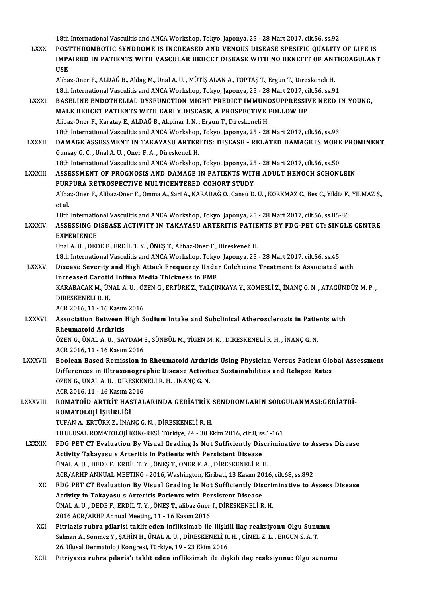18th InternationalVasculitis andANCAWorkshop,Tokyo, Japonya,25 -28Mart2017, cilt.56, ss.92

18th International Vasculitis and ANCA Workshop, Tokyo, Japonya, 25 - 28 Mart 2017, cilt.56, ss.92<br>LXXX. POSTTHROMBOTIC SYNDROME IS INCREASED AND VENOUS DISEASE SPESIFIC QUALITY OF LIFE IS 18th International Vasculitis and ANCA Workshop, Tokyo, Japonya, 25 - 28 Mart 2017, cilt.56, ss.92<br>POSTTHROMBOTIC SYNDROME IS INCREASED AND VENOUS DISEASE SPESIFIC QUALITY OF LIFE IS<br>IMPAIRED IN PATIENTS WITH VASCULAR BEHC POST<br>IMP*i*<br>USE IMPAIRED IN PATIENTS WITH VASCULAR BEHCET DISEASE WITH NO BENEFIT OF ANT<br>USE<br>Alibaz-Oner F., ALDAĞ B., Aldag M., Unal A. U. , MÜTİŞ ALAN A., TOPTAŞ T., Ergun T., Direskeneli H.<br>19th International Vasculitis and ANCA Werksh

USE<br>Alibaz-Oner F., ALDAĞ B., Aldag M., Unal A. U. , MÜTİŞ ALAN A., TOPTAŞ T., Ergun T., Direskeneli H.<br>18th International Vasculitis and ANCA Workshop, Tokyo, Japonya, 25 - 28 Mart 2017, cilt.56, ss.91<br>RASELINE ENDOTHELIA Alibaz-Oner F., ALDAĞ B., Aldag M., Unal A. U. , MÜTİŞ ALAN A., TOPTAŞ T., Ergun T., Direskeneli H.<br>18th International Vasculitis and ANCA Workshop, Tokyo, Japonya, 25 - 28 Mart 2017, cilt.56, ss.91<br>18th International Vasc

18th International Vasculitis and ANCA Workshop, Tokyo, Japonya, 25 - 28 Mart 2017, ci<br>BASELINE ENDOTHELIAL DYSFUNCTION MIGHT PREDICT IMMUNOSUPPRESSIV<br>MALE BEHCET PATIENTS WITH EARLY DISEASE, A PROSPECTIVE FOLLOW UP BASELINE ENDOTHELIAL DYSFUNCTION MIGHT PREDICT IMMUNO<br>MALE BEHCET PATIENTS WITH EARLY DISEASE, A PROSPECTIVE<br>Alibaz-Oner F., Karatay E., ALDAĞ B., Akpinar I.N., Ergun T., Direskeneli H.<br>19th International Vesculitis and AN MALE BEHCET PATIENTS WITH EARLY DISEASE, A PROSPECTIVE FOLLOW UP<br>Alibaz-Oner F., Karatay E., ALDAĞ B., Akpinar I. N. , Ergun T., Direskeneli H.<br>18th International Vasculitis and ANCA Workshop, Tokyo, Japonya, 25 - 28 Mart Alibaz-Oner F., Karatay E., ALDAĞ B., Akpinar I. N. , Ergun T., Direskeneli H.<br>18th International Vasculitis and ANCA Workshop, Tokyo, Japonya, 25 - 28 Mart 2017, cilt.56, ss.93<br>18XXII. DAMAGE ASSESSMENT IN TAKAYASU ARTERI

18th International Vasculitis and ANCA Workshop<br>DAMAGE ASSESSMENT IN TAKAYASU ARTER<br>Gunsay G. C. , Unal A. U. , Oner F. A. , Direskeneli H.<br>18th International Vasculitis and ANCA Workshop **DAMAGE ASSESSMENT IN TAKAYASU ARTERITIS: DISEASE - RELATED DAMAGE IS MORE**<br>Gunsay G. C., Unal A. U., Oner F. A., Direskeneli H.<br>18th International Vasculitis and ANCA Workshop, Tokyo, Japonya, 25 - 28 Mart 2017, cilt.56, 18th International Vasculitis and ANCA Workshop, Tokyo, Japonya, 25 - 28 Mart 2017, cilt.56, ss.50

Gunsay G. C. , Unal A. U. , Oner F. A. , Direskeneli H.<br>18th International Vasculitis and ANCA Workshop, Tokyo, Japonya, 25 - 28 Mart 2017, cilt.56, ss.50<br>LXXXIII. ASSESSMENT OF PROGNOSIS AND DAMAGE IN PATIENTS WITH ADULT ASSESSMENT OF PROGNOSIS AND DAMAGE IN PATIENTS WITH ADULT HENOCH SCHONLEIN<br>PURPURA RETROSPECTIVE MULTICENTERED COHORT STUDY<br>Alibaz-Oner F., Alibaz-Oner F., Omma A., Sari A., KARADAĞ Ö., Cansu D. U. , KORKMAZ C., Bes C., Yi PUR<br>Aliba<br>et al.<br>19th Alibaz-Oner F., Alibaz-Oner F., Omma A., Sari A., KARADAĞ Ö., Cansu D. U. , KORKMAZ C., Bes C., Yildiz F.,<br>et al.<br>18th International Vasculitis and ANCA Workshop, Tokyo, Japonya, 25 - 28 Mart 2017, cilt.56, ss.85-86<br>ASSESS

18th International Vasculitis and ANCA Workshop, Tokyo, Japonya, 25 - 28 Mart 2017, cilt 56, ss.85-86

et al.<br>18th International Vasculitis and ANCA Workshop, Tokyo, Japonya, 25 - 28 Mart 2017, cilt.56, ss.85-86<br>LXXXIV. ASSESSING DISEASE ACTIVITY IN TAKAYASU ARTERITIS PATIENTS BY FDG-PET CT: SINGLE CENTRE<br>EXPERIENCE

UnalA.U. ,DEDEF.,ERDİL T.Y. ,ÖNEŞT.,Alibaz-Oner F.,DireskeneliH. 18th InternationalVasculitis andANCAWorkshop,Tokyo, Japonya,25 -28Mart2017, cilt.56, ss.45

Unal A. U. , DEDE F., ERDİL T. Y. , ÖNEŞ T., Alibaz-Oner F., Direskeneli H.<br>18th International Vasculitis and ANCA Workshop, Tokyo, Japonya, 25 - 28 Mart 2017, cilt.56, ss.45<br>LXXXV. Disease Severity and High Attack Fre 18th International Vasculitis and ANCA Workshop, Tokyo<br>Disease Severity and High Attack Frequency Unde<br>Increased Carotid Intima Media Thickness in FMF<br>KARARACAKM JINALA II, ÖZENC ERTÜRKZ, VALCIN Disease Severity and High Attack Frequency Under Colchicine Treatment Is Associated with<br>Increased Carotid Intima Media Thickness in FMF<br>KARABACAK M., ÜNAL A. U. , ÖZEN G., ERTÜRK Z., YALÇINKAYA Y., KOMESLİ Z., İNANÇ G. N.

Increased Carotic<br>KARABACAK M., ÜN<br>DİRESKENELİ R. H.<br>ACP 2016-11-16 L KARABACAK M., ÜNAL A. U. , ÖZ<br>DİRESKENELİ R. H.<br>ACR 2016, 11 - 16 Kasım 2016<br>Assosiation Between High S

## DİRESKENELİ R. H.<br>ACR 2016, 11 - 16 Kasım 2016<br>LXXXVI. Association Between High Sodium Intake and Subclinical Atherosclerosis in Patients with ACR 2016, 11 - 16 Kasım<br>Association Between<br>Rheumatoid Arthritis<br>ÖZEN C. ÜNAL A.U. SAN Association Between High Sodium Intake and Subclinical Atherosclerosis in Patie<br>Rheumatoid Arthritis<br>ÖZEN G., ÜNAL A. U. , SAYDAM S., SÜNBÜL M., TİGEN M. K. , DİRESKENELİ R. H. , İNANÇ G. N.<br>ACP 2016 11 - 16 Kasım 2016

Rheumatoid Arthritis<br>ÖZEN G., ÜNAL A. U. , SAYDAM S., SÜNBÜL M., TİGEN M. K. , DİRESKENELİ R. H. , İNANÇ G. N.<br>ACR 2016, 11 - 16 Kasım 2016

- ÖZEN G., ÜNAL A. U. , SAYDAM S., SÜNBÜL M., TİGEN M. K. , DİRESKENELİ R. H. , İNANÇ G. N.<br>ACR 2016, 11 16 Kasım 2016<br>LXXXVII. Boolean Based Remission in Rheumatoid Arthritis Using Physician Versus Patient Global Assessme ACR 2016, 11 - 16 Kasım 2016<br>Boolean Based Remission in Rheumatoid Arthritis Using Physician Versus Patient Glo<br>Differences in Ultrasonographic Disease Activities Sustainabilities and Relapse Rates<br>ÖZEN C. ÜNAL A.U. DIRESK Boolean Based Remission in Rheumatoid Arthri<br>Differences in Ultrasonographic Disease Activiti<br>ÖZEN G., ÜNAL A. U. , DİRESKENELİ R. H. , İNANÇ G. N.<br>ACP 2016 11 , 16 Kasım 2016 Differences in Ultrasonographic Disease Activities Sustainabilities and Relapse Rates ÖZEN G., ÜNAL A. U., DİRESKENELİ R. H., İNANÇ G. N. ACR 2016, 11 - 16 Kasım 2016
- LXXXVIII. ROMATOİD ARTRİT HASTALARINDA GERİATRİK SENDROMLARIN SORGULANMASI:GERİATRİ-<br>ROMATOLOJİ İŞBİRLİĞİ

TUFAN A., ERTÜRK Z., İNANÇ G.N., DİRESKENELİ R.H.

18.ULUSALROMATOLOJİKONGRESİ,Türkiye,24 -30Ekim2016, cilt.8, ss.1-161

- LXXXIX. FDG PET CT Evaluation By Visual Grading Is Not Sufficiently Discriminative to Assess Disease 18.ULUSAL ROMATOLOJİ KONGRESİ, Türkiye, 24 - 30 Ekim 2016, cilt.8, ss<br>FDG PET CT Evaluation By Visual Grading Is Not Sufficiently Dis<br>Activity Takayasu s Arteritis in Patients with Persistent Disease<br>UNALA U. DEDE E EPDU T FDG PET CT Evaluation By Visual Grading Is Not Sufficiently Discretivity Takayasu s Arteritis in Patients with Persistent Disease<br>ÜNAL A.U., DEDE F., ERDİL T.Y., ÖNEŞ T., ONER F.A., DİRESKENELİR.H.<br>ACR (ADUR ANNUAL MEETING Activity Takayasu s Arteritis in Patients with Persistent Disease<br>ÜNAL A. U. , DEDE F., ERDİL T. Y. , ÖNEŞ T., ONER F. A. , DİRESKENELİ R. H.<br>ACR/ARHP ANNUAL MEETING - 2016, Washington, Kiribati, 13 Kasım 2016, cilt.68, ss UNAL A.U., DEDE F., ERDIL T.Y., ÖNEŞ T., ONER F. A., DİRESKENELİ R. H.<br>ACR/ARHP ANNUAL MEETING - 2016, Washington, Kiribati, 13 Kasım 2016, cilt.68, ss.892<br>XC. PDG PET CT Evaluation By Visual Grading Is Not Sufficiently Di
	- ACR/ARHP ANNUAL MEETING 2016, Washington, Kiribati, 13 Kasım 20<br>FDG PET CT Evaluation By Visual Grading Is Not Sufficiently Dis<br>Activity in Takayasu s Arteritis Patients with Persistent Disease<br>ÜNALA U. DEDE E. EPDU T.V. FDG PET CT Evaluation By Visual Grading Is Not Sufficiently Discription<br>Activity in Takayasu s Arteritis Patients with Persistent Disease<br>ÜNAL A.U., DEDE F., ERDİL T.Y., ÖNEŞ T., alibaz öner f., DİRESKENELİR.H.<br>2016 ACP (A Activity in Takayasu s Arteritis Patients with Persistent Disease<br>ÜNAL A. U. , DEDE F., ERDİL T. Y. , ÖNEŞ T., alibaz öner f., DİRESKENELİ R. H.<br>2016 ACR/ARHP Annual Meeting, 11 - 16 Kasım 2016 ÜNAL A.U., DEDE F., ERDİL T.Y., ÖNEŞ T., alibaz öner f., DİRESKENELİ R. H.<br>2016 ACR/ARHP Annual Meeting, 11 - 16 Kasım 2016<br>XCI. Pitriazis rubra pilarisi taklit eden infliksimab ile ilişkili ilaç reaksiyonu Olgu Sunumu<br>Sel
	- 2016 ACR/ARHP Annual Meeting, 11 16 Kasım 2016<br>Pitriazis rubra pilarisi taklit eden infliksimab ile ilişkili ilaç reaksiyonu Olgu Sunu<br>Salman A., Sönmez Y., ŞAHİN H., ÜNAL A. U. , DİRESKENELİ R. H. , CİNEL Z. L. , ERGUN Pitriazis rubra pilarisi taklit eden infliksimab ile ilişki<br>Salman A., Sönmez Y., ŞAHİN H., ÜNAL A. U. , DİRESKENELİ R.<br>26. Ulusal Dermatoloji Kongresi, Türkiye, 19 - 23 Ekim 2016<br>Bitriyazis rubra pilaris'i taklit adap inf Salman A., Sönmez Y., ŞAHİN H., ÜNAL A. U. , DİRESKENELİ R. H. , CİNEL Z. L. , ERGUN S. A. T.<br>26. Ulusal Dermatoloji Kongresi, Türkiye, 19 - 23 Ekim 2016<br>XCII. Pitriyazis rubra pilaris'i taklit eden infliksimab ile ili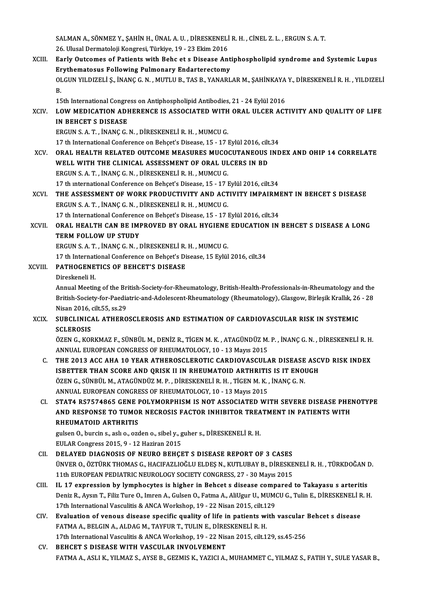SALMAN A., SÖNMEZ Y., ŞAHİN H., ÜNAL A. U. , DİRESKENELİ R. H. , CİNEL Z. L. , ERGUN S. A. T.<br>26. Ulusal Darmatalaji Kangresi, Türkiye, 19., 22. Ekim 2016 23.<br>26. Ulusal Dermatoloji Kongresi, Türkiye, 19 - 23 Ekim 2016<br>Perly Outsemes of Petients with Bebs et s Disease Ari SALMAN A., SÖNMEZ Y., ŞAHİN H., ÜNAL A. U. , DİRESKENELİ R. H. , CİNEL Z. L. , ERGUN S. A. T.<br>26. Ulusal Dermatoloji Kongresi, Türkiye, 19 - 23 Ekim 2016<br>XCIII. Early Outcomes of Patients with Behc et s Disease Antipho 26. Ulusal Dermatoloji Kongresi, Türkiye, 19 - 23 Ekim 2016<br>Early Outcomes of Patients with Behc et s Disease Ant<br>Erythematosus Following Pulmonary Endarterectomy<br>OLCUN VU DIZELLS, INANG G.N. MUTHU P. TAS P. VANAPL Early Outcomes of Patients with Behc et s Disease Antiphospholipid syndrome and Systemic Lupus<br>Erythematosus Following Pulmonary Endarterectomy<br>OLGUN YILDIZELİ Ş., İNANÇ G. N. , MUTLU B., TAS B., YANARLAR M., ŞAHİNKAYA Y., Er<br>Ol<br>B. OLGUN YILDIZELİ Ş., İNANÇ G. N. , MUTLU B., TAS B., YANARLAR M., ŞAHİNKAYA<br>B.<br>15th International Congress on Antiphospholipid Antibodies, 21 - 24 Eylül 2016<br>LOW MEDICATION ADHEBENCE IS ASSOCIATED WITH OBAL IILCER ACT B.<br>15th International Congress on Antiphospholipid Antibodies, 21 - 24 Eylül 2016<br>XCIV. LOW MEDICATION ADHERENCE IS ASSOCIATED WITH ORAL ULCER ACTIVITY AND QUALITY OF LIFE<br>IN REHCET S DISEASE 15th International Congress on Antiphospholipid Antibodies, 21 - 24 Eylül 2016<br>LOW MEDICATION ADHERENCE IS ASSOCIATED WITH ORAL ULCER ACT<br>IN BEHCET S DISEASE<br>ERGUN S. A. T., İNANÇ G. N., DİRESKENELİ R. H., MUMCU G. LOW MEDICATION ADHERENCE IS ASSOCIATED WITH<br>IN BEHCET S DISEASE<br>ERGUN S. A. T. , İNANÇ G. N. , DİRESKENELİ R. H. , MUMCU G.<br>17 th International Conference on Behçet'e Disease 15 , 17 l IN BEHCET S DISEASE<br>ERGUN S. A. T. , İNANÇ G. N. , DİRESKENELİ R. H. , MUMCU G.<br>17 th International Conference on Behçet's Disease, 15 - 17 Eylül 2016, cilt.34<br>ORAL HEALTH RELATED QUTCOME MEASURES MUCOCUTANEQUS IND XCV. ORAL HEALTH RELATED OUTCOME MEASURES MUCOCUTANEOUS INDEX AND OHIP 14 CORRELATE<br>WELL WITH THE CLINICAL ASSESSMENT OF ORAL ULCERS IN BD 17 th International Conference on Behçet's Disease, 15 - 17 Eylül 2016, cilt<br>ORAL HEALTH RELATED OUTCOME MEASURES MUCOCUTANEOUS<br>WELL WITH THE CLINICAL ASSESSMENT OF ORAL ULCERS IN BD ERGUNS.A.T. , İNANÇG.N. ,DİRESKENELİR.H. ,MUMCUG. WELL WITH THE CLINICAL ASSESSMENT OF ORAL ULCERS IN BD<br>ERGUN S. A. T. , İNANÇ G. N. , DİRESKENELİ R. H. , MUMCU G.<br>17 th international Conference on Behçet's Disease, 15 - 17 Eylül 2016, cilt.34<br>THE ASSESSMENT OF WORK BROD ERGUN S. A. T. , İNANÇ G. N. , DİRESKENELİ R. H. , MUMCU G.<br>17 th international Conference on Behçet's Disease, 15 - 17 Eylül 2016, cilt.34<br>XCVI. THE ASSESSMENT OF WORK PRODUCTIVITY AND ACTIVITY IMPAIRMENT IN BEHCET S DISE 17 th international Conference on Behçet's Disease, 15 - 17 I<br>THE ASSESSMENT OF WORK PRODUCTIVITY AND ACT<br>ERGUN S. A. T., İNANÇ G. N., DİRESKENELİ R. H., MUMCU G.<br>17 th International Conference on Behçet'e Disease, 15 - 17 THE ASSESSMENT OF WORK PRODUCTIVITY AND ACTIVITY IMPAIRMI<br>ERGUN S. A. T. , İNANÇ G. N. , DİRESKENELİ R. H. , MUMCU G.<br>17 th International Conference on Behçet's Disease, 15 - 17 Eylül 2016, cilt.34<br>ORAL HEALTH GAN BE IMPRO ERGUN S. A. T., İNANÇ G. N., DİRESKENELİ R. H., MUMCU G.<br>17 th International Conference on Behçet's Disease, 15 - 17 Eylül 2016, cilt.34<br>XCVII. ORAL HEALTH CAN BE IMPROVED BY ORAL HYGIENE EDUCATION IN BEHCET S DISEASE 17 th International Conference on Behcet's Disease, 15 - 17 Eylül 2016, cilt.34 ERGUNS.A.T. , İNANÇG.N. ,DİRESKENELİR.H. ,MUMCUG. 17 th International Conference on Behçet's Disease, 15 Eylül 2016, cilt.34 ERGUN S. A. T. , İNANÇ G. N. , DİRESKENELİ R.<br>17 th International Conference on Behçet's Di<br>XCVIII. PATHOGENETICS OF BEHCET'S DISEASE 17 th Internati<br>PATHOGENE<br>Direskeneli H.<br>Annual Meetin PATHOGENETICS OF BEHCET'S DISEASE<br>Direskeneli H.<br>Annual Meeting of the British-Society-for-Rheumatology, British-Health-Professionals-in-Rheumatology and the<br>Pritish Society for Peedistric and Adelessant Pheumatology (Pheu Direskeneli H.<br>Annual Meeting of the British-Society-for-Rheumatology, British-Health-Professionals-in-Rheumatology and the<br>British-Society-for-Paediatric-and-Adolescent-Rheumatology (Rheumatology), Glasgow, Birleşik Krall Annual Meeting of the Br<br>British-Society-for-Paedia<br>Nisan 2016, cilt.55, ss.29<br>SUBCLINICAL ATHEBO British-Society-for-Paediatric-and-Adolescent-Rheumatology (Rheumatology), Glasgow, Birleşik Krallık, 26 - 28<br>Nisan 2016, cilt.55, ss.29<br>XCIX. SUBCLINICAL ATHEROSCLEROSIS AND ESTIMATION OF CARDIOVASCULAR RISK IN SYSTEMIC<br>S Nisan 2016, cilt.55, ss.29 SUBCLINICAL ATHEROSCLEROSIS AND ESTIMATION OF CARDIOVASCULAR RISK IN SYSTEMIC<br>SCLEROSIS<br>ÖZEN G., KORKMAZ F., SÜNBÜL M., DENİZ R., TİGEN M. K. , ATAGÜNDÜZ M. P. , İNANÇ G. N. , DİRESKENELİ R. H.<br>ANNUAL EUROBEAN CONCRESS OF SCLEROSIS<br>ÖZEN G., KORKMAZ F., SÜNBÜL M., DENİZ R., TİGEN M. K. , ATAGÜNDÜZ M.<br>ANNUAL EUROPEAN CONGRESS OF RHEUMATOLOGY, 10 - 13 Mayıs 2015<br>THE 2012 ACC AHA 10 YEAR ATHEROSCI EROTIC CARDIOVASCUL 4 ÖZEN G., KORKMAZ F., SÜNBÜL M., DENİZ R., TİGEN M. K. , ATAGÜNDÜZ M. P. , İNANÇ G. N. , DİRESKENELİ R. H.<br>ANNUAL EUROPEAN CONGRESS OF RHEUMATOLOGY, 10 - 13 Mayıs 2015<br>C. THE 2013 ACC AHA 10 YEAR ATHEROSCLEROTIC CARDIOVASCU ANNUAL EUROPEAN CONGRESS OF RHEUMATOLOGY, 10 - 13 Mayıs 2015<br>THE 2013 ACC AHA 10 YEAR ATHEROSCLEROTIC CARDIOVASCULAR DISEASE ASC<br>ISBETTER THAN SCORE AND QRISK II IN RHEUMATOID ARTHRITIS IS IT ENOUGH<br>ÖZEN C SÜNRÜL M. ATACÜN THE 2013 ACC AHA 10 YEAR ATHEROSCLEROTIC CARDIOVASCULAR DISEASE<br>ISBETTER THAN SCORE AND QRISK II IN RHEUMATOID ARTHRITIS IS IT ENOI<br>ÖZEN G., SÜNBÜL M., ATAGÜNDÜZ M. P. , DİRESKENELİ R. H. , TİGEN M. K. , İNANÇ G. N.<br>ANNIJA ISBETTER THAN SCORE AND QRISK II IN RHEUMATOID ARTHRITIS IS IT ENOUGH ÖZEN G., SÜNBÜL M., ATAGÜNDÜZ M. P., DIRESKENELI R. H., TIGEN M. K., INANÇ G. N.<br>ANNUAL EUROPEAN CONGRESS OF RHEUMATOLOGY, 10 - 13 Mayıs 2015 ÖZEN G., SÜNBÜL M., ATAGÜNDÜZ M. P. , DİRESKENELİ R. H. , TİGEN M. K. , İNANÇ G. N.<br>ANNUAL EUROPEAN CONGRESS OF RHEUMATOLOGY, 10 - 13 Mayıs 2015<br>CI. STAT4 RS7574865 GENE POLYMORPHISM IS NOT ASSOCIATED WITH SEVERE DISEASE P ANNUAL EUROPEAN CONGRESS OF RHEUMATOLOGY, 10 - 13 Mayıs 2015<br>STAT4 RS7574865 GENE POLYMORPHISM IS NOT ASSOCIATED WITH SEVERE DISEASE PHEI<br>AND RESPONSE TO TUMOR NECROSIS FACTOR INHIBITOR TREATMENT IN PATIENTS WITH<br>PHEUMATOI AND RESPONSE TO TUMOR NECROSIS FACTOR INHIBITOR TREATMENT IN PATIENTS WITH RHEUMATOID ARTHRITIS AND RESPONSE TO TUMOR NECROSIS FACTOR INHIBITOR TREA<br>RHEUMATOID ARTHRITIS<br>gulsen O., burcin s., aslı o., ozden o., sibel y., guher s., DİRESKENELİ R. H.<br>EIILAP Congress 2015-0-12 Hegiran 2015 RHEUMATOID ARTHRITIS<br>gulsen 0., burcin s., aslı o., ozden o., sibel y., g<br>EULAR Congress 2015, 9 - 12 Haziran 2015<br>DELAVED DIACNOSIS OE NEUPO BEHCE gulsen O., burcin s., aslı o., ozden o., sibel y., guher s., DİRESKENELİ R. H.<br>EULAR Congress 2015, 9 - 12 Haziran 2015<br>CII. DELAYED DIAGNOSIS OF NEURO BEHÇET S DISEASE REPORT OF 3 CASES<br>ÜNVER O. ÖZTÜRK THOMAS G. HACIFAZI EULAR Congress 2015, 9 - 12 Haziran 2015<br>DELAYED DIAGNOSIS OF NEURO BEHÇET S DISEASE REPORT OF 3 CASES<br>ÜNVER O., ÖZTÜRK THOMAS G., HACIFAZLIOĞLU ELDEŞ N., KUTLUBAY B., DİRESKENELİ R. H. , TÜRKDOĞAN D.<br>11th EUROPEAN PEDIATR DELAYED DIAGNOSIS OF NEURO BEHÇET S DISEASE REPORT OF 3 CASES<br>ÜNVER O., ÖZTÜRK THOMAS G., HACIFAZLIOĞLU ELDEŞ N., KUTLUBAY B., DİRESKE<br>11th EUROPEAN PEDIATRIC NEUROLOGY SOCIETY CONGRESS, 27 - 30 Mayıs 2015<br>II. 17 ovnesssio UNVER O., ÖZTÜRK THOMAS G., HACIFAZLIOĞLU ELDEŞ N., KUTLUBAY B., DİRESKENELİ R. H., TÜRKDOĞAN I<br>11th EUROPEAN PEDIATRIC NEUROLOGY SOCIETY CONGRESS, 27 - 30 Mayıs 2015<br>CIII. IL 17 expression by lymphocytes is higher in Behc Deniz R., Aysın T., Filiz Ture O., Imren A., Gulsen O., Fatma A., AliUgur U., MUMCU G., Tulin E., DİRESKENELİ R. H.<br>17th International Vasculitis & ANCA Workshop, 19 - 22 Nisan 2015, cilt.129 IL 17 expression by lymphocytes is higher in Behcet s disease comp<br>Deniz R., Aysın T., Filiz Ture O., Imren A., Gulsen O., Fatma A., AliUgur U., MUMO<br>17th International Vasculitis & ANCA Workshop, 19 - 22 Nisan 2015, cilt. Deniz R., Aysın T., Filiz Ture O., Imren A., Gulsen O., Fatma A., AliUgur U., MUMCU G., Tulin E., DİRESKENELİ R<br>17th International Vasculitis & ANCA Workshop, 19 - 22 Nisan 2015, cilt.129<br>CIV. Evaluation of venous disease 17th International Vasculitis & ANCA Workshop, 19 - 22 Nisan 2015, cilt.1<br>Evaluation of venous disease specific quality of life in patients with FATMA A., BELGIN A., ALDAG M., TAYFUR T., TULINE., DİRESKENELİR. H. Evaluation of venous disease specific quality of life in patients with vascular i<br>FATMA A., BELGIN A., ALDAG M., TAYFUR T., TULIN E., DİRESKENELİ R. H.<br>17th International Vasculitis & ANCA Workshop, 19 - 22 Nisan 2015, cil FATMA A., BELGIN A., ALDAG M., TAYFUR T., TULIN E., DİRESKENELİ R. H.<br>17th International Vasculitis & ANCA Workshop, 19 - 22 Nisan 2015, cilt.129, ss.45-256<br>CV. BEHCET S DISEASE WITH VASCULAR INVOLVEMENT FATMA A., ASLI K., YILMAZ S., AYSE B., GEZMIS K., YAZICI A., MUHAMMET C., YILMAZ S., FATIH Y., SULE YASAR B.,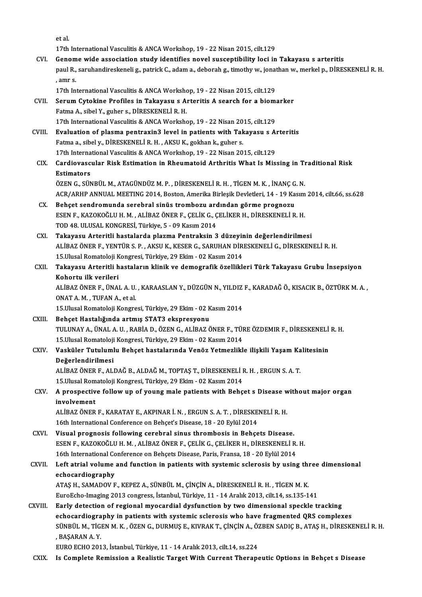|            | et al.                                                                                                                            |
|------------|-----------------------------------------------------------------------------------------------------------------------------------|
|            | 17th International Vasculitis & ANCA Workshop, 19 - 22 Nisan 2015, cilt.129                                                       |
| CVI.       | Genome wide association study identifies novel susceptibility loci in Takayasu s arteritis                                        |
|            | paul R., saruhandireskeneli g., patrick C., adam a., deborah g., timothy w., jonathan w., merkel p., DİRESKENELİ R. H.<br>, amr s |
|            | 17th International Vasculitis & ANCA Workshop, 19 - 22 Nisan 2015, cilt.129                                                       |
| CVII.      | Serum Cytokine Profiles in Takayasu s Arteritis A search for a biomarker                                                          |
|            | Fatma A., sibel Y., guher s., DİRESKENELİ R. H.                                                                                   |
|            | 17th International Vasculitis & ANCA Workshop, 19 - 22 Nisan 2015, cilt.129                                                       |
| CVIII.     | Evaluation of plasma pentraxin3 level in patients with Takayasu s Arteritis                                                       |
|            | Fatma a., sibel y., DİRESKENELİ R. H., AKSU K., gokhan k., guher s.                                                               |
|            | 17th International Vasculitis & ANCA Workshop, 19 - 22 Nisan 2015, cilt.129                                                       |
| CIX.       | Cardiovascular Risk Estimation in Rheumatoid Arthritis What Is Missing in Traditional Risk                                        |
|            | <b>Estimators</b>                                                                                                                 |
|            | ÖZEN G., SÜNBÜL M., ATAGÜNDÜZ M. P., DİRESKENELİ R. H., TİGEN M. K., İNANÇ G. N.                                                  |
|            | ACR/ARHP ANNUAL MEETING 2014, Boston, Amerika Birleşik Devletleri, 14 - 19 Kasım 2014, cilt.66, ss.628                            |
| CX.        | Behçet sendromunda serebral sinüs trombozu ardından görme prognozu                                                                |
|            | ESEN F., KAZOKOĞLU H. M., ALİBAZ ÖNER F., ÇELİK G., ÇELİKER H., DİRESKENELİ R. H.                                                 |
|            | TOD 48. ULUSAL KONGRESİ, Türkiye, 5 - 09 Kasım 2014                                                                               |
| <b>CXI</b> | Takayasu Arteritli hastalarda plazma Pentraksin 3 düzeyinin değerlendirilmesi                                                     |
|            | ALİBAZ ÖNER F., YENTÜR S. P., AKSU K., KESER G., SARUHAN DİRESKENELİ G., DİRESKENELİ R. H.                                        |
|            | 15. Ulusal Romatoloji Kongresi, Türkiye, 29 Ekim - 02 Kasım 2014                                                                  |
| CXII.      | Takayasu Arteritli hastaların klinik ve demografik özellikleri Türk Takayasu Grubu İnsepsiyon                                     |
|            | Kohortu ilk verileri                                                                                                              |
|            | ALİBAZ ÖNER F., ÜNAL A. U., KARAASLAN Y., DÜZGÜN N., YILDIZ F., KARADAĞ Ö., KISACIK B., ÖZTÜRK M. A.,                             |
|            | ONAT A M , TUFAN A , et al.                                                                                                       |
|            | 15. Ulusal Romatoloji Kongresi, Türkiye, 29 Ekim - 02 Kasım 2014                                                                  |
| CXIII.     | Behçet Hastalığında artmış STAT3 ekspresyonu                                                                                      |
|            | TULUNAY A., ÜNAL A. U. , RABİA D., ÖZEN G., ALİBAZ ÖNER F., TÜRE ÖZDEMIR F., DİRESKENELİ R. H.                                    |
|            | 15. Ulusal Romatoloji Kongresi, Türkiye, 29 Ekim - 02 Kasım 2014                                                                  |
| CXIV.      | Vasküler Tutulumlu Behçet hastalarında Venöz Yetmezlikle ilişkili Yaşam Kalitesinin                                               |
|            | Değerlendirilmesi                                                                                                                 |
|            | ALİBAZ ÖNER F., ALDAĞ B., ALDAĞ M., TOPTAŞ T., DİRESKENELİ R. H., ERGUN S. A. T.                                                  |
|            | 15. Ulusal Romatoloji Kongresi, Türkiye, 29 Ekim - 02 Kasım 2014                                                                  |
| CXV.       | A prospective follow up of young male patients with Behçet s Disease without major organ                                          |
|            | involvement                                                                                                                       |
|            | ALİBAZ ÖNER F., KARATAY E., AKPINAR İ. N., ERGUN S. A. T., DİRESKENELİ R. H.                                                      |
|            | 16th International Conference on Behçet's Disease, 18 - 20 Eylül 2014                                                             |
| CXVI.      | Visual prognosis following cerebral sinus thrombosis in Behçets Disease.                                                          |
|            | ESEN F., KAZOKOĞLU H. M., ALİBAZ ÖNER F., ÇELİK G., ÇELİKER H., DİRESKENELİ R. H.                                                 |
|            | 16th International Conference on Behçets Disease, Paris, Fransa, 18 - 20 Eylül 2014                                               |
| CXVII.     | Left atrial volume and function in patients with systemic sclerosis by using three dimensional                                    |
|            | echocardiography                                                                                                                  |
|            | ATAŞ H., SAMADOV F., KEPEZ A., SÜNBÜL M., ÇİNÇİN A., DİRESKENELİ R. H., TİGEN M. K.                                               |
|            | EuroEcho-Imaging 2013 congress, İstanbul, Türkiye, 11 - 14 Aralık 2013, cilt.14, ss.135-141                                       |
| CXVIII.    | Early detection of regional myocardial dysfunction by two dimensional speckle tracking                                            |
|            | echocardiography in patients with systemic sclerosis who have fragmented QRS complexes                                            |
|            | SÜNBÜL M., TİGEN M. K. , ÖZEN G., DURMUŞ E., KIVRAK T., ÇİNÇİN A., ÖZBEN SADIÇ B., ATAŞ H., DİRESKENELİ R. H.                     |
|            | , BAŞARAN A.Y.                                                                                                                    |
|            | EURO ECHO 2013, İstanbul, Türkiye, 11 - 14 Aralık 2013, cilt.14, ss.224                                                           |
| CXIX.      | Is Complete Remission a Realistic Target With Current Therapeutic Options in Behçet s Disease                                     |
|            |                                                                                                                                   |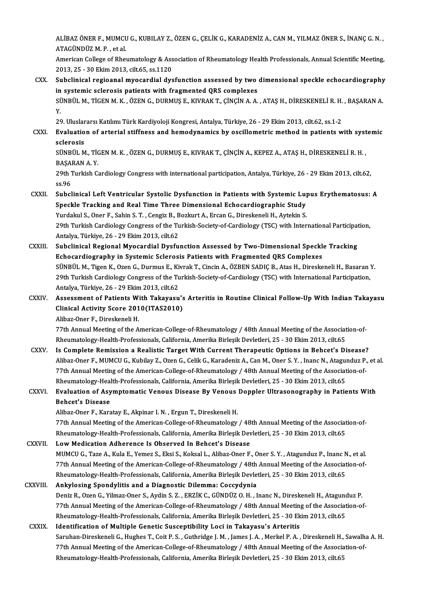ALİBAZ ÖNER F., MUMCU G., KUBILAY Z., ÖZEN G., ÇELİK G., KARADENİZ A., CAN M., YILMAZ ÖNER S., İNANÇ G. N. ,<br>ATAÇÜNDÜZ M. P., et al ALİBAZ ÖNER F., MUMCL<br>ATAGÜNDÜZ M. P. , et al.<br>Amerisan College of Phei ALİBAZ ÖNER F., MUMCU G., KUBILAY Z., ÖZEN G., ÇELİK G., KARADENİZ A., CAN M., YILMAZ ÖNER S., İNANÇ G. N. ,<br>ATAGÜNDÜZ M. P. , et al.<br>American College of Rheumatology & Association of Rheumatology Health Professionals, Ann

ATAGÜNDÜZ M. P. , et al.<br>American College of Rheumatology & Association of Rheumatology Health Professionals, Annual Scientific Meeting,<br>2013, 25 - 30 Ekim 2013, cilt.65, ss.1120 American College of Rheumatology & Association of Rheumatology Health Professionals, Annual Scientific Meeting,<br>2013, 25 - 30 Ekim 2013, cilt.65, ss.1120<br>CXX. Subclinical regioanal myocardial dysfunction assessed by two di

#### 2013, 25 - 30 Ekim 2013, cilt.65, ss.1120<br>Subclinical regioanal myocardial dysfunction assessed by two<br>in systemic sclerosis patients with fragmented QRS complexes<br>SÜNPÜLM TICEN M K. ÖZEN C. DUPMUS E. KUPAK T. CINCIN A.A. Subclinical regioanal myocardial dysfunction assessed by two dimensional speckle echocardiography<br>in systemic sclerosis patients with fragmented QRS complexes<br>SÜNBÜL M., TİGEN M. K. , ÖZEN G., DURMUŞ E., KIVRAK T., ÇİNÇİN in<br>Sü<br>20 SÜNBÜL M., TİGEN M. K. , ÖZEN G., DURMUŞ E., KIVRAK T., ÇİNÇİN A. A. , ATAŞ H., DİRESKENELİ R. H.<br>Y.<br>29. Uluslararsı Katılımı Türk Kardiyoloji Kongresi, Antalya, Türkiye, 26 - 29 Ekim 2013, cilt.62, ss.1-2<br>Evaluation of ar

## Y.<br>29. Uluslararsı Katılımı Türk Kardiyoloji Kongresi, Antalya, Türkiye, 26 - 29 Ekim 2013, cilt.62, ss.1-2<br>CXXI. Evaluation of arterial stiffness and hemodynamics by oscillometric method in patients with systemic<br>cele 29. Uluslar<br><mark>Evaluatio</mark><br>sclerosis<br>sünpür M Evaluation of arterial stiffness and hemodynamics by oscillometric method in patients with syst<br>sclerosis<br>SÜNBÜL M., TİGEN M. K. , ÖZEN G., DURMUŞ E., KIVRAK T., ÇİNÇİN A., KEPEZ A., ATAŞ H., DİRESKENELİ R. H. ,<br>BASABAN A

sclerosis<br>SÜNBÜL M., TİGEN M. K. , ÖZEN G., DURMUŞ E., KIVRAK T., ÇİNÇİN A., KEPEZ A., ATAŞ H., DİRESKENELİ R. H. ,<br>BAŞARAN A. Y. 3ÜNBÜL M., TİGEN M. K. , ÖZEN G., DURMUŞ E., KIVRAK T., ÇİNÇİN A., KEPEZ A., ATAŞ H., DİRESKENELİ R. H. ,<br>BAŞARAN A. Y.<br>29th Turkish Cardiology Congress with international participation, Antalya, Türkiye, 26 - 29 Ekim 2013

BAŞA<br>29th 1<br>ss.96<br>Subel 29th Turkish Cardiology Congress with international participation, Antalya, Türkiye, 26 - 29 Ekim 2013, cilt.62,<br>58.96<br>CXXII. Subclinical Left Ventricular Systolic Dysfunction in Patients with Systemic Lupus Erythematosus:

#### ss.96<br>Subclinical Left Ventricular Systolic Dysfunction in Patients with Systemic Lu<sub>l</sub><br>Speckle Tracking and Real Time Three Dimensional Echocardiographic Study<br><sup>Vundelul S. Oper E. Sebin S.T. Censis B. Beslaut A. Exeep G.</sup> Subclinical Left Ventricular Systolic Dysfunction in Patients with Systemic Lu<sub>l</sub><br>Speckle Tracking and Real Time Three Dimensional Echocardiographic Study<br>Yurdakul S., Oner F., Sahin S. T. , Cengiz B., Bozkurt A., Ercan G. Speckle Tracking and Real Time Three Dimensional Echocardiographic Study<br>Yurdakul S., Oner F., Sahin S. T. , Cengiz B., Bozkurt A., Ercan G., Direskeneli H., Aytekin S.<br>29th Turkish Cardiology Congress of the Turkish-Socie Yurdakul S., Oner F., Sahin S. T. , Cengiz B., B<br>29th Turkish Cardiology Congress of the Tu<br>Antalya, Türkiye, 26 - 29 Ekim 2013, cilt.62<br>Suhelinisal Bagianal Muagardial Dysfu 29th Turkish Cardiology Congress of the Turkish-Society-of-Cardiology (TSC) with International Participat<br>Antalya, Türkiye, 26 - 29 Ekim 2013, cilt.62<br>CXXIII. Subclinical Regional Myocardial Dysfunction Assessed by Two-Dim

#### Antalya, Türkiye, 26 - 29 Ekim 2013, cilt.62<br>Subclinical Regional Myocardial Dysfunction Assessed by Two-Dimensional Speckle Tracking<br>Echocardiography in Systemic Sclerosis Patients with Fragmented QRS Complexes Subclinical Regional Myocardial Dysfunction Assessed by Two-Dimensional Speckle Tracking<br>Echocardiography in Systemic Sclerosis Patients with Fragmented QRS Complexes<br>SÜNBÜL M., Tigen K., Ozen G., Durmus E., Kivrak T., Cin Echocardiography in Systemic Sclerosis Patients with Fragmented QRS Complexes<br>SÜNBÜL M., Tigen K., Ozen G., Durmus E., Kivrak T., Cincin A., ÖZBEN SADIÇ B., Atas H., Direskeneli H., Basaran<br>29th Turkish Cardiology Congress SÜNBÜL M., Tigen K., Ozen G., Durmus E., Ki<br>29th Turkish Cardiology Congress of the Tu<br>Antalya, Türkiye, 26 - 29 Ekim 2013, cilt.62<br>Assessment of Patients With Takawasu 29th Turkish Cardiology Congress of the Turkish-Society-of-Cardiology (TSC) with International Participation,<br>Antalya, Türkiye, 26 - 29 Ekim 2013, cilt.62<br>CXXIV. Assessment of Patients With Takayasu's Arteritis in Routine

## Antalya, Türkiye, 26 - 29 Ekim 2013, cilt.62<br>Assessment of Patients With Takayasu's<br>Clinical Activity Score 2010(ITAS2010) Assessment of Patients W<br>Clinical Activity Score 201<br>Alibaz-Oner F., Direskeneli H.<br>77th Annual Meeting of the A Clinical Activity Score 2010(ITAS2010)<br>Alibaz-Oner F., Direskeneli H.<br>77th Annual Meeting of the American-College-of-Rheumatology / 48th Annual Meeting of the Association-of-<br>Pheumatology Heelth Professionals Colifornia Am

Alibaz-Oner F., Direskeneli H.<br>77th Annual Meeting of the American-College-of-Rheumatology / 48th Annual Meeting of the Associat<br>Rheumatology-Health-Professionals, California, Amerika Birleşik Devletleri, 25 - 30 Ekim 2013 77th Annual Meeting of the American-College-of-Rheumatology / 48th Annual Meeting of the Association-of-<br>Rheumatology-Health-Professionals, California, Amerika Birleşik Devletleri, 25 - 30 Ekim 2013, cilt.65<br>CXXV. Is Compl

#### Rheumatology-Health-Professionals, California, Amerika Birleşik Devletleri, 25 - 30 Ekim 2013, cilt.65<br>Is Complete Remission a Realistic Target With Current Therapeutic Options in Behcet's Disease?<br>Alibaz-Oner F., MUMCU G. Is Complete Remission a Realistic Target With Current Therapeutic Options in Behcet's Disease<br>Alibaz-Oner F., MUMCU G., Kubilay Z., Ozen G., Celik G., Karadeniz A., Can M., Oner S. Y. , Inanc N., Atagunduz P.<br>77th Annual M Alibaz-Oner F., MUMCU G., Kubilay Z., Ozen G., Celik G., Karadeniz A., Can M., Oner S. Y. , Inanc N., Atagui<br>77th Annual Meeting of the American-College-of-Rheumatology / 48th Annual Meeting of the Associat<br>Rheumatology-He 77th Annual Meeting of the American-College-of-Rheumatology / 48th Annual Meeting of the Association-of-<br>Rheumatology-Health-Professionals, California, Amerika Birleşik Devletleri, 25 - 30 Ekim 2013, cilt.65<br>Evaluation of

Rheumatology-Heal<br>Evaluation of Asy<br>Behcet's Disease<br>Alibar Oper E. Kars Evaluation of Asymptomatic Venous Disease By Venous Doppler Ultrasonography in Patients With<br>Behcet's Disease<br>Alibaz-Oner F., Karatay E., Akpinar I.N. , Ergun T., Direskeneli H.

Behcet's Disease<br>Alibaz-Oner F., Karatay E., Akpinar I. N. , Ergun T., Direskeneli H.<br>77th Annual Meeting of the American-College-of-Rheumatology / 48th Annual Meeting of the Association-of-<br>Pheumatology Health Professiona Alibaz-Oner F., Karatay E., Akpinar I. N. , Ergun T., Direskeneli H.<br>77th Annual Meeting of the American-College-of-Rheumatology / 48th Annual Meeting of the Associat<br>Rheumatology-Health-Professionals, California, Amerika 77th Annual Meeting of the American-College-of-Rheumatology / 48<br>Rheumatology-Health-Professionals, California, Amerika Birleşik Dev<br>CXXVII. Low Medication Adherence Is Observed In Behcet's Disease<br>MUMCU C. Tage A. Kula E.

Rheumatology-Health-Professionals, California, Amerika Birleşik Devletleri, 25 - 30 Ekim 2013, cilt.65<br>L**ow Medication Adherence Is Observed In Behcet's Disease**<br>MUMCU G., Taze A., Kula E., Yemez S., Eksi S., Koksal L., Al Low Medication Adherence Is Observed In Behcet's Disease<br>MUMCU G., Taze A., Kula E., Yemez S., Eksi S., Koksal L., Alibaz-Oner F., Oner S. Y. , Atagunduz P., Inanc N., et al.<br>77th Annual Meeting of the American-College-of-MUMCU G., Taze A., Kula E., Yemez S., Eksi S., Koksal L., Alibaz-Oner F., Oner S. Y. , Atagunduz P., Inanc N<br>77th Annual Meeting of the American-College-of-Rheumatology / 48th Annual Meeting of the Associat<br>Rheumatology-He 77th Annual Meeting of the American-College-of-Rheumatology / 48th Annual Meeting of the Association-of-<br>Rheumatology-Health-Professionals, California, Amerika Birleşik Devletleri, 25 - 30 Ekim 2013, cilt.65<br>CXXVIII. Ankyl

## Rheumatology-Health-Professionals, California, Amerika Birleşik Devletleri, 25 - 30 Ekim 2013, cilt.65<br>Ankylosing Spondylitis and a Diagnostic Dilemma: Coccydynia<br>Deniz R., Ozen G., Yilmaz-Oner S., Aydin S. Z. , ERZİK C., 77th Annual Meeting of the American-College-of-Rheumatology / 48th Annual Meeting of the Association-of-<br>Rheumatology-Health-Professionals, California, Amerika Birleşik Devletleri, 25 - 30 Ekim 2013, cilt.65 Deniz R., Ozen G., Yilmaz-Oner S., Aydin S. Z. , ERZİK C., GÜNDÜZ O. H. , Inanc N., Direskeneli H., Ataguno<br>77th Annual Meeting of the American-College-of-Rheumatology / 48th Annual Meeting of the Associat<br>Rheumatology-Hea

CXXIX. Identification of Multiple Genetic Susceptibility Loci in Takayasu's Arteritis Saruhan-Direskeneli G., Hughes T., Coit P.S., Guthridge J.M., James J.A., Merkel P.A., Direskeneli H., Sawalha A.H. Identification of Multiple Genetic Susceptibility Loci in Takayasu's Arteritis<br>Saruhan-Direskeneli G., Hughes T., Coit P. S. , Guthridge J. M. , James J. A. , Merkel P. A. , Direskeneli H., Sawalh<br>77th Annual Meeting of th Saruhan-Direskeneli G., Hughes T., Coit P. S. , Guthridge J. M. , James J. A. , Merkel P. A. , Direskeneli H.,<br>77th Annual Meeting of the American-College-of-Rheumatology / 48th Annual Meeting of the Associa<br>Rheumatology-H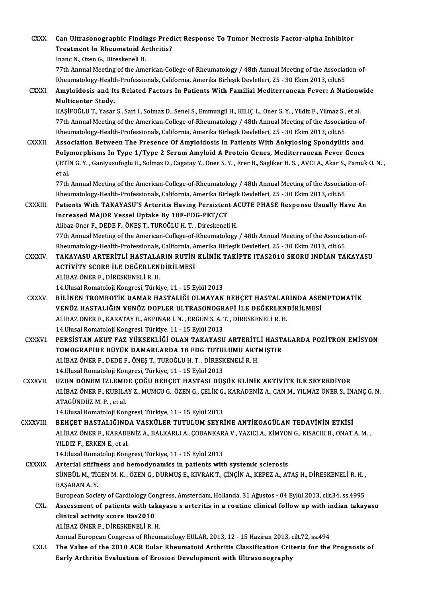| <b>CXXX</b>    | Can Ultrasonographic Findings Predict Response To Tumor Necrosis Factor-alpha Inhibitor<br><b>Treatment In Rheumatoid Arthritis?</b>            |
|----------------|-------------------------------------------------------------------------------------------------------------------------------------------------|
|                | Inanc N., Ozen G., Direskeneli H.                                                                                                               |
|                | 77th Annual Meeting of the American-College-of-Rheumatology / 48th Annual Meeting of the Association-of-                                        |
|                | Rheumatology-Health-Professionals, California, Amerika Birleşik Devletleri, 25 - 30 Ekim 2013, cilt.65                                          |
| <b>CXXXI</b>   | Amyloidosis and Its Related Factors In Patients With Familial Mediterranean Fever: A Nationwide                                                 |
|                | Multicenter Study.                                                                                                                              |
|                | KAŞİFOĞLU T., Yasar S., Sari I., Solmaz D., Senel S., Emmungil H., KILIÇ L., Oner S. Y., Yildiz F., Yilmaz S., et al.                           |
|                | 77th Annual Meeting of the American-College-of-Rheumatology / 48th Annual Meeting of the Association-of-                                        |
|                | Rheumatology-Health-Professionals, California, Amerika Birleşik Devletleri, 25 - 30 Ekim 2013, cilt.65                                          |
| <b>CXXXII</b>  | Association Between The Presence Of Amyloidosis In Patients With Ankylosing Spondylitis and                                                     |
|                | Polymorphisms In Type 1/Type 2 Serum Amyloid A Protein Genes, Mediterranean Fever Genes                                                         |
|                | ÇETİN G.Y., Ganiyusufoglu E., Solmaz D., Cagatay Y., Oner S.Y., Erer B., Sagliker H.S., AVCI A., Akar S., Pamuk O.N.,                           |
|                | et al.                                                                                                                                          |
|                | 77th Annual Meeting of the American-College-of-Rheumatology / 48th Annual Meeting of the Association-of-                                        |
|                | Rheumatology-Health-Professionals, California, Amerika Birleşik Devletleri, 25 - 30 Ekim 2013, cilt.65                                          |
| CXXXIII.       | Patients With TAKAYASU'S Arteritis Having Persistent ACUTE PHASE Response Usually Have An                                                       |
|                | Increased MAJOR Vessel Uptake By 18F-FDG-PET/CT                                                                                                 |
|                | Alibaz-Oner F., DEDE F., ÖNEŞ T., TUROĞLU H. T., Direskeneli H.                                                                                 |
|                | 77th Annual Meeting of the American-College-of-Rheumatology / 48th Annual Meeting of the Association-of-                                        |
|                | Rheumatology-Health-Professionals, California, Amerika Birleşik Devletleri, 25 - 30 Ekim 2013, cilt.65                                          |
| <b>CXXXIV</b>  | TAKAYASU ARTERİTLİ HASTALARIN RUTİN KLİNİK TAKİPTE ITAS2010 SKORU INDİAN TAKAYASU                                                               |
|                | ACTIVITY SCORE ILE DEĞERLENDIRILMESI                                                                                                            |
|                | ALİBAZ ÖNER F., DİRESKENELİ R.H.                                                                                                                |
|                | 14 Ulusal Romatoloji Kongresi, Türkiye, 11 - 15 Eylül 2013                                                                                      |
| <b>CXXXV</b>   | BİLİNEN TROMBOTİK DAMAR HASTALIĞI OLMAYAN BEHÇET HASTALARINDA ASEMPTOMATİK                                                                      |
|                | VENÖZ HASTALIĞIN VENÖZ DOPLER ULTRASONOGRAFİ İLE DEĞERLENDİRİLMESİ                                                                              |
|                | ALİBAZ ÖNER F., KARATAY E., AKPINAR İ. N., ERGUN S. A. T., DİRESKENELİ R. H.                                                                    |
|                | 14 Ulusal Romatoloji Kongresi, Türkiye, 11 - 15 Eylül 2013<br>PERSISTAN AKUT FAZ YÜKSEKLIĞI OLAN TAKAYASU ARTERITLI HASTALARDA POZITRON EMISYON |
| <b>CXXXVI</b>  | TOMOGRAFİDE BÜYÜK DAMARLARDA 18 FDG TUTULUMU ARTMIŞTIR                                                                                          |
|                | ALİBAZ ÖNER F., DEDE F., ÖNEŞ T., TUROĞLU H. T., DİRESKENELİ R. H.                                                                              |
|                | 14 Ulusal Romatoloji Kongresi, Türkiye, 11 - 15 Eylül 2013                                                                                      |
| <b>CXXXVII</b> | UZUN DÖNEM İZLEMDE ÇOĞU BEHÇET HASTASI DÜŞÜK KLİNİK AKTİVİTE İLE SEYREDİYOR                                                                     |
|                | ALİBAZ ÖNER F., KUBILAY Z., MUMCU G., ÖZEN G., ÇELİK G., KARADENİZ A., CAN M., YILMAZ ÖNER S., İNANÇ G. N.,                                     |
|                | ATAGÜNDÜZ M. P., et al.                                                                                                                         |
|                | 14. Ulusal Romatoloji Kongresi, Türkiye, 11 - 15 Eylül 2013                                                                                     |
| CXXXVIII.      | BEHÇET HASTALIĞINDA VASKÜLER TUTULUM SEYRİNE ANTİKOAGÜLAN TEDAVİNİN ETKİSİ                                                                      |
|                | ALİBAZ ÖNER F., KARADENİZ A., BALKARLI A., ÇOBANKARA V., YAZICI A., KİMYON G., KISACIK B., ONAT A. M.,                                          |
|                | YILDIZ F., ERKEN E., et al.                                                                                                                     |
|                | 14 Ulusal Romatoloji Kongresi, Türkiye, 11 - 15 Eylül 2013                                                                                      |
| <b>CXXXIX</b>  | Arterial stiffness and hemodynamics in patients with systemic sclerosis                                                                         |
|                | SÜNBÜL M., TİGEN M. K., ÖZEN G., DURMUŞ E., KIVRAK T., ÇİNÇİN A., KEPEZ A., ATAŞ H., DİRESKENELİ R. H.,                                         |
|                | <b>BAŞARAN A.Y.</b>                                                                                                                             |
|                | European Society of Cardiology Congress, Amsterdam, Hollanda, 31 Ağustos - 04 Eylül 2013, cilt.34, ss.4995                                      |
| CXL.           | Assessment of patients with takayasu s arteritis in a routine clinical follow up with indian takayasu                                           |
|                | clinical activity score itas2010                                                                                                                |
|                | ALİBAZ ÖNER F., DİRESKENELİ R.H.                                                                                                                |
|                | Annual European Congress of Rheumatology EULAR, 2013, 12 - 15 Haziran 2013, cilt.72, ss.494                                                     |
| CXLI.          | The Value of the 2010 ACR Eular Rheumatoid Arthritis Classification Criteria for the Prognosis of                                               |
|                | Early Arthritis Evaluation of Erosion Development with Ultrasonography                                                                          |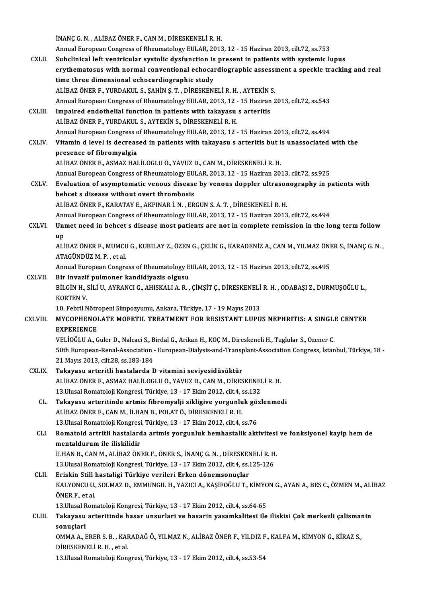İNANÇG.N. ,ALİBAZÖNERF.,CANM.,DİRESKENELİR.H. İNANÇ G. N. , ALİBAZ ÖNER F., CAN M., DİRESKENELİ R. H.<br>Annual European Congress of Rheumatology EULAR, 2013, 12 - 15 Haziran 2013, cilt.72, ss.753<br>Subeliniaal laft ventrieular avatelia dyafunction is present in patients w INANÇ G. N. , ALIBAZ ÖNER F., CAN M., DIRESKENELI R. H.<br>Annual European Congress of Rheumatology EULAR, 2013, 12 - 15 Haziran 2013, cilt.72, ss.753<br>CXLII. Subclinical left ventricular systolic dysfunction is present in pat Annual European Congress of Rheumatology EULAR, 2013, 12 - 15 Haziran 2013, cilt.72, ss.753<br>Subclinical left ventricular systolic dysfunction is present in patients with systemic lupus<br>erythematosus with normal conventiona Subclinical left ventricular systolic dysfunction is<br>erythematosus with normal conventional echocar<br>time three dimensional echocardiographic study<br>ALIBAZÖNER E VURDAKULS SAHIN S T. DIRESKENI erythematosus with normal conventional echocardiographic assessitime three dimensional echocardiographic study<br>ALİBAZ ÖNER F., YURDAKUL S., ŞAHİN Ş.T. , DİRESKENELİ R. H. , AYTEKİN S.<br>Annual European Congress of Pheumatolo time three dimensional echocardiographic study<br>ALİBAZ ÖNER F., YURDAKUL S., ŞAHİN Ş. T. , DİRESKENELİ R. H. , AYTEKİN S.<br>Annual European Congress of Rheumatology EULAR, 2013, 12 - 15 Haziran 2013, cilt.72, ss.543<br>Impaired ALIBAZ ÖNER F., YURDAKUL S., ŞAHİN Ş. T. , DİRESKENELİ R. H. , AYTEKİN :<br>Annual European Congress of Rheumatology EULAR, 2013, 12 - 15 Haziran<br>CXLIII. Impaired endothelial function in patients with takayasu s arteritis<br>ALI Annual European Congress of Rheumatology EULAR, 2013, 12 -<br>Impaired endothelial function in patients with takayasu<br>ALİBAZ ÖNER F., YURDAKUL S., AYTEKİN S., DİRESKENELİ R. H.<br>Annual European Congress of Bheumatelogy EULAR, Impaired endothelial function in patients with takayasu s arteritis<br>ALİBAZ ÖNER F., YURDAKUL S., AYTEKİN S., DİRESKENELİ R. H.<br>Annual European Congress of Rheumatology EULAR, 2013, 12 - 15 Haziran 2013, cilt.72, ss.494 ALIBAZ ÖNER F., YURDAKUL S., AYTEKIN S., DIRESKENELI R. H.<br>Annual European Congress of Rheumatology EULAR, 2013, 12 - 15 Haziran 2013, cilt.72, ss.494<br>CXLIV. Vitamin d level is decreased in patients with takayasu s art Annual European Congress c<br>Vitamin d level is decreas<br>presence of fibromyalgia<br>ALIBAZ ÖNER E. ASMAZ HAL Vitamin d level is decreased in patients with takayasu s arteritis but i<br>presence of fibromyalgia<br>ALİBAZ ÖNER F., ASMAZ HALİLOGLU Ö., YAVUZ D., CAN M., DİRESKENELİ R. H.<br>Annual European Congress of Pheumetalogu EULAR 2012presence of fibromyalgia<br>ALİBAZ ÖNER F., ASMAZ HALİLOGLU Ö., YAVUZ D., CAN M., DİRESKENELİ R. H.<br>Annual European Congress of Rheumatology EULAR, 2013, 12 - 15 Haziran 2013, cilt.72, ss.925<br>Evaluation of asymptomatis yeneve ALİBAZ ÖNER F., ASMAZ HALİLOGLU Ö., YAVUZ D., CAN M., DİRESKENELİ R. H.<br>Annual European Congress of Rheumatology EULAR, 2013, 12 - 15 Haziran 2013, cilt.72, ss.925<br>CXLV. Evaluation of asymptomatic venous disease by ven Annual European Congress of Rheumatology EU<br>Evaluation of asymptomatic venous disease<br>behcet s disease without overt thrombosis<br>ALIPAZ ÖNER E, KARATAV E, AKRINAR LN, ER Evaluation of asymptomatic venous disease by venous doppler ultrasor<br>behcet s disease without overt thrombosis<br>ALİBAZ ÖNER F., KARATAY E., AKPINAR İ. N. , ERGUN S. A. T. , DİRESKENELİ R. H.<br>Annual European Congress of Phou behcet s disease without overt thrombosis<br>ALİBAZ ÖNER F., KARATAY E., AKPINAR İ. N. , ERGUN S. A. T. , DİRESKENELİ R. H.<br>Annual European Congress of Rheumatology EULAR, 2013, 12 - 15 Haziran 2013, cilt.72, ss.494 ALİBAZ ÖNER F., KARATAY E., AKPINAR İ. N. , ERGUN S. A. T. , DİRESKENELİ R. H.<br>Annual European Congress of Rheumatology EULAR, 2013, 12 - 15 Haziran 2013, cilt.72, ss.494<br>CXLVI. Unmet need in behcet s disease most patients Anr<br>Uni<br>up Unmet need in behcet s disease most patients are not in complete remission in the long term follow<br>up<br>ALİBAZ ÖNER F., MUMCU G., KUBILAY Z., ÖZEN G., ÇELİK G., KARADENİZ A., CAN M., YILMAZ ÖNER S., İNANÇ G. N. ,<br>ATACÜNDÜZ M up<br>ALİBAZ ÖNER F., MUMCU G., KUBILAY Z., ÖZEN G., ÇELİK G., KARADENİZ A., CAN M., YILMAZ ÖNER S., İNANÇ G. N. ,<br>ATAGÜNDÜZ M. P. , et al. ALİBAZ ÖNER F., MUMCU G., KUBILAY Z., ÖZEN G., ÇELİK G., KARADENİZ A., CAN M., YILMAZ ÖNI<br>ATAGÜNDÜZ M. P. , et al.<br>Annual European Congress of Rheumatology EULAR, 2013, 12 - 15 Haziran 2013, cilt.72, ss.495<br>Bir invazif pul ATAGÜNDÜZ M. P. , et al.<br>Annual European Congress of Rheumatology E<br>CXLVII. Bir invazif pulmoner kandidiyazis olgusu<br>PUCIN H. SULU AVPANCLO AHISYALLA P Annual European Congress of Rheumatology EULAR, 2013, 12 - 15 Haziran 2013, cilt.72, ss.495<br>Bir invazif pulmoner kandidiyazis olgusu<br>BİLGİN H., SİLİ U., AYRANCI G., AHISKALI A. R. , ÇİMŞİT Ç., DİRESKENELİ R. H. , ODABAŞI Z Bir invazif<br>BİLGİN H., :<br>KORTEN V.<br>10. Febril N BİLGİN H., SİLİ U., AYRANCI G., AHISKALI A. R. , ÇİMŞİT Ç., DİRESKENELİ<br>KORTEN V.<br>10. Febril Nötropeni Simpozyumu, Ankara, Türkiye, 17 - 19 Mayıs 2013<br>MYCORHENOL ATE MOEETU, TREATMENT EOR RESISTANT LURU KORTEN V.<br>10. Febril Nötropeni Simpozyumu, Ankara, Türkiye, 17 - 19 Mayıs 2013<br>CXLVIII. MYCOPHENOLATE MOFETIL TREATMENT FOR RESISTANT LUPUS NEPHRITIS: A SINGLE CENTER<br>EXPERIENCE 10. Febril Nötre<br>MYCOPHENOI<br>EXPERIENCE<br>VELIOČEHA C MYCOPHENOLATE MOFETIL TREATMENT FOR RESISTANT LUPUS NEPHRITIS: A SINGLI<br>EXPERIENCE<br>VELİOĞLU A., Guler D., Nalcaci S., Birdal G., Arikan H., KOÇ M., Direskeneli H., Tuglular S., Ozener C.<br>E0th European Banal Assosiation - E EXPERIENCE<br>VELİOĞLU A., Guler D., Nalcaci S., Birdal G., Arikan H., KOÇ M., Direskeneli H., Tuglular S., Ozener C.<br>50th European-Renal-Association - European-Dialysis-and-Transplant-Association Congress, İstanbul, Türkiye, VELİOĞLU A., Guler D., Nalcaci S., Birdal G., Arikan H., KOÇ M., Direskeneli H., Tuglular S., Ozener C. CXLIX. Takayasu arteritli hastalarda D vitamini seviyesidüsüktür ALİBAZÖNERF.,ASMAZHALİLOGLUÖ.,YAVUZD.,CANM.,DİRESKENELİR.H. Takayasu arteritli hastalarda D vitamini seviyesidüsüktür<br>ALİBAZ ÖNER F., ASMAZ HALİLOGLU Ö., YAVUZ D., CAN M., DİRESKENEI<br>13.Ulusal Romatoloji Kongresi, Türkiye, 13 - 17 Ekim 2012, cilt.4, ss.132<br>Takayaay artaritində ərtm CL. Takayasu arteritinde artmis fibromyalji sikligive yorgunluk gözlenmedi 13.Ulusal Romatoloji Kongresi, Türkiye, 13 - 17 Ekim 2012, cilt.4, s<br>Takayasu arteritinde artmis fibromyalji sikligive yorgunlu<br>ALİBAZ ÖNER F., CAN M., İLHAN B., POLAT Ö., DİRESKENELİ R. H.<br>13 Husal Bamatalaji Kongresi Tür Takayasu arteritinde artmis fibromyalji sikligive yorgunluk gö:<br>ALİBAZ ÖNER F., CAN M., İLHAN B., POLAT Ö., DİRESKENELİ R. H.<br>13.Ulusal Romatoloji Kongresi, Türkiye, 13 - 17 Ekim 2012, cilt.4, ss.76<br>Bomatoid artritli hasta CLI. Romatoid artritli hastalarda artmis yorgunluk hemhastalik aktivitesi ve fonksiyonel kayip hemde 13.Ulusal Romatoloji Kongresi<br>Romatoid artritli hastalard<br>mentaldurum ile iliskilidir<br>iluan B. CAN M. AliBAZÖN Romatoid artritli hastalarda artmis yorgunluk hemhastalik aktivitesi<br>mentaldurum ile iliskilidir<br>İLHAN B., CAN M., ALİBAZ ÖNER F., ÖNER S., İNANÇ G. N. , DİRESKENELİ R. H.<br>12 Husal Bemateleji Kengresi, Türkiye 12 , 17 Ekim mentaldurum ile iliskilidir<br>İLHAN B., CAN M., ALİBAZ ÖNER F., ÖNER S., İNANÇ G. N. , DİRESKENELİ R. H<br>13.Ulusal Romatoloji Kongresi, Türkiye, 13 - 17 Ekim 2012, cilt.4, ss.125-126<br>Friekin Still bastaligi Türkiye yerileri E ILHAN B., CAN M., ALIBAZ ÖNER F., ÖNER S., İNANÇ G. N., DİRESKEN<br>13.Ulusal Romatoloji Kongresi, Türkiye, 13 - 17 Ekim 2012, cilt.4, ss.<br>CLII. Eriskin Still hastaligi Türkiye verileri Erken dönemsonuçlar<br>24.UXONCU U. SOLMAZ 13.Ulusal Romatoloji Kongresi, Türkiye, 13 - 17 Ekim 2012, cilt.4, ss.125-126<br>Eriskin Still hastaligi Türkiye verileri Erken dönemsonuçlar<br>KALYONCU U., SOLMAZ D., EMMUNGIL H., YAZICI A., KAŞİFOĞLU T., KİMYON G., AYAN A., B Eriskin Still hastaligi Türkiye verileri Erken dönemsonuçlar<br>KALYONCU U., SOLMAZ D., EMMUNGIL H., YAZICI A., KAŞİFOĞLU T.,<br>ÖNER F.. et al. KALYONCU U., SOLMAZ D., EMMUNGIL H., YAZICI A., KAŞİFOĞLU T., KİMYO<br>ÖNER F., et al.<br>13.Ulusal Romatoloji Kongresi, Türkiye, 13 - 17 Ekim 2012, cilt.4, ss.64-65<br>Tekevesy, artaritində basar unayrları və basarın yasamlalitəsi ÖNER F., et al.<br>13.Ulusal Romatoloji Kongresi, Türkiye, 13 - 17 Ekim 2012, cilt.4, ss.64-65<br>CLIII. Takayasu arteritinde hasar unsurlari ve hasarin yasamkalitesi ile iliskisi Çok merkezli çalismanin 13.Ulusal Romatoloji Kongresi, Türkiye, 13 - 17 Ekim 2012, cilt.4, ss.64-65<br>Takayasu arteritinde hasar unsurlari ve hasarin yasamkalitesi ile iliskisi Çok merkezli çalismaı<br>sonuçlari<br>OMMA A., ERER S. B. , KARADAĞ Ö., YILMA Takayasu arteritinde hasar unsurlari ve hasarin yasamkalitesi ile iliskisi Çok merkezli çalismaı<br>sonuçlari<br>OMMA A., ERER S. B. , KARADAĞ Ö., YILMAZ N., ALİBAZ ÖNER F., YILDIZ F., KALFA M., KİMYON G., KİRAZ S.,<br>DİRESKENELLE DİRESKENELİR.H. ,etal. 13.Ulusal Romatoloji Kongresi, Türkiye, 13 - 17 Ekim 2012, cilt.4, ss.53-54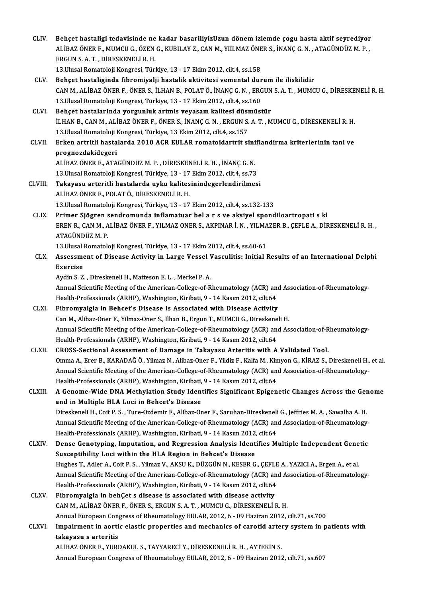| CLIV.          | Behçet hastaligi tedavisinde ne kadar basariliyizUzun dönem izlemde çogu hasta aktif seyrediyor<br>ALIBAZ ÖNER F., MUMCU G., ÖZEN G., KUBILAY Z., CAN M., YIILMAZ ÖNER S., İNANÇ G. N., ATAGÜNDÜZ M. P., |
|----------------|----------------------------------------------------------------------------------------------------------------------------------------------------------------------------------------------------------|
|                | ERGUN S. A. T., DİRESKENELİ R. H.                                                                                                                                                                        |
|                | 13. Ulusal Romatoloji Kongresi, Türkiye, 13 - 17 Ekim 2012, cilt.4, ss. 158                                                                                                                              |
| CLV.           | Behçet hastaliginda fibromiyalji hastalik aktivitesi vemental durum ile iliskilidir<br>CAN M., ALIBAZ ÖNER F., ÖNER S., İLHAN B., POLAT Ö., İNANÇ G. N., ERGUN S. A. T., MUMCU G., DİRESKENELİ R. H.     |
|                | 13. Ulusal Romatoloji Kongresi, Türkiye, 13 - 17 Ekim 2012, cilt.4, ss. 160                                                                                                                              |
| CLVI.          | Behçet hastalarında yorgunluk artmis veyasam kalitesi düsmüstür                                                                                                                                          |
|                | İLHAN B., CAN M., ALİBAZ ÖNER F., ÖNER S., İNANÇ G. N., ERGUN S. A. T., MUMCU G., DİRESKENELİ R. H.                                                                                                      |
|                | 13. Ulusal Romatoloji Kongresi, Türkiye, 13 Ekim 2012, cilt 4, ss. 157                                                                                                                                   |
| <b>CLVII</b>   | Erken artritli hastalarda 2010 ACR EULAR romatoidartrit siniflandirma kriterlerinin tani ve                                                                                                              |
|                | prognozdakidegeri                                                                                                                                                                                        |
|                | ALİBAZ ÖNER F., ATAGÜNDÜZ M. P., DİRESKENELİ R. H., İNANÇ G. N.                                                                                                                                          |
|                | 13 Ulusal Romatoloji Kongresi, Türkiye, 13 - 17 Ekim 2012, cilt 4, ss.73                                                                                                                                 |
| CLVIII.        | Takayasu arteritli hastalarda uyku kalitesinindegerlendirilmesi                                                                                                                                          |
|                | ALİBAZ ÖNER F., POLAT Ö., DİRESKENELİ R.H.                                                                                                                                                               |
|                | 13. Ulusal Romatoloji Kongresi, Türkiye, 13 - 17 Ekim 2012, cilt.4, ss. 132-133                                                                                                                          |
| CLIX.          | Primer Sjögren sendromunda inflamatuar bel a r s ve aksiyel spondiloartropati s kl                                                                                                                       |
|                | EREN R., CAN M., ALİBAZ ÖNER F., YILMAZ ONER S., AKPINAR İ. N., YILMAZER B., ÇEFLE A., DİRESKENELİ R. H.,<br>ATAGÜNDÜZ M.P.                                                                              |
|                | 13. Ulusal Romatoloji Kongresi, Türkiye, 13 - 17 Ekim 2012, cilt.4, ss.60-61                                                                                                                             |
| CLX.           | Assessment of Disease Activity in Large Vessel Vasculitis: Initial Results of an International Delphi<br><b>Exercise</b>                                                                                 |
|                | Aydin S. Z., Direskeneli H., Matteson E. L., Merkel P. A.                                                                                                                                                |
|                | Annual Scientific Meeting of the American-College-of-Rheumatology (ACR) and Association-of-Rheumatology-<br>Health-Professionals (ARHP), Washington, Kiribati, 9 - 14 Kasım 2012, cilt.64                |
| CLXI.          | Fibromyalgia in Behcet's Disease Is Associated with Disease Activity                                                                                                                                     |
|                | Can M., Alibaz-Oner F., Yilmaz-Oner S., Ilhan B., Ergun T., MUMCU G., Direskeneli H.                                                                                                                     |
|                | Annual Scientific Meeting of the American-College-of-Rheumatology (ACR) and Association-of-Rheumatology-                                                                                                 |
|                | Health-Professionals (ARHP), Washington, Kiribati, 9 - 14 Kasım 2012, cilt.64                                                                                                                            |
| CLXII.         | CROSS-Sectional Assessment of Damage in Takayasu Arteritis with A Validated Tool.                                                                                                                        |
|                | Omma A., Erer B., KARADAĞ Ö., Yilmaz N., Alibaz-Oner F., Yildiz F., Kalfa M., Kimyon G., KİRAZ S., Direskeneli H., et al.                                                                                |
|                | Annual Scientific Meeting of the American-College-of-Rheumatology (ACR) and Association-of-Rheumatology-                                                                                                 |
|                | Health-Professionals (ARHP), Washington, Kiribati, 9 - 14 Kasım 2012, cilt.64                                                                                                                            |
| CLXIII.        | A Genome-Wide DNA Methylation Study Identifies Significant Epigenetic Changes Across the Genome                                                                                                          |
|                | and in Multiple HLA Loci in Behcet's Disease                                                                                                                                                             |
|                | Direskeneli H., Coit P. S., Ture-Ozdemir F., Alibaz-Oner F., Saruhan-Direskeneli G., Jeffries M. A., Sawalha A. H.                                                                                       |
|                | Annual Scientific Meeting of the American-College-of-Rheumatology (ACR) and Association-of-Rheumatology-                                                                                                 |
|                | Health-Professionals (ARHP), Washington, Kiribati, 9 - 14 Kasım 2012, cilt.64                                                                                                                            |
| CLXIV.         | Dense Genotyping, Imputation, and Regression Analysis Identifies Multiple Independent Genetic<br>Susceptibility Loci within the HLA Region in Behcet's Disease                                           |
|                | Hughes T., Adler A., Coit P. S., Yilmaz V., AKSU K., DÜZGÜN N., KESER G., ÇEFLE A., YAZICI A., Ergen A., et al                                                                                           |
|                | Annual Scientific Meeting of the American-College-of-Rheumatology (ACR) and Association-of-Rheumatology-                                                                                                 |
|                | Health-Professionals (ARHP), Washington, Kiribati, 9 - 14 Kasım 2012, cilt.64                                                                                                                            |
| CLXV.          | Fibromyalgia in behÇet s disease is associated with disease activity                                                                                                                                     |
|                | CAN M., ALİBAZ ÖNER F., ÖNER S., ERGUN S. A. T. , MUMCU G., DİRESKENELİ R. H.                                                                                                                            |
|                | Annual European Congress of Rheumatology EULAR, 2012, 6 - 09 Haziran 2012, cilt.71, ss.700                                                                                                               |
| <b>CLXVI</b> . | Impairment in aortic elastic properties and mechanics of carotid artery system in patients with                                                                                                          |
|                | takayasu s arteritis                                                                                                                                                                                     |
|                | ALİBAZ ÖNER F., YURDAKUL S., TAYYARECİ Y., DİRESKENELİ R. H., AYTEKİN S.                                                                                                                                 |
|                | Annual European Congress of Rheumatology EULAR, 2012, 6 - 09 Haziran 2012, cilt.71, ss.607                                                                                                               |
|                |                                                                                                                                                                                                          |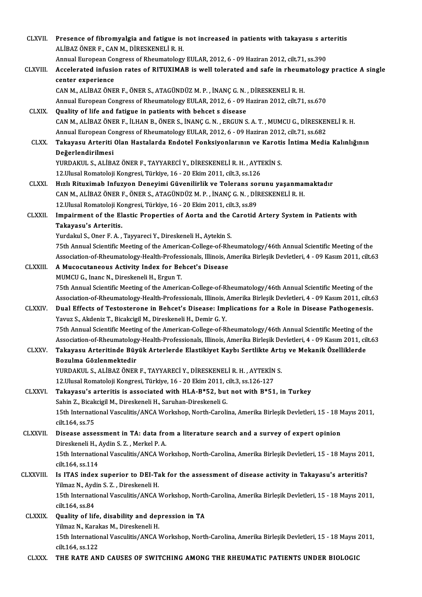| <b>CLXVII</b>   | Presence of fibromyalgia and fatigue is not increased in patients with takayasu s arteritis<br>ALİBAZ ÖNER F., CAN M., DİRESKENELİ R. H. |
|-----------------|------------------------------------------------------------------------------------------------------------------------------------------|
|                 | Annual European Congress of Rheumatology EULAR, 2012, 6 - 09 Haziran 2012, cilt.71, ss.390                                               |
| <b>CLXVIII.</b> | Accelerated infusion rates of RITUXIMAB is well tolerated and safe in rheumatology practice A single<br>center experience                |
|                 | CAN M., ALİBAZ ÖNER F., ÖNER S., ATAGÜNDÜZ M. P., İNANÇ G. N., DİRESKENELİ R. H.                                                         |
|                 | Annual European Congress of Rheumatology EULAR, 2012, 6 - 09 Haziran 2012, cilt.71, ss.670                                               |
| <b>CLXIX</b>    | Quality of life and fatigue in patients with behcet s disease                                                                            |
|                 | CAN M., ALİBAZ ÖNER F., İLHAN B., ÖNER S., İNANÇ G. N., ERGUN S. A. T., MUMCU G., DİRESKENELİ R. H.                                      |
|                 | Annual European Congress of Rheumatology EULAR, 2012, 6 - 09 Haziran 2012, cilt 71, ss.682                                               |
| <b>CLXX</b>     | Takayasu Arteriti Olan Hastalarda Endotel Fonksiyonlarının ve Karotis İntima Media Kalınlığının                                          |
|                 | Değerlendirilmesi                                                                                                                        |
|                 | YURDAKUL S., ALİBAZ ÖNER F., TAYYARECİ Y., DİRESKENELİ R. H., AYTEKİN S.                                                                 |
|                 | 12 Ulusal Romatoloji Kongresi, Türkiye, 16 - 20 Ekim 2011, cilt.3, ss.126                                                                |
| <b>CLXXI</b>    | Hızlı Rituximab Infuzyon Deneyimi Güvenilirlik ve Tolerans sorunu yaşanmamaktadır                                                        |
|                 | CAN M., ALİBAZ ÖNER F., ÖNER S., ATAGÜNDÜZ M. P., İNANÇ G. N., DİRESKENELİ R. H.                                                         |
|                 | 12. Ulusal Romatoloji Kongresi, Türkiye, 16 - 20 Ekim 2011, cilt.3, ss.89                                                                |
| <b>CLXXII.</b>  | Impairment of the Elastic Properties of Aorta and the Carotid Artery System in Patients with                                             |
|                 | Takayasu's Arteritis.                                                                                                                    |
|                 | Yurdakul S., Oner F. A., Tayyareci Y., Direskeneli H., Aytekin S.                                                                        |
|                 | 75th Annual Scientific Meeting of the American-College-of-Rheumatology/46th Annual Scientific Meeting of the                             |
|                 | Association-of-Rheumatology-Health-Professionals, Illinois, Amerika Birleşik Devletleri, 4 - 09 Kasım 2011, cilt.63                      |
| <b>CLXXIII.</b> | A Mucocutaneous Activity Index for Behcet's Disease<br>MUMCU G., Inanc N., Direskeneli H., Ergun T.                                      |
|                 | 75th Annual Scientific Meeting of the American-College-of-Rheumatology/46th Annual Scientific Meeting of the                             |
|                 | Association-of-Rheumatology-Health-Professionals, Illinois, Amerika Birleşik Devletleri, 4 - 09 Kasım 2011, cilt.63                      |
| <b>CLXXIV</b>   | Dual Effects of Testosterone in Behcet's Disease: Implications for a Role in Disease Pathogenesis.                                       |
|                 | Yavuz S., Akdeniz T., Bicakcigil M., Direskeneli H., Demir G. Y.                                                                         |
|                 | 75th Annual Scientific Meeting of the American-College-of-Rheumatology/46th Annual Scientific Meeting of the                             |
|                 | Association-of-Rheumatology-Health-Professionals, Illinois, Amerika Birleşik Devletleri, 4 - 09 Kasım 2011, cilt.63                      |
| <b>CLXXV</b>    | Takayasu Arteritinde Büyük Arterlerde Elastikiyet Kaybı Sertlikte Artış ve Mekanik Özelliklerde                                          |
|                 | Bozulma Gözlenmektedir                                                                                                                   |
|                 | YURDAKUL S., ALİBAZ ÖNER F., TAYYARECİ Y., DİRESKENELİ R. H., AYTEKİN S.                                                                 |
|                 | 12. Ulusal Romatoloji Kongresi, Türkiye, 16 - 20 Ekim 2011, cilt.3, ss. 126-127                                                          |
| <b>CLXXVI.</b>  | Takayasu's arteritis is associated with HLA-B*52, but not with B*51, in Turkey                                                           |
|                 | Sahin Z., Bicakcigil M., Direskeneli H., Saruhan-Direskeneli G.                                                                          |
|                 | 15th International Vasculitis/ANCA Workshop, North-Carolina, Amerika Birleşik Devletleri, 15 - 18 Mayıs 2011,                            |
|                 | cilt 164, ss 75                                                                                                                          |
| CLXXVII.        | Disease assessment in TA: data from a literature search and a survey of expert opinion                                                   |
|                 | Direskeneli H., Aydin S. Z., Merkel P. A.                                                                                                |
|                 | 15th International Vasculitis/ANCA Workshop, North-Carolina, Amerika Birleşik Devletleri, 15 - 18 Mayıs 2011,                            |
|                 | cilt 164, ss 114                                                                                                                         |
| CLXXVIII.       | Is ITAS index superior to DEI-Tak for the assessment of disease activity in Takayasu's arteritis?                                        |
|                 | Yilmaz N., Aydin S. Z., Direskeneli H.                                                                                                   |
|                 | 15th International Vasculitis/ANCA Workshop, North-Carolina, Amerika Birleşik Devletleri, 15 - 18 Mayıs 2011,<br>cilt 164, ss 84         |
| CLXXIX.         | Quality of life, disability and depression in TA                                                                                         |
|                 | Yilmaz N., Karakas M., Direskeneli H.                                                                                                    |
|                 | 15th International Vasculitis/ANCA Workshop, North-Carolina, Amerika Birleşik Devletleri, 15 - 18 Mayıs 2011,                            |
|                 | cilt 164, ss 122                                                                                                                         |
| <b>CLXXX</b>    | THE RATE AND CAUSES OF SWITCHING AMONG THE RHEUMATIC PATIENTS UNDER BIOLOGIC                                                             |
|                 |                                                                                                                                          |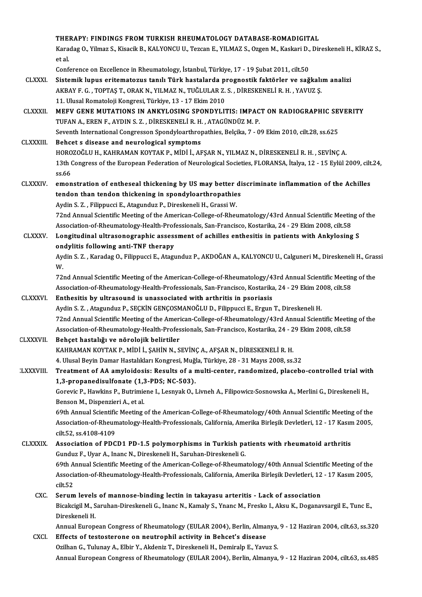|                  | THERAPY: FINDINGS FROM TURKISH RHEUMATOLOGY DATABASE-ROMADIGITAL                                                                                                                                                               |
|------------------|--------------------------------------------------------------------------------------------------------------------------------------------------------------------------------------------------------------------------------|
|                  | Karadag O., Yilmaz S., Kisacik B., KALYONCU U., Tezcan E., YILMAZ S., Ozgen M., Kaskari D., Direskeneli H., KİRAZ S.,                                                                                                          |
|                  | et al.                                                                                                                                                                                                                         |
|                  | Conference on Excellence in Rheumatology, İstanbul, Türkiye, 17 - 19 Şubat 2011, cilt.50                                                                                                                                       |
| <b>CLXXXI.</b>   | Sistemik lupus eritematozus tanılı Türk hastalarda prognostik faktörler ve sağkalım analizi                                                                                                                                    |
|                  | AKBAY F. G., TOPTAŞ T., ORAK N., YILMAZ N., TUĞLULAR Z. S., DİRESKENELİ R. H., YAVUZ Ş.                                                                                                                                        |
|                  | 11. Ulusal Romatoloji Kongresi, Türkiye, 13 - 17 Ekim 2010                                                                                                                                                                     |
| <b>CLXXXII</b>   | MEFV GENE MUTATIONS IN ANKYLOSING SPONDYLITIS: IMPACT ON RADIOGRAPHIC SEVERITY                                                                                                                                                 |
|                  | TUFAN A., EREN F., AYDIN S. Z., DİRESKENELİ R. H., ATAGÜNDÜZ M. P.                                                                                                                                                             |
|                  | Seventh International Congresson Spondyloarthropathies, Belçika, 7 - 09 Ekim 2010, cilt.28, ss.625                                                                                                                             |
| <b>CLXXXIII</b>  | Behcet s disease and neurological symptoms                                                                                                                                                                                     |
|                  | HOROZOĞLU H., KAHRAMAN KOYTAK P., MİDİ İ., AFŞAR N., YILMAZ N., DİRESKENELİ R. H., SEVİNÇ A.                                                                                                                                   |
|                  | 13th Congress of the European Federation of Neurological Societies, FLORANSA, İtalya, 12 - 15 Eylül 2009, cilt.24,<br>ss 66                                                                                                    |
| <b>CLXXXIV</b>   | emonstration of entheseal thickening by US may better discriminate inflammation of the Achilles                                                                                                                                |
|                  | tendon than tendon thickening in spondyloarthropathies                                                                                                                                                                         |
|                  | Aydin S. Z., Filippucci E., Atagunduz P., Direskeneli H., Grassi W.                                                                                                                                                            |
|                  | 72nd Annual Scientific Meeting of the American-College-of-Rheumatology/43rd Annual Scientific Meeting of the                                                                                                                   |
|                  | Association-of-Rheumatology-Health-Professionals, San-Francisco, Kostarika, 24 - 29 Ekim 2008, cilt.58                                                                                                                         |
| <b>CLXXXV</b>    | Longitudinal ultrasonographic assessment of achilles enthesitis in patients with Ankylosing S                                                                                                                                  |
|                  | ondylitis following anti-TNF therapy                                                                                                                                                                                           |
|                  | Aydin S. Z., Karadag O., Filippucci E., Atagunduz P., AKDOĞAN A., KALYONCU U., Calguneri M., Direskeneli H., Grassi<br>W.                                                                                                      |
|                  | 72nd Annual Scientific Meeting of the American-College-of-Rheumatology/43rd Annual Scientific Meeting of the                                                                                                                   |
|                  | Association-of-Rheumatology-Health-Professionals, San-Francisco, Kostarika, 24 - 29 Ekim 2008, cilt.58                                                                                                                         |
| <b>CLXXXVI</b>   | Enthesitis by ultrasound is unassociated with arthritis in psoriasis                                                                                                                                                           |
|                  | Aydin S. Z., Atagunduz P., SEÇKİN GENÇOSMANOĞLU D., Filippucci E., Ergun T., Direskeneli H.                                                                                                                                    |
|                  | 72nd Annual Scientific Meeting of the American-College-of-Rheumatology/43rd Annual Scientific Meeting of the                                                                                                                   |
| <b>CLXXXVII.</b> | Association-of-Rheumatology-Health-Professionals, San-Francisco, Kostarika, 24 - 29 Ekim 2008, cilt.58<br>Behçet hastalığı ve nörolojik belirtiler                                                                             |
|                  | KAHRAMAN KOYTAK P., MİDİ İ., ŞAHİN N., SEVİNÇ A., AFŞAR N., DİRESKENELİ R. H.                                                                                                                                                  |
|                  | 4. Ulusal Beyin Damar Hastalıkları Kongresi, Muğla, Türkiye, 28 - 31 Mayıs 2008, ss.32                                                                                                                                         |
| :LXXXVIII        | Treatment of AA amyloidosis: Results of a multi-center, randomized, placebo-controlled trial with                                                                                                                              |
|                  | 1,3-propanedisulfonate (1,3-PDS; NC-503).                                                                                                                                                                                      |
|                  | Gorevic P., Hawkins P., Butrimiene I., Lesnyak O., Livneh A., Filipowicz-Sosnowska A., Merlini G., Direskeneli H.,                                                                                                             |
|                  | Benson M., Dispenzieri A., et al.                                                                                                                                                                                              |
|                  | 69th Annual Scientific Meeting of the American-College-of-Rheumatology/40th Annual Scientific Meeting of the                                                                                                                   |
|                  | Association-of-Rheumatology-Health-Professionals, California, Amerika Birleşik Devletleri, 12 - 17 Kasım 2005,                                                                                                                 |
|                  | cilt 52, ss 4108-4109                                                                                                                                                                                                          |
| <b>CLXXXIX</b>   | Association of PDCD1 PD-1.5 polymorphisms in Turkish patients with rheumatoid arthritis                                                                                                                                        |
|                  | Gunduz F., Uyar A., Inanc N., Direskeneli H., Saruhan-Direskeneli G.                                                                                                                                                           |
|                  | 69th Annual Scientific Meeting of the American-College-of-Rheumatology/40th Annual Scientific Meeting of the<br>Association-of-Rheumatology-Health-Professionals, California, Amerika Birleşik Devletleri, 12 - 17 Kasım 2005, |
|                  | cilt 52                                                                                                                                                                                                                        |
| CXC.             | Serum levels of mannose-binding lectin in takayasu arteritis - Lack of association                                                                                                                                             |
|                  | Bicakcigil M., Saruhan-Direskeneli G., Inanc N., Kamaly S., Ynanc M., Fresko I., Aksu K., Doganavsargil E., Tunc E.,                                                                                                           |
|                  | Direskeneli H.                                                                                                                                                                                                                 |
|                  | Annual European Congress of Rheumatology (EULAR 2004), Berlin, Almanya, 9 - 12 Haziran 2004, cilt.63, ss.320                                                                                                                   |
| CXCI.            | Effects of testosterone on neutrophil activity in Behcet's disease                                                                                                                                                             |
|                  | Ozilhan G., Tulunay A., Elbir Y., Akdeniz T., Direskeneli H., Demiralp E., Yavuz S.                                                                                                                                            |
|                  | Annual European Congress of Rheumatology (EULAR 2004), Berlin, Almanya, 9 - 12 Haziran 2004, cilt.63, ss.485                                                                                                                   |